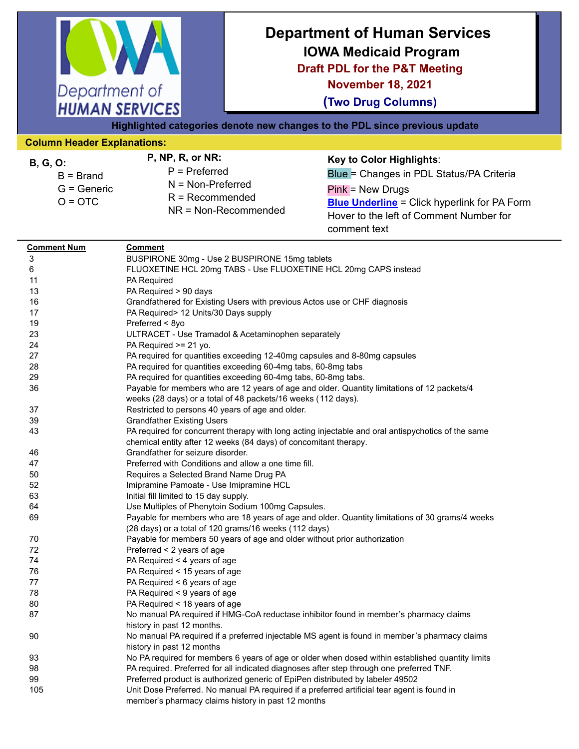| Department of                                                                                        | <b>HUMAN SERVICES</b>                                                                                                                                                                                                                                                                                                                                                                                                                                                                                                                                                                                                                             | <b>Department of Human Services</b><br><b>IOWA Medicaid Program</b><br><b>Draft PDL for the P&amp;T Meeting</b><br><b>November 18, 2021</b><br><b>(Two Drug Columns)</b><br>Highlighted categories denote new changes to the PDL since previous update |                                                                                                                                                                                                                                                                                                                                                                                                                                                                                                                                                                          |  |  |  |  |
|------------------------------------------------------------------------------------------------------|---------------------------------------------------------------------------------------------------------------------------------------------------------------------------------------------------------------------------------------------------------------------------------------------------------------------------------------------------------------------------------------------------------------------------------------------------------------------------------------------------------------------------------------------------------------------------------------------------------------------------------------------------|--------------------------------------------------------------------------------------------------------------------------------------------------------------------------------------------------------------------------------------------------------|--------------------------------------------------------------------------------------------------------------------------------------------------------------------------------------------------------------------------------------------------------------------------------------------------------------------------------------------------------------------------------------------------------------------------------------------------------------------------------------------------------------------------------------------------------------------------|--|--|--|--|
| <b>Column Header Explanations:</b>                                                                   |                                                                                                                                                                                                                                                                                                                                                                                                                                                                                                                                                                                                                                                   |                                                                                                                                                                                                                                                        |                                                                                                                                                                                                                                                                                                                                                                                                                                                                                                                                                                          |  |  |  |  |
| <b>B, G, O:</b><br>$B = Brand$<br>$G =$ Generic<br>$O = OTC$                                         | P, NP, R, or NR:<br>$P = Preferred$<br>$N = Non-Preferred$<br>$R = Recommended$                                                                                                                                                                                                                                                                                                                                                                                                                                                                                                                                                                   | NR = Non-Recommended                                                                                                                                                                                                                                   | Key to Color Highlights:<br>Blue = Changes in PDL Status/PA Criteria<br>Pink = New Drugs<br><b>Blue Underline</b> = Click hyperlink for PA Form<br>Hover to the left of Comment Number for<br>comment text                                                                                                                                                                                                                                                                                                                                                               |  |  |  |  |
| <b>Comment Num</b><br>3<br>6<br>11<br>13<br>16<br>17<br>19<br>23<br>24<br>27<br>28<br>29<br>36<br>37 | BUSPIRONE 30mg - Use 2 BUSPIRONE 15mg tablets<br>PA Required<br>PA Required > 90 days<br>Grandfathered for Existing Users with previous Actos use or CHF diagnosis<br>PA Required> 12 Units/30 Days supply<br>Preferred < 8yo<br>ULTRACET - Use Tramadol & Acetaminophen separately<br>PA Required >= 21 yo.<br>PA required for quantities exceeding 12-40mg capsules and 8-80mg capsules<br>PA required for quantities exceeding 60-4mg tabs, 60-8mg tabs<br>PA required for quantities exceeding 60-4mg tabs, 60-8mg tabs.<br>weeks (28 days) or a total of 48 packets/16 weeks (112 days).<br>Restricted to persons 40 years of age and older. |                                                                                                                                                                                                                                                        | FLUOXETINE HCL 20mg TABS - Use FLUOXETINE HCL 20mg CAPS instead<br>Payable for members who are 12 years of age and older. Quantity limitations of 12 packets/4                                                                                                                                                                                                                                                                                                                                                                                                           |  |  |  |  |
| 39<br>43<br>46<br>47<br>50<br>52<br>63<br>64<br>69                                                   | <b>Grandfather Existing Users</b><br>chemical entity after 12 weeks (84 days) of concomitant therapy.<br>Grandfather for seizure disorder.<br>Preferred with Conditions and allow a one time fill.<br>Requires a Selected Brand Name Drug PA<br>Imipramine Pamoate - Use Imipramine HCL<br>Initial fill limited to 15 day supply.<br>Use Multiples of Phenytoin Sodium 100mg Capsules.<br>(28 days) or a total of 120 grams/16 weeks (112 days)                                                                                                                                                                                                   |                                                                                                                                                                                                                                                        | PA required for concurrent therapy with long acting injectable and oral antispychotics of the same<br>Payable for members who are 18 years of age and older. Quantity limitations of 30 grams/4 weeks                                                                                                                                                                                                                                                                                                                                                                    |  |  |  |  |
| 70<br>72<br>74<br>76<br>77<br>78<br>80<br>87<br>90<br>93<br>98<br>99<br>105                          | Payable for members 50 years of age and older without prior authorization<br>Preferred < 2 years of age<br>PA Required < 4 years of age<br>PA Required < 15 years of age<br>PA Required < 6 years of age<br>PA Required < 9 years of age<br>PA Required < 18 years of age<br>history in past 12 months.<br>history in past 12 months<br>member's pharmacy claims history in past 12 months                                                                                                                                                                                                                                                        |                                                                                                                                                                                                                                                        | No manual PA required if HMG-CoA reductase inhibitor found in member's pharmacy claims<br>No manual PA required if a preferred injectable MS agent is found in member's pharmacy claims<br>No PA required for members 6 years of age or older when dosed within established quantity limits<br>PA required. Preferred for all indicated diagnoses after step through one preferred TNF.<br>Preferred product is authorized generic of EpiPen distributed by labeler 49502<br>Unit Dose Preferred. No manual PA required if a preferred artificial tear agent is found in |  |  |  |  |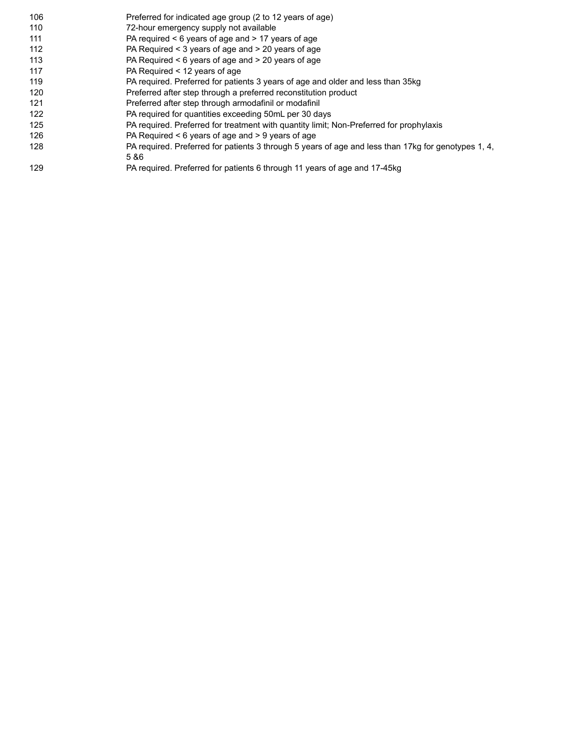| 106 | Preferred for indicated age group (2 to 12 years of age)                                            |
|-----|-----------------------------------------------------------------------------------------------------|
| 110 | 72-hour emergency supply not available                                                              |
| 111 | PA required $\leq 6$ years of age and $\geq 17$ years of age                                        |
| 112 | PA Required < 3 years of age and > 20 years of age                                                  |
| 113 | PA Required $\leq 6$ years of age and $\geq 20$ years of age                                        |
| 117 | PA Required < 12 years of age                                                                       |
| 119 | PA required. Preferred for patients 3 years of age and older and less than 35kg                     |
| 120 | Preferred after step through a preferred reconstitution product                                     |
| 121 | Preferred after step through armodafinil or modafinil                                               |
| 122 | PA required for quantities exceeding 50mL per 30 days                                               |
| 125 | PA required. Preferred for treatment with quantity limit; Non-Preferred for prophylaxis             |
| 126 | PA Required $\leq 6$ years of age and $> 9$ years of age                                            |
| 128 | PA required. Preferred for patients 3 through 5 years of age and less than 17kg for genotypes 1, 4, |
|     | 5 & 6                                                                                               |
| 129 | PA required. Preferred for patients 6 through 11 years of age and 17-45kg                           |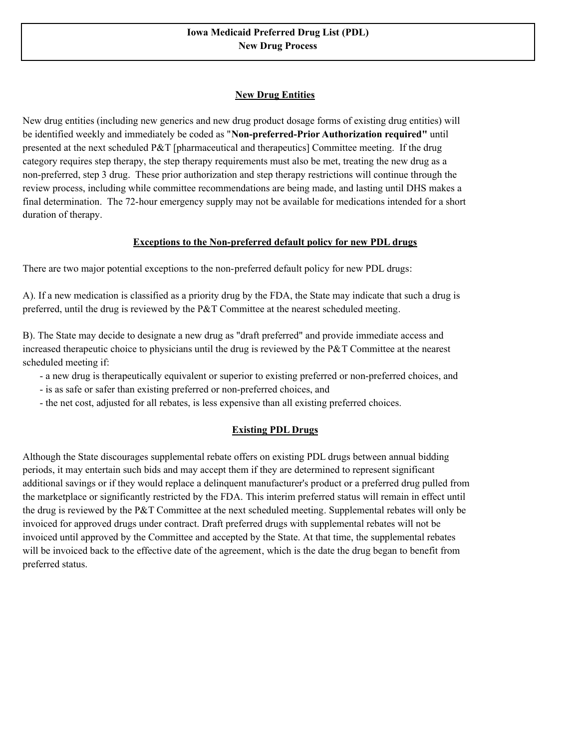# **New Drug Entities**

New drug entities (including new generics and new drug product dosage forms of existing drug entities) will be identified weekly and immediately be coded as "**Non-preferred-Prior Authorization required"** until presented at the next scheduled P&T [pharmaceutical and therapeutics] Committee meeting. If the drug category requires step therapy, the step therapy requirements must also be met, treating the new drug as a non-preferred, step 3 drug. These prior authorization and step therapy restrictions will continue through the review process, including while committee recommendations are being made, and lasting until DHS makes a final determination. The 72-hour emergency supply may not be available for medications intended for a short duration of therapy.

### **Exceptions to the Non-preferred default policy for new PDL drugs**

There are two major potential exceptions to the non-preferred default policy for new PDL drugs:

A). If a new medication is classified as a priority drug by the FDA, the State may indicate that such a drug is preferred, until the drug is reviewed by the P&T Committee at the nearest scheduled meeting.

B). The State may decide to designate a new drug as "draft preferred" and provide immediate access and increased therapeutic choice to physicians until the drug is reviewed by the P&T Committee at the nearest scheduled meeting if:

- a new drug is therapeutically equivalent or superior to existing preferred or non-preferred choices, and
- is as safe or safer than existing preferred or non-preferred choices, and
- the net cost, adjusted for all rebates, is less expensive than all existing preferred choices.

# **Existing PDL Drugs**

Although the State discourages supplemental rebate offers on existing PDL drugs between annual bidding periods, it may entertain such bids and may accept them if they are determined to represent significant additional savings or if they would replace a delinquent manufacturer's product or a preferred drug pulled from the marketplace or significantly restricted by the FDA. This interim preferred status will remain in effect until the drug is reviewed by the P&T Committee at the next scheduled meeting. Supplemental rebates will only be invoiced for approved drugs under contract. Draft preferred drugs with supplemental rebates will not be invoiced until approved by the Committee and accepted by the State. At that time, the supplemental rebates will be invoiced back to the effective date of the agreement, which is the date the drug began to benefit from preferred status.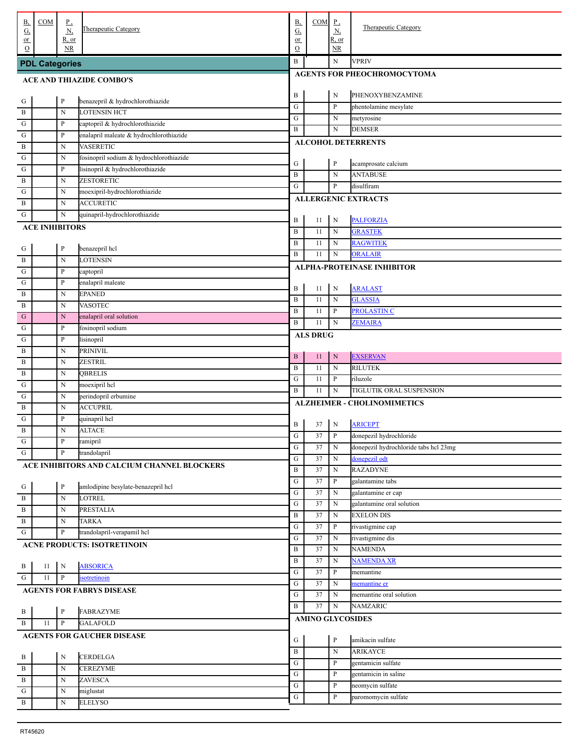| <u>B,</u><br><u>G,</u>          | COM                   | $_{\rm p}$<br>N            | Therapeutic Category                        | <b>B</b> ,<br>G,    | COM                     | $\mathbf{P}$<br><u>N,</u>   | <b>Therapeutic Category</b>           |  |  |  |  |
|---------------------------------|-----------------------|----------------------------|---------------------------------------------|---------------------|-------------------------|-----------------------------|---------------------------------------|--|--|--|--|
| $or$<br>$\Omega$                |                       | R, or<br>NR.               |                                             | or<br>$\mathcal{O}$ |                         | R, or<br>NR.                |                                       |  |  |  |  |
|                                 |                       |                            |                                             | B                   |                         | $\mathbf N$                 | <b>VPRIV</b>                          |  |  |  |  |
|                                 | <b>PDL Categories</b> |                            |                                             |                     |                         |                             |                                       |  |  |  |  |
| <b>ACE AND THIAZIDE COMBO'S</b> |                       |                            |                                             |                     |                         | AGENTS FOR PHEOCHROMOCYTOMA |                                       |  |  |  |  |
|                                 |                       | $\, {\bf p}$               | benazepril & hydrochlorothiazide            | B                   |                         | $\mathbf N$                 | PHENOXYBENZAMINE                      |  |  |  |  |
| . G<br>. B                      |                       | $\mathbf N$                | <b>LOTENSIN HCT</b>                         | ${\bf G}$           |                         | P                           | phentolamine mesylate                 |  |  |  |  |
| $\cdot$ G                       |                       | P                          | captopril & hydrochlorothiazide             | ${\bf G}$           |                         | $_{\rm N}$                  | metyrosine                            |  |  |  |  |
| $\cdot$ G                       |                       | P                          | enalapril maleate & hydrochlorothiazide     | $\, {\bf B}$        |                         | $\mathbf N$                 | <b>DEMSER</b>                         |  |  |  |  |
| . B                             |                       | $\mathbf N$                | <b>VASERETIC</b>                            |                     |                         |                             | <b>ALCOHOL DETERRENTS</b>             |  |  |  |  |
| ${\bf G}$                       |                       | N                          | fosinopril sodium & hydrochlorothiazide     |                     |                         |                             |                                       |  |  |  |  |
| $\mathbf{G}$                    |                       | $\mathbf{P}$               | lisinopril & hydrochlorothiazide            | G                   |                         | $\mathbf P$                 | acamprosate calcium                   |  |  |  |  |
| . B                             |                       | $\mathbf N$                | ZESTORETIC                                  | B                   |                         | ${\bf N}$                   | <b>ANTABUSE</b>                       |  |  |  |  |
| G                               |                       | $\mathbf N$                | moexipril-hydrochlorothiazide               | G                   |                         | P                           | disulfiram                            |  |  |  |  |
| $\mathbf{B}$                    |                       | $\mathbf N$                | <b>ACCURETIC</b>                            |                     |                         |                             | <b>ALLERGENIC EXTRACTS</b>            |  |  |  |  |
| G                               |                       | $\mathbf N$                | quinapril-hydrochlorothiazide               |                     |                         |                             |                                       |  |  |  |  |
|                                 | <b>ACE INHIBITORS</b> |                            |                                             | B                   | 11                      | $\mathbf N$                 | <b>PALFORZIA</b>                      |  |  |  |  |
|                                 |                       |                            |                                             | B                   | 11                      | $_{\rm N}$                  | <b>GRASTEK</b>                        |  |  |  |  |
| . G                             |                       | $\, {\bf p}$               | benazepril hcl                              | B                   | 11                      | $_{\rm N}$                  | <b>RAGWITEK</b>                       |  |  |  |  |
| . B                             |                       | $\mathbf N$                | <b>LOTENSIN</b>                             | $\, {\bf B}$        | 11                      | $\mathbf N$                 | <b>ORALAIR</b>                        |  |  |  |  |
| $\cdot$ G                       |                       | P                          | captopril                                   |                     |                         |                             | ALPHA-PROTEINASE INHIBITOR            |  |  |  |  |
| $\cdot$ G                       |                       | P                          | enalapril maleate                           |                     |                         |                             |                                       |  |  |  |  |
| . B                             |                       | $\mathbf N$                | <b>EPANED</b>                               | B                   | 11                      | $\mathbf N$                 | <b>ARALAST</b><br><b>GLASSIA</b>      |  |  |  |  |
| . B                             |                       | $\mathbf N$                | <b>VASOTEC</b>                              | B                   | 11                      | $_{\rm N}$<br>P             | <b>PROLASTIN C</b>                    |  |  |  |  |
| G                               |                       | ${\bf N}$                  | enalapril oral solution                     | B<br>B              | 11<br>11                | $\mathbf N$                 | <b>ZEMAIRA</b>                        |  |  |  |  |
| ${\bf G}$                       |                       | $\mathbf{P}$               | fosinopril sodium                           |                     |                         |                             |                                       |  |  |  |  |
| ${\bf G}$                       |                       | P                          | lisinopril                                  |                     | <b>ALS DRUG</b>         |                             |                                       |  |  |  |  |
| . B                             |                       | $\mathbf N$                | PRINIVIL                                    | $\, {\bf B}$        | 11                      | ${\bf N}$                   | <b>EXSERVAN</b>                       |  |  |  |  |
| B                               |                       | N                          | <b>ZESTRIL</b>                              | $\, {\bf B}$        | 11                      | $\mathbf N$                 | <b>RILUTEK</b>                        |  |  |  |  |
| B                               |                       | N                          | <b>QBRELIS</b>                              | ${\bf G}$           | 11                      | P                           | riluzole                              |  |  |  |  |
| G                               |                       | N                          | moexipril hcl                               | B                   | 11                      | $\mathbf N$                 | TIGLUTIK ORAL SUSPENSION              |  |  |  |  |
| G                               |                       | N                          | perindopril erbumine                        |                     |                         |                             | <b>ALZHEIMER - CHOLINOMIMETICS</b>    |  |  |  |  |
| $\,$ B                          |                       | $\mathbf N$                | <b>ACCUPRIL</b>                             |                     |                         |                             |                                       |  |  |  |  |
| G                               |                       | ${\bf P}$                  | quinapril hcl                               | B                   | 37                      | $\mathbf N$                 | <b>ARICEPT</b>                        |  |  |  |  |
| B                               |                       | $\mathbf N$                | <b>ALTACE</b>                               | ${\rm G}$           |                         |                             | 37 P donepezil hydrochloride          |  |  |  |  |
| . G                             |                       | $\mathbf{P}$               | ramipril                                    | G                   | 37                      | $\mathbf N$                 | donepezil hydrochloride tabs hcl 23mg |  |  |  |  |
| . G                             |                       | $\, {\bf P}$               | trandolapril                                | ${\bf G}$           | 37                      | $\mathbf N$                 | donepezil odt                         |  |  |  |  |
|                                 |                       |                            | ACE INHIBITORS AND CALCIUM CHANNEL BLOCKERS | B                   | 37                      | $\mathbf N$                 | <b>RAZADYNE</b>                       |  |  |  |  |
|                                 |                       |                            |                                             | ${\bf G}$           | 37                      | P                           | galantamine tabs                      |  |  |  |  |
| $\cdot$ G                       |                       | $\, {\bf P}$               | amlodipine besylate-benazepril hcl          | ${\bf G}$           | 37                      | $\mathbf N$                 | galantamine er cap                    |  |  |  |  |
| . B                             |                       | $\mathbf N$                | <b>LOTREL</b>                               | ${\bf G}$           | 37                      | $\mathbf N$                 | galantamine oral solution             |  |  |  |  |
| . B                             |                       | $\mathbf N$                | PRESTALIA                                   | B                   | 37                      | $\mathbf N$                 | <b>EXELON DIS</b>                     |  |  |  |  |
| . B                             |                       | $\mathbf N$                | <b>TARKA</b>                                | ${\bf G}$           | 37                      | P                           | rivastigmine cap                      |  |  |  |  |
| G                               |                       | P                          | trandolapril-verapamil hcl                  | ${\bf G}$           | 37                      | N                           | rivastigmine dis                      |  |  |  |  |
|                                 |                       |                            | <b>ACNE PRODUCTS: ISOTRETINOIN</b>          | B                   | 37                      | N                           | <b>NAMENDA</b>                        |  |  |  |  |
|                                 |                       |                            |                                             | B                   | 37                      | $\mathbf N$                 | <b>NAMENDA XR</b>                     |  |  |  |  |
| . В                             | 11                    | $\mathbf N$                | <b>ABSORICA</b>                             | ${\bf G}$           | 37                      | P                           | memantine                             |  |  |  |  |
| G.                              | 11                    | $\, {\bf P}$               | isotretinoin                                | ${\bf G}$           | 37                      | N                           | memantine er                          |  |  |  |  |
|                                 |                       |                            | <b>AGENTS FOR FABRYS DISEASE</b>            | ${\bf G}$           | 37                      | N                           | memantine oral solution               |  |  |  |  |
|                                 |                       |                            |                                             | B                   | 37                      | N                           | <b>NAMZARIC</b>                       |  |  |  |  |
| $\cdot$ B                       |                       | $\, {\bf P}$               | FABRAZYME                                   |                     | <b>AMINO GLYCOSIDES</b> |                             |                                       |  |  |  |  |
| . B                             | 11                    | $\, {\bf P}$               | <b>GALAFOLD</b>                             |                     |                         |                             |                                       |  |  |  |  |
|                                 |                       |                            | <b>AGENTS FOR GAUCHER DISEASE</b>           | G                   |                         | $\mathbf P$                 | amikacin sulfate                      |  |  |  |  |
|                                 |                       |                            |                                             | $\, {\bf B}$        |                         | ${\bf N}$                   | <b>ARIKAYCE</b>                       |  |  |  |  |
| . B                             |                       | $\mathbf N$                | <b>CERDELGA</b>                             | ${\bf G}$           |                         | P                           | gentamicin sulfate                    |  |  |  |  |
| . B                             |                       | $\mathbf N$                | <b>CEREZYME</b>                             | G                   |                         | P                           | gentamicin in saline                  |  |  |  |  |
| . B                             |                       | $\mathbf N$                | ZAVESCA                                     | G                   |                         | P                           | neomycin sulfate                      |  |  |  |  |
| . G<br>. B                      |                       | $\mathbf N$<br>$\mathbf N$ | miglustat<br><b>ELELYSO</b>                 | G                   |                         | P                           | paromomycin sulfate                   |  |  |  |  |
|                                 |                       |                            |                                             |                     |                         |                             |                                       |  |  |  |  |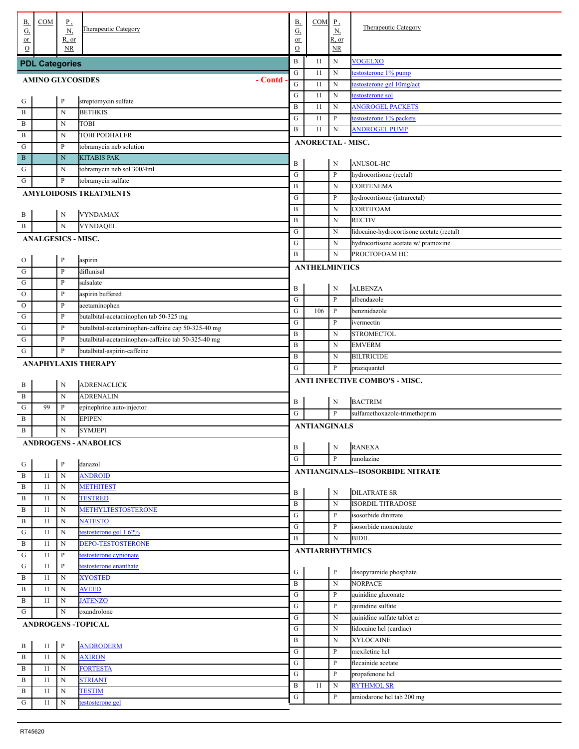| В,                      | COM                       | $P_{\rightarrow}$ | Therapeutic Category                               | <b>B</b> ,             | COM                      | $_{\rm P}$                  | <b>Therapeutic Category</b>               |
|-------------------------|---------------------------|-------------------|----------------------------------------------------|------------------------|--------------------------|-----------------------------|-------------------------------------------|
| G,<br>$or$              |                           | N,<br>$R$ , or    |                                                    | $\underline{G}$<br>or  |                          | <u>N,</u><br>R, or          |                                           |
| $\Omega$                |                           | <b>NR</b>         |                                                    | $\mathcal{O}$          |                          | NR.                         |                                           |
|                         | <b>PDL Categories</b>     |                   |                                                    | B                      | 11                       | N                           | <b>VOGELXO</b>                            |
|                         |                           |                   | - Contd                                            | ${\bf G}$<br>${\bf G}$ | 11                       | ${\bf N}$                   | testosterone 1% pump                      |
| <b>AMINO GLYCOSIDES</b> |                           |                   |                                                    |                        | 11                       | ${\bf N}$                   | testosterone gel 10mg/act                 |
| $\frac{G}{1}$           |                           | $\mathbf{P}$      | streptomycin sulfate                               | ${\bf G}$              | 11                       | ${\bf N}$                   | testosterone sol                          |
| . B                     |                           | N                 | <b>BETHKIS</b>                                     | $\, {\bf B}$           | 11                       | ${\bf N}$                   | <b>ANGROGEL PACKETS</b>                   |
| . $\, {\bf B}$          |                           | N                 | <b>TOBI</b>                                        | ${\bf G}$              | 11                       | $\mathbf{P}$                | testosterone 1% packets                   |
| . B                     |                           | N                 | TOBI PODHALER                                      | B                      | 11                       | ${\bf N}$                   | <b>ANDROGEL PUMP</b>                      |
| G                       |                           | $\mathbf{P}$      | tobramycin neb solution                            |                        | <b>ANORECTAL - MISC.</b> |                             |                                           |
| B                       |                           | N                 | <b>KITABIS PAK</b>                                 |                        |                          |                             |                                           |
| G                       |                           | N                 | tobramycin neb sol 300/4ml                         | B<br>${\bf G}$         |                          | $\mathbf N$<br>$\mathbf{P}$ | ANUSOL-HC<br>hydrocortisone (rectal)      |
| G                       |                           | $\mathbf{P}$      | tobramycin sulfate                                 | $\, {\bf B}$           |                          | ${\bf N}$                   | <b>CORTENEMA</b>                          |
|                         |                           |                   | <b>AMYLOIDOSIS TREATMENTS</b>                      | G                      |                          | P                           | hydrocortisone (intrarectal)              |
|                         |                           |                   |                                                    | B                      |                          | N                           | <b>CORTIFOAM</b>                          |
| . B                     |                           | $\mathbf N$       | <b>VYNDAMAX</b>                                    | B                      |                          | N                           | <b>RECTIV</b>                             |
| . B                     |                           | $\mathbf N$       | VYNDAQEL                                           | ${\bf G}$              |                          | N                           | lidocaine-hydrocortisone acetate (rectal) |
|                         | <b>ANALGESICS - MISC.</b> |                   |                                                    | G                      |                          | N                           | hydrocortisone acetate w/ pramoxine       |
|                         |                           |                   |                                                    | B                      |                          | $\mathbf N$                 | PROCTOFOAM HC                             |
| $\frac{1}{10}$          |                           | $\mathbf{P}$      | aspirin                                            |                        | <b>ANTHELMINTICS</b>     |                             |                                           |
| . ${\bf G}$             |                           | $\mathbf{P}$      | diflunisal                                         |                        |                          |                             |                                           |
| . ${\bf G}$             |                           | $\mathbf{P}$      | salsalate                                          | B                      |                          | $\mathbf N$                 | <b>ALBENZA</b>                            |
| $\mathbf{O}$            |                           | $\mathbf{P}$      | aspirin buffered                                   | ${\bf G}$              |                          | P                           | albendazole                               |
| $\mathbf{O}$            |                           | $\mathbf{P}$      | acetaminophen                                      | G                      | 106                      | P                           | benznidazole                              |
| G                       |                           | $\mathbf{P}$      | butalbital-acetaminophen tab 50-325 mg             | ${\bf G}$              |                          | P                           | ivermectin                                |
| ${\bf G}$               |                           | $\mathbf{P}$      | butalbital-acetaminophen-caffeine cap 50-325-40 mg | B                      |                          | N                           | <b>STROMECTOL</b>                         |
| G                       |                           | $\mathbf{P}$      | butalbital-acetaminophen-caffeine tab 50-325-40 mg | $\bf{B}$               |                          | N                           | <b>EMVERM</b>                             |
| ${\bf G}$               |                           | $\mathbf{P}$      | butalbital-aspirin-caffeine                        | B                      |                          | N                           | <b>BILTRICIDE</b>                         |
|                         |                           |                   | <b>ANAPHYLAXIS THERAPY</b>                         | G                      |                          | P                           | praziquantel                              |
|                         |                           |                   |                                                    |                        |                          |                             | <b>ANTI INFECTIVE COMBO'S - MISC.</b>     |
| $\frac{B}{1}$           |                           | $\mathbf N$       | <b>ADRENACLICK</b>                                 |                        |                          |                             |                                           |
| . B<br>. ${\bf G}$      | 99                        | N                 | <b>ADRENALIN</b>                                   | B                      |                          | $\mathbf N$                 | <b>BACTRIM</b>                            |
| . В                     |                           | P<br>N            | epinephrine auto-injector<br><b>EPIPEN</b>         | G                      |                          | P                           | sulfamethoxazole-trimethoprim             |
| . B                     |                           | N                 | <b>SYMJEPI</b>                                     |                        | <b>ANTIANGINALS</b>      |                             |                                           |
|                         |                           |                   |                                                    |                        |                          |                             |                                           |
|                         |                           |                   | <b>ANDROGENS - ANABOLICS</b>                       | $\, {\bf B}$           |                          | $\mathbf N$                 | <b>RANEXA</b>                             |
|                         |                           | $\mathbf{P}$      | danazol                                            | ${\bf G}$              |                          | $\mathbf{P}$                | ranolazine                                |
| $\frac{G}{B}$           | 11                        | $\mathbf N$       | <b>ANDROID</b>                                     |                        |                          |                             | ANTIANGINALS--ISOSORBIDE NITRATE          |
| . B                     | 11                        | N                 | <b>METHITEST</b>                                   |                        |                          |                             |                                           |
| . B                     | 11                        | N                 | <b>TESTRED</b>                                     | B                      |                          | ${\bf N}$                   | <b>DILATRATE SR</b>                       |
| $\, {\bf B}$            | 11                        | N                 | <b>METHYLTESTOSTERONE</b>                          | $\, {\bf B}$           |                          | ${\bf N}$                   | <b>ISORDIL TITRADOSE</b>                  |
| $\, {\bf B}$            | 11                        | N                 | <b>NATESTO</b>                                     | ${\bf G}$              |                          | P                           | isosorbide dinitrate                      |
| ${\bf G}$               | 11                        | N                 | testosterone gel 1.62%                             | ${\bf G}$              |                          | P                           | isosorbide mononitrate                    |
| $\,$ B                  | 11                        | N                 | <b>DEPO-TESTOSTERONE</b>                           | B                      |                          | N                           | <b>BIDIL</b>                              |
| ${\bf G}$               | 11                        | P                 | testosterone cypionate                             |                        | <b>ANTIARRHYTHMICS</b>   |                             |                                           |
| ${\bf G}$               | 11                        | $\mathbf{P}$      | testosterone enanthate                             | ${\bf G}$              |                          | $\, {\bf P}$                | disopyramide phosphate                    |
| $\, {\bf B}$            | 11                        | ${\bf N}$         | <b>XYOSTED</b>                                     | $\, {\bf B}$           |                          | ${\bf N}$                   | <b>NORPACE</b>                            |
| $\, {\bf B}$            | 11                        | N                 | <b>AVEED</b>                                       | ${\bf G}$              |                          | P                           | quinidine gluconate                       |
| $\, {\bf B}$            | 11                        | N                 | <b>JATENZO</b>                                     | G                      |                          | P                           | quinidine sulfate                         |
| $\mathbf G$             |                           | $\mathbf N$       | oxandrolone                                        | ${\bf G}$              |                          | N                           | quinidine sulfate tablet er               |
|                         |                           |                   | <b>ANDROGENS -TOPICAL</b>                          | G                      |                          | N                           | lidocaine hcl (cardiac)                   |
|                         |                           |                   |                                                    | B                      |                          | N                           | <b>XYLOCAINE</b>                          |
| $\frac{B}{4}$           | 11                        | $\mathbf{P}$      | <b>ANDRODERM</b>                                   | G                      |                          | P                           | mexiletine hcl                            |
| . B                     | 11                        | $\mathbf N$       | <b>AXIRON</b>                                      | G                      |                          | P                           | flecainide acetate                        |
| . B                     | 11                        | N                 | <b>FORTESTA</b>                                    | ${\bf G}$              |                          | P                           | propafenone hcl                           |
| $\overline{B}$          | 11                        | N                 | <b>STRIANT</b>                                     | $\, {\bf B}$           | 11                       | N                           | <b>RYTHMOL SR</b>                         |
| . B                     | 11                        | N                 | <b>TESTIM</b>                                      | G                      |                          | P                           | amiodarone hcl tab 200 mg                 |
| . ${\bf G}$             | 11                        | N                 | estosterone gel                                    |                        |                          |                             |                                           |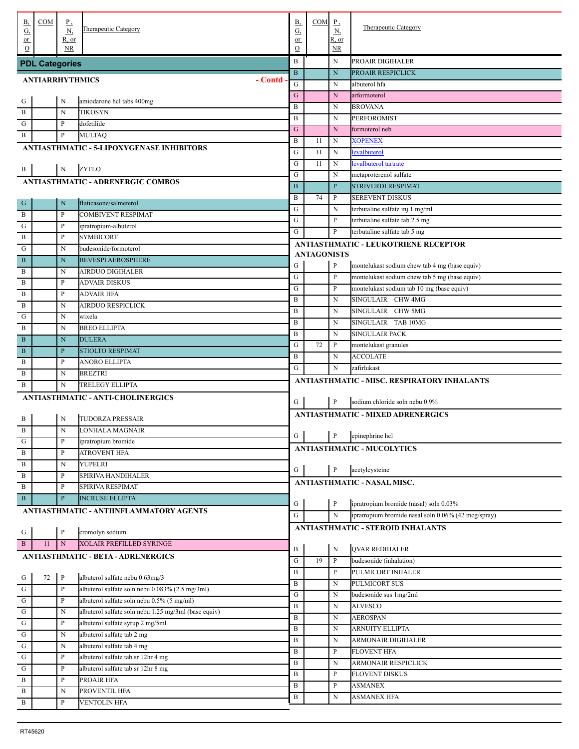| <b>B</b> ,                                                                                                                                                                                                                                                                                                                                                                                                   | <b>COM</b>             | $_{\rm P}$                  |                                                      | <b>B</b> ,            | COM                | $_{\rm P}$                               | Therapeutic Category                                |
|--------------------------------------------------------------------------------------------------------------------------------------------------------------------------------------------------------------------------------------------------------------------------------------------------------------------------------------------------------------------------------------------------------------|------------------------|-----------------------------|------------------------------------------------------|-----------------------|--------------------|------------------------------------------|-----------------------------------------------------|
| $\underline{\mathrm{G}}$<br>$or$                                                                                                                                                                                                                                                                                                                                                                             |                        | $\underline{N}$<br>$R$ , or | <b>Therapeutic Category</b>                          | $\underline{G}$<br>or |                    | $\underline{\mathbf{N}}$<br><u>R, or</u> |                                                     |
| $\Omega$                                                                                                                                                                                                                                                                                                                                                                                                     |                        | <b>NR</b>                   |                                                      | O                     |                    | NR.                                      |                                                     |
|                                                                                                                                                                                                                                                                                                                                                                                                              | <b>PDL Categories</b>  |                             |                                                      | $\bf{B}$              |                    | N                                        | PROAIR DIGIHALER                                    |
|                                                                                                                                                                                                                                                                                                                                                                                                              |                        |                             |                                                      | $\mathbf{B}$          |                    | ${\bf N}$                                | PROAIR RESPICLICK                                   |
|                                                                                                                                                                                                                                                                                                                                                                                                              | <b>ANTIARRHYTHMICS</b> |                             | - Contd                                              | G                     |                    | N                                        | albuterol hfa                                       |
|                                                                                                                                                                                                                                                                                                                                                                                                              |                        | N                           |                                                      | G                     |                    | $\mathbf N$                              | arformoterol                                        |
| . G<br>. $\, {\bf B}$                                                                                                                                                                                                                                                                                                                                                                                        |                        |                             | amiodarone hcl tabs 400mg<br>TIKOSYN                 | $\, {\bf B}$          |                    | N                                        | <b>BROVANA</b>                                      |
|                                                                                                                                                                                                                                                                                                                                                                                                              |                        | N<br>$\mathbf{P}$           |                                                      | $\, {\bf B}$          |                    | N                                        | PERFOROMIST                                         |
| . G                                                                                                                                                                                                                                                                                                                                                                                                          |                        |                             | dofetilide                                           | $\mathbf G$           |                    | $\mathbf N$                              | formoterol neb                                      |
| . В                                                                                                                                                                                                                                                                                                                                                                                                          |                        | $\, {\bf p}$                | MULTAQ                                               | B                     | 11                 | N                                        | <b>XOPENEX</b>                                      |
|                                                                                                                                                                                                                                                                                                                                                                                                              |                        |                             | ANTIASTHMATIC - 5-LIPOXYGENASE INHIBITORS            | G                     | 11                 | $\mathbf N$                              | evalbuterol                                         |
|                                                                                                                                                                                                                                                                                                                                                                                                              |                        | N                           | <b>ZYFLO</b>                                         | G                     | 11                 | $\mathbf N$                              | evalbuterol tartrate                                |
| $\frac{B}{1}$                                                                                                                                                                                                                                                                                                                                                                                                |                        |                             | <b>ANTIASTHMATIC - ADRENERGIC COMBOS</b>             | G                     |                    | N                                        | metaproterenol sulfate                              |
|                                                                                                                                                                                                                                                                                                                                                                                                              |                        |                             |                                                      | $\, {\bf B}$          |                    | $\mathbf{P}$                             | STRIVERDI RESPIMAT                                  |
| $\cdot$ G                                                                                                                                                                                                                                                                                                                                                                                                    |                        | $\mathbf N$                 | fluticasone/salmeterol                               | B                     | 74                 | P                                        | SEREVENT DISKUS                                     |
| . В                                                                                                                                                                                                                                                                                                                                                                                                          |                        | P                           | <b>COMBIVENT RESPIMAT</b>                            | ${\bf G}$             |                    | N                                        | terbutaline sulfate inj 1 mg/ml                     |
| . ${\bf G}$                                                                                                                                                                                                                                                                                                                                                                                                  |                        | $\mathbf{P}$                | ipratropium-albuterol                                | G                     |                    | P                                        | terbutaline sulfate tab 2.5 mg                      |
| . В                                                                                                                                                                                                                                                                                                                                                                                                          |                        | P                           | <b>SYMBICORT</b>                                     | G                     |                    | P                                        | terbutaline sulfate tab 5 mg                        |
| . G                                                                                                                                                                                                                                                                                                                                                                                                          |                        | N                           | budesonide/formoterol                                |                       |                    |                                          | <b>ANTIASTHMATIC - LEUKOTRIENE RECEPTOR</b>         |
| . B                                                                                                                                                                                                                                                                                                                                                                                                          |                        | $\mathbf N$                 | <b>BEVESPI AEROSPHERE</b>                            |                       | <b>ANTAGONISTS</b> |                                          |                                                     |
| . В                                                                                                                                                                                                                                                                                                                                                                                                          |                        | N                           | AIRDUO DIGIHALER                                     | G                     |                    | ${\bf P}$                                | montelukast sodium chew tab 4 mg (base equiv)       |
| . В                                                                                                                                                                                                                                                                                                                                                                                                          |                        | P                           | ADVAIR DISKUS                                        | ${\bf G}$             |                    | $\mathbf{P}$                             | montelukast sodium chew tab 5 mg (base equiv)       |
| . В                                                                                                                                                                                                                                                                                                                                                                                                          |                        | P                           | ADVAIR HFA                                           | G                     |                    | P                                        | montelukast sodium tab 10 mg (base equiv)           |
| . В                                                                                                                                                                                                                                                                                                                                                                                                          |                        | N                           | AIRDUO RESPICLICK                                    | $\, {\bf B}$          |                    | N                                        | SINGULAIR CHW 4MG                                   |
| G                                                                                                                                                                                                                                                                                                                                                                                                            |                        | N                           | wixela                                               | $\, {\bf B}$          |                    | N                                        | SINGULAIR CHW 5MG                                   |
| . В                                                                                                                                                                                                                                                                                                                                                                                                          |                        | N                           | BREO ELLIPTA                                         | $\, {\bf B}$          |                    | N                                        | SINGULAIR TAB 10MG                                  |
| $\cdot$ B                                                                                                                                                                                                                                                                                                                                                                                                    |                        | $\mathbf N$                 | <b>DULERA</b>                                        | $\, {\bf B}$          |                    | N                                        | <b>SINGULAIR PACK</b>                               |
| . B                                                                                                                                                                                                                                                                                                                                                                                                          |                        | $\mathbf{P}$                | STIOLTO RESPIMAT                                     | G                     | 72                 | P                                        | montelukast granules                                |
|                                                                                                                                                                                                                                                                                                                                                                                                              |                        | P                           | ANORO ELLIPTA                                        | $\, {\bf B}$          |                    | N                                        | <b>ACCOLATE</b>                                     |
| . В<br>. В                                                                                                                                                                                                                                                                                                                                                                                                   |                        | N                           | BREZTRI                                              | G                     |                    | ${\bf N}$                                | zafirlukast                                         |
| . В                                                                                                                                                                                                                                                                                                                                                                                                          |                        | N                           | TRELEGY ELLIPTA                                      |                       |                    |                                          | ANTIASTHMATIC - MISC. RESPIRATORY INHALANTS         |
|                                                                                                                                                                                                                                                                                                                                                                                                              |                        |                             |                                                      |                       |                    |                                          |                                                     |
|                                                                                                                                                                                                                                                                                                                                                                                                              |                        |                             |                                                      |                       |                    |                                          |                                                     |
|                                                                                                                                                                                                                                                                                                                                                                                                              |                        |                             | <b>ANTIASTHMATIC - ANTI-CHOLINERGICS</b>             | G                     |                    | P                                        | sodium chloride soln nebu 0.9%                      |
|                                                                                                                                                                                                                                                                                                                                                                                                              |                        |                             |                                                      |                       |                    |                                          | <b>ANTIASTHMATIC - MIXED ADRENERGICS</b>            |
| $\frac{B}{1}$                                                                                                                                                                                                                                                                                                                                                                                                |                        | N                           | <b>TUDORZA PRESSAIR</b>                              |                       |                    |                                          |                                                     |
| . $\, {\bf B}$                                                                                                                                                                                                                                                                                                                                                                                               |                        | N                           | LONHALA MAGNAIR                                      | G                     |                    | $\mathbf{P}$                             | epinephrine hcl                                     |
| $\frac{1}{10}$                                                                                                                                                                                                                                                                                                                                                                                               |                        | $\, {\bf p}$                | ipratropium bromide                                  |                       |                    |                                          | <b>ANTIASTHMATIC - MUCOLYTICS</b>                   |
| . В                                                                                                                                                                                                                                                                                                                                                                                                          |                        | P                           | ATROVENT HFA                                         |                       |                    |                                          |                                                     |
| . В                                                                                                                                                                                                                                                                                                                                                                                                          |                        | N                           | YUPELRI                                              | G                     |                    | $\, {\bf p}$                             | acetylcysteine                                      |
| . В                                                                                                                                                                                                                                                                                                                                                                                                          |                        | P<br>P                      | SPIRIVA HANDIHALER                                   |                       |                    |                                          | ANTIASTHMATIC - NASAL MISC.                         |
| . В                                                                                                                                                                                                                                                                                                                                                                                                          |                        |                             | SPIRIVA RESPIMAT                                     |                       |                    |                                          |                                                     |
| B                                                                                                                                                                                                                                                                                                                                                                                                            |                        | $\mathbf{P}$                | <b>INCRUSE ELLIPTA</b>                               | G                     |                    | $\, {\bf P}$                             | ipratropium bromide (nasal) soln 0.03%              |
|                                                                                                                                                                                                                                                                                                                                                                                                              |                        |                             | ANTIASTHMATIC - ANTIINFLAMMATORY AGENTS              | G                     |                    | N                                        | ipratropium bromide nasal soln 0.06% (42 mcg/spray) |
|                                                                                                                                                                                                                                                                                                                                                                                                              |                        | $\, {\bf P}$                | cromolyn sodium                                      |                       |                    |                                          | <b>ANTIASTHMATIC - STEROID INHALANTS</b>            |
| . ${\rm G}$<br>$\overline{B}$                                                                                                                                                                                                                                                                                                                                                                                | 11                     | $\mathbf N$                 |                                                      |                       |                    |                                          |                                                     |
|                                                                                                                                                                                                                                                                                                                                                                                                              |                        |                             | <b>XOLAIR PREFILLED SYRINGE</b>                      | B                     |                    | ${\bf N}$                                | <b>QVAR REDIHALER</b>                               |
|                                                                                                                                                                                                                                                                                                                                                                                                              |                        |                             | <b>ANTIASTHMATIC - BETA - ADRENERGICS</b>            | G                     | 19                 | $\mathbf{P}$                             | budesonide (inhalation)                             |
|                                                                                                                                                                                                                                                                                                                                                                                                              | 72                     | $\mathbf{P}$                | albuterol sulfate nebu 0.63mg/3                      | B                     |                    | P                                        | PULMICORT INHALER                                   |
|                                                                                                                                                                                                                                                                                                                                                                                                              |                        | $\mathbf{P}$                | albuterol sulfate soln nebu 0.083% (2.5 mg/3ml)      | $\, {\bf B}$          |                    | N                                        | PULMICORT SUS                                       |
|                                                                                                                                                                                                                                                                                                                                                                                                              |                        | P                           | albuterol sulfate soln nebu 0.5% (5 mg/ml)           | G                     |                    | N                                        | budesonide sus 1mg/2ml                              |
|                                                                                                                                                                                                                                                                                                                                                                                                              |                        | N                           | albuterol sulfate soln nebu 1.25 mg/3ml (base equiv) | $\, {\bf B}$          |                    | N                                        | <b>ALVESCO</b>                                      |
|                                                                                                                                                                                                                                                                                                                                                                                                              |                        | P                           | albuterol sulfate syrup 2 mg/5ml                     | $\, {\bf B}$          |                    | N                                        | AEROSPAN                                            |
|                                                                                                                                                                                                                                                                                                                                                                                                              |                        | N                           | albuterol sulfate tab 2 mg                           | $\, {\bf B}$          |                    | N                                        | ARNUITY ELLIPTA                                     |
|                                                                                                                                                                                                                                                                                                                                                                                                              |                        | N                           | albuterol sulfate tab 4 mg                           | $\, {\bf B}$          |                    | N                                        | ARMONAIR DIGIHALER                                  |
| $\begin{array}{ c c c c } \hline \rule{0pt}{1.2ex} & \rule{0pt}{1.2ex} \rule{0pt}{1.2ex} & \rule{0pt}{1.2ex} \rule{0pt}{1.2ex} & \rule{0pt}{1.2ex} \rule{0pt}{1.2ex} & \rule{0pt}{1.2ex} \rule{0pt}{1.2ex} & \rule{0pt}{1.2ex} \rule{0pt}{1.2ex} & \rule{0pt}{1.2ex} \rule{0pt}{1.2ex} & \rule{0pt}{1.2ex} \rule{0pt}{1.2ex} & \rule{0pt}{1.2ex} \rule{0pt}{1.2ex} & \rule{0pt}{$<br>$\overline{\mathbf{G}}$ |                        | P                           | albuterol sulfate tab sr 12hr 4 mg                   | $\, {\bf B}$          |                    | P                                        | <b>FLOVENT HFA</b>                                  |
| $\cdot$ G                                                                                                                                                                                                                                                                                                                                                                                                    |                        | P                           | albuterol sulfate tab sr 12hr 8 mg                   | $\, {\bf B}$          |                    | N                                        | ARMONAIR RESPICLICK                                 |
| . $\, {\bf B}$                                                                                                                                                                                                                                                                                                                                                                                               |                        | P                           | PROAIR HFA                                           | $\, {\bf B}$          |                    | P                                        | <b>FLOVENT DISKUS</b>                               |
| . В                                                                                                                                                                                                                                                                                                                                                                                                          |                        | N                           | PROVENTIL HFA                                        | $\, {\bf B}$          |                    | P                                        | <b>ASMANEX</b>                                      |
| $\overline{B}$                                                                                                                                                                                                                                                                                                                                                                                               |                        | P                           | VENTOLIN HFA                                         | B                     |                    | N                                        | ASMANEX HFA                                         |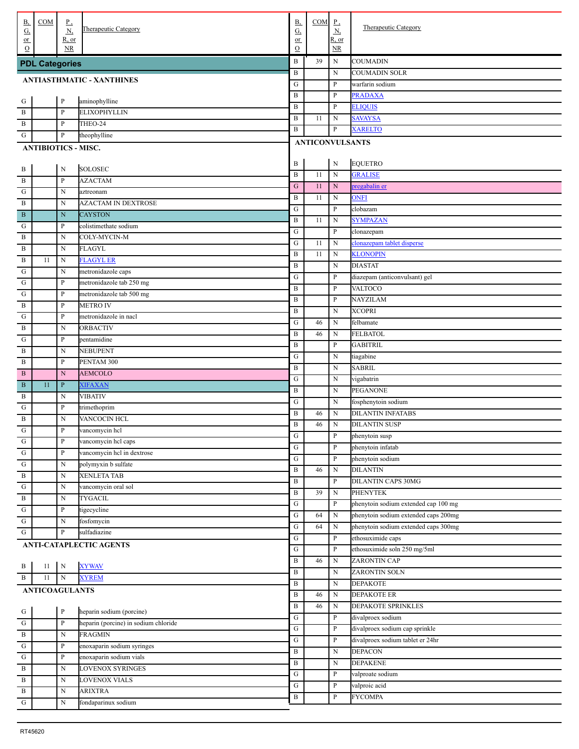| В,              | COM                        | $_{\rm p}$            | <b>Therapeutic Category</b>          | <b>B</b> ,     | COM                    | $_{\rm P}$               | Therapeutic Category                          |
|-----------------|----------------------------|-----------------------|--------------------------------------|----------------|------------------------|--------------------------|-----------------------------------------------|
| <u>G,</u><br>or |                            | <u>N,</u><br>$R$ , or |                                      | G,<br>or       |                        | $\underline{N}$<br>R, or |                                               |
| $\Omega$        |                            | <b>NR</b>             |                                      | $\Omega$       |                        | NR                       |                                               |
|                 | <b>PDL Categories</b>      |                       |                                      | B              | 39                     | N                        | <b>COUMADIN</b>                               |
|                 |                            |                       |                                      | $\, {\bf B}$   |                        | N                        | <b>COUMADIN SOLR</b>                          |
|                 |                            |                       | <b>ANTIASTHMATIC - XANTHINES</b>     | G              |                        | P                        | warfarin sodium                               |
| . G             |                            | $\, {\bf P}$          | aminophylline                        | B              |                        | P                        | <b>PRADAXA</b>                                |
| . B             |                            | $\mathbf{P}$          | <b>ELIXOPHYLLIN</b>                  | B              |                        | P                        | <b>ELIQUIS</b>                                |
| . B             |                            | $\mathbf{P}$          | THEO-24                              | B              | 11                     | $\mathbf N$              | <b>SAVAYSA</b>                                |
| G               |                            | $\, {\bf p}$          | theophylline                         | B              |                        | P                        | <b>XARELTO</b>                                |
|                 | <b>ANTIBIOTICS - MISC.</b> |                       |                                      |                | <b>ANTICONVULSANTS</b> |                          |                                               |
|                 |                            |                       |                                      |                |                        |                          |                                               |
| . В             |                            | N                     | <b>SOLOSEC</b>                       | B              |                        | ${\bf N}$                | <b>EQUETRO</b>                                |
| . B             |                            | $\mathbf{P}$          | <b>AZACTAM</b>                       | $\, {\bf B}$   | 11                     | $\mathbf N$              | <b>GRALISE</b>                                |
| G               |                            | N                     | aztreonam                            | ${\bf G}$      | 11                     | ${\bf N}$                | pregabalin er                                 |
| . B             |                            | N                     | <b>AZACTAM IN DEXTROSE</b>           | $\, {\bf B}$   | 11                     | N                        | <b>ONFI</b>                                   |
| B               |                            | N                     | <b>CAYSTON</b>                       | ${\bf G}$      |                        | P                        | clobazam                                      |
| G               |                            | $\mathbf{P}$          | colistimethate sodium                | B              | 11                     | $_{\rm N}$               | <b>SYMPAZAN</b>                               |
| . B             |                            | N                     | COLY-MYCIN-M                         | ${\bf G}$<br>G | 11                     | P<br>$_{\rm N}$          | clonazepam                                    |
| . B             |                            | N                     | <b>FLAGYL</b>                        | B              | 11                     | N                        | clonazepam tablet disperse<br><b>KLONOPIN</b> |
| . B             | 11                         | N                     | <b>FLAGYL ER</b>                     | $\, {\bf B}$   |                        | N                        | <b>DIASTAT</b>                                |
| G               |                            | N                     | metronidazole caps                   | ${\bf G}$      |                        | P                        | diazepam (anticonvulsant) gel                 |
| G               |                            | $\mathbf{P}$          | metronidazole tab 250 mg             | $\, {\bf B}$   |                        | P                        | VALTOCO                                       |
| G               |                            | $\mathbf{P}$          | metronidazole tab 500 mg             | $\, {\bf B}$   |                        | P                        | <b>NAYZILAM</b>                               |
| . B             |                            | $\mathbf{P}$          | <b>METRO IV</b>                      | $\, {\bf B}$   |                        | $_{\rm N}$               | <b>XCOPRI</b>                                 |
| G               |                            | $\mathbf{P}$          | metronidazole in nacl                | ${\bf G}$      | 46                     | N                        | felbamate                                     |
| $\mathbf{B}$    |                            | N                     | <b>ORBACTIV</b>                      | B              | 46                     | N                        | <b>FELBATOL</b>                               |
| G               |                            | $\mathbf{P}$          | pentamidine                          | $\, {\bf B}$   |                        | P                        | <b>GABITRIL</b>                               |
| . B             |                            | N                     | NEBUPENT                             | G              |                        | N                        | tiagabine                                     |
| . B             |                            | $\mathbf{P}$          | PENTAM 300                           | B              |                        | $_{\rm N}$               | <b>SABRIL</b>                                 |
| . B             |                            | $\mathbf N$           | <b>AEMCOLO</b>                       | ${\bf G}$      |                        | N                        | vigabatrin                                    |
| . B             | 11                         | $\, {\bf P}$          | <b>XIFAXAN</b>                       | B              |                        | $_{\rm N}$               | <b>PEGANONE</b>                               |
| B               |                            | N                     | <b>VIBATIV</b>                       | ${\bf G}$      |                        | $_{\rm N}$               | fosphenytoin sodium                           |
| G               |                            | $\, {\bf P}$          | trimethoprim                         | $\, {\bf B}$   | 46                     | $_{\rm N}$               | <b>DILANTIN INFATABS</b>                      |
| $\mathbf{B}$    |                            | N                     | VANCOCIN HCL                         | $\, {\bf B}$   | 46                     | N                        | <b>DILANTIN SUSP</b>                          |
| G               |                            | $\mathbf{P}$          | vancomycin hel                       | G              |                        | P                        | phenytoin susp                                |
| $\overline{G}$  |                            | $\, {\bf P}$          | vancomycin hel caps                  | ${\bf G}$      |                        | $\, {\bf P}$             | phenytoin infatab                             |
| G               |                            | $\, {\bf P}$          | vancomycin hel in dextrose           | ${\bf G}$      |                        | P                        | phenytoin sodium                              |
| ${\bf G}$       |                            | N                     | polymyxin b sulfate                  | $\, {\bf B}$   | 46                     | N                        | <b>DILANTIN</b>                               |
| . B             |                            | N                     | <b>XENLETA TAB</b>                   | B              |                        | P                        | <b>DILANTIN CAPS 30MG</b>                     |
| ${\bf G}$       |                            | N                     | vancomycin oral sol                  | B              | 39                     | N                        | <b>PHENYTEK</b>                               |
| $\, {\bf B}$    |                            | N                     | <b>TYGACIL</b>                       | ${\bf G}$      |                        | P                        | phenytoin sodium extended cap 100 mg          |
| ${\bf G}$       |                            | $\, {\bf P}$<br>N     | tigecycline                          | ${\bf G}$      | 64                     | N                        | phenytoin sodium extended caps 200mg          |
| ${\bf G}$       |                            |                       | fosfomycin                           | ${\bf G}$      | 64                     | N                        | phenytoin sodium extended caps 300mg          |
| $\mathbf G$     |                            | $\, {\bf p}$          | sulfadiazine                         | ${\bf G}$      |                        | P                        | ethosuximide caps                             |
|                 |                            |                       | ANTI-CATAPLECTIC AGENTS              | G              |                        | P                        | ethosuximide soln 250 mg/5ml                  |
|                 | $11\,$                     | $\,$ N                | <b>XYWAV</b>                         | B              | 46                     | N                        | ZARONTIN CAP                                  |
| . В<br>. B      | 11                         | ${\bf N}$             | <b>XYREM</b>                         | $\, {\bf B}$   |                        | N                        | <b>ZARONTIN SOLN</b>                          |
|                 |                            |                       |                                      | B              |                        | N                        | <b>DEPAKOTE</b>                               |
|                 | <b>ANTICOAGULANTS</b>      |                       |                                      | B              | 46                     | N                        | <b>DEPAKOTE ER</b>                            |
|                 |                            | $\, {\bf P}$          | heparin sodium (porcine)             | B              | 46                     | N                        | DEPAKOTE SPRINKLES                            |
| $\frac{G}{G}$   |                            | $\, {\bf P}$          | heparin (porcine) in sodium chloride | ${\bf G}$      |                        | P                        | divalproex sodium                             |
| $\overline{B}$  |                            | N                     | <b>FRAGMIN</b>                       | ${\bf G}$      |                        | P                        | divalproex sodium cap sprinkle                |
| ${\bf G}$       |                            | $\, {\bf P}$          | enoxaparin sodium syringes           | ${\bf G}$      |                        | P                        | divalproex sodium tablet er 24hr              |
| ${\bf G}$       |                            | $\, {\bf p}$          | enoxaparin sodium vials              | B              |                        | N                        | <b>DEPACON</b>                                |
| . B             |                            | N                     | <b>LOVENOX SYRINGES</b>              | B              |                        | N                        | <b>DEPAKENE</b>                               |
| . B             |                            | N                     | <b>LOVENOX VIALS</b>                 | ${\bf G}$      |                        | P                        | valproate sodium                              |
| $\, {\bf B}$    |                            | $\mathbf N$           | <b>ARIXTRA</b>                       | ${\bf G}$      |                        | P                        | valproic acid                                 |
| . ${\bf G}$     |                            | $\mathbf N$           | fondaparinux sodium                  | B              |                        | P                        | <b>FYCOMPA</b>                                |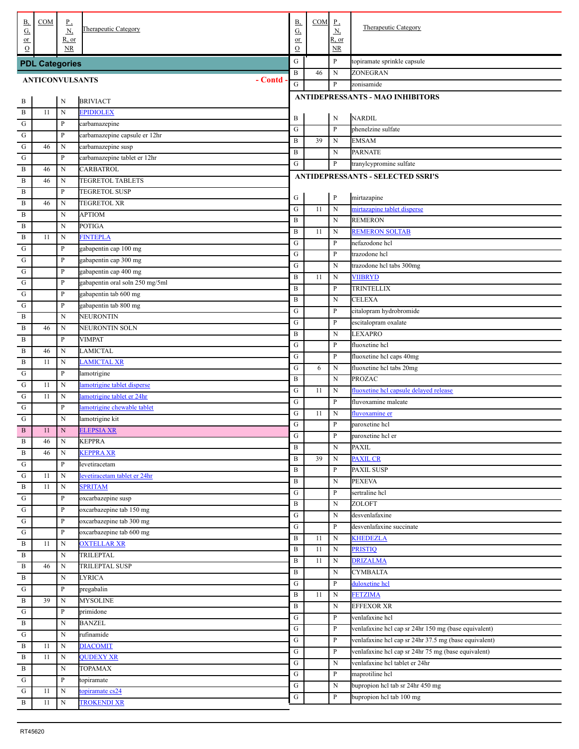| <u>B,</u><br><u>G,</u> | COM                   | $_{\rm p}$<br><u>N,</u>     | Therapeutic Category               | <b>B</b> ,<br>G,    | COM | $_{\rm p}$<br>Ν,   | Therapeutic Category                                  |
|------------------------|-----------------------|-----------------------------|------------------------------------|---------------------|-----|--------------------|-------------------------------------------------------|
| or<br>$\Omega$         |                       | R, or<br>NR                 |                                    | or<br>$\mathcal{O}$ |     | R, or<br><b>NR</b> |                                                       |
|                        | <b>PDL Categories</b> |                             |                                    | ${\bf G}$           |     | P                  | topiramate sprinkle capsule                           |
|                        |                       |                             | - Contd                            | $\, {\bf B}$        | 46  | $\mathbf N$        | ZONEGRAN                                              |
| <b>ANTICONVULSANTS</b> |                       |                             |                                    | G                   |     | P                  | zonisamide                                            |
| . В                    |                       | N                           | <b>BRIVIACT</b>                    |                     |     |                    | <b>ANTIDEPRESSANTS - MAO INHIBITORS</b>               |
| . B                    | 11                    | N                           | <b>EPIDIOLEX</b>                   |                     |     |                    |                                                       |
| $\mathbf G$            |                       | $\, {\bf P}$                | carbamazepine                      | B                   |     | ${\bf N}$<br>P     | <b>NARDIL</b><br>phenelzine sulfate                   |
| ${\bf G}$              |                       | $\, {\bf P}$                | carbamazepine capsule er 12hr      | G<br>B              | 39  | $\mathbf N$        | <b>EMSAM</b>                                          |
| ${\bf G}$              | 46                    | N                           | carbamazepine susp                 | B                   |     | $\mathbf N$        | <b>PARNATE</b>                                        |
| ${\bf G}$              |                       | $\mathbf{P}$                | carbamazepine tablet er 12hr       | G                   |     | P                  | tranylcypromine sulfate                               |
| $\, {\bf B}$           | 46                    | N                           | CARBATROL                          |                     |     |                    | <b>ANTIDEPRESSANTS - SELECTED SSRI'S</b>              |
| B                      | 46                    | N                           | TEGRETOL TABLETS                   |                     |     |                    |                                                       |
| B                      |                       | $\mathbf{P}$                | <b>TEGRETOL SUSP</b>               | G                   |     | $\, {\bf P}$       | mirtazapine                                           |
| B                      | 46                    | N                           | <b>TEGRETOL XR</b>                 | ${\bf G}$           | 11  | $\mathbf N$        | mirtazapine tablet disperse                           |
| B                      |                       | N                           | <b>APTIOM</b>                      | B                   |     | $_{\rm N}$         | <b>REMERON</b>                                        |
| B                      |                       | N                           | <b>POTIGA</b>                      | B                   | 11  | $_{\rm N}$         | <b>REMERON SOLTAB</b>                                 |
| B                      | 11                    | N                           | <b>FINTEPLA</b>                    | ${\bf G}$           |     | P                  | nefazodone hcl                                        |
| G                      |                       | $\, {\bf P}$                | gabapentin cap 100 mg              | ${\bf G}$           |     | P                  | trazodone hcl                                         |
| ${\bf G}$              |                       | $\, {\bf p}$                | gabapentin cap 300 mg              | ${\bf G}$           |     | $_{\rm N}$         | trazodone hcl tabs 300mg                              |
| ${\bf G}$              |                       | $\, {\bf p}$                | gabapentin cap 400 mg              | B                   | 11  | $_{\rm N}$         | <b>VIIBRYD</b>                                        |
| ${\bf G}$              |                       | $\, {\bf p}$                | gabapentin oral soln 250 mg/5ml    | B                   |     | P                  | TRINTELLIX                                            |
| ${\bf G}$              |                       | $\, {\bf p}$                | gabapentin tab 600 mg              | B                   |     | ${\bf N}$          | <b>CELEXA</b>                                         |
| G                      |                       | $\, {\bf p}$                | gabapentin tab 800 mg              | G                   |     | $\mathbf{P}$       | citalopram hydrobromide                               |
| B                      | 46                    | $\mathbf N$                 | <b>NEURONTIN</b><br>NEURONTIN SOLN | ${\bf G}$           |     | P                  | escitalopram oxalate                                  |
| B<br>B                 |                       | N<br>P                      | <b>VIMPAT</b>                      | B                   |     | $\mathbf N$        | <b>LEXAPRO</b>                                        |
| B                      | 46                    | N                           | <b>LAMICTAL</b>                    | G                   |     | P                  | fluoxetine hcl                                        |
| $\, {\bf B}$           | 11                    | N                           | <b>LAMICTAL XR</b>                 | ${\bf G}$           |     | P                  | fluoxetine hcl caps 40mg                              |
| G                      |                       | $\mathbf{P}$                | lamotrigine                        | ${\bf G}$           | 6   | $\mathbf N$        | fluoxetine hcl tabs 20mg                              |
| ${\bf G}$              | 11                    | N                           | lamotrigine tablet disperse        | B                   |     | $\mathbf N$        | <b>PROZAC</b>                                         |
| ${\bf G}$              | 11                    | N                           | lamotrigine tablet er 24hr         | ${\bf G}$           | 11  | $\mathbf N$        | fluoxetine hcl capsule delayed release                |
| ${\bf G}$              |                       | $\mathbf{P}$                | lamotrigine chewable tablet        | ${\bf G}$           |     | P                  | fluvoxamine maleate                                   |
| ${\bf G}$              |                       | $\mathbf N$                 | lamotrigine kit                    | ${\bf G}$           | 11  | $\mathbf N$        | fluvoxamine er                                        |
| $\, {\bf B}$           | 11                    | ${\bf N}$                   | <b>ELEPSIA XR</b>                  | ${\bf G}$           |     | P                  | paroxetine hcl                                        |
| . В                    | 46                    | N                           | <b>KEPPRA</b>                      | ${\bf G}$           |     | $\, {\bf P}$       | paroxetine hcl er                                     |
| $\, {\bf B}$           | 46                    | $\mathbf N$                 | <b>KEPPRA XR</b>                   | B<br>$\, {\bf B}$   | 39  | $\mathbf N$        | <b>PAXIL</b><br><b>PAXIL CR</b>                       |
| G                      |                       | P                           | levetiracetam                      | $\, {\bf B}$        |     | N<br>P             | PAXIL SUSP                                            |
| ${\bf G}$              | 11                    | $\mathbf N$                 | levetiracetam tablet er 24hr       | $\, {\bf B}$        |     | N                  | <b>PEXEVA</b>                                         |
| $\, {\bf B}$           | 11                    | $\mathbf N$                 | <b>SPRITAM</b>                     | G                   |     | P                  | sertraline hcl                                        |
| ${\bf G}$              |                       | $\mathbf{P}$                | oxcarbazepine susp                 | $\, {\bf B}$        |     | N                  | ZOLOFT                                                |
| $\mathbf G$            |                       | $\, {\bf P}$                | oxcarbazepine tab 150 mg           | ${\bf G}$           |     | $\mathbf N$        | desvenlafaxine                                        |
| $\mathbf G$            |                       | $\, {\bf P}$                | oxcarbazepine tab 300 mg           | G                   |     | P                  | desvenlafaxine succinate                              |
| ${\bf G}$              |                       | $\, {\bf P}$                | oxcarbazepine tab 600 mg           | B                   | 11  | $\mathbf N$        | <b>KHEDEZLA</b>                                       |
| B                      | 11                    | ${\bf N}$                   | <b>OXTELLAR XR</b>                 | B                   | 11  | $\mathbf N$        | PRISTIQ                                               |
| B                      |                       | $\mathbf N$                 | <b>TRILEPTAL</b>                   | $\, {\bf B}$        | 11  | $\mathbf N$        | <b>DRIZALMA</b>                                       |
| B                      | 46                    | $\, {\rm N}$                | <b>TRILEPTAL SUSP</b>              | $\, {\bf B}$        |     | $\mathbf N$        | <b>CYMBALTA</b>                                       |
| B                      |                       | $\mathbf N$                 | <b>LYRICA</b>                      | G                   |     | P                  | duloxetine hcl                                        |
| G                      |                       | $\mathbf{P}$                | pregabalin                         | $\, {\bf B}$        | 11  | $\mathbf N$        | <b>FETZIMA</b>                                        |
| $\, {\bf B}$           | 39                    | $\mathbf N$                 | <b>MYSOLINE</b>                    | $\, {\bf B}$        |     | $\mathbf N$        | <b>EFFEXOR XR</b>                                     |
| G<br>$\, {\bf B}$      |                       | $\mathbf{P}$<br>$\mathbf N$ | primidone<br><b>BANZEL</b>         | G                   |     | P                  | venlafaxine hcl                                       |
| G                      |                       | $\mathbf N$                 | rufinamide                         | G                   |     | P                  | venlafaxine hcl cap sr 24hr 150 mg (base equivalent)  |
| B                      | 11                    | $\mathbf N$                 | <b>DIACOMIT</b>                    | G                   |     | P                  | venlafaxine hcl cap sr 24hr 37.5 mg (base equivalent) |
| B                      | 11                    | $\mathbf N$                 | <b>QUDEXY XR</b>                   | G                   |     | P                  | venlafaxine hcl cap sr 24hr 75 mg (base equivalent)   |
| B                      |                       | $\mathbf N$                 | <b>TOPAMAX</b>                     | G                   |     | $\mathbf N$        | venlafaxine hcl tablet er 24hr                        |
| ${\bf G}$              |                       | $\mathbf{P}$                | topiramate                         | G                   |     | P                  | maprotiline hcl                                       |
| ${\bf G}$              | 11                    | $\mathbf N$                 | topiramate cs24                    | ${\bf G}$           |     | $\mathbf N$        | bupropion hcl tab sr 24hr 450 mg                      |
| $\, {\bf B}$           | 11                    | $\mathbf N$                 | <b>TROKENDI XR</b>                 | ${\bf G}$           |     | P                  | bupropion hcl tab 100 mg                              |
|                        |                       |                             |                                    |                     |     |                    |                                                       |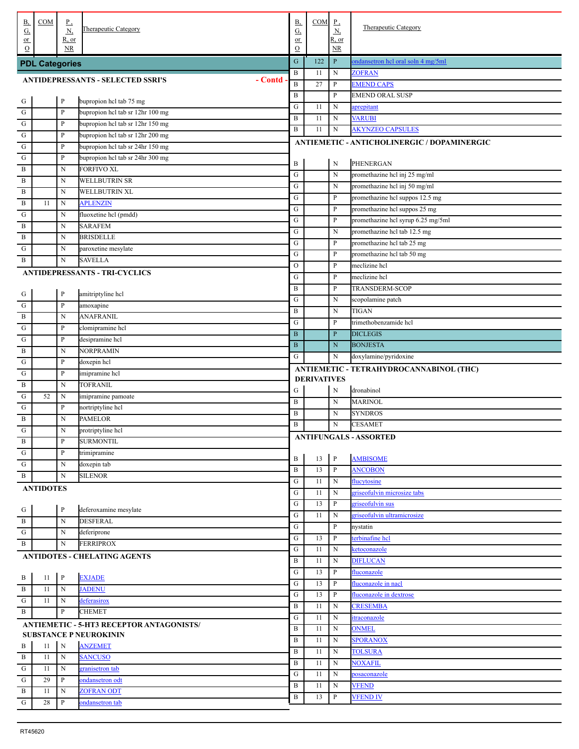| В,                          | COM                   | $P_{\rightarrow}$     |                                                     | <b>B</b> ,                 | COM                | $_{\rm P}$                   |                                             |
|-----------------------------|-----------------------|-----------------------|-----------------------------------------------------|----------------------------|--------------------|------------------------------|---------------------------------------------|
| G,                          |                       | N,                    | Therapeutic Category                                | $\underline{G}$            |                    | <u>N,</u>                    | <b>Therapeutic Category</b>                 |
| $or$<br>$\Omega$            |                       | $R$ , or<br><b>NR</b> |                                                     | or<br>$\mathcal{O}$        |                    | R, or<br>NR.                 |                                             |
|                             | <b>PDL Categories</b> |                       |                                                     | G                          | 122                | $\mathbf{P}$                 | ondansetron hel oral soln 4 mg/5ml          |
|                             |                       |                       |                                                     | B                          | 11                 | ${\bf N}$                    | <b>ZOFRAN</b>                               |
|                             |                       |                       | - Contd<br><b>ANTIDEPRESSANTS - SELECTED SSRI'S</b> | $\, {\bf B}$               | 27                 | $\mathbf{P}$                 | <b>EMEND CAPS</b>                           |
|                             |                       | $\mathbf{P}$          | bupropion hcl tab 75 mg                             | $\, {\bf B}$               |                    | $\mathbf{P}$                 | <b>EMEND ORAL SUSP</b>                      |
| $\frac{G}{G}$               |                       | $\mathbf{P}$          | bupropion hel tab sr 12hr 100 mg                    | G                          | 11                 | N                            | aprepitant                                  |
| . ${\bf G}$                 |                       | $\mathbf{P}$          | bupropion hel tab sr 12hr 150 mg                    | $\, {\bf B}$               | 11                 | N                            | <b>VARUBI</b>                               |
| . ${\bf G}$                 |                       | $\mathbf{P}$          | bupropion hcl tab sr 12hr 200 mg                    | $\, {\bf B}$               | 11                 | ${\bf N}$                    | <b>AKYNZEO CAPSULES</b>                     |
| . ${\bf G}$                 |                       | $\mathbf{P}$          | bupropion hel tab sr 24hr 150 mg                    |                            |                    |                              | ANTIEMETIC - ANTICHOLINERGIC / DOPAMINERGIC |
| . G                         |                       | $\mathbf{P}$          | bupropion hel tab sr 24hr 300 mg                    |                            |                    |                              |                                             |
| . B                         |                       | N                     | <b>FORFIVO XL</b>                                   | B                          |                    | N                            | PHENERGAN                                   |
| . B                         |                       | N                     | WELLBUTRIN SR                                       | ${\bf G}$                  |                    | ${\bf N}$                    | promethazine hcl inj 25 mg/ml               |
| . B                         |                       | N                     | WELLBUTRIN XL                                       | ${\bf G}$                  |                    | ${\bf N}$                    | promethazine hcl inj 50 mg/ml               |
| $\mathbf{B}$                | 11                    | N                     | <b>APLENZIN</b>                                     | ${\bf G}$                  |                    | P                            | promethazine hcl suppos 12.5 mg             |
| G                           |                       | N                     | fluoxetine hcl (pmdd)                               | ${\bf G}$                  |                    | $\, {\bf p}$                 | promethazine hcl suppos 25 mg               |
| . B                         |                       | N                     | <b>SARAFEM</b>                                      | ${\bf G}$                  |                    | $\, {\bf p}$                 | promethazine hcl syrup 6.25 mg/5ml          |
| . B                         |                       | N                     | <b>BRISDELLE</b>                                    | ${\bf G}$                  |                    | ${\bf N}$                    | promethazine hcl tab 12.5 mg                |
| G                           |                       | N                     | paroxetine mesylate                                 | ${\bf G}$                  |                    | $\mathbf{P}$                 | promethazine hcl tab 25 mg                  |
| $\mathbf{B}$                |                       | $\mathbf N$           | <b>SAVELLA</b>                                      | ${\bf G}$<br>$\mathcal{O}$ |                    | $\mathbf{P}$<br>$\mathbf{P}$ | promethazine hcl tab 50 mg<br>meclizine hcl |
|                             |                       |                       | <b>ANTIDEPRESSANTS - TRI-CYCLICS</b>                | G                          |                    | $\mathbf{P}$                 | meclizine hcl                               |
|                             |                       |                       |                                                     | $\, {\bf B}$               |                    | $\mathbf{P}$                 | <b>TRANSDERM-SCOP</b>                       |
| $\frac{G}{1}$               |                       | $\mathbf{P}$          | amitriptyline hcl                                   | ${\bf G}$                  |                    | N                            | scopolamine patch                           |
| . ${\bf G}$                 |                       | $\mathbf{P}$          | amoxapine                                           | B                          |                    | ${\bf N}$                    | <b>TIGAN</b>                                |
| . $\, {\bf B}$              |                       | $\mathbf N$           | <b>ANAFRANIL</b>                                    | G                          |                    | $\mathbf{P}$                 | trimethobenzamide hcl                       |
| G                           |                       | $\mathbf{P}$          | clomipramine hcl                                    | $\mathbf B$                |                    | $\mathbf{P}$                 | <b>DICLEGIS</b>                             |
| $\mathbf G$                 |                       | $\mathbf{P}$          | desipramine hcl                                     | $\, {\bf B}$               |                    | ${\bf N}$                    | <b>BONJESTA</b>                             |
| . B                         |                       | N                     | <b>NORPRAMIN</b>                                    | G                          |                    | N                            | doxylamine/pyridoxine                       |
| $\mathbf G$                 |                       | $\mathbf{P}$          | doxepin hcl                                         |                            |                    |                              | ANTIEMETIC - TETRAHYDROCANNABINOL (THC)     |
| $\mathbf G$                 |                       | $\mathbf{P}$          | imipramine hcl                                      |                            | <b>DERIVATIVES</b> |                              |                                             |
| $\mathbf{B}$                |                       | N                     | <b>TOFRANIL</b>                                     | G                          |                    | N                            | dronabinol                                  |
| $\mathbf G$                 | 52                    | N                     | imipramine pamoate                                  | $\, {\bf B}$               |                    | ${\bf N}$                    | <b>MARINOL</b>                              |
| $\mathbf G$                 |                       | $\mathbf{P}$          | nortriptyline hcl                                   | $\, {\bf B}$               |                    | N                            | <b>SYNDROS</b>                              |
| . В<br>. G                  |                       | N<br>N                | <b>PAMELOR</b>                                      | B                          |                    | N                            | <b>CESAMET</b>                              |
|                             |                       | P                     | protriptyline hcl<br><b>SURMONTIL</b>               |                            |                    |                              | <b>ANTIFUNGALS - ASSORTED</b>               |
| $\mathbf{B}$<br>. ${\bf G}$ |                       | $\mathbf{P}$          | trimipramine                                        |                            |                    |                              |                                             |
| . ${\bf G}$                 |                       | N                     | doxepin tab                                         | B                          | 13                 | $\, {\bf P}$                 | <b>AMBISOME</b>                             |
| . B                         |                       | $\mathbf N$           | <b>SILENOR</b>                                      | $\, {\bf B}$               | 13                 | $\mathbf{P}$                 | <b>ANCOBON</b>                              |
|                             | <b>ANTIDOTES</b>      |                       |                                                     | G                          | 11                 | N                            | flucytosine                                 |
|                             |                       |                       |                                                     | ${\bf G}$                  | 11                 | N                            | griseofulvin microsize tabs                 |
|                             |                       | P                     | deferoxamine mesylate                               | ${\bf G}$                  | 13                 | P                            | griseofulvin sus                            |
| $\frac{G}{B}$               |                       | N                     | <b>DESFERAL</b>                                     | ${\bf G}$                  | 11                 | N                            | griseofulvin ultramicrosize                 |
| $\overline{G}$              |                       | N                     | deferiprone                                         | ${\bf G}$                  |                    | P                            | nystatin                                    |
| . B                         |                       | $\mathbf N$           | <b>FERRIPROX</b>                                    | ${\bf G}$                  | 13                 | P                            | terbinafine hcl                             |
|                             |                       |                       | <b>ANTIDOTES - CHELATING AGENTS</b>                 | ${\bf G}$                  | 11                 | N                            | ketoconazole                                |
|                             |                       |                       |                                                     | $\, {\bf B}$<br>${\bf G}$  | 11<br>13           | N<br>P                       | <b>DIFLUCAN</b><br>fluconazole              |
| $\frac{B}{4}$               | 11                    | $\mathbf{P}$          | <b>EXJADE</b>                                       | G                          | 13                 | P                            | fluconazole in nacl                         |
| . B                         | 11                    | $\mathbf N$           | <b>JADENU</b>                                       | G                          | 13                 | P                            | fluconazole in dextrose                     |
| $\,$ G                      | 11                    | N                     | deferasirox                                         | $\, {\bf B}$               | 11                 | N                            | <b>CRESEMBA</b>                             |
| . B                         |                       | $\mathbf{P}$          | <b>CHEMET</b>                                       | ${\bf G}$                  | 11                 | N                            | itraconazole                                |
|                             |                       |                       | ANTIEMETIC - 5-HT3 RECEPTOR ANTAGONISTS/            | $\, {\bf B}$               | 11                 | N                            | <b>ONMEL</b>                                |
|                             |                       |                       | <b>SUBSTANCE P NEUROKININ</b>                       | $\, {\bf B}$               | 11                 | N                            | <b>SPORANOX</b>                             |
| . В                         | 11                    | N                     | <b>ANZEMET</b>                                      | $\, {\bf B}$               | 11                 | N                            | <b>TOLSURA</b>                              |
| . B                         | 11                    | $\mathbf N$           | <b>SANCUSO</b>                                      | $\, {\bf B}$               | 11                 | N                            | <b>NOXAFIL</b>                              |
| ${\bf G}$                   | 11                    | N                     | granisetron tab                                     | ${\bf G}$                  | 11                 | N                            | posaconazole                                |
| ${\bf G}$<br>$\frac{1}{B}$  | 29                    | P                     | ondansetron odt                                     | $\, {\bf B}$               | 11                 | N                            | <b>VFEND</b>                                |
|                             |                       |                       |                                                     |                            |                    |                              |                                             |
| $\frac{1}{G}$               | 11<br>$28\,$          | N<br>P                | <b>ZOFRAN ODT</b><br>ondansetron tab                | $\, {\bf B}$               | 13                 | P                            | <b>VFEND IV</b>                             |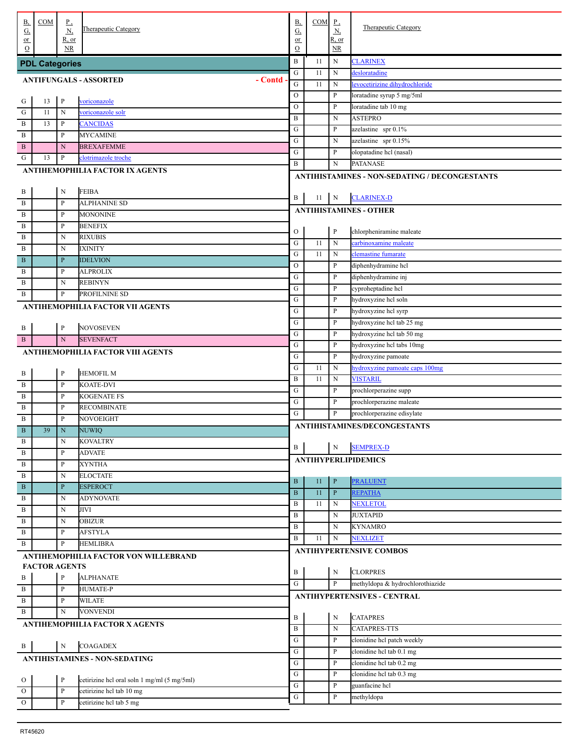| В,<br><u>G,</u>                          | COM                   | <u>P,</u><br>$\underline{N}$ | <b>Therapeutic Category</b>                 | <b>B</b> ,<br>$\underline{G}$ | $COM$ $P$ , | $\underline{N}$                 | <b>Therapeutic Category</b>                            |
|------------------------------------------|-----------------------|------------------------------|---------------------------------------------|-------------------------------|-------------|---------------------------------|--------------------------------------------------------|
| or<br>$\Omega$                           |                       | R, or<br><b>NR</b>           |                                             | or<br>$\mathbf O$             |             | R, or<br>$\overline{\text{NR}}$ |                                                        |
|                                          | <b>PDL Categories</b> |                              |                                             | $\, {\bf B}$                  | 11          | N                               | <b>CLARINEX</b>                                        |
|                                          |                       |                              |                                             | G                             | 11          | N                               | desloratadine                                          |
| - Contd<br><b>ANTIFUNGALS - ASSORTED</b> |                       |                              |                                             |                               |             | N                               | levocetirizine dihydrochloride                         |
|                                          |                       |                              |                                             | $\circ$                       |             | P                               | loratadine syrup 5 mg/5ml                              |
| . G                                      | 13                    | $\, {\bf p}$                 | voriconazole                                | $\circ$                       |             | P                               | loratadine tab 10 mg                                   |
| $\mathbf{G}$                             | 11                    | N                            | voriconazole solr                           | $\bf{B}$                      |             | N                               | <b>ASTEPRO</b>                                         |
| $\mathbf B$                              | 13                    | P                            | <b>CANCIDAS</b>                             | G                             |             | P                               | azelastine spr 0.1%                                    |
| $\mathbf{B}$                             |                       | P                            | <b>MYCAMINE</b>                             | ${\bf G}$                     |             | N                               | azelastine spr 0.15%                                   |
| . B                                      |                       | $\mathbf N$                  | <b>BREXAFEMME</b>                           | ${\bf G}$                     |             | P                               | olopatadine hcl (nasal)                                |
| G                                        | 13                    | P                            | clotrimazole troche                         | $\, {\bf B}$                  |             | N                               | <b>PATANASE</b>                                        |
|                                          |                       |                              | ANTIHEMOPHILIA FACTOR IX AGENTS             |                               |             |                                 | ANTIHISTAMINES - NON-SEDATING / DECONGESTANTS          |
| . В                                      |                       | N                            | <b>FEIBA</b>                                |                               |             |                                 |                                                        |
| . В                                      |                       | $\mathbf P$                  | <b>ALPHANINE SD</b>                         | B                             | 11          | N                               | <b>CLARINEX-D</b>                                      |
| $\mathbf{B}$                             |                       | $\mathbf P$                  | <b>MONONINE</b>                             |                               |             |                                 | <b>ANTIHISTAMINES - OTHER</b>                          |
| $\mathbf B$                              |                       | $\mathbf P$                  | <b>BENEFIX</b>                              |                               |             |                                 |                                                        |
| $\mathbf B$                              |                       | N                            | <b>RIXUBIS</b>                              | $\mathcal{O}$                 |             | $\, {\bf P}$                    | chlorpheniramine maleate                               |
| $\mathbf B$                              |                       | N                            | <b>IXINITY</b>                              | ${\bf G}$                     | 11          | ${\bf N}$                       | carbinoxamine maleate                                  |
| . B                                      |                       | $\, {\bf P}$                 | <b>IDELVION</b>                             | ${\bf G}$                     | 11          | N                               | clemastine fumarate                                    |
| В                                        |                       | P                            | <b>ALPROLIX</b>                             | $\circ$                       |             | P                               | diphenhydramine hcl                                    |
| B                                        |                       | N                            | <b>REBINYN</b>                              | ${\bf G}$                     |             | P                               | diphenhydramine inj                                    |
| B                                        |                       | $\mathbf P$                  | PROFILNINE SD                               | ${\bf G}$                     |             | P                               | cyproheptadine hcl                                     |
|                                          |                       |                              | ANTIHEMOPHILIA FACTOR VII AGENTS            | ${\bf G}$                     |             | P                               | hydroxyzine hcl soln                                   |
|                                          |                       |                              |                                             | ${\bf G}$                     |             | P                               | hydroxyzine hcl syrp                                   |
| . В                                      |                       | $\, {\bf p}$                 | <b>NOVOSEVEN</b>                            | G                             |             | $\mathbf{P}$                    | hydroxyzine hcl tab 25 mg                              |
| . B                                      |                       | $\mathbf N$                  | <b>SEVENFACT</b>                            | ${\bf G}$                     |             | P                               | hydroxyzine hcl tab 50 mg                              |
|                                          |                       |                              | <b>ANTIHEMOPHILIA FACTOR VIII AGENTS</b>    | ${\bf G}$                     |             | P                               | hydroxyzine hcl tabs 10mg                              |
|                                          |                       |                              |                                             | ${\bf G}$                     |             | P                               | hydroxyzine pamoate                                    |
| . В                                      |                       | $\, {\bf p}$                 | <b>HEMOFIL M</b>                            | G                             | 11          | N                               | hydroxyzine pamoate caps 100mg                         |
| . В                                      |                       | $\mathbf P$                  | KOATE-DVI                                   | $\, {\bf B}$                  | 11          | $\mathbf N$<br>P                | <b>VISTARIL</b>                                        |
| B                                        |                       | P                            | <b>KOGENATE FS</b>                          | ${\bf G}$<br>${\bf G}$        |             | P                               | prochlorperazine supp                                  |
| B                                        |                       | P                            | <b>RECOMBINATE</b>                          | G                             |             | P                               | prochlorperazine maleate<br>prochlorperazine edisylate |
| B                                        |                       | $\mathbf P$                  | NOVOEIGHT                                   |                               |             |                                 | <b>ANTIHISTAMINES/DECONGESTANTS</b>                    |
| $\mathbf{B}$                             | 39                    | N                            | <b>NUWIQ</b>                                |                               |             |                                 |                                                        |
| . В                                      |                       | N                            | <b>KOVALTRY</b>                             | $\mathbf B$                   |             | ${\bf N}$                       | <b>SEMPREX-D</b>                                       |
| B                                        |                       | $\mathbf P$                  | <b>ADVATE</b>                               |                               |             |                                 | <b>ANTIHYPERLIPIDEMICS</b>                             |
| . B                                      |                       | $\mathbf P$                  | <b>XYNTHA</b>                               |                               |             |                                 |                                                        |
| B                                        |                       | $\mathbf N$                  | <b>ELOCTATE</b>                             | $\, {\bf B}$                  | 11          | $\, {\bf P}$                    | <b>PRALUENT</b>                                        |
| . B                                      |                       | ${\bf P}$                    | <b>ESPEROCT</b>                             | $\, {\bf B}$                  | 11          | $\mathbf{P}$                    | <b>REPATHA</b>                                         |
| $\mathbf{B}$                             |                       | N                            | <b>ADYNOVATE</b>                            | $\bf{B}$                      | 11          | N                               | <b>NEXLETOL</b>                                        |
| B                                        |                       | N                            | <b>JIVI</b>                                 | $\, {\bf B}$                  |             | N                               | <b>JUXTAPID</b>                                        |
| B                                        |                       | N                            | <b>OBIZUR</b>                               | $\, {\bf B}$                  |             | N                               | <b>KYNAMRO</b>                                         |
| B                                        |                       | $\mathbf P$                  | <b>AFSTYLA</b>                              | $\, {\bf B}$                  | 11          | N                               | <b>NEXLIZET</b>                                        |
| . В                                      |                       | $\, {\bf p}$                 | <b>HEMLIBRA</b>                             |                               |             |                                 | <b>ANTIHYPERTENSIVE COMBOS</b>                         |
|                                          |                       |                              | ANTIHEMOPHILIA FACTOR VON WILLEBRAND        |                               |             |                                 |                                                        |
|                                          | <b>FACTOR AGENTS</b>  |                              |                                             | B                             |             | $\mathbf N$                     | <b>CLORPRES</b>                                        |
| . В                                      |                       | $\, {\bf p}$                 | <b>ALPHANATE</b>                            | G                             |             | P                               | methyldopa & hydrochlorothiazide                       |
| . B                                      |                       | $\mathbf P$                  | <b>HUMATE-P</b>                             |                               |             |                                 | <b>ANTIHYPERTENSIVES - CENTRAL</b>                     |
| . B<br>. В                               |                       | $\mathbf P$<br>$\mathbf N$   | <b>WILATE</b><br><b>VONVENDI</b>            |                               |             |                                 |                                                        |
|                                          |                       |                              |                                             | B                             |             | N                               | <b>CATAPRES</b>                                        |
|                                          |                       |                              | ANTIHEMOPHILIA FACTOR X AGENTS              | $\, {\bf B}$                  |             | ${\bf N}$                       | CATAPRES-TTS                                           |
| . B                                      |                       | $\mathbf N$                  | <b>COAGADEX</b>                             | G                             |             | P                               | clonidine hel patch weekly                             |
|                                          |                       |                              | <b>ANTIHISTAMINES - NON-SEDATING</b>        | ${\bf G}$                     |             | P                               | clonidine hcl tab 0.1 mg                               |
|                                          |                       |                              |                                             | ${\bf G}$                     |             | P                               | clonidine hcl tab 0.2 mg                               |
| $\cdot$ o                                |                       | $\, {\bf P}$                 | cetirizine hcl oral soln 1 mg/ml (5 mg/5ml) | G                             |             | P                               | clonidine hcl tab 0.3 mg                               |
| . о                                      |                       | $\, {\bf P}$                 | cetirizine hcl tab 10 mg                    | ${\bf G}$                     |             | P                               | guanfacine hcl                                         |
| $\overline{\mathbf{O}}$                  |                       | $\, {\bf P}$                 | cetirizine hcl tab 5 mg                     | ${\bf G}$                     |             | P                               | methyldopa                                             |
|                                          |                       |                              |                                             |                               |             |                                 |                                                        |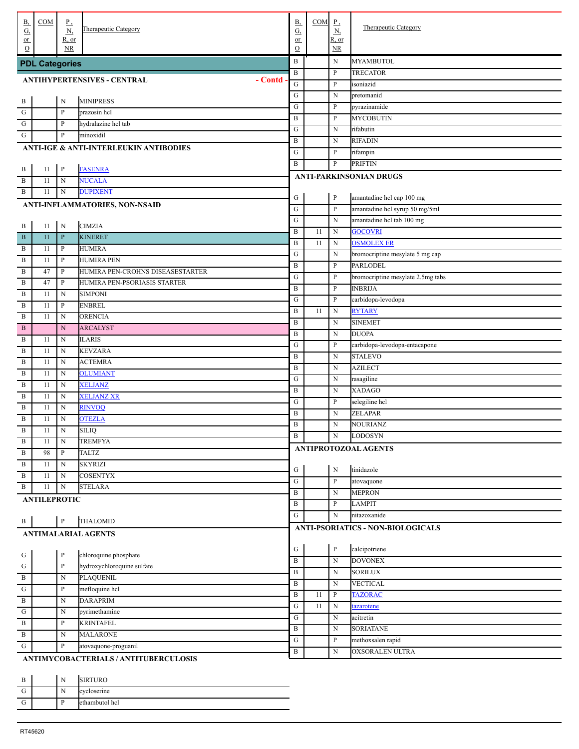| В,                  | COM                   | $_{\rm P}$                  | Therapeutic Category                                           | В,                             | COM | $\underline{P}$          | <b>Therapeutic Category</b>              |
|---------------------|-----------------------|-----------------------------|----------------------------------------------------------------|--------------------------------|-----|--------------------------|------------------------------------------|
| <u>G,</u><br>$or$   |                       | $\underline{N}$<br>$R$ , or |                                                                | $\underline{\mathrm{G}}$<br>or |     | $\underline{N}$<br>R, or |                                          |
| $\Omega$            |                       | NR.                         |                                                                | $\mathcal{O}$                  |     | NR                       |                                          |
|                     | <b>PDL Categories</b> |                             |                                                                | B                              |     | N                        | <b>MYAMBUTOL</b>                         |
|                     |                       |                             |                                                                | B                              |     | $\, {\bf P}$             | TRECATOR                                 |
|                     |                       |                             | - Contd<br><b>ANTIHYPERTENSIVES - CENTRAL</b>                  | ${\bf G}$                      |     | $\, {\bf P}$             | isoniazid                                |
|                     |                       |                             |                                                                | G                              |     | N                        | pretomanid                               |
| . В<br>$\cdot$ G    |                       | $\mathbf N$                 | <b>MINIPRESS</b>                                               | G                              |     | P                        | pyrazinamide                             |
| $\mathbf{G}$        |                       | P<br>P                      | prazosin hcl                                                   | $\, {\bf B}$                   |     | $\, {\bf P}$             | <b>MYCOBUTIN</b>                         |
| G                   |                       | P                           | hydralazine hcl tab<br>minoxidil                               | G                              |     | N                        | rifabutin                                |
|                     |                       |                             |                                                                | B                              |     | N                        | <b>RIFADIN</b>                           |
|                     |                       |                             | ANTI-IGE & ANTI-INTERLEUKIN ANTIBODIES                         | ${\bf G}$                      |     | P                        | rifampin                                 |
| . B                 | 11                    | $\, {\bf p}$                | <b>FASENRA</b>                                                 | B                              |     | P                        | <b>PRIFTIN</b>                           |
| . B                 | 11                    | $\mathbf N$                 | <b>NUCALA</b>                                                  |                                |     |                          | <b>ANTI-PARKINSONIAN DRUGS</b>           |
| . B                 | 11                    | N                           | <b>DUPIXENT</b>                                                |                                |     |                          |                                          |
|                     |                       |                             | ANTI-INFLAMMATORIES, NON-NSAID                                 | G                              |     | $\, {\bf P}$             | amantadine hcl cap 100 mg                |
|                     |                       |                             |                                                                | G                              |     | $\mathbf{P}$             | amantadine hcl syrup 50 mg/5ml           |
| . В                 | 11                    | $\mathbf N$                 | <b>CIMZIA</b>                                                  | G                              |     | ${\bf N}$                | amantadine hcl tab 100 mg                |
| . B                 | 11                    | $\, {\bf P}$                | <b>KINERET</b>                                                 | $\, {\bf B}$                   | 11  | ${\bf N}$                | <b>GOCOVRI</b>                           |
| B                   | 11                    | P                           | <b>HUMIRA</b>                                                  | $\, {\bf B}$                   | 11  | N                        | <b>OSMOLEX ER</b>                        |
| $\, {\bf B}$        | 11                    | P                           | HUMIRA PEN                                                     | G                              |     | N                        | bromocriptine mesylate 5 mg cap          |
| $\, {\bf B}$        | 47                    | P                           | HUMIRA PEN-CROHNS DISEASESTARTER                               | $\, {\bf B}$                   |     | $\, {\bf P}$             | <b>PARLODEL</b>                          |
| $\, {\bf B}$        | 47                    | P                           | HUMIRA PEN-PSORIASIS STARTER                                   | G                              |     | $\, {\bf P}$             | bromocriptine mesylate 2.5mg tabs        |
| $\, {\bf B}$        | 11                    | N                           | <b>SIMPONI</b>                                                 | $\, {\bf B}$                   |     | $\, {\bf P}$             | <b>INBRIJA</b>                           |
| $\, {\bf B}$        | 11                    | P                           | <b>ENBREL</b>                                                  | G                              |     | $\, {\bf P}$             | carbidopa-levodopa                       |
| $\, {\bf B}$        | 11                    | N                           | <b>ORENCIA</b>                                                 | $\, {\bf B}$                   | 11  | ${\bf N}$                | <b>RYTARY</b>                            |
| $\mathbf{B}$        |                       | N                           | <b>ARCALYST</b>                                                | $\, {\bf B}$                   |     | N                        | <b>SINEMET</b>                           |
| B                   | 11                    | N                           | <b>ILARIS</b>                                                  | $\, {\bf B}$                   |     | N                        | <b>DUOPA</b>                             |
| $\, {\bf B}$        | 11                    | N                           | <b>KEVZARA</b>                                                 | G                              |     | P                        | carbidopa-levodopa-entacapone            |
| $\, {\bf B}$        | 11                    | N                           | <b>ACTEMRA</b>                                                 | $\, {\bf B}$                   |     | ${\bf N}$                | <b>STALEVO</b>                           |
| $\, {\bf B}$        | 11                    | N                           | <b>OLUMIANT</b>                                                | $\, {\bf B}$                   |     | N                        | <b>AZILECT</b>                           |
| $\, {\bf B}$        | 11                    | N                           | <b>XELJANZ</b>                                                 | G<br>$\, {\bf B}$              |     | N                        | rasagiline<br>XADAGO                     |
| $\, {\bf B}$        | 11                    | N                           | <b>XELJANZ XR</b>                                              | G                              |     | N<br>P                   |                                          |
| $\, {\bf B}$        | 11                    | N                           | <b>RINVOQ</b>                                                  | $\, {\bf B}$                   |     | N                        | selegiline hcl<br><b>ZELAPAR</b>         |
| $\, {\bf B}$        | 11                    | N                           | <b>OTEZLA</b>                                                  | B                              |     | N                        | NOURIANZ                                 |
| $\, {\bf B}$        | 11                    | N                           | SILIQ                                                          | $\, {\bf B}$                   |     | $\mathbf N$              | LODOSYN                                  |
| B                   | 11                    | N                           | TREMFYA                                                        |                                |     |                          | ANTIPROTOZOAL AGENTS                     |
| $\,$ B              | 98                    | $\, {\bf P}$                | <b>TALTZ</b>                                                   |                                |     |                          |                                          |
| $\,$ B              | 11                    | N                           | <b>SKYRIZI</b>                                                 | G                              |     | ${\bf N}$                | tinidazole                               |
| $\,$ B              | 11                    | N                           | <b>COSENTYX</b>                                                | ${\bf G}$                      |     | $\mathbf{P}$             | atovaquone                               |
| $\mathbf{B}$        | 11                    | N                           | <b>STELARA</b>                                                 | B                              |     | N                        | <b>MEPRON</b>                            |
|                     | <b>ANTILEPROTIC</b>   |                             |                                                                | B                              |     | P                        | <b>LAMPIT</b>                            |
|                     |                       |                             |                                                                | ${\bf G}$                      |     | N                        | nitazoxanide                             |
| $\cdot$ B           |                       | $\, {\bf P}$                | THALOMID                                                       |                                |     |                          | <b>ANTI-PSORIATICS - NON-BIOLOGICALS</b> |
|                     |                       |                             | <b>ANTIMALARIAL AGENTS</b>                                     |                                |     |                          |                                          |
|                     |                       |                             |                                                                | G                              |     | ${\bf P}$                | calcipotriene                            |
| $\frac{G}{1}$       |                       | $\, {\bf P}$                | chloroquine phosphate                                          | $\, {\bf B}$                   |     | ${\bf N}$                | <b>DOVONEX</b>                           |
| $\frac{1}{1}$       |                       | $\, {\bf P}$                | hydroxychloroquine sulfate                                     | B                              |     | N                        | <b>SORILUX</b>                           |
| $\overline{B}$      |                       | N                           | PLAQUENIL                                                      | $\, {\bf B}$                   |     | N                        | <b>VECTICAL</b>                          |
| $\overline{G}$      |                       | P                           | mefloquine hcl                                                 | $\, {\bf B}$                   | 11  | P                        | <b>TAZORAC</b>                           |
| $\,$ B              |                       | N                           | <b>DARAPRIM</b>                                                | ${\bf G}$                      | 11  | $\mathbf N$              | azarotene                                |
| ${\bf G}$           |                       | N                           | pyrimethamine                                                  | ${\bf G}$                      |     | N                        | acitretin                                |
| $\,$ B              |                       | P                           | <b>KRINTAFEL</b>                                               | B                              |     | N                        | <b>SORIATANE</b>                         |
| $\mathbf{B}$<br>. G |                       | N<br>P                      | <b>MALARONE</b>                                                | ${\bf G}$                      |     | P                        | methoxsalen rapid                        |
|                     |                       |                             | atovaquone-proguanil<br>ANTIMVCORACTERIAL S / ANTITURERCULOSIS | $\, {\bf B}$                   |     | N                        | OXSORALEN ULTRA                          |

#### **IMYCOBACTERIALS / ANTITUBERCULOSIS**

| . .<br>. В | N | <b>SIRTURO</b> |
|------------|---|----------------|
| . U        | N | cycloserine    |
| . U        | D | ethambutol hcl |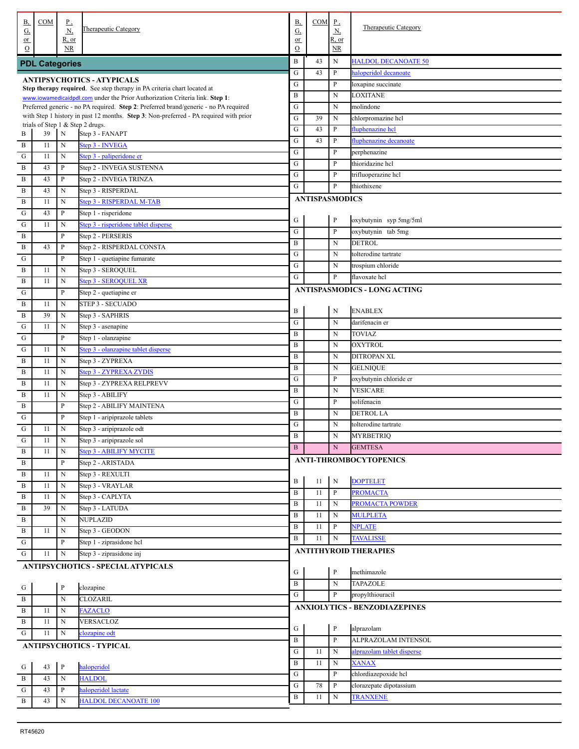| В,<br><u>G,</u>     | COM                   | $\underline{P}$<br><u>N,</u> | Therapeutic Category                                                                                                      | <b>B</b> ,<br>G,    | COM                   | $P_{\rightarrow}$<br><u>N,</u> | Therapeutic Category                 |
|---------------------|-----------------------|------------------------------|---------------------------------------------------------------------------------------------------------------------------|---------------------|-----------------------|--------------------------------|--------------------------------------|
| or<br>$\mathcal{O}$ |                       | R, or<br><b>NR</b>           |                                                                                                                           | or<br>$\mathcal{O}$ |                       | R, or<br>NR                    |                                      |
|                     | <b>PDL Categories</b> |                              |                                                                                                                           | B                   | 43                    | N                              | <b>HALDOL DECANOATE 50</b>           |
|                     |                       |                              | <b>ANTIPSYCHOTICS - ATYPICALS</b>                                                                                         | G                   | 43                    | $\, {\bf P}$                   | haloperidol decanoate                |
|                     |                       |                              | Step therapy required. See step therapy in PA criteria chart located at                                                   | ${\bf G}$           |                       | P                              | loxapine succinate                   |
|                     |                       |                              | www.iowamedicaidpdl.com under the Prior Authorization Criteria link. Step 1:                                              | B                   |                       | ${\bf N}$                      | LOXITANE                             |
|                     |                       |                              | Preferred generic - no PA required. Step 2: Preferred brand/generic - no PA required                                      | ${\bf G}$           |                       | $_{\rm N}$                     | molindone                            |
|                     |                       |                              | with Step 1 history in past 12 months. Step 3: Non-preferred - PA required with prior<br>trials of Step 1 & Step 2 drugs. | ${\bf G}$           | 39                    | N                              | chlorpromazine hcl                   |
| B                   | 39                    | $\mathbf N$                  | Step 3 - FANAPT                                                                                                           | ${\bf G}$           | 43                    | P                              | fluphenazine hcl                     |
| $\mathbf{B}$        | 11                    | $\mathbf N$                  | Step 3 - INVEGA                                                                                                           | ${\bf G}$           | 43                    | $\, {\bf P}$                   | fluphenazine decanoate               |
| G                   | 11                    | $\mathbf N$                  | Step 3 - paliperidone er                                                                                                  | ${\bf G}$           |                       | P                              | perphenazine                         |
| $\mathbf{B}$        | 43                    | $\mathbf{P}$                 | Step 2 - INVEGA SUSTENNA                                                                                                  | ${\bf G}$           |                       | P                              | thioridazine hcl                     |
| $\mathbf{B}$        | 43                    | $\mathbf{P}$                 | Step 2 - INVEGA TRINZA                                                                                                    | ${\bf G}$           |                       | P                              | trifluoperazine hcl                  |
| $\mathbf{B}$        | 43                    | N                            | Step 3 - RISPERDAL                                                                                                        | G                   |                       | $\mathbf{P}$                   | thiothixene                          |
| $\mathbf{B}$        | 11                    | $\mathbf N$                  | Step 3 - RISPERDAL M-TAB                                                                                                  |                     | <b>ANTISPASMODICS</b> |                                |                                      |
| ${\bf G}$           | 43                    | $\mathbf P$                  | Step 1 - risperidone                                                                                                      |                     |                       |                                |                                      |
| ${\bf G}$           | 11                    | N                            | Step 3 - risperidone tablet disperse                                                                                      | ${\bf G}$           |                       | $\, {\bf p}$                   | oxybutynin syp 5mg/5ml               |
| $\mathbf{B}$        |                       | P                            | Step 2 - PERSERIS                                                                                                         | ${\bf G}$           |                       | $\, {\bf P}$                   | oxybutynin tab 5mg                   |
| $\, {\bf B}$        | 43                    | P                            | Step 2 - RISPERDAL CONSTA                                                                                                 | $\, {\bf B}$        |                       | ${\bf N}$                      | <b>DETROL</b>                        |
| G                   |                       | P                            | Step 1 - quetiapine fumarate                                                                                              | ${\bf G}$           |                       | ${\bf N}$                      | tolterodine tartrate                 |
| $\mathbf{B}$        | 11                    | N                            | Step 3 - SEROQUEL                                                                                                         | ${\bf G}$           |                       | ${\bf N}$                      | trospium chloride                    |
| $\mathbf B$         | 11                    | N                            | Step 3 - SEROQUEL XR                                                                                                      | G                   |                       | $\mathbf{P}$                   | flavoxate hcl                        |
| G                   |                       | P                            | Step 2 - quetiapine er                                                                                                    |                     |                       |                                | <b>ANTISPASMODICS - LONG ACTING</b>  |
| $\mathbf{B}$        | 11                    | N                            | <b>STEP 3 - SECUADO</b>                                                                                                   |                     |                       |                                |                                      |
| $\mathbf{B}$        | 39                    | N                            | Step 3 - SAPHRIS                                                                                                          | B                   |                       | $\mathbf N$                    | <b>ENABLEX</b>                       |
| $\mathbf G$         | 11                    | N                            | Step 3 - asenapine                                                                                                        | ${\bf G}$           |                       | N                              | darifenacin er                       |
| G                   |                       | P                            | Step 1 - olanzapine                                                                                                       | $\, {\bf B}$        |                       | $\mathbf N$                    | <b>TOVIAZ</b>                        |
| G                   | 11                    | N                            | Step 3 - olanzapine tablet disperse                                                                                       | $\mathbf B$         |                       | $\mathbf N$                    | <b>OXYTROL</b>                       |
| $\mathbf{B}$        | 11                    | $\mathbf N$                  | Step 3 - ZYPREXA                                                                                                          | $\mathbf B$         |                       | $\mathbf N$                    | <b>DITROPAN XL</b>                   |
| $\mathbf{B}$        | 11                    | $\mathbf N$                  | Step 3 - ZYPREXA ZYDIS                                                                                                    | $\mathbf B$         |                       | $\mathbf N$                    | <b>GELNIQUE</b>                      |
| $\mathbf{B}$        | 11                    | $\mathbf N$                  | Step 3 - ZYPREXA RELPREVV                                                                                                 | ${\bf G}$           |                       | P                              | oxybutynin chloride er               |
| $\mathbf{B}$        | 11                    | N                            | Step 3 - ABILIFY                                                                                                          | $\, {\bf B}$        |                       | $\mathbf N$                    | <b>VESICARE</b>                      |
| $\mathbf{B}$        |                       | P                            | Step 2 - ABILIFY MAINTENA                                                                                                 | ${\bf G}$           |                       | P                              | solifenacin                          |
| G                   |                       | P                            | Step 1 - aripiprazole tablets                                                                                             | $\mathbf B$         |                       | $_{\rm N}$                     | <b>DETROL LA</b>                     |
| G                   | 11                    | N                            | Step 3 - aripiprazole odt                                                                                                 | ${\bf G}$           |                       | $\mathbf N$                    | tolterodine tartrate                 |
| G                   | 11                    | N                            | Step 3 - aripiprazole sol                                                                                                 | B                   |                       | ${\bf N}$                      | <b>MYRBETRIQ</b>                     |
| <b>B</b>            | 11                    | $\mathbf N$                  | Step 3 - ABILIFY MYCITE                                                                                                   | $\mathbf{B}$        |                       | ${\bf N}$                      | <b>GEMTESA</b>                       |
| $\mathbf{B}$        |                       | $\mathbf{P}$                 | Step 2 - ARISTADA                                                                                                         |                     |                       |                                | <b>ANTI-THROMBOCYTOPENICS</b>        |
| $\mathbf{B}$        | 11                    | $\mathbf N$                  | Step 3 - REXULTI                                                                                                          |                     |                       |                                |                                      |
| $\mathbf{B}$        | 11                    | $\mathbf N$                  | Step 3 - VRAYLAR                                                                                                          | $\, {\bf B}$        | 11                    | $\mathbf N$                    | <b>DOPTELET</b>                      |
| $\, {\bf B}$        | 11                    | $\mathbf N$                  | Step 3 - CAPLYTA                                                                                                          | $\, {\bf B}$        | 11                    | $\mathbf{P}$                   | <b>PROMACTA</b>                      |
| $\, {\bf B}$        | 39                    | $\mathbf N$                  | Step 3 - LATUDA                                                                                                           | $\, {\bf B}$        | 11                    | N                              | PROMACTA POWDER                      |
| $\, {\bf B}$        |                       | $\mathbf N$                  | <b>NUPLAZID</b>                                                                                                           | $\, {\bf B}$        | 11                    | N                              | <b>MULPLETA</b>                      |
| $\mathbf{B}$        | 11                    | $\mathbf N$                  | Step 3 - GEODON                                                                                                           | $\, {\bf B}$        | 11                    | P                              | <b>NPLATE</b>                        |
| $\mathbf G$         |                       | $\mathbf{P}$                 | Step 1 - ziprasidone hcl                                                                                                  | $\, {\bf B}$        | 11                    | N                              | <b>TAVALISSE</b>                     |
| $\mathbf{G}$        | 11                    | ${\bf N}$                    | Step 3 - ziprasidone inj                                                                                                  |                     |                       |                                | <b>ANTITHYROID THERAPIES</b>         |
|                     |                       |                              | ANTIPSYCHOTICS - SPECIAL ATYPICALS                                                                                        |                     |                       |                                |                                      |
|                     |                       |                              |                                                                                                                           | ${\bf G}$           |                       | P                              | methimazole                          |
| $\cdot$ G           |                       | $\mathbf{P}$                 | clozapine                                                                                                                 | $\, {\bf B}$        |                       | $\mathbf N$                    | <b>TAPAZOLE</b>                      |
| . B                 |                       | $\mathbf N$                  | <b>CLOZARIL</b>                                                                                                           | $\mathbf G$         |                       | P                              | propylthiouracil                     |
| $\, {\bf B}$        | 11                    | $_{\rm N}$                   | <b>FAZACLO</b>                                                                                                            |                     |                       |                                | <b>ANXIOLYTICS - BENZODIAZEPINES</b> |
| $\mathbf{B}$        | 11                    | $\mathbf N$                  | VERSACLOZ                                                                                                                 |                     |                       |                                |                                      |
| G                   | 11                    | $\mathbf N$                  | clozapine odt                                                                                                             | ${\bf G}$           |                       | $\, {\bf P}$                   | alprazolam                           |
|                     |                       |                              | <b>ANTIPSYCHOTICS - TYPICAL</b>                                                                                           | $\, {\bf B}$        |                       | $\, {\bf P}$                   | ALPRAZOLAM INTENSOL                  |
|                     |                       |                              |                                                                                                                           | ${\bf G}$           | 11                    | $\mathbf N$                    | alprazolam tablet disperse           |
| . G                 | 43                    | $\, {\bf P}$                 | haloperidol                                                                                                               | $\, {\bf B}$        | 11                    | N                              | <b>XANAX</b>                         |
| . B                 | 43                    | $_{\rm N}$                   | <b>HALDOL</b>                                                                                                             | ${\bf G}$           |                       | P                              | chlordiazepoxide hcl                 |
| G                   | 43                    | $\, {\bf P}$                 | haloperidol lactate                                                                                                       | ${\bf G}$           | 78                    | P                              | clorazepate dipotassium              |
| B                   | 43                    | N                            | <b>HALDOL DECANOATE 100</b>                                                                                               | $\, {\bf B}$        | 11                    | $_{\rm N}$                     | <b>TRANXENE</b>                      |
|                     |                       |                              |                                                                                                                           |                     |                       |                                |                                      |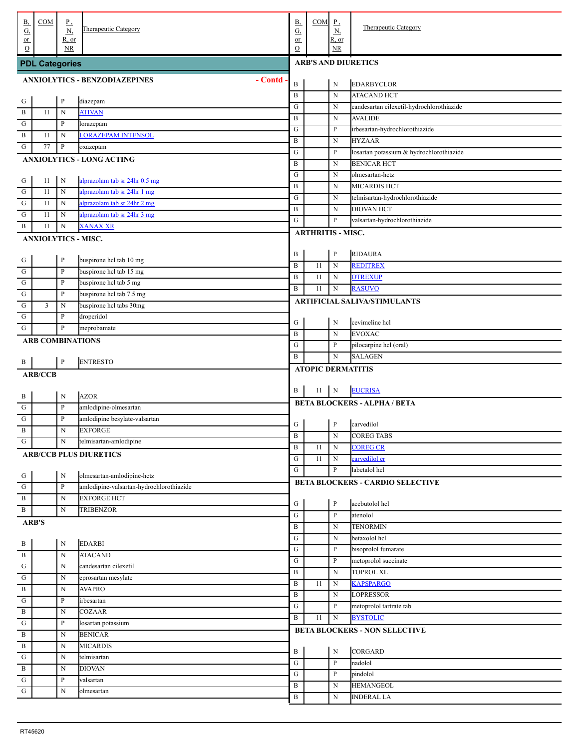| В,<br><u>G,</u>        | COM                     | <u>P,</u><br><u>N,</u>      | Therapeutic Category                                           | <b>B</b> ,<br>$\underline{G}$ | COM                        | $P_{\rightarrow}$<br><u>N,</u><br>R, or | <b>Therapeutic Category</b>                |  |  |  |  |
|------------------------|-------------------------|-----------------------------|----------------------------------------------------------------|-------------------------------|----------------------------|-----------------------------------------|--------------------------------------------|--|--|--|--|
| $or$<br>$\Omega$       |                         | $R$ , or<br>NR.             |                                                                | or<br>$\mathcal{O}$           |                            | NR                                      |                                            |  |  |  |  |
|                        | <b>PDL Categories</b>   |                             |                                                                |                               | <b>ARB'S AND DIURETICS</b> |                                         |                                            |  |  |  |  |
|                        |                         |                             | <b>ANXIOLYTICS - BENZODIAZEPINES</b><br>- Contd                |                               |                            |                                         |                                            |  |  |  |  |
|                        |                         |                             |                                                                | B<br>$\, {\bf B}$             |                            | N<br>$\mathbf N$                        | <b>EDARBYCLOR</b><br><b>ATACAND HCT</b>    |  |  |  |  |
| . G                    |                         | $\, {\bf P}$                | diazepam                                                       | ${\bf G}$                     |                            | N                                       | candesartan cilexetil-hydrochlorothiazide  |  |  |  |  |
| . B                    | 11                      | N                           | <b>ATIVAN</b>                                                  | $\, {\bf B}$                  |                            | N                                       | <b>AVALIDE</b>                             |  |  |  |  |
| G                      |                         | $\, {\bf P}$                | lorazepam                                                      | G                             |                            | $\mathbf{P}$                            | irbesartan-hydrochlorothiazide             |  |  |  |  |
| $\mathbf{B}$           | 11                      | N                           | <b>LORAZEPAM INTENSOL</b>                                      | $\, {\bf B}$                  |                            | N                                       | <b>HYZAAR</b>                              |  |  |  |  |
| G                      | 77                      | $\, {\bf P}$                | oxazepam                                                       | G                             |                            | $\mathbf{P}$                            | losartan potassium & hydrochlorothiazide   |  |  |  |  |
|                        |                         |                             | <b>ANXIOLYTICS - LONG ACTING</b>                               | $\, {\bf B}$                  |                            | N                                       | <b>BENICAR HCT</b>                         |  |  |  |  |
|                        |                         |                             |                                                                | G                             |                            | N                                       | olmesartan-hctz                            |  |  |  |  |
| $\cdot$ G              | 11                      | N                           | alprazolam tab sr 24hr 0.5 mg                                  | $\, {\bf B}$                  |                            | N                                       | <b>MICARDIS HCT</b>                        |  |  |  |  |
| $\cdot$ G              | 11<br>11                | $\mathbf N$                 | alprazolam tab sr 24hr 1 mg<br>alprazolam tab sr 24hr 2 mg     | ${\bf G}$                     |                            | N                                       | telmisartan-hydrochlorothiazide            |  |  |  |  |
| ${\bf G}$<br>${\bf G}$ | 11                      | N<br>N                      | alprazolam tab sr 24hr 3 mg                                    | $\, {\bf B}$                  |                            | ${\bf N}$                               | <b>DIOVAN HCT</b>                          |  |  |  |  |
| . B                    | 11                      | N                           | <b>XANAX XR</b>                                                | G                             |                            | P                                       | valsartan-hydrochlorothiazide              |  |  |  |  |
|                        |                         |                             | <b>ANXIOLYTICS - MISC.</b>                                     |                               | <b>ARTHRITIS - MISC.</b>   |                                         |                                            |  |  |  |  |
|                        |                         |                             |                                                                |                               |                            |                                         |                                            |  |  |  |  |
| $\frac{G}{1}$          |                         | $\, {\bf P}$                | buspirone hcl tab 10 mg                                        | B                             |                            | $\, {\bf P}$                            | <b>RIDAURA</b>                             |  |  |  |  |
| . G                    |                         | $\, {\bf P}$                | buspirone hcl tab 15 mg                                        | $\, {\bf B}$                  | 11                         | $\mathbf N$                             | <b>REDITREX</b>                            |  |  |  |  |
| . G                    |                         | $\, {\bf P}$                | buspirone hcl tab 5 mg                                         | $\, {\bf B}$                  | 11                         | N                                       | <b>OTREXUP</b>                             |  |  |  |  |
| ${\bf G}$              |                         | $\, {\bf P}$                | buspirone hel tab 7.5 mg                                       | B                             | 11                         | ${\bf N}$                               | <b>RASUVO</b>                              |  |  |  |  |
| ${\bf G}$              | 3                       | N                           | buspirone hcl tabs 30mg                                        |                               |                            |                                         | <b>ARTIFICIAL SALIVA/STIMULANTS</b>        |  |  |  |  |
| ${\bf G}$              |                         | $\mathbf{P}$                | droperidol                                                     |                               |                            |                                         |                                            |  |  |  |  |
| ${\bf G}$              |                         | $\mathbf{P}$                | meprobamate                                                    | G<br>$\, {\bf B}$             |                            | N<br>N                                  | cevimeline hcl<br><b>EVOXAC</b>            |  |  |  |  |
|                        | <b>ARB COMBINATIONS</b> |                             |                                                                | ${\bf G}$                     |                            | P                                       | pilocarpine hcl (oral)                     |  |  |  |  |
|                        |                         |                             |                                                                | B                             |                            | ${\bf N}$                               | <b>SALAGEN</b>                             |  |  |  |  |
| . В                    |                         | $\, {\bf P}$                | <b>ENTRESTO</b>                                                |                               | <b>ATOPIC DERMATITIS</b>   |                                         |                                            |  |  |  |  |
|                        | <b>ARB/CCB</b>          |                             |                                                                |                               |                            |                                         |                                            |  |  |  |  |
|                        |                         |                             |                                                                |                               |                            |                                         |                                            |  |  |  |  |
|                        |                         |                             |                                                                | B                             | 11                         | N                                       | <b>EUCRISA</b>                             |  |  |  |  |
| . В                    |                         | N                           | <b>AZOR</b>                                                    |                               |                            |                                         |                                            |  |  |  |  |
| . G                    |                         | $\, {\bf P}$                | amlodipine-olmesartan                                          |                               |                            |                                         | <b>BETA BLOCKERS - ALPHA / BETA</b>        |  |  |  |  |
| . G                    |                         | $\, {\bf P}$                | amlodipine besylate-valsartan                                  | G                             |                            | P                                       | carvedilol                                 |  |  |  |  |
| . B                    |                         | $\mathbf N$                 | <b>EXFORGE</b>                                                 | $\mathbf{B}$                  |                            | $\mathbf N$                             | <b>COREG TABS</b>                          |  |  |  |  |
| $\cdot$ G              |                         | N                           | telmisartan-amlodipine                                         | $\, {\bf B}$                  | 11                         | $\mathbf N$                             | <b>COREG CR</b>                            |  |  |  |  |
|                        |                         |                             | <b>ARB/CCB PLUS DIURETICS</b>                                  | ${\bf G}$                     | 11                         | $\mathbf N$                             | carvedilol er                              |  |  |  |  |
|                        |                         |                             |                                                                | $\overline{G}$                |                            | $\mathbf{P}$                            | labetalol hcl                              |  |  |  |  |
|                        |                         | $\mathbf N$<br>$\, {\bf P}$ | olmesartan-amlodipine-hctz                                     |                               |                            |                                         | BETA BLOCKERS - CARDIO SELECTIVE           |  |  |  |  |
| $\frac{G}{G}$          |                         | $\mathbf N$                 | amlodipine-valsartan-hydrochlorothiazide<br><b>EXFORGE HCT</b> |                               |                            |                                         |                                            |  |  |  |  |
| B<br>. B               |                         | $\mathbf N$                 | <b>TRIBENZOR</b>                                               | G                             |                            | $\mathbf{P}$                            | acebutolol hcl                             |  |  |  |  |
|                        |                         |                             |                                                                | ${\bf G}$                     |                            | $\, {\bf P}$                            | atenolol                                   |  |  |  |  |
|                        | <b>ARB'S</b>            |                             |                                                                | B                             |                            | $\mathbf N$                             | <b>TENORMIN</b>                            |  |  |  |  |
|                        |                         | N                           | <b>EDARBI</b>                                                  | ${\bf G}$                     |                            | N                                       | betaxolol hcl                              |  |  |  |  |
| $\frac{B}{B}$          |                         | $\mathbf N$                 | <b>ATACAND</b>                                                 | ${\bf G}$                     |                            | P                                       | bisoprolol fumarate                        |  |  |  |  |
| $\overline{\cdot$ G    |                         | N                           | candesartan cilexetil                                          | ${\bf G}$                     |                            | P                                       | metoprolol succinate                       |  |  |  |  |
| $\,$ G                 |                         | N                           | eprosartan mesylate                                            | B                             |                            | $\mathbf N$                             | <b>TOPROL XL</b>                           |  |  |  |  |
| . B                    |                         | N                           | <b>AVAPRO</b>                                                  | $\, {\bf B}$                  | 11                         | $\mathbf N$                             | <b>KAPSPARGO</b>                           |  |  |  |  |
| ${\bf G}$              |                         | $\, {\bf p}$                | irbesartan                                                     | B<br>${\bf G}$                |                            | N<br>P                                  | <b>LOPRESSOR</b>                           |  |  |  |  |
| . B                    |                         | N                           | <b>COZAAR</b>                                                  | B                             | 11                         | $\mathbf N$                             | metoprolol tartrate tab<br><b>BYSTOLIC</b> |  |  |  |  |
| ${\bf G}$              |                         | $\, {\bf p}$                | losartan potassium                                             |                               |                            |                                         |                                            |  |  |  |  |
| . B                    |                         | N                           | <b>BENICAR</b>                                                 |                               |                            |                                         | <b>BETA BLOCKERS - NON SELECTIVE</b>       |  |  |  |  |
| $\,$ B                 |                         | N                           | <b>MICARDIS</b>                                                | B                             |                            | ${\bf N}$                               | CORGARD                                    |  |  |  |  |
| ${\bf G}$              |                         | N                           | telmisartan                                                    | ${\bf G}$                     |                            | $\, {\bf P}$                            | nadolol                                    |  |  |  |  |
| $\,$ B                 |                         | N                           | <b>DIOVAN</b>                                                  | ${\bf G}$                     |                            | P                                       | pindolol                                   |  |  |  |  |
| ${\bf G}$<br>. G       |                         | $\, {\bf p}$<br>$\mathbf N$ | valsartan<br>olmesartan                                        | B                             |                            | N                                       | <b>HEMANGEOL</b>                           |  |  |  |  |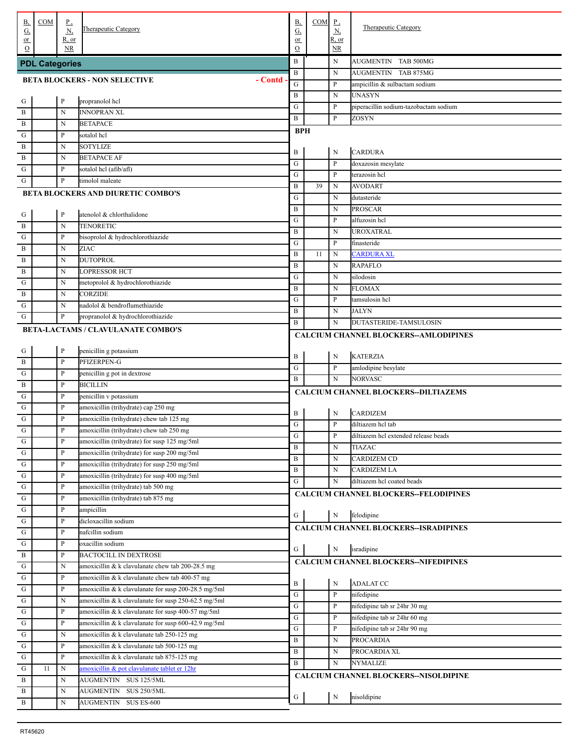| В,<br><u>G,</u>  | COM                   | $_{\rm p}$<br>N,             | Therapeutic Category                                 | В,<br>G,                     | $COM$ $P$ , | $\underline{N}$        | <b>Therapeutic Category</b>                          |
|------------------|-----------------------|------------------------------|------------------------------------------------------|------------------------------|-------------|------------------------|------------------------------------------------------|
| or               |                       | R, or                        |                                                      | or                           |             | R, or                  |                                                      |
| $\Omega$         |                       | <b>NR</b>                    |                                                      | $\Omega$                     |             | $\overline{\text{NR}}$ |                                                      |
|                  | <b>PDL Categories</b> |                              |                                                      | B                            |             | N                      | AUGMENTIN TAB 500MG                                  |
|                  |                       |                              | $-$ Contd<br><b>BETA BLOCKERS - NON SELECTIVE</b>    | B<br>${\bf G}$               |             | N<br>P                 | AUGMENTIN TAB 875MG<br>ampicillin & sulbactam sodium |
|                  |                       |                              |                                                      | $\, {\bf B}$                 |             | N                      | <b>UNASYN</b>                                        |
| . G              |                       | $\mathbf{P}$                 | propranolol hcl                                      | ${\bf G}$                    |             | P                      | piperacillin sodium-tazobactam sodium                |
| . В              |                       | N                            | <b>INNOPRAN XL</b>                                   | $\, {\bf B}$                 |             | P                      | ZOSYN                                                |
| B                |                       | N                            | <b>BETAPACE</b>                                      | <b>BPH</b>                   |             |                        |                                                      |
| G                |                       | $\mathbf{P}$                 | sotalol hcl                                          |                              |             |                        |                                                      |
| $\mathbf B$      |                       | N<br>N                       | <b>SOTYLIZE</b><br><b>BETAPACE AF</b>                | B                            |             | N                      | <b>CARDURA</b>                                       |
| $\mathbf B$<br>G |                       | $\mathbf{P}$                 | sotalol hel (afib/afl)                               | G                            |             | $\mathbf{P}$           | doxazosin mesylate                                   |
| G                |                       | $\mathbf P$                  | timolol maleate                                      | G                            |             | P                      | terazosin hcl                                        |
|                  |                       |                              | <b>BETA BLOCKERS AND DIURETIC COMBO'S</b>            | B                            | 39          | N                      | <b>AVODART</b>                                       |
|                  |                       |                              |                                                      | G                            |             | N                      | dutasteride                                          |
| . G              |                       | $\mathbf{P}$                 | atenolol & chlorthalidone                            | B                            |             | N                      | <b>PROSCAR</b>                                       |
| . В              |                       | N                            | <b>TENORETIC</b>                                     | G                            |             | P                      | alfuzosin hcl                                        |
| G                |                       | $\mathbf{P}$                 | bisoprolol & hydrochlorothiazide                     | B                            |             | N                      | UROXATRAL                                            |
| $\mathbf{B}$     |                       | N                            | ZIAC                                                 | G                            |             | P                      | finasteride                                          |
| $\mathbf{B}$     |                       | N                            | <b>DUTOPROL</b>                                      | B<br>B                       | 11          | N<br>N                 | <b>CARDURA XL</b><br><b>RAPAFLO</b>                  |
| $\mathbf{B}$     |                       | N                            | <b>LOPRESSOR HCT</b>                                 | G                            |             | N                      | silodosin                                            |
| G                |                       | N                            | metoprolol & hydrochlorothiazide                     | B                            |             | N                      | <b>FLOMAX</b>                                        |
| B                |                       | N                            | <b>CORZIDE</b>                                       | G                            |             | P                      | tamsulosin hcl                                       |
| G                |                       | N                            | nadolol & bendroflumethiazide                        | $\mathbf B$                  |             | N                      | <b>JALYN</b>                                         |
| G                |                       | $\mathbf P$                  | propranolol & hydrochlorothiazide                    | B                            |             | N                      | DUTASTERIDE-TAMSULOSIN                               |
|                  |                       |                              | <b>BETA-LACTAMS / CLAVULANATE COMBO'S</b>            |                              |             |                        | <b>CALCIUM CHANNEL BLOCKERS--AMLODIPINES</b>         |
|                  |                       |                              |                                                      |                              |             |                        |                                                      |
| . G              |                       | P                            | penicillin g potassium                               | B                            |             | N                      | <b>KATERZIA</b>                                      |
| . В<br>G         |                       | $\mathbf{P}$<br>$\mathbf{P}$ | PFIZERPEN-G<br>penicillin g pot in dextrose          | ${\bf G}$                    |             | $\mathbf{P}$           | amlodipine besylate                                  |
| B                |                       | $\mathbf{P}$                 | <b>BICILLIN</b>                                      | B                            |             | N                      | <b>NORVASC</b>                                       |
| G                |                       | $\mathbf{P}$                 | penicillin v potassium                               |                              |             |                        | CALCIUM CHANNEL BLOCKERS--DILTIAZEMS                 |
| G                |                       | $\mathbf{P}$                 | amoxicillin (trihydrate) cap 250 mg                  |                              |             |                        |                                                      |
| G                |                       | $\mathbf{P}$                 | amoxicillin (trihydrate) chew tab 125 mg             | B                            |             | N                      | <b>CARDIZEM</b>                                      |
| G                |                       | $\mathbf P$                  | amoxicillin (trihydrate) chew tab 250 mg             | G                            |             | $\mathbf{P}$           | diltiazem hcl tab                                    |
| G                |                       | P                            | amoxicillin (trihydrate) for susp 125 mg/5ml         | ${\bf G}$                    |             | P                      | diltiazem hel extended release beads                 |
| G                |                       | $\mathbf P$                  | amoxicillin (trihydrate) for susp 200 mg/5ml         | $\mathbf{B}$<br>B            |             | N                      | TIAZAC                                               |
| G                |                       | $\mathbf{P}$                 | amoxicillin (trihydrate) for susp 250 mg/5ml         | B                            |             | N<br>N                 | CARDIZEM CD<br>CARDIZEM LA                           |
| $\mathbf G$      |                       | $\mathbf{P}$                 | amoxicillin (trihydrate) for susp 400 mg/5ml         | G                            |             | N                      | diltiazem hcl coated beads                           |
| ${\bf G}$        |                       | $\mathbf{P}$                 | amoxicillin (trihydrate) tab 500 mg                  |                              |             |                        | <b>CALCIUM CHANNEL BLOCKERS--FELODIPINES</b>         |
| G                |                       | $\mathbf P$                  | amoxicillin (trihydrate) tab 875 mg                  |                              |             |                        |                                                      |
| G                |                       | $\mathbf P$                  | ampicillin                                           | G                            |             | N                      | felodipine                                           |
| G                |                       | $\mathbf P$                  | dicloxacillin sodium                                 |                              |             |                        | <b>CALCIUM CHANNEL BLOCKERS--ISRADIPINES</b>         |
| G                |                       | $\mathbf P$                  | nafcillin sodium<br>oxacillin sodium                 |                              |             |                        |                                                      |
| G                |                       | $\mathbf P$<br>$\mathbf P$   | <b>BACTOCILL IN DEXTROSE</b>                         | G                            |             | ${\bf N}$              | isradipine                                           |
| B<br>G           |                       | N                            | amoxicillin & k clavulanate chew tab 200-28.5 mg     |                              |             |                        | <b>CALCIUM CHANNEL BLOCKERS--NIFEDIPINES</b>         |
| G                |                       | $\mathbf P$                  | amoxicillin & k clavulanate chew tab 400-57 mg       |                              |             |                        |                                                      |
| G                |                       | $\mathbf P$                  | amoxicillin & k clavulanate for susp 200-28.5 mg/5ml | B                            |             | ${\bf N}$              | <b>ADALAT CC</b>                                     |
| G                |                       | N                            | amoxicillin & k clavulanate for susp 250-62.5 mg/5ml | G                            |             | P                      | nifedipine                                           |
| G                |                       | $\mathbf{P}$                 | amoxicillin & k clavulanate for susp 400-57 mg/5ml   | G                            |             | P                      | nifedipine tab sr 24hr 30 mg                         |
| G                |                       | $\mathbf{P}$                 | amoxicillin & k clavulanate for susp 600-42.9 mg/5ml | G                            |             | P                      | nifedipine tab sr 24hr 60 mg                         |
| G                |                       | N                            | amoxicillin & k clavulanate tab 250-125 mg           | G                            |             | P                      | nifedipine tab sr 24hr 90 mg                         |
| G                |                       | $\mathbf{P}$                 | amoxicillin & k clavulanate tab 500-125 mg           | $\, {\bf B}$<br>$\, {\bf B}$ |             | N                      | PROCARDIA                                            |
| G                |                       | $\mathbf{P}$                 | amoxicillin & k clavulanate tab 875-125 mg           | $\mathbf{B}$                 |             | N<br>N                 | PROCARDIA XL<br>NYMALIZE                             |
| $\mathbf G$      | 11                    | N                            | amoxicillin & pot clavulanate tablet er 12hr         |                              |             |                        | CALCIUM CHANNEL BLOCKERS--NISOLDIPINE                |
| $\mathbf B$      |                       | $\mathbf N$                  | AUGMENTIN SUS 125/5ML                                |                              |             |                        |                                                      |
| B                |                       | $\mathbf N$                  | AUGMENTIN SUS 250/5ML                                | G                            |             | N                      | nisoldipine                                          |
| B                |                       | ${\bf N}$                    | AUGMENTIN SUS ES-600                                 |                              |             |                        |                                                      |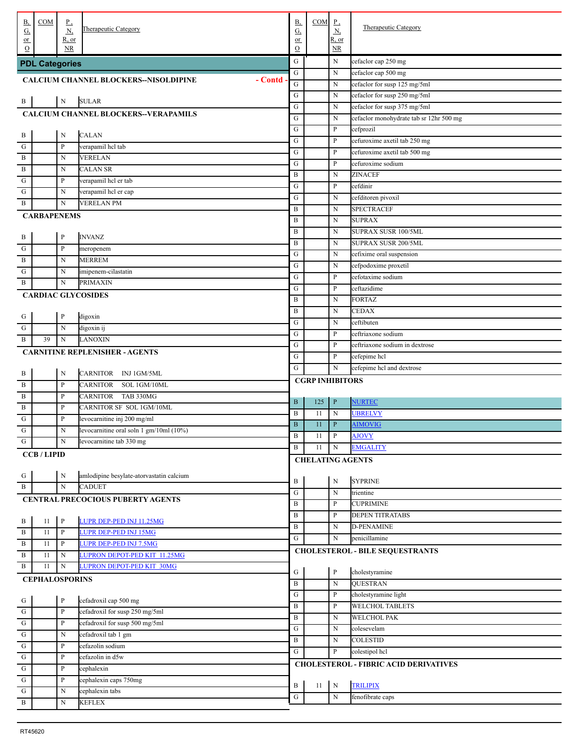| В,                           | COM                   | $_{\rm P}$                   |                                                         | <b>B</b> ,          | COM                     | $_{\rm P}$         |                                              |
|------------------------------|-----------------------|------------------------------|---------------------------------------------------------|---------------------|-------------------------|--------------------|----------------------------------------------|
| $\underline{\mathrm{G}}$     |                       | N,                           | Therapeutic Category                                    | $\underline{G}$     |                         | $\underline{N}$    | Therapeutic Category                         |
| or<br>$\Omega$               |                       | $R$ , or<br>NR               |                                                         | or<br>$\mathcal{O}$ |                         | R, or<br><b>NR</b> |                                              |
|                              | <b>PDL Categories</b> |                              |                                                         | ${\bf G}$           |                         | N                  | cefaclor cap 250 mg                          |
|                              |                       |                              |                                                         | G                   |                         | N                  | cefaclor cap 500 mg                          |
|                              |                       |                              | - Contd<br><b>CALCIUM CHANNEL BLOCKERS--NISOLDIPINE</b> | ${\bf G}$           |                         | N                  | cefaclor for susp 125 mg/5ml                 |
|                              |                       |                              |                                                         | G                   |                         | N                  | cefaclor for susp 250 mg/5ml                 |
| $\cdot$ B                    |                       | ${\bf N}$                    | <b>SULAR</b>                                            | G                   |                         | N                  | cefaclor for susp 375 mg/5ml                 |
|                              |                       |                              | CALCIUM CHANNEL BLOCKERS--VERAPAMILS                    | G                   |                         | N                  | cefaclor monohydrate tab sr 12hr 500 mg      |
|                              |                       |                              |                                                         | G                   |                         | P                  | cefprozil                                    |
| $\cdot$ B                    |                       | N                            | <b>CALAN</b>                                            | G                   |                         | P                  | cefuroxime axetil tab 250 mg                 |
| . G                          |                       | P                            | verapamil hel tab                                       | G                   |                         | P                  | cefuroxime axetil tab 500 mg                 |
| . В                          |                       | N                            | <b>VERELAN</b>                                          | G                   |                         | P                  | cefuroxime sodium                            |
| . В                          |                       | N                            | CALAN SR                                                | B                   |                         | N                  | <b>ZINACEF</b>                               |
| . G                          |                       | P                            | verapamil hel er tab                                    | G                   |                         | P                  | cefdinir                                     |
| . G                          |                       | N                            | verapamil hcl er cap                                    | G                   |                         | N                  | cefditoren pivoxil                           |
| . B                          |                       | N                            | VERELAN PM                                              | B                   |                         | N                  | <b>SPECTRACEF</b>                            |
|                              | <b>CARBAPENEMS</b>    |                              |                                                         | B                   |                         | N                  | <b>SUPRAX</b>                                |
|                              |                       |                              |                                                         | B                   |                         | N                  | SUPRAX SUSR 100/5ML                          |
| $\frac{B}{1}$                |                       | P                            | <b>INVANZ</b>                                           | B                   |                         | N                  | SUPRAX SUSR 200/5ML                          |
| . G                          |                       | P                            | meropenem                                               | G                   |                         | N                  | cefixime oral suspension                     |
| . В                          |                       | N                            | <b>MERREM</b>                                           | G                   |                         | N                  | cefpodoxime proxetil                         |
| . G                          |                       | N                            | imipenem-cilastatin                                     | G                   |                         | P                  | cefotaxime sodium                            |
| . В                          |                       | N                            | <b>PRIMAXIN</b>                                         | G                   |                         | P                  | ceftazidime                                  |
|                              |                       |                              | <b>CARDIAC GLYCOSIDES</b>                               | B                   |                         | N                  | <b>FORTAZ</b>                                |
|                              |                       |                              |                                                         | B                   |                         | N                  | <b>CEDAX</b>                                 |
| $\frac{G}{1}$                |                       | P                            | digoxin                                                 | G                   |                         | N                  | ceftibuten                                   |
| . ${\bf G}$                  |                       | $\mathbf N$                  | digoxin ij                                              | G                   |                         | P                  | ceftriaxone sodium                           |
| . В                          | 39                    | $\mathbf N$                  | LANOXIN                                                 | G                   |                         | P                  | ceftriaxone sodium in dextrose               |
|                              |                       |                              | <b>CARNITINE REPLENISHER - AGENTS</b>                   | G                   |                         | P                  | cefepime hcl                                 |
|                              |                       |                              |                                                         | G                   |                         | N                  | cefepime hcl and dextrose                    |
| . В                          |                       | N                            | CARNITOR INJ 1GM/5ML                                    |                     | <b>CGRP INHIBITORS</b>  |                    |                                              |
| . В                          |                       | P                            | <b>CARNITOR</b><br>SOL 1GM/10ML                         |                     |                         |                    |                                              |
| . В                          |                       | P                            | CARNITOR<br>TAB 330MG                                   | $\, {\bf B}$        | 125                     | $\mathbf{P}$       | <b>NURTEC</b>                                |
| . В                          |                       | P                            | CARNITOR SF SOL 1GM/10ML                                | B                   | 11                      | N                  | <b>UBRELVY</b>                               |
| . G                          |                       | P                            | levocarnitine inj 200 mg/ml                             | $\mathbf B$         | 11                      | $\mathbf{P}$       | <b>AIMOVIG</b>                               |
| . G<br>щ                     |                       | N                            | levocarnitine oral soln 1 gm/10ml (10%)                 | $\mathbf B$         | 11                      | $\mathbf{P}$       | <b>AJOVY</b>                                 |
| $\cdot$ G                    |                       | N                            | levocarnitine tab 330 mg                                | $\, {\bf B}$        | 11                      | $\mathbf N$        | <b>EMGALITY</b>                              |
|                              | <b>CCB/LIPID</b>      |                              |                                                         |                     | <b>CHELATING AGENTS</b> |                    |                                              |
|                              |                       |                              |                                                         |                     |                         |                    |                                              |
| $\frac{G}{1}$                |                       | N                            | amlodipine besylate-atorvastatin calcium                | B                   |                         | $\mathbf N$        | <b>SYPRINE</b>                               |
| . B                          |                       | $\mathbf N$                  | <b>CADUET</b>                                           | ${\bf G}$           |                         | N                  | trientine                                    |
|                              |                       |                              | CENTRAL PRECOCIOUS PUBERTY AGENTS                       | B                   |                         | P                  | <b>CUPRIMINE</b>                             |
|                              |                       |                              | LUPR DEP-PED INJ 11.25MG                                | B                   |                         | P                  | <b>DEPEN TITRATABS</b>                       |
| . B<br>. В                   | 11<br>11              | $\mathbf{P}$<br>$\, {\bf P}$ | LUPR DEP-PED INJ 15MG                                   | B                   |                         | N                  | D-PENAMINE                                   |
| . B                          |                       |                              |                                                         | ${\bf G}$           |                         | N                  | penicillamine                                |
|                              |                       |                              |                                                         |                     |                         |                    |                                              |
|                              | 11                    | P                            | LUPR DEP-PED INJ 7.5MG                                  |                     |                         |                    | <b>CHOLESTEROL - BILE SEQUESTRANTS</b>       |
| . B                          | 11                    | N                            | LUPRON DEPOT-PED KIT 11.25MG                            |                     |                         |                    |                                              |
| . B                          | 11                    | N                            | LUPRON DEPOT-PED KIT 30MG                               | ${\bf G}$           |                         | $\, {\bf P}$       | cholestyramine                               |
|                              | <b>CEPHALOSPORINS</b> |                              |                                                         | B                   |                         | $\mathbf N$        | <b>QUESTRAN</b>                              |
|                              |                       |                              |                                                         | G                   |                         | P                  | cholestyramine light                         |
| $\frac{G}{4}$                |                       | $\, {\bf P}$                 | cefadroxil cap 500 mg                                   | $\, {\bf B}$        |                         | P                  | <b>WELCHOL TABLETS</b>                       |
| $\frac{G}{1}$                |                       | $\, {\bf P}$                 | cefadroxil for susp 250 mg/5ml                          | $\, {\bf B}$        |                         | N                  | <b>WELCHOL PAK</b>                           |
| $\frac{1}{\sqrt{G}}$         |                       | P                            | cefadroxil for susp 500 mg/5ml                          | G                   |                         | N                  | colesevelam                                  |
| $\frac{1}{10}$               |                       | N                            | cefadroxil tab 1 gm                                     | B                   |                         | N                  | <b>COLESTID</b>                              |
| $\overline{\mathbf{G}}$      |                       | P                            | cefazolin sodium                                        | ${\bf G}$           |                         | P                  | colestipol hcl                               |
| . ${\bf G}$                  |                       | P                            | cefazolin in d5w                                        |                     |                         |                    | <b>CHOLESTEROL - FIBRIC ACID DERIVATIVES</b> |
| . ${\bf G}$                  |                       | P                            | cephalexin                                              |                     |                         |                    |                                              |
| . ${\bf G}$                  |                       | P                            | cephalexin caps 750mg                                   | B                   | 11                      | $\,$ N             | <b>TRILIPIX</b>                              |
| . ${\bf G}$<br>$\frac{1}{B}$ |                       | N<br>N                       | cephalexin tabs<br><b>KEFLEX</b>                        | ${\bf G}$           |                         | $\mathbf N$        | fenofibrate caps                             |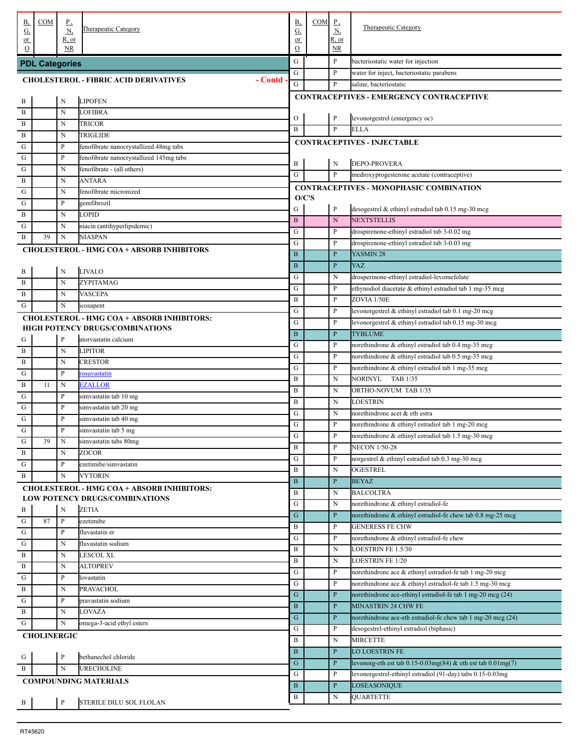| В,                | COM                   | <u>P,</u>    |                                                                                            | В,                          | $COM$ $P$ , |                              | <b>Therapeutic Category</b>                                                         |
|-------------------|-----------------------|--------------|--------------------------------------------------------------------------------------------|-----------------------------|-------------|------------------------------|-------------------------------------------------------------------------------------|
| <u>G,</u><br>or   |                       | N,<br>R, or  | <b>Therapeutic Category</b>                                                                | $\underline{G}$<br>or       |             | <u>N,</u><br>R, or           |                                                                                     |
| $\Omega$          |                       | <b>NR</b>    |                                                                                            | $\mathcal{O}$               |             | NR                           |                                                                                     |
|                   | <b>PDL Categories</b> |              |                                                                                            | G                           |             | P                            | bacteriostatic water for injection                                                  |
|                   |                       |              | <b>CHOLESTEROL - FIBRIC ACID DERIVATIVES</b><br>- Contd                                    | G                           |             | P                            | water for inject, bacteriostatic parabens                                           |
|                   |                       |              |                                                                                            | G                           |             | P                            | saline, bacteriostatic                                                              |
| . В               |                       | N            | <b>LIPOFEN</b>                                                                             |                             |             |                              | <b>CONTRACEPTIVES - EMERGENCY CONTRACEPTIVE</b>                                     |
| $\mathbf{B}$      |                       | N            | <b>LOFIBRA</b>                                                                             |                             |             |                              |                                                                                     |
| $\mathbf B$       |                       | N            | TRICOR                                                                                     | O<br>$\mathbf B$            |             | P<br>P                       | levonorgestrel (emergency oc)<br><b>ELLA</b>                                        |
| B                 |                       | N            | TRIGLIDE                                                                                   |                             |             |                              | <b>CONTRACEPTIVES - INJECTABLE</b>                                                  |
| G                 |                       | P            | fenofibrate nanocrystallized 48mg tabs                                                     |                             |             |                              |                                                                                     |
| G                 |                       | P            | fenofibrate nanocrystallized 145mg tabs                                                    | B                           |             | N                            | <b>DEPO-PROVERA</b>                                                                 |
| G                 |                       | N            | fenofibrate - (all others)                                                                 | G                           |             | P                            | medroxyprogesterone acetate (contraceptive)                                         |
| В                 |                       | N            | <b>ANTARA</b>                                                                              |                             |             |                              | <b>CONTRACEPTIVES - MONOPHASIC COMBINATION</b>                                      |
| G                 |                       | N            | fenofibrate micronized                                                                     | O/C'S                       |             |                              |                                                                                     |
| G                 |                       | $\mathbf P$  | gemfibrozil                                                                                | G                           |             | P                            | desogestrel & ethinyl estradiol tab 0.15 mg-30 mcg                                  |
| B                 |                       | N<br>N       | <b>LOPID</b>                                                                               | $\mathbf{B}$                |             | ${\bf N}$                    | <b>NEXTSTELLIS</b>                                                                  |
| G<br>$\mathbf{B}$ | 39                    | N            | niacin (antihyperlipidemic)<br><b>NIASPAN</b>                                              | G                           |             | P                            | drospirenone-ethinyl estradiol tab 3-0.02 mg                                        |
|                   |                       |              |                                                                                            | G                           |             | P                            | drospirenone-ethinyl estradiol tab 3-0.03 mg                                        |
|                   |                       |              | <b>CHOLESTEROL - HMG COA + ABSORB INHIBITORS</b>                                           | $\mathbf B$                 |             | $\mathbf{P}$                 | YASMIN 28                                                                           |
| . В               |                       | N            | <b>LIVALO</b>                                                                              | $\mathbf B$                 |             | $\mathbf{P}$                 | YAZ                                                                                 |
| B                 |                       | N            | ZYPITAMAG                                                                                  | G                           |             | N                            | drosperinone-ethinyl estradiol-levomefolate                                         |
| B                 |                       | N            | <b>VASCEPA</b>                                                                             | G                           |             | P                            | ethynodiol diacetate & ethinyl estradiol tab 1 mg-35 mcg                            |
| G                 |                       | N            | icosapent                                                                                  | $\bf{B}$                    |             | P                            | ZOVIA 1/50E                                                                         |
|                   |                       |              | <b>CHOLESTEROL - HMG COA + ABSORB INHIBITORS:</b>                                          | G                           |             | P                            | levonorgestrel & ethinyl estradiol tab 0.1 mg-20 mcg                                |
|                   |                       |              | HIGH POTENCY DRUGS/COMBINATIONS                                                            | G                           |             | P                            | levonorgestrel & ethinyl estradiol tab 0.15 mg-30 mcg                               |
| G                 |                       | P            | atorvastatin calcium                                                                       | $\, {\bf B}$                |             | $\mathbf{P}$                 | <b>TYBLUME</b>                                                                      |
| $\mathbf{B}$      |                       | N            | <b>LIPITOR</b>                                                                             | G                           |             | P                            | norethindrone & ethinyl estradiol tab 0.4 mg-35 mcg                                 |
| $\mathbf B$       |                       | N            | <b>CRESTOR</b>                                                                             | G<br>G                      |             | P                            | norethindrone & ethinyl estradiol tab 0.5 mg-35 mcg                                 |
| G                 |                       | $\mathbf P$  | rosuvastatin                                                                               | $\bf{B}$                    |             | P<br>N                       | norethindrone & ethinyl estradiol tab 1 mg-35 mcg<br>NORINYL<br>TAB 1/35            |
| B                 | 11                    | N            | <b>EZALLOR</b>                                                                             | $\bf{B}$                    |             | N                            | ORTHO-NOVUM TAB 1/35                                                                |
| G                 |                       | P            | simvastatin tab 10 mg                                                                      | $\bf{B}$                    |             | N                            | LOESTRIN                                                                            |
| G                 |                       | $\mathbf P$  | simvastatin tab 20 mg                                                                      | G                           |             | N                            | norethindrone acet & eth estra                                                      |
| G                 |                       | $\mathbf P$  | simvastatin tab 40 mg                                                                      | G                           |             | P                            | norethindrone & ethinyl estradiol tab 1 mg-20 mcg                                   |
| G                 |                       | P            | simvastatin tab 5 mg                                                                       | ${\bf G}$                   |             | P                            | norethindrone & ethinyl estradiol tab 1.5 mg-30 mcg                                 |
| G                 | 39                    | N            | simvastatin tabs 80mg                                                                      | $\, {\bf B}$                |             | P                            | <b>NECON 1/50-28</b>                                                                |
| B                 |                       | N            | ZOCOR                                                                                      | G                           |             | P                            | norgestrel & ethinyl estradiol tab 0.3 mg-30 mcg                                    |
| G                 |                       | $\, {\bf p}$ | ezetimibe/simvastatin                                                                      | $\bf{B}$                    |             | N                            | OGESTREL                                                                            |
| . В               |                       | $\mathbf N$  | <b>VYTORIN</b>                                                                             | $\, {\bf B}$                |             | $\mathbf{P}$                 | <b>BEYAZ</b>                                                                        |
|                   |                       |              | <b>CHOLESTEROL - HMG COA + ABSORB INHIBITORS:</b><br><b>LOW POTENCY DRUGS/COMBINATIONS</b> | B                           |             | N                            | <b>BALCOLTRA</b>                                                                    |
| . В               |                       | N            | <b>ZETIA</b>                                                                               | G                           |             | N                            | norethindrone & ethinyl estradiol-fe                                                |
| G                 | 87                    | P            | ezetimibe                                                                                  | ${\bf G}$                   |             | $\mathbf{P}$                 | norethindrone & ethinyl estradiol-fe chew tab 0.8 mg-25 mcg                         |
| G                 |                       | P            | fluvastatin er                                                                             | $\bf{B}$                    |             | P                            | <b>GENERESS FE CHW</b>                                                              |
| G                 |                       | N            | fluvastatin sodium                                                                         | G                           |             | P                            | norethindrone & ethinyl estradiol-fe chew                                           |
| $\mathbf B$       |                       | N            | <b>LESCOL XL</b>                                                                           | $\bf{B}$                    |             | N                            | LOESTRIN FE 1.5/30                                                                  |
| $\mathbf B$       |                       | N            | <b>ALTOPREV</b>                                                                            | $\bf{B}$                    |             | N                            | <b>LOESTRIN FE 1/20</b>                                                             |
| G                 |                       | $\mathbf{P}$ | lovastatin                                                                                 | G                           |             | P                            | norethindrone ace & ethinyl estradiol-fe tab 1 mg-20 mcg                            |
| $\mathbf B$       |                       | N            | <b>PRAVACHOL</b>                                                                           | G<br>${\bf G}$              |             | P                            | norethindrone ace & ethinyl estradiol-fe tab 1.5 mg-30 mcg                          |
| G                 |                       | $\mathbf{P}$ | pravastatin sodium                                                                         |                             |             | $\mathbf{P}$                 | norethindrone ace-ethinyl estradiol-fe tab 1 mg-20 mcg (24)                         |
| B                 |                       | N            | LOVAZA                                                                                     | $\, {\bf B}$<br>$\mathbf G$ |             | $\mathbf{P}$<br>$\mathbf{P}$ | MINASTRIN 24 CHW FE<br>norethindrone ace-eth estradiol-fe chew tab 1 mg-20 mcg (24) |
| G                 |                       | N            | omega-3-acid ethyl esters                                                                  | G                           |             | P                            | desogestrel-ethinyl estradiol (biphasic)                                            |
|                   | <b>CHOLINERGIC</b>    |              |                                                                                            | B                           |             | N                            | <b>MIRCETTE</b>                                                                     |
|                   |                       |              |                                                                                            | $\mathbf B$                 |             | $\mathbf{P}$                 | LO LOESTRIN FE                                                                      |
| . G               |                       | $\mathbf{P}$ | bethanechol chloride                                                                       | ${\bf G}$                   |             | $\mathbf{P}$                 | levonorg-eth est tab $0.15 - 0.03$ mg $(84)$ & eth est tab $0.01$ mg $(7)$          |
| . В               |                       | $\mathbf N$  | <b>URECHOLINE</b>                                                                          | G                           |             | P                            | levonorgestrel-ethinyl estradiol (91-day) tabs 0.15-0.03mg                          |
|                   |                       |              | <b>COMPOUNDING MATERIALS</b>                                                               | $\, {\bf B}$                |             | $\mathbf{P}$                 | LOSEASONIQUE                                                                        |
|                   |                       |              |                                                                                            | B                           |             | N                            | <b>QUARTETTE</b>                                                                    |
| $\cdot$ B         |                       | $\, {\bf P}$ | STERILE DILU SOL FLOLAN                                                                    |                             |             |                              |                                                                                     |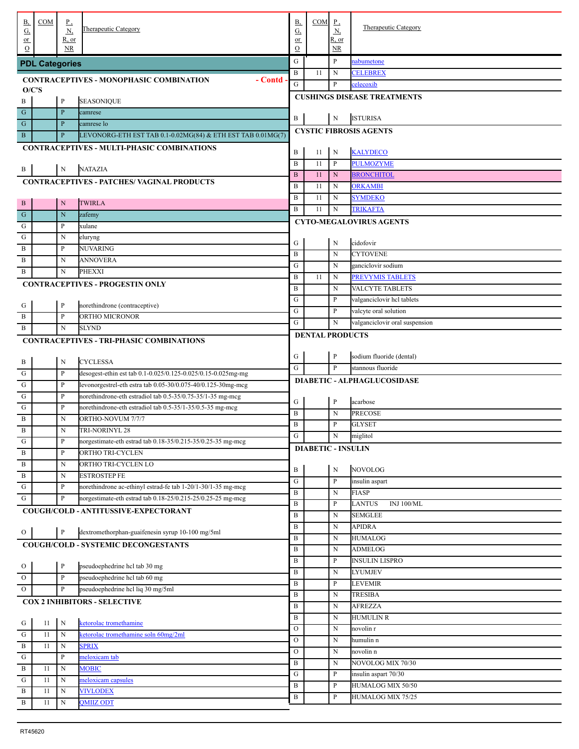| В,                               | COM                   | <u>P,</u>       |                                                              | <b>B</b> ,                   | COM                       | $_{\rm P}$               | <b>Therapeutic Category</b>        |
|----------------------------------|-----------------------|-----------------|--------------------------------------------------------------|------------------------------|---------------------------|--------------------------|------------------------------------|
| <u>G,</u>                        |                       | $\underline{N}$ | Therapeutic Category                                         | $\underline{G}$              |                           | $\underline{\mathbf{N}}$ |                                    |
| $or$<br>$\Omega$                 |                       | R, or<br>NR     |                                                              | or<br>$\mathcal{O}$          |                           | R, or<br>NR              |                                    |
|                                  |                       |                 |                                                              | G                            |                           | $\, {\bf P}$             | nabumetone                         |
|                                  | <b>PDL Categories</b> |                 |                                                              | $\bf{B}$                     | 11                        | $\mathbf N$              | <b>CELEBREX</b>                    |
|                                  |                       |                 | - Contd<br><b>CONTRACEPTIVES - MONOPHASIC COMBINATION</b>    | G                            |                           | P                        | celecoxib                          |
| O/C'S                            |                       |                 |                                                              |                              |                           |                          |                                    |
| B                                |                       | $\mathbf{P}$    | <b>SEASONIQUE</b>                                            |                              |                           |                          | <b>CUSHINGS DISEASE TREATMENTS</b> |
| $\mathbf G$                      |                       | $\, {\bf P}$    | camrese                                                      | B                            |                           |                          | <b>ISTURISA</b>                    |
| $\mathbf G$                      |                       | $\mathbf{P}$    | camrese lo                                                   |                              |                           | N                        |                                    |
| $\mathbf{B}$                     |                       | $\, {\bf P}$    | LEVONORG-ETH EST TAB 0.1-0.02MG(84) & ETH EST TAB 0.01MG(7)  |                              |                           |                          | <b>CYSTIC FIBROSIS AGENTS</b>      |
|                                  |                       |                 | <b>CONTRACEPTIVES - MULTI-PHASIC COMBINATIONS</b>            |                              |                           |                          | <b>KALYDECO</b>                    |
|                                  |                       |                 |                                                              | $\, {\bf B}$<br>$\, {\bf B}$ | 11                        | N                        |                                    |
| . В                              |                       | $\mathbf N$     | <b>NATAZIA</b>                                               |                              | 11                        | P                        | <b>PULMOZYME</b>                   |
|                                  |                       |                 | <b>CONTRACEPTIVES - PATCHES/ VAGINAL PRODUCTS</b>            | $\, {\bf B}$                 | 11                        | N                        | <b>BRONCHITOL</b>                  |
|                                  |                       |                 |                                                              | $\bf{B}$                     | 11                        | N                        | <b>ORKAMBI</b>                     |
| . В                              |                       | N               | <b>TWIRLA</b>                                                | $\bf{B}$                     | 11                        | N                        | <b>SYMDEKO</b>                     |
| G                                |                       | N               | zafemy                                                       | $\bf{B}$                     | 11                        | $\mathbf N$              | <b>TRIKAFTA</b>                    |
| G                                |                       | P               | xulane                                                       |                              |                           |                          | <b>CYTO-MEGALOVIRUS AGENTS</b>     |
| G                                |                       | N               | eluryng                                                      |                              |                           |                          |                                    |
| B                                |                       | P               | NUVARING                                                     | G                            |                           | N                        | cidofovir                          |
| B                                |                       | N               | <b>ANNOVERA</b>                                              | $\, {\bf B}$                 |                           | N                        | <b>CYTOVENE</b>                    |
| B                                |                       | N               | <b>PHEXXI</b>                                                | G                            |                           | N                        | ganciclovir sodium                 |
|                                  |                       |                 | <b>CONTRACEPTIVES - PROGESTIN ONLY</b>                       | $\bf{B}$                     | 11                        | N                        | <b>PREVYMIS TABLETS</b>            |
|                                  |                       |                 |                                                              | $\bf{B}$                     |                           | N                        | VALCYTE TABLETS                    |
| . G                              |                       | $\mathbf{P}$    | norethindrone (contraceptive)                                | G                            |                           | P                        | valganciclovir hcl tablets         |
| B                                |                       | $\mathbf{P}$    | ORTHO MICRONOR                                               | ${\bf G}$                    |                           | P                        | valcyte oral solution              |
| B                                |                       | N               | <b>SLYND</b>                                                 | G                            |                           | N                        | valganciclovir oral suspension     |
|                                  |                       |                 | <b>CONTRACEPTIVES - TRI-PHASIC COMBINATIONS</b>              |                              | <b>DENTAL PRODUCTS</b>    |                          |                                    |
|                                  |                       |                 |                                                              |                              |                           |                          |                                    |
| . В                              |                       | $\mathbf N$     | <b>CYCLESSA</b>                                              | G                            |                           | $\mathbf{P}$             | sodium fluoride (dental)           |
| G                                |                       | $\mathbf{P}$    | desogest-ethin est tab 0.1-0.025/0.125-0.025/0.15-0.025mg-mg | G                            |                           | P                        | stannous fluoride                  |
| G                                |                       | $\mathbf{P}$    | levonorgestrel-eth estra tab 0.05-30/0.075-40/0.125-30mg-mcg |                              |                           |                          | DIABETIC - ALPHAGLUCOSIDASE        |
| G                                |                       | P               | norethindrone-eth estradiol tab 0.5-35/0.75-35/1-35 mg-mcg   |                              |                           |                          |                                    |
| G                                |                       | $\mathbf{P}$    | norethindrone-eth estradiol tab 0.5-35/1-35/0.5-35 mg-mcg    | G                            |                           | $\mathbf{P}$             | acarbose                           |
| B                                |                       | N               | ORTHO-NOVUM 7/7/7                                            | $\, {\bf B}$                 |                           | N                        | <b>PRECOSE</b>                     |
| B                                |                       | N               | TRI-NORINYL 28                                               | $\bf{B}$                     |                           | P                        | <b>GLYSET</b>                      |
| G                                |                       | P               | norgestimate-eth estrad tab 0.18-35/0.215-35/0.25-35 mg-mcg  | ${\bf G}$                    |                           | N                        | miglitol                           |
| $\, {\bf B}$                     |                       | $\mathbf{P}$    | ORTHO TRI-CYCLEN                                             |                              | <b>DIABETIC - INSULIN</b> |                          |                                    |
| $\, {\bf B}$                     |                       | $\mathbf N$     | ORTHO TRI-CYCLEN LO                                          |                              |                           |                          |                                    |
| $\, {\bf B}$                     |                       | $\mathbf N$     | <b>ESTROSTEP FE</b>                                          | B                            |                           | N                        | <b>NOVOLOG</b>                     |
| ${\bf G}$                        |                       | $\mathbf{P}$    | norethindrone ac-ethinyl estrad-fe tab 1-20/1-30/1-35 mg-mcg | ${\bf G}$                    |                           | P                        | insulin aspart                     |
| G                                |                       | $\, {\bf p}$    | norgestimate-eth estrad tab 0.18-25/0.215-25/0.25-25 mg-mcg  | $\bf{B}$                     |                           | N                        | <b>FIASP</b>                       |
|                                  |                       |                 | COUGH/COLD - ANTITUSSIVE-EXPECTORANT                         | $\bf{B}$                     |                           | P                        | <b>LANTUS</b><br><b>INJ 100/ML</b> |
|                                  |                       |                 |                                                              | $\, {\bf B}$                 |                           | N                        | <b>SEMGLEE</b>                     |
| $\overline{O}$                   |                       | $\, {\bf P}$    | dextromethorphan-guaifenesin syrup 10-100 mg/5ml             | $\bf{B}$                     |                           | N                        | <b>APIDRA</b>                      |
|                                  |                       |                 | <b>COUGH/COLD - SYSTEMIC DECONGESTANTS</b>                   | $\bf{B}$                     |                           | N                        | <b>HUMALOG</b>                     |
|                                  |                       |                 |                                                              | $\bf{B}$                     |                           | N                        | <b>ADMELOG</b>                     |
| $\mathbf{O}$                     |                       | $\, {\bf P}$    | pseudoephedrine hcl tab 30 mg                                | $\bf{B}$                     |                           | P                        | <b>INSULIN LISPRO</b>              |
| $\rm{O}$                         |                       | $\, {\bf P}$    | pseudoephedrine hcl tab 60 mg                                | $\bf{B}$                     |                           | N                        | <b>LYUMJEV</b>                     |
| $\mathbf{O}$                     |                       | $\, {\bf p}$    | pseudoephedrine hcl liq 30 mg/5ml                            | $\bf{B}$                     |                           | P                        | <b>LEVEMIR</b>                     |
|                                  |                       |                 | <b>COX 2 INHIBITORS - SELECTIVE</b>                          | $\bf{B}$                     |                           | N                        | <b>TRESIBA</b>                     |
|                                  |                       |                 |                                                              | $\bf{B}$                     |                           | N                        | <b>AFREZZA</b>                     |
| G                                | 11                    | ${\bf N}$       | ketorolac tromethamine                                       | $\bf{B}$                     |                           | N                        | <b>HUMULIN R</b>                   |
| $\frac{1}{\sqrt{1-\frac{1}{2}}}$ | 11                    | $\mathbf N$     | ketorolac tromethamine soln 60mg/2ml                         | $\mathcal O$                 |                           | N                        | novolin r                          |
| $\, {\bf B}$                     | 11                    | N               | <b>SPRIX</b>                                                 | $\mathcal{O}$                |                           | N                        | humulin n                          |
| ${\bf G}$                        |                       | $\, {\bf p}$    | meloxicam tab                                                | $\mathcal{O}$                |                           | N                        | novolin n                          |
| $\, {\bf B}$                     | 11                    | $\mathbf N$     | <b>MOBIC</b>                                                 | $\bf{B}$                     |                           | N                        | NOVOLOG MIX 70/30                  |
| ${\bf G}$                        | 11                    | $\mathbf N$     | meloxicam capsules                                           | G                            |                           | P                        | insulin aspart 70/30               |
| $\, {\bf B}$                     | 11                    | $\mathbf N$     | <b>VIVLODEX</b>                                              | $\, {\bf B}$                 |                           | P                        | HUMALOG MIX 50/50                  |
| $\, {\bf B}$                     | 11                    | $\mathbf N$     | <b>QMIIZ ODT</b>                                             | B                            |                           | P                        | HUMALOG MIX 75/25                  |
|                                  |                       |                 |                                                              |                              |                           |                          |                                    |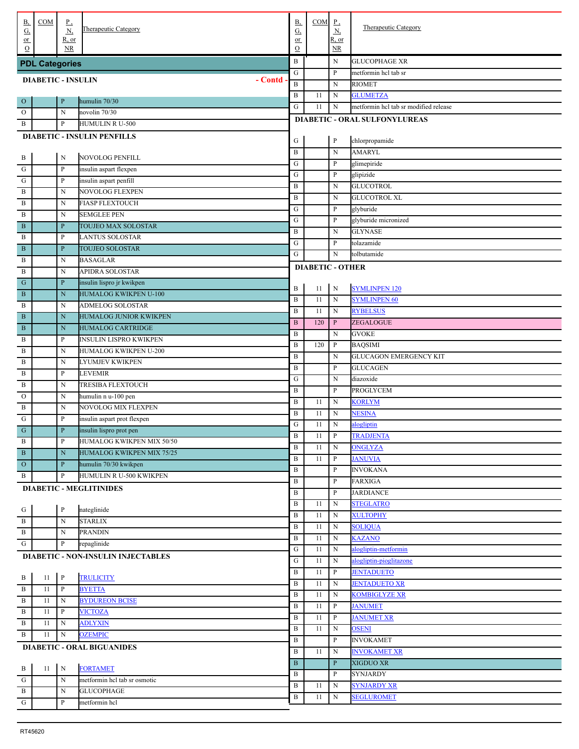| В,                           | COM                       | <u>P,</u><br><u>N,</u> | Therapeutic Category                      | <b>B</b> ,<br><u>G,</u> | COM                     | $_{\rm P}$<br>$\underline{N}$ | <b>Therapeutic Category</b>           |
|------------------------------|---------------------------|------------------------|-------------------------------------------|-------------------------|-------------------------|-------------------------------|---------------------------------------|
| <u>G.</u><br>$or$            |                           | R, or                  |                                           | or                      |                         | $R$ , or                      |                                       |
| $\Omega$                     |                           | NR                     |                                           | $\Omega$                |                         | NR                            |                                       |
|                              | <b>PDL Categories</b>     |                        |                                           | $\, {\bf B}$            |                         | N                             | <b>GLUCOPHAGE XR</b>                  |
|                              | <b>DIABETIC - INSULIN</b> |                        | - Contd                                   | ${\bf G}$               |                         | P                             | metformin hcl tab sr                  |
|                              |                           |                        |                                           | $\, {\bf B}$            |                         | ${\bf N}$                     | <b>RIOMET</b>                         |
| $\mathbf{O}$                 |                           | $\, {\bf P}$           | humulin 70/30                             | B                       | 11                      | ${\bf N}$                     | <b>GLUMETZA</b>                       |
| $\mathbf{O}$                 |                           | $\mathbf N$            | novolin 70/30                             | G                       | 11                      | N                             | metformin hcl tab sr modified release |
| B                            |                           | $\mathbf{P}$           | <b>HUMULIN R U-500</b>                    |                         |                         |                               | <b>DIABETIC - ORAL SULFONYLUREAS</b>  |
|                              |                           |                        | <b>DIABETIC - INSULIN PENFILLS</b>        |                         |                         |                               |                                       |
|                              |                           |                        |                                           | G<br>$\, {\bf B}$       |                         | $\mathbf{P}$                  | chlorpropamide<br><b>AMARYL</b>       |
| . В                          |                           | $\mathbf N$            | <b>NOVOLOG PENFILL</b>                    |                         |                         | ${\bf N}$<br>P                |                                       |
| ${\bf G}$                    |                           | $\mathbf{P}$           | insulin aspart flexpen                    | G<br>G                  |                         | P                             | glimepiride                           |
| ${\bf G}$                    |                           | $\mathbf P$            | insulin aspart penfill                    | $\bf{B}$                |                         | ${\bf N}$                     | glipizide<br><b>GLUCOTROL</b>         |
| B                            |                           | N                      | NOVOLOG FLEXPEN                           | $\bf{B}$                |                         | ${\bf N}$                     | <b>GLUCOTROL XL</b>                   |
| $\, {\bf B}$                 |                           | N                      | <b>FIASP FLEXTOUCH</b>                    | G                       |                         | P                             | glyburide                             |
| $\, {\bf B}$                 |                           | N                      | <b>SEMGLEE PEN</b>                        | G                       |                         | P                             | glyburide micronized                  |
| $\, {\bf B}$                 |                           | $\mathbf{P}$           | TOUJEO MAX SOLOSTAR                       | $\bf{B}$                |                         | ${\bf N}$                     | <b>GLYNASE</b>                        |
| B                            |                           | $\mathbf{P}$           | <b>LANTUS SOLOSTAR</b>                    | G                       |                         | P                             | tolazamide                            |
| $\, {\bf B}$                 |                           | $\mathbf{P}$           | <b>TOUJEO SOLOSTAR</b>                    | G                       |                         | ${\bf N}$                     | tolbutamide                           |
| B                            |                           | N                      | <b>BASAGLAR</b>                           |                         | <b>DIABETIC - OTHER</b> |                               |                                       |
| B                            |                           | N                      | <b>APIDRA SOLOSTAR</b>                    |                         |                         |                               |                                       |
| $\mathbf G$                  |                           | $\, {\bf P}$           | insulin lispro jr kwikpen                 | B                       | 11                      | $\mathbf N$                   | <b>SYMLINPEN 120</b>                  |
| $\, {\bf B}$                 |                           | N                      | HUMALOG KWIKPEN U-100                     | $\bf{B}$                | 11                      | $\mathbf N$                   | <b>SYMLINPEN 60</b>                   |
| B                            |                           | N                      | <b>ADMELOG SOLOSTAR</b>                   | $\bf{B}$                | 11                      | $\mathbf N$                   | <b>RYBELSUS</b>                       |
| $\, {\bf B}$                 |                           | N                      | HUMALOG JUNIOR KWIKPEN                    | $\, {\bf B}$            | 120                     | $\mathbf{P}$                  | ZEGALOGUE                             |
| $\, {\bf B}$                 |                           | N                      | <b>HUMALOG CARTRIDGE</b>                  | $\bf{B}$                |                         | ${\bf N}$                     | <b>GVOKE</b>                          |
| B                            |                           | $\mathbf P$            | <b>INSULIN LISPRO KWIKPEN</b>             | $\bf{B}$                | 120                     | P                             | <b>BAQSIMI</b>                        |
| $\, {\bf B}$                 |                           | N                      | HUMALOG KWIKPEN U-200                     | $\bf{B}$                |                         | ${\bf N}$                     | <b>GLUCAGON EMERGENCY KIT</b>         |
| B                            |                           | N                      | LYUMJEV KWIKPEN                           | $\bf{B}$                |                         | P                             | <b>GLUCAGEN</b>                       |
| B                            |                           | $\mathbf P$            | <b>LEVEMIR</b>                            | G                       |                         | ${\bf N}$                     | diazoxide                             |
| B                            |                           | N                      | <b>TRESIBA FLEXTOUCH</b>                  | $\, {\bf B}$            |                         | P                             | <b>PROGLYCEM</b>                      |
| $\mathbf{O}$                 |                           | N                      | humulin n u-100 pen                       | $\, {\bf B}$            | 11                      | ${\bf N}$                     | <b>KORLYM</b>                         |
| B                            |                           | $\mathbf N$            | NOVOLOG MIX FLEXPEN                       | $\, {\bf B}$            | 11                      | N                             | <b>NESINA</b>                         |
| G                            |                           | $\mathbf P$            | insulin aspart prot flexpen               | G                       | 11                      | ${\bf N}$                     | alogliptin                            |
| $\mathbf G$                  |                           | $\mathbf{P}$           | insulin lispro prot pen                   | B                       | 11                      | P                             | <b>TRADJENTA</b>                      |
| B                            |                           | $\, {\bf P}$           | HUMALOG KWIKPEN MIX 50/50                 | $\, {\bf B}$            | 11                      | ${\bf N}$                     | <b>ONGLYZA</b>                        |
| $\mathbf{B}$                 |                           | $\mathbf N$            | HUMALOG KWIKPEN MIX 75/25                 | $\bf{B}$                | 11                      | P                             | <b>JANUVIA</b>                        |
| $\,$ O                       |                           | $\, {\bf P}$           | humulin 70/30 kwikpen                     | $\, {\bf B}$            |                         | P                             | <b>INVOKANA</b>                       |
| $\mathbf{B}$                 |                           | $\mathbf{P}$           | HUMULIN R U-500 KWIKPEN                   | $\, {\bf B}$            |                         | P                             | <b>FARXIGA</b>                        |
|                              |                           |                        | <b>DIABETIC - MEGLITINIDES</b>            | B                       |                         | P                             | <b>JARDIANCE</b>                      |
|                              |                           |                        |                                           | $\bf{B}$                | 11                      | N                             | <b>STEGLATRO</b>                      |
| . G                          |                           | $\, {\bf P}$           | nateglinide                               | $\, {\bf B}$            | 11                      | N                             | <b>XULTOPHY</b>                       |
| $\mathbf{B}$                 |                           | N                      | <b>STARLIX</b>                            | $\, {\bf B}$            | 11                      | N                             | <b>SOLIQUA</b>                        |
| B                            |                           | N                      | <b>PRANDIN</b>                            | $\, {\bf B}$            | 11                      | ${\bf N}$                     | <b>KAZANO</b>                         |
| G                            |                           | $\, {\bf p}$           | repaglinide                               | ${\bf G}$               | 11                      | ${\bf N}$                     | alogliptin-metformin                  |
|                              |                           |                        | <b>DIABETIC - NON-INSULIN INJECTABLES</b> | G                       | 11                      | N                             | alogliptin-pioglitazone               |
|                              |                           | $\, {\bf P}$           | <b>TRULICITY</b>                          | B                       | 11                      | P                             | <b>JENTADUETO</b>                     |
| . B<br>$\mathbf{B}$          | 11<br>11                  | $\, {\bf P}$           | <b>BYETTA</b>                             | $\, {\bf B}$            | 11                      | N                             | <b>JENTADUETO XR</b>                  |
|                              |                           |                        |                                           | $\, {\bf B}$            | 11                      | ${\bf N}$                     | <b>KOMBIGLYZE XR</b>                  |
| $\, {\bf B}$                 | 11                        | N                      | <b>BYDUREON BCISE</b>                     | $\, {\bf B}$            | 11                      | P                             | <b>JANUMET</b>                        |
| $\, {\bf B}$<br>$\, {\bf B}$ | 11                        | $\, {\bf P}$           | <b>VICTOZA</b><br><b>ADLYXIN</b>          | $\, {\bf B}$            | 11                      | P                             | <b>JANUMET XR</b>                     |
| $\mathbf{B}$                 | 11<br>11                  | N<br>N                 | <b>OZEMPIC</b>                            | $\, {\bf B}$            | 11                      | N                             | <b>OSENI</b>                          |
|                              |                           |                        |                                           | $\, {\bf B}$            |                         | P                             | <b>INVOKAMET</b>                      |
|                              |                           |                        | <b>DIABETIC - ORAL BIGUANIDES</b>         | B                       | 11                      | N                             | <b>INVOKAMET XR</b>                   |
|                              |                           |                        | <b>FORTAMET</b>                           | $\, {\bf B}$            |                         | $\mathbf{P}$                  | <b>XIGDUO XR</b>                      |
| . В                          | 11                        | N                      | metformin hel tab sr osmotic              | $\, {\bf B}$            |                         | P                             | <b>SYNJARDY</b>                       |
| . G                          |                           | N                      | <b>GLUCOPHAGE</b>                         | $\, {\bf B}$            | 11                      | N                             | <b>SYNJARDY XR</b>                    |
| $\mathbf{B}$                 |                           | N                      |                                           | $\, {\bf B}$            | 11                      | $\mathbf N$                   | <b>SEGLUROMET</b>                     |
| . G                          |                           | $\, {\bf P}$           | metformin hcl                             |                         |                         |                               |                                       |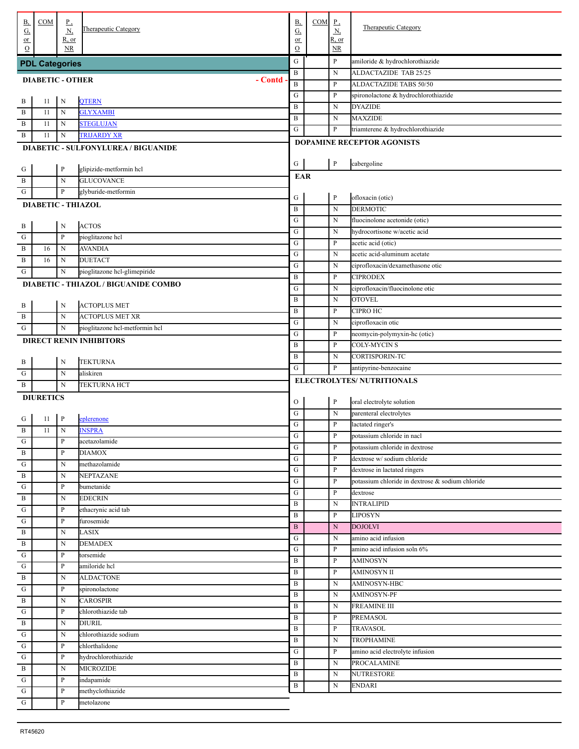| В,                                           | COM                       | $_{\rm P}$        |                                             | <b>B</b> ,           | COM | $\underline{P}$          | <b>Therapeutic Category</b>                      |
|----------------------------------------------|---------------------------|-------------------|---------------------------------------------|----------------------|-----|--------------------------|--------------------------------------------------|
| G,<br>$or$                                   |                           | N<br>$R$ , or     | Therapeutic Category                        | $\overline{G}$<br>or |     | $\underline{N}$<br>R, or |                                                  |
| $\Omega$                                     |                           | <b>NR</b>         |                                             | $\mathbf O$          |     | NR                       |                                                  |
|                                              | <b>PDL Categories</b>     |                   |                                             | ${\bf G}$            |     | P                        | amiloride & hydrochlorothiazide                  |
|                                              |                           |                   |                                             | B                    |     | N                        | ALDACTAZIDE TAB 25/25                            |
|                                              | <b>DIABETIC - OTHER</b>   |                   | - Contd                                     | $\, {\bf B}$         |     | P                        | ALDACTAZIDE TABS 50/50                           |
| . В                                          | 11                        | N                 | <b>QTERN</b>                                | ${\bf G}$            |     | P                        | spironolactone & hydrochlorothiazide             |
| $\overline{B}$                               | 11                        | N                 | <b>GLYXAMBI</b>                             | $\, {\bf B}$         |     | N                        | <b>DYAZIDE</b>                                   |
| . B                                          | 11                        | N                 | <b>STEGLUJAN</b>                            | $\, {\bf B}$         |     | N                        | <b>MAXZIDE</b>                                   |
| . В                                          | 11                        | N                 | TRIJARDY XR                                 | ${\bf G}$            |     | P                        | triamterene & hydrochlorothiazide                |
|                                              |                           |                   | <b>DIABETIC - SULFONYLUREA / BIGUANIDE</b>  |                      |     |                          | DOPAMINE RECEPTOR AGONISTS                       |
|                                              |                           |                   |                                             | ${\bf G}$            |     | $\, {\bf P}$             |                                                  |
| $\cdot$ G                                    |                           | $\, {\bf p}$      | glipizide-metformin hcl                     | <b>EAR</b>           |     |                          | cabergoline                                      |
| . $\, {\bf B}$                               |                           | N                 | <b>GLUCOVANCE</b>                           |                      |     |                          |                                                  |
| . G                                          |                           | P                 | glyburide-metformin                         | G                    |     | $\, {\bf P}$             | ofloxacin (otic)                                 |
|                                              | <b>DIABETIC - THIAZOL</b> |                   |                                             | $\, {\bf B}$         |     | N                        | <b>DERMOTIC</b>                                  |
|                                              |                           |                   |                                             | ${\bf G}$            |     | N                        | fluocinolone acetonide (otic)                    |
| $\frac{B}{\sqrt{2}}$                         |                           | N                 | <b>ACTOS</b>                                | ${\bf G}$            |     | N                        | hydrocortisone w/acetic acid                     |
| . ${\bf G}$                                  |                           | $\, {\bf p}$      | pioglitazone hcl                            | ${\bf G}$            |     | P                        | acetic acid (otic)                               |
| . $\, {\bf B}$                               | 16                        | N                 | <b>AVANDIA</b>                              | ${\bf G}$            |     | N                        | acetic acid-aluminum acetate                     |
| . B                                          | 16                        | N                 | <b>DUETACT</b>                              | ${\bf G}$            |     | N                        | ciprofloxacin/dexamethasone otic                 |
| . G                                          |                           | N                 | pioglitazone hcl-glimepiride                | $\, {\bf B}$         |     | P                        | <b>CIPRODEX</b>                                  |
|                                              |                           |                   | <b>DIABETIC - THIAZOL / BIGUANIDE COMBO</b> | G                    |     | N                        | ciprofloxacin/fluocinolone otic                  |
| $\cdot$ B                                    |                           | N                 | <b>ACTOPLUS MET</b>                         | $\, {\bf B}$         |     | N                        | <b>OTOVEL</b>                                    |
| . B                                          |                           | $\mathbf N$       | ACTOPLUS MET XR                             | $\, {\bf B}$         |     | P                        | <b>CIPRO HC</b>                                  |
| . G                                          |                           | N                 | pioglitazone hcl-metformin hcl              | ${\bf G}$            |     | N                        | ciprofloxacin otic                               |
|                                              |                           |                   | <b>DIRECT RENIN INHIBITORS</b>              | ${\bf G}$            |     | P                        | neomycin-polymyxin-hc (otic)                     |
|                                              |                           |                   |                                             | $\, {\bf B}$         |     | P                        | COLY-MYCIN S                                     |
| $\cdot$ B                                    |                           | N                 | <b>TEKTURNA</b>                             | $\, {\bf B}$         |     | N                        | CORTISPORIN-TC                                   |
| . G                                          |                           | N                 | aliskiren                                   | ${\bf G}$            |     | P                        | antipyrine-benzocaine                            |
| . В                                          |                           | N                 | TEKTURNA HCT                                |                      |     |                          | ELECTROLYTES/ NUTRITIONALS                       |
|                                              | <b>DIURETICS</b>          |                   |                                             | $\mathcal{O}$        |     | $\mathbf{P}$             | oral electrolyte solution                        |
|                                              |                           |                   |                                             | ${\bf G}$            |     | $\mathbf N$              | parenteral electrolytes                          |
| $\frac{G}{B}$                                | 11                        | P                 | eplerenone                                  | ${\bf G}$            |     | P                        | lactated ringer's                                |
|                                              | 11                        | N                 | <b>INSPRA</b>                               | ${\bf G}$            |     | P                        | potassium chloride in nacl                       |
| . G<br>$\frac{1}{1}$                         |                           | P                 | acetazolamide                               | ${\bf G}$            |     | $\, {\bf P}$             | potassium chloride in dextrose                   |
| $\frac{1}{1}$ G                              |                           | $\mathbf{P}$      | <b>DIAMOX</b>                               | ${\bf G}$            |     | P                        | dextrose w/ sodium chloride                      |
|                                              |                           | N                 | methazolamide                               | ${\bf G}$            |     | P                        | dextrose in lactated ringers                     |
| $\overline{B}$<br>$\overline{\phantom{a}}$ G |                           | N<br>P            | NEPTAZANE<br>bumetanide                     | ${\bf G}$            |     | P                        | potassium chloride in dextrose & sodium chloride |
| . B                                          |                           | N                 | <b>EDECRIN</b>                              | ${\bf G}$            |     | P                        | dextrose                                         |
| . G                                          |                           | P                 | ethacrynic acid tab                         | B                    |     | N                        | <b>INTRALIPID</b>                                |
| . G                                          |                           | P                 | furosemide                                  | B                    |     | P                        | <b>LIPOSYN</b>                                   |
| . B                                          |                           | N                 | LASIX                                       | $\, {\bf B}$         |     | N                        | <b>DOJOLVI</b>                                   |
| . $\bf{B}$                                   |                           | N                 | <b>DEMADEX</b>                              | ${\bf G}$            |     | N                        | amino acid infusion                              |
| $\cdot$ G                                    |                           | P                 | torsemide                                   | ${\bf G}$            |     | P                        | amino acid infusion soln 6%                      |
| $\overline{\mathbf{G}}$                      |                           | P                 | amiloride hcl                               | B                    |     | P                        | <b>AMINOSYN</b>                                  |
| $\overline{B}$                               |                           | N                 | <b>ALDACTONE</b>                            | B<br>B               |     | P<br>N                   | <b>AMINOSYN II</b><br>AMINOSYN-HBC               |
| $\overline{\mathbf{G}}$                      |                           | P                 | spironolactone                              | B                    |     | N                        | AMINOSYN-PF                                      |
| $\overline{B}$                               |                           | N                 | <b>CAROSPIR</b>                             | B                    |     | N                        | <b>FREAMINE III</b>                              |
| $\overline{\phantom{a}}$ G                   |                           | P                 | chlorothiazide tab                          | B                    |     | P                        | PREMASOL                                         |
| . B                                          |                           | N                 | <b>DIURIL</b>                               | B                    |     | P                        | <b>TRAVASOL</b>                                  |
| . G                                          |                           | N                 | chlorothiazide sodium                       | B                    |     | N                        | TROPHAMINE                                       |
| . G                                          |                           | P                 | chlorthalidone                              | ${\bf G}$            |     | P                        | amino acid electrolyte infusion                  |
| . G                                          |                           | P                 | hydrochlorothiazide                         | B                    |     | N                        | <b>PROCALAMINE</b>                               |
| $\overline{B}$                               |                           | N                 | <b>MICROZIDE</b>                            | B                    |     | N                        | <b>NUTRESTORE</b>                                |
| $\overline{\phantom{a}}$ G                   |                           | P                 | indapamide                                  | B                    |     | N                        | <b>ENDARI</b>                                    |
| $\overline{\phantom{a}}$ G<br>$\frac{1}{G}$  |                           | P<br>$\, {\bf P}$ | methyclothiazide<br>metolazone              |                      |     |                          |                                                  |
|                                              |                           |                   |                                             |                      |     |                          |                                                  |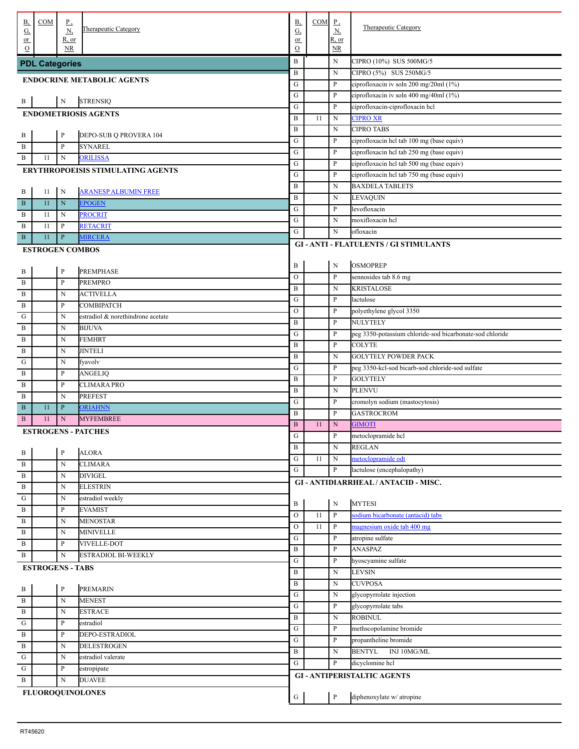| В,                              | COM                     | $P_{\rightarrow}$  |                                          | <b>B</b> ,            | COM | $_{\rm p}$                | <b>Therapeutic Category</b>                              |
|---------------------------------|-------------------------|--------------------|------------------------------------------|-----------------------|-----|---------------------------|----------------------------------------------------------|
| G,<br>or                        |                         | N,<br><u>R, or</u> | <b>Therapeutic Category</b>              | $\underline{G}$<br>or |     | <u>N,</u><br><u>R, or</u> |                                                          |
| $\Omega$                        |                         | <b>NR</b>          |                                          | $\mathcal{O}$         |     | NR                        |                                                          |
|                                 | <b>PDL Categories</b>   |                    |                                          | $\, {\bf B}$          |     | N                         | CIPRO (10%) SUS 500MG/5                                  |
|                                 |                         |                    |                                          | B                     |     | N                         | CIPRO (5%) SUS 250MG/5                                   |
|                                 |                         |                    | <b>ENDOCRINE METABOLIC AGENTS</b>        | ${\bf G}$             |     | P                         | ciprofloxacin iv soln 200 mg/20ml (1%)                   |
|                                 |                         | ${\bf N}$          | <b>STRENSIQ</b>                          | ${\bf G}$             |     | P                         | ciprofloxacin iv soln 400 mg/40ml (1%)                   |
| $\cdot$ B                       |                         |                    |                                          | ${\bf G}$             |     | $\mathbf{P}$              | ciprofloxacin-ciprofloxacin hel                          |
|                                 |                         |                    | <b>ENDOMETRIOSIS AGENTS</b>              | $\, {\bf B}$          | -11 | $\mathbf N$               | <b>CIPRO XR</b>                                          |
|                                 |                         | $\mathbf{P}$       | DEPO-SUB Q PROVERA 104                   | $\, {\bf B}$          |     | ${\bf N}$                 | <b>CIPRO TABS</b>                                        |
| $\frac{B}{1}$<br>. $\, {\bf B}$ |                         | $\mathbf{P}$       | <b>SYNAREL</b>                           | ${\bf G}$             |     | P                         | ciprofloxacin hcl tab 100 mg (base equiv)                |
| . B                             | 11                      | N                  | <b>ORILISSA</b>                          | ${\bf G}$             |     | P                         | ciprofloxacin hcl tab 250 mg (base equiv)                |
|                                 |                         |                    |                                          | G                     |     | P                         | ciprofloxacin hcl tab 500 mg (base equiv)                |
|                                 |                         |                    | <b>ERYTHROPOEISIS STIMULATING AGENTS</b> | G                     |     | P                         | ciprofloxacin hel tab 750 mg (base equiv)                |
| . B                             | 11                      | N                  | <b>ARANESP ALBUMIN FREE</b>              | $\, {\bf B}$          |     | ${\bf N}$                 | <b>BAXDELA TABLETS</b>                                   |
| . B                             | 11                      | $\mathbf N$        | <b>EPOGEN</b>                            | $\, {\bf B}$          |     | N                         | LEVAQUIN                                                 |
| . B                             | 11                      | N                  | <b>PROCRIT</b>                           | ${\bf G}$             |     | P                         | levofloxacin                                             |
| . B                             | 11                      | P                  | <b>RETACRIT</b>                          | ${\bf G}$             |     | N                         | moxifloxacin hcl                                         |
| $\mathbf{B}$                    | 11                      | $\mathbf{P}$       | <b>MIRCERA</b>                           | ${\bf G}$             |     | ${\bf N}$                 | ofloxacin                                                |
|                                 |                         |                    |                                          |                       |     |                           | <b>GI-ANTI-FLATULENTS / GI STIMULANTS</b>                |
|                                 | <b>ESTROGEN COMBOS</b>  |                    |                                          |                       |     |                           |                                                          |
|                                 |                         | $\, {\bf p}$       | <b>PREMPHASE</b>                         | B                     |     | N                         | <b>OSMOPREP</b>                                          |
| $\frac{B}{1}$                   |                         |                    |                                          | $\mathcal O$          |     | $\mathbf{P}$              | sennosides tab 8.6 mg                                    |
| . $\, {\bf B}$                  |                         | $\mathbf{P}$       | <b>PREMPRO</b>                           | $\, {\bf B}$          |     | N                         | <b>KRISTALOSE</b>                                        |
| . $\, {\bf B}$                  |                         | $\mathbf N$        | <b>ACTIVELLA</b>                         | ${\bf G}$             |     | P                         | lactulose                                                |
| . $\, {\bf B}$                  |                         | P                  | COMBIPATCH                               | $\mathcal O$          |     | P                         | polyethylene glycol 3350                                 |
| . G                             |                         | N                  | estradiol & norethindrone acetate        | B                     |     | P                         | <b>NULYTELY</b>                                          |
| . $\, {\bf B}$                  |                         | $\mathbf N$        | <b>BIJUVA</b>                            | ${\bf G}$             |     | P                         | peg 3350-potassium chloride-sod bicarbonate-sod chloride |
| . $\, {\bf B}$                  |                         | $\mathbf N$        | <b>FEMHRT</b>                            | $\, {\bf B}$          |     | $\mathbf{P}$              | <b>COLYTE</b>                                            |
| . $\, {\bf B}$                  |                         | N                  | <b>JINTELI</b>                           | $\, {\bf B}$          |     | N                         | <b>GOLYTELY POWDER PACK</b>                              |
| ${\bf G}$                       |                         | N                  | fyavolv                                  | ${\bf G}$             |     | P                         | peg 3350-kcl-sod bicarb-sod chloride-sod sulfate         |
| . $\, {\bf B}$                  |                         | P                  | ANGELIQ                                  | $\, {\bf B}$          |     | P                         | <b>GOLYTELY</b>                                          |
| . В                             |                         | P                  | <b>CLIMARA PRO</b>                       | $\, {\bf B}$          |     | N                         | <b>PLENVU</b>                                            |
| B                               |                         | N                  | <b>PREFEST</b>                           | G                     |     | P                         | cromolyn sodium (mastocytosis)                           |
| . B                             | 11                      | $\mathbf{P}$       | <b>ORIAHNN</b>                           | $\, {\bf B}$          |     | P                         | <b>GASTROCROM</b>                                        |
| . B                             | 11                      | $\mathbf N$        | <b>MYFEMBREE</b>                         | $\, {\bf B}$          | 11  | ${\bf N}$                 | <b>GIMOTI</b>                                            |
|                                 |                         |                    | <b>ESTROGENS - PATCHES</b>               | G                     |     | $\mathbf{P}$              | metoclopramide hcl                                       |
|                                 |                         |                    |                                          | $\, {\bf B}$          |     | ${\bf N}$                 | <b>REGLAN</b>                                            |
| $\frac{B}{1}$                   |                         | $\mathbf{P}$       | <b>ALORA</b>                             | ${\bf G}$             | 11  | $\mathbf N$               | metoclopramide odt                                       |
| . $\, {\bf B}$                  |                         | N                  | <b>CLIMARA</b>                           | ${\bf G}$             |     | P                         | lactulose (encephalopathy)                               |
| . $\, {\bf B}$                  |                         | N                  | <b>DIVIGEL</b>                           |                       |     |                           | GI - ANTIDIARRHEAL / ANTACID - MISC.                     |
| $\overline{B}$                  |                         | N                  | <b>ELESTRIN</b>                          |                       |     |                           |                                                          |
| ${\bf G}$                       |                         | N                  | estradiol weekly                         | B                     |     | ${\bf N}$                 | <b>MYTESI</b>                                            |
| $\overline{B}$                  |                         | P                  | <b>EVAMIST</b>                           | ${\rm O}$             | 11  | $\mathbf{P}$              | sodium bicarbonate (antacid) tabs                        |
| . B                             |                         | N                  | <b>MENOSTAR</b>                          | ${\rm O}$             | 11  | $\mathbf{P}$              | magnesium oxide tab 400 mg                               |
| . B                             |                         | N                  | <b>MINIVELLE</b>                         | G                     |     | P                         | atropine sulfate                                         |
| . B                             |                         | P                  | VIVELLE-DOT                              | B                     |     | P                         | <b>ANASPAZ</b>                                           |
| . В                             |                         | $\mathbf N$        | <b>ESTRADIOL BI-WEEKLY</b>               | ${\bf G}$             |     | $\mathbf{P}$              | hyoscyamine sulfate                                      |
|                                 | <b>ESTROGENS - TABS</b> |                    |                                          | B                     |     | N                         | LEVSIN                                                   |
|                                 |                         |                    |                                          | $\, {\bf B}$          |     | N                         | <b>CUVPOSA</b>                                           |
| $\frac{B}{B}$                   |                         | $\mathbf{P}$       | PREMARIN                                 | ${\bf G}$             |     | N                         | glycopyrrolate injection                                 |
|                                 |                         | $\mathbf N$        | <b>MENEST</b>                            | ${\bf G}$             |     | $\mathbf{P}$              | glycopyrrolate tabs                                      |
| $\frac{1}{1}$                   |                         | ${\bf N}$          | <b>ESTRACE</b>                           | $\, {\bf B}$          |     | $\mathbf N$               | <b>ROBINUL</b>                                           |
| $\frac{1}{\frac{G}{B}}$         |                         | P                  | estradiol                                | ${\bf G}$             |     | P                         | methscopolamine bromide                                  |
|                                 |                         | P                  | DEPO-ESTRADIOL                           | ${\bf G}$             |     | $\mathbf{P}$              | propantheline bromide                                    |
| $\frac{1}{B}$                   |                         | N                  | <b>DELESTROGEN</b>                       | $\, {\bf B}$          |     | N                         | <b>BENTYL</b><br>INJ 10MG/ML                             |
| $\frac{1}{1}$                   |                         | N                  | estradiol valerate                       | G                     |     | P                         | dicyclomine hel                                          |
| ${\bf G}$                       |                         | P                  | estropipate                              |                       |     |                           |                                                          |
| . B                             |                         | N                  | <b>DUAVEE</b>                            |                       |     |                           | <b>GI-ANTIPERISTALTIC AGENTS</b>                         |
|                                 |                         |                    | <b>FLUOROQUINOLONES</b>                  | G                     |     | $\, {\bf P}$              | diphenoxylate w/ atropine                                |
|                                 |                         |                    |                                          |                       |     |                           |                                                          |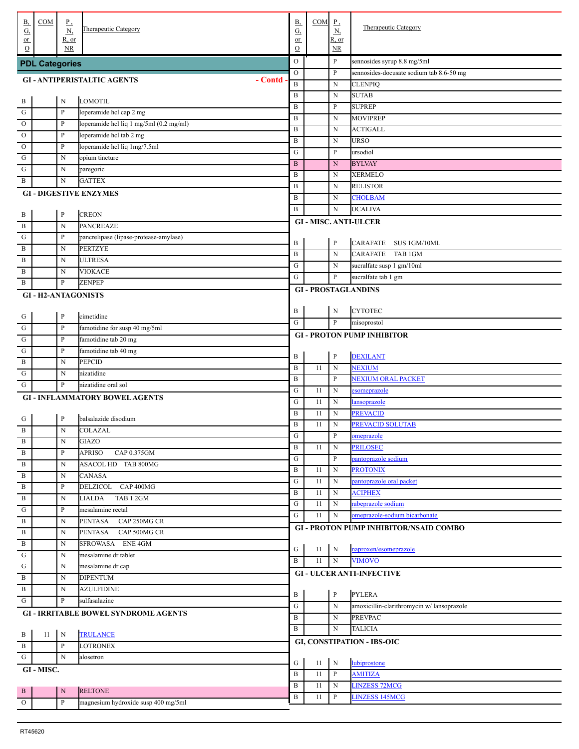| В,<br>$\overline{G}$ | COM                   | <u>P,</u><br><u>N,</u> | <b>Therapeutic Category</b>                 | В,<br>$\underline{G}$ | COM | $\Gamma$<br>$\underline{\mathbf{N}}$ | <b>Therapeutic Category</b>                   |
|----------------------|-----------------------|------------------------|---------------------------------------------|-----------------------|-----|--------------------------------------|-----------------------------------------------|
| $or$<br>$\Omega$     |                       | R, or<br>NR.           |                                             | or<br>$\mathcal{O}$   |     | R, or<br><u>NR</u>                   |                                               |
|                      | <b>PDL Categories</b> |                        |                                             | $\circ$               |     | P                                    | sennosides syrup 8.8 mg/5ml                   |
|                      |                       |                        |                                             | $\mathcal O$          |     | P                                    | sennosides-docusate sodium tab 8.6-50 mg      |
|                      |                       |                        | - Contd<br><b>GI-ANTIPERISTALTIC AGENTS</b> | $\, {\bf B}$          |     | N                                    | <b>CLENPIQ</b>                                |
|                      |                       |                        |                                             | $\, {\bf B}$          |     | N                                    | <b>SUTAB</b>                                  |
| . В                  |                       | $\mathbf N$            | <b>LOMOTIL</b>                              | $\, {\bf B}$          |     | P                                    | <b>SUPREP</b>                                 |
| ${\bf G}$            |                       | $\mathbf P$            | loperamide hcl cap 2 mg                     | $\, {\bf B}$          |     | N                                    | <b>MOVIPREP</b>                               |
| $\mathbf{O}$         |                       | $\mathbf P$            | loperamide hcl liq 1 mg/5ml (0.2 mg/ml)     | $\, {\bf B}$          |     | N                                    | <b>ACTIGALL</b>                               |
| $\mathbf{O}$         |                       | $\mathbf P$            | loperamide hcl tab 2 mg                     | $\, {\bf B}$          |     | N                                    | <b>URSO</b>                                   |
| $\mathbf{O}$         |                       | P                      | loperamide hcl liq 1mg/7.5ml                | ${\bf G}$             |     | P                                    | ursodiol                                      |
| G                    |                       | N                      | opium tincture                              | $\, {\bf B}$          |     | N                                    | <b>BYLVAY</b>                                 |
| G                    |                       | N                      | paregoric                                   | $\, {\bf B}$          |     | N                                    | <b>XERMELO</b>                                |
| B                    |                       | N                      | <b>GATTEX</b>                               | $\, {\bf B}$          |     | N                                    | <b>RELISTOR</b>                               |
|                      |                       |                        | <b>GI-DIGESTIVE ENZYMES</b>                 | $\, {\bf B}$          |     | N                                    | <b>CHOLBAM</b>                                |
|                      |                       |                        |                                             | $\, {\bf B}$          |     | N                                    | <b>OCALIVA</b>                                |
| . В                  |                       | $\, {\bf P}$           | <b>CREON</b>                                |                       |     |                                      | <b>GI - MISC. ANTI-ULCER</b>                  |
| B                    |                       | N                      | <b>PANCREAZE</b>                            |                       |     |                                      |                                               |
| G                    |                       | P                      | pancrelipase (lipase-protease-amylase)      | B                     |     | P                                    | <b>CARAFATE</b><br>SUS 1GM/10ML               |
| B                    |                       | N                      | <b>PERTZYE</b>                              | $\, {\bf B}$          |     | N                                    | <b>CARAFATE</b><br>TAB 1GM                    |
| B                    |                       | N                      | <b>ULTRESA</b>                              | ${\bf G}$             |     | N                                    | sucralfate susp 1 gm/10ml                     |
| B                    |                       | N                      | VIOKACE                                     | ${\bf G}$             |     | P                                    | sucralfate tab 1 gm                           |
| B                    |                       | $\mathbf{P}$           | <b>ZENPEP</b>                               |                       |     |                                      |                                               |
|                      |                       |                        | <b>GI-H2-ANTAGONISTS</b>                    |                       |     |                                      | <b>GI-PROSTAGLANDINS</b>                      |
|                      |                       |                        |                                             |                       |     |                                      |                                               |
| . G                  |                       | $\, {\bf P}$           | cimetidine                                  | B                     |     | N                                    | <b>CYTOTEC</b>                                |
| G                    |                       | $\mathbf{P}$           | famotidine for susp 40 mg/5ml               | ${\bf G}$             |     | $\mathbf{P}$                         | misoprostol                                   |
| G                    |                       | $\mathbf{P}$           | famotidine tab 20 mg                        |                       |     |                                      | <b>GI - PROTON PUMP INHIBITOR</b>             |
| G                    |                       | $\mathbf{P}$           | famotidine tab 40 mg                        |                       |     |                                      |                                               |
| B                    |                       | N                      | <b>PEPCID</b>                               | B                     |     | $\, {\bf P}$                         | <b>DEXILANT</b>                               |
| G                    |                       | N                      | nizatidine                                  | $\, {\bf B}$          | 11  | N                                    | <b>NEXIUM</b>                                 |
| G                    |                       | P                      | nizatidine oral sol                         | $\, {\bf B}$          |     | P                                    | NEXIUM ORAL PACKET                            |
|                      |                       |                        | <b>GI - INFLAMMATORY BOWEL AGENTS</b>       | ${\bf G}$             | 11  | N                                    | esomeprazole                                  |
|                      |                       |                        |                                             | ${\bf G}$             | 11  | N                                    | lansoprazole                                  |
| . G                  |                       | $\, {\bf p}$           | balsalazide disodium                        | $\, {\bf B}$          | 11  | N                                    | <b>PREVACID</b>                               |
| . B                  |                       | $\mathbf N$            | COLAZAL                                     | $\, {\bf B}$          | 11  | N                                    | PREVACID SOLUTAB                              |
|                      |                       | N                      | GIAZO                                       | ${\bf G}$             |     | P                                    | omeprazole                                    |
| B<br>B               |                       | $\mathbf{P}$           | <b>APRISO</b><br>CAP 0.375GM                | $\, {\bf B}$          | 11  | N                                    | <b>PRILOSEC</b>                               |
|                      |                       | $\mathbf N$            | ASACOL HD TAB 800MG                         | ${\bf G}$             |     | P                                    | pantoprazole sodium                           |
| B                    |                       |                        | <b>CANASA</b>                               | $\, {\bf B}$          | 11  | N                                    | <b>PROTONIX</b>                               |
| $\, {\bf B}$         |                       | $\mathbf N$            | DELZICOL CAP 400MG                          | ${\bf G}$             | 11  | N                                    | pantoprazole oral packet                      |
| $\, {\bf B}$         |                       | $\mathbf{P}$           |                                             | B                     | 11  | N                                    | <b>ACIPHEX</b>                                |
| $\, {\bf B}$         |                       | $\mathbf N$            | TAB 1.2GM<br>LIALDA                         | ${\bf G}$             | 11  | N                                    | rabeprazole sodium                            |
| ${\bf G}$            |                       | $\mathbf{P}$           | mesalamine rectal                           | ${\bf G}$             | 11  | N                                    | omeprazole-sodium bicarbonate                 |
| $\, {\bf B}$         |                       | $\mathbf N$            | CAP 250MG CR<br><b>PENTASA</b>              |                       |     |                                      | <b>GI - PROTON PUMP INHIBITOR/NSAID COMBO</b> |
| $\, {\bf B}$         |                       | $\mathbf N$            | CAP 500MG CR<br><b>PENTASA</b>              |                       |     |                                      |                                               |
| $\, {\bf B}$         |                       | $\mathbf N$            | SFROWASA ENE4GM                             | G                     | 11  | N                                    | naproxen/esomeprazole                         |
| ${\bf G}$            |                       | $\mathbf N$            | mesalamine dr tablet                        | $\, {\bf B}$          | 11  | ${\bf N}$                            | <b>VIMOVO</b>                                 |
| ${\bf G}$            |                       | $\mathbf N$            | mesalamine dr cap                           |                       |     |                                      | <b>GI - ULCER ANTI-INFECTIVE</b>              |
| $\, {\bf B}$         |                       | $\mathbf N$            | <b>DIPENTUM</b>                             |                       |     |                                      |                                               |
| $\, {\bf B}$         |                       | $\mathbf N$            | <b>AZULFIDINE</b>                           | B                     |     | $\, {\bf P}$                         | <b>PYLERA</b>                                 |
| ${\bf G}$            |                       | $\, {\bf p}$           | sulfasalazine                               | ${\bf G}$             |     | N                                    | amoxicillin-clarithromycin w/ lansoprazole    |
|                      |                       |                        | <b>GI - IRRITABLE BOWEL SYNDROME AGENTS</b> | $\bf{B}$              |     | N                                    | <b>PREVPAC</b>                                |
|                      |                       |                        |                                             | $\bf{B}$              |     | N                                    | <b>TALICIA</b>                                |
| B                    | 11                    | $\mathbf N$            | <b>TRULANCE</b>                             |                       |     |                                      |                                               |
| B                    |                       | $\, {\bf P}$           | <b>LOTRONEX</b>                             |                       |     |                                      | <b>GI, CONSTIPATION - IBS-OIC</b>             |
| G                    |                       | $\mathbf N$            | alosetron                                   |                       |     |                                      |                                               |
|                      | GI-MISC.              |                        |                                             | G                     | 11  | $\mathbf N$                          | lubiprostone                                  |
|                      |                       |                        |                                             | $\, {\bf B}$          | 11  | P                                    | <b>AMITIZA</b>                                |
| $\cdot$ <sub>B</sub> |                       | ${\bf N}$              | <b>RELTONE</b>                              | $\bf{B}$              | 11  | N                                    | <b>LINZESS 72MCG</b>                          |
| $\mathbf{O}$         |                       | $\, {\bf P}$           | magnesium hydroxide susp 400 mg/5ml         | $\, {\bf B}$          | 11  | P                                    | <b>LINZESS 145MCG</b>                         |
|                      |                       |                        |                                             |                       |     |                                      |                                               |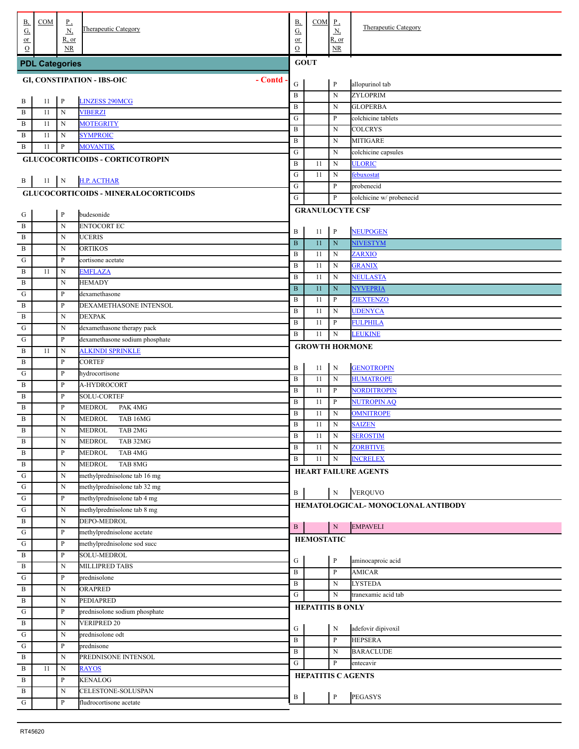| В,<br>G,<br>$or$ | COM                   | $_{\rm P}$<br>N,<br>R, or | Therapeutic Category                                      | B,<br>$\underline{\mathrm{G}}$<br>or | <b>COM</b>              | $P_{\rightarrow}$<br>N<br>R, or | Therapeutic Category                 |  |  |  |
|------------------|-----------------------|---------------------------|-----------------------------------------------------------|--------------------------------------|-------------------------|---------------------------------|--------------------------------------|--|--|--|
| $\Omega$         |                       | <b>NR</b>                 |                                                           | $\mathcal O$                         |                         | NR                              |                                      |  |  |  |
|                  | <b>PDL Categories</b> |                           |                                                           | <b>GOUT</b>                          |                         |                                 |                                      |  |  |  |
|                  |                       |                           | - Contd<br><b>GI, CONSTIPATION - IBS-OIC</b>              | G                                    |                         | $\, {\bf P}$                    | allopurinol tab                      |  |  |  |
|                  |                       |                           |                                                           | $\, {\bf B}$                         |                         | ${\bf N}$                       | ZYLOPRIM                             |  |  |  |
| . В              | 11                    | $\mathbf{P}$              | <b>LINZESS 290MCG</b>                                     | $\, {\bf B}$                         |                         | N                               | <b>GLOPERBA</b>                      |  |  |  |
| B<br>B           | 11<br>11              | N<br>N                    | <b>VIBERZI</b><br><b>MOTEGRITY</b>                        | G                                    |                         | P                               | colchicine tablets                   |  |  |  |
| B                | 11                    | N                         | <b>SYMPROIC</b>                                           | B                                    |                         | N                               | <b>COLCRYS</b>                       |  |  |  |
| B                | 11                    | $\, {\bf P}$              | <b>MOVANTIK</b>                                           | B                                    |                         | N                               | <b>MITIGARE</b>                      |  |  |  |
|                  |                       |                           | <b>GLUCOCORTICOIDS - CORTICOTROPIN</b>                    | G                                    |                         | N                               | colchicine capsules                  |  |  |  |
|                  |                       |                           |                                                           | B                                    | 11                      | $\mathbf N$                     | <b>ULORIC</b>                        |  |  |  |
| . В              | 11                    | $\mathbf{N}$              | <b>H.P. ACTHAR</b>                                        | G                                    | 11                      | $\mathbf N$                     | febuxostat                           |  |  |  |
|                  |                       |                           | <b>GLUCOCORTICOIDS - MINERALOCORTICOIDS</b>               | ${\bf G}$                            |                         | P                               | probenecid                           |  |  |  |
|                  |                       |                           |                                                           | ${\bf G}$                            |                         | P                               | colchicine w/ probenecid             |  |  |  |
| . G              |                       | $\mathbf P$               | budesonide                                                |                                      | <b>GRANULOCYTE CSF</b>  |                                 |                                      |  |  |  |
| . B              |                       | N                         | <b>ENTOCORT EC</b>                                        | B                                    | 11                      | $\mathbf{P}$                    | <b>NEUPOGEN</b>                      |  |  |  |
| $\mathbf{B}$     |                       | N                         | <b>UCERIS</b>                                             | $\, {\bf B}$                         | 11                      | ${\bf N}$                       | <b>NIVESTYM</b>                      |  |  |  |
| B                |                       | N                         | <b>ORTIKOS</b>                                            | B                                    | 11                      | $\mathbf N$                     | <b>ZARXIO</b>                        |  |  |  |
| G                |                       | P                         | cortisone acetate                                         | B                                    | 11                      | $\mathbf N$                     | <b>GRANIX</b>                        |  |  |  |
| B                | 11                    | N                         | <b>EMFLAZA</b>                                            | B                                    | 11                      | N                               | <b>NEULASTA</b>                      |  |  |  |
| B                |                       | N                         | <b>HEMADY</b>                                             | $\, {\bf B}$                         | 11                      | $\mathbf N$                     | <b>NYVEPRIA</b>                      |  |  |  |
| G                |                       | P                         | dexamethasone                                             | B                                    | 11                      | P                               | <b>ZIEXTENZO</b>                     |  |  |  |
| B                |                       | P                         | DEXAMETHASONE INTENSOL                                    | B                                    | 11                      | N                               | <b>UDENYCA</b>                       |  |  |  |
| B                |                       | N                         | <b>DEXPAK</b>                                             | B                                    | 11                      | P                               | <b>FULPHILA</b>                      |  |  |  |
| G                |                       | N                         | dexamethasone therapy pack                                | B                                    | 11                      | $\mathbf N$                     | <b>LEUKINE</b>                       |  |  |  |
| G<br>B           | 11                    | P<br>N                    | dexamethasone sodium phosphate<br><b>ALKINDI SPRINKLE</b> |                                      | <b>GROWTH HORMONE</b>   |                                 |                                      |  |  |  |
| B                |                       | P                         | <b>CORTEF</b>                                             |                                      |                         |                                 |                                      |  |  |  |
| G                |                       | P                         | hydrocortisone                                            | B                                    | 11                      | N                               | <b>GENOTROPIN</b>                    |  |  |  |
| B                |                       | P                         | A-HYDROCORT                                               | $\, {\bf B}$                         | 11                      | $\mathbf N$                     | <b>HUMATROPE</b>                     |  |  |  |
| B                |                       | P                         | <b>SOLU-CORTEF</b>                                        | B                                    | 11                      | $\mathbf{P}$                    | <b>NORDITROPIN</b>                   |  |  |  |
| B                |                       | P                         | PAK 4MG<br><b>MEDROL</b>                                  | B                                    | 11                      | $\mathbf{P}$                    | <b>NUTROPIN AQ</b>                   |  |  |  |
| B                |                       | N                         | <b>MEDROL</b><br>TAB 16MG                                 | B                                    | 11                      | $\mathbf N$                     | <b>OMNITROPE</b>                     |  |  |  |
| B                |                       | N                         | <b>MEDROL</b><br>TAB 2MG                                  | $\, {\bf B}$                         | 11                      | $\mathbf N$                     | <b>SAIZEN</b>                        |  |  |  |
| . B              |                       | N                         | <b>MEDROL</b><br>TAB 32MG                                 | $\overline{\mathbf{B}}$              | 11                      | $\mathbf N$                     | <b>SEROSTIM</b>                      |  |  |  |
| B                |                       | $\mathbf{P}$              | <b>MEDROL</b><br>TAB 4MG                                  | $\, {\bf B}$<br>B                    | 11<br>11                | N<br>$\mathbf N$                | <b>ZORBTIVE</b><br><b>INCRELEX</b>   |  |  |  |
| $\mathbf{B}$     |                       | N                         | <b>MEDROL</b><br>TAB 8MG                                  |                                      |                         |                                 | HEART FAILURE AGENTS                 |  |  |  |
| G                |                       | N                         | methylprednisolone tab 16 mg                              |                                      |                         |                                 |                                      |  |  |  |
| G                |                       | N                         | methylprednisolone tab 32 mg                              | B                                    |                         | $\mathbf N$                     | VERQUVO                              |  |  |  |
| G                |                       | P                         | methylprednisolone tab 4 mg                               |                                      |                         |                                 | HEMATOLOGICAL-MONOCLONAL ANTIBODY    |  |  |  |
| G                |                       | N                         | methylprednisolone tab 8 mg                               |                                      |                         |                                 |                                      |  |  |  |
| B                |                       | N                         | DEPO-MEDROL                                               | $\, {\bf B}$                         |                         | ${\bf N}$                       | <b>EMPAVELI</b>                      |  |  |  |
| G<br>G           |                       | P<br>P                    | methylprednisolone acetate<br>methylprednisolone sod succ |                                      | <b>HEMOSTATIC</b>       |                                 |                                      |  |  |  |
| B                |                       | $\mathbf{P}$              | SOLU-MEDROL                                               |                                      |                         |                                 |                                      |  |  |  |
| B                |                       | N                         | <b>MILLIPRED TABS</b>                                     | ${\bf G}$                            |                         | P                               | aminocaproic acid                    |  |  |  |
| G                |                       | P                         | prednisolone                                              | $\, {\bf B}$                         |                         | P                               | <b>AMICAR</b>                        |  |  |  |
| B                |                       | N                         | ORAPRED                                                   | $\, {\bf B}$                         |                         | N                               | <b>LYSTEDA</b>                       |  |  |  |
| B                |                       | N                         | <b>PEDIAPRED</b>                                          | ${\bf G}$                            |                         | N                               | tranexamic acid tab                  |  |  |  |
| G                |                       | $\, {\bf p}$              | prednisolone sodium phosphate                             |                                      | <b>HEPATITIS B ONLY</b> |                                 |                                      |  |  |  |
| B                |                       | N                         | <b>VERIPRED 20</b>                                        |                                      |                         |                                 |                                      |  |  |  |
| G                |                       | N                         | prednisolone odt                                          | ${\bf G}$                            |                         | $\mathbf N$                     | adefovir dipivoxil<br><b>HEPSERA</b> |  |  |  |
| G                |                       | P                         | prednisone                                                | $\, {\bf B}$<br>$\, {\bf B}$         |                         | P<br>N                          | <b>BARACLUDE</b>                     |  |  |  |
| B                |                       | N                         | PREDNISONE INTENSOL                                       | G                                    |                         | P                               | entecavir                            |  |  |  |
| B                | 11                    | N                         | <b>RAYOS</b>                                              |                                      |                         |                                 | <b>HEPATITIS C AGENTS</b>            |  |  |  |
| B                |                       | P                         | <b>KENALOG</b>                                            |                                      |                         |                                 |                                      |  |  |  |
| B                |                       | N                         | CELESTONE-SOLUSPAN                                        | B                                    |                         | $\, {\bf P}$                    | <b>PEGASYS</b>                       |  |  |  |
| G                |                       | P                         | fludrocortisone acetate                                   |                                      |                         |                                 |                                      |  |  |  |
|                  |                       |                           |                                                           |                                      |                         |                                 |                                      |  |  |  |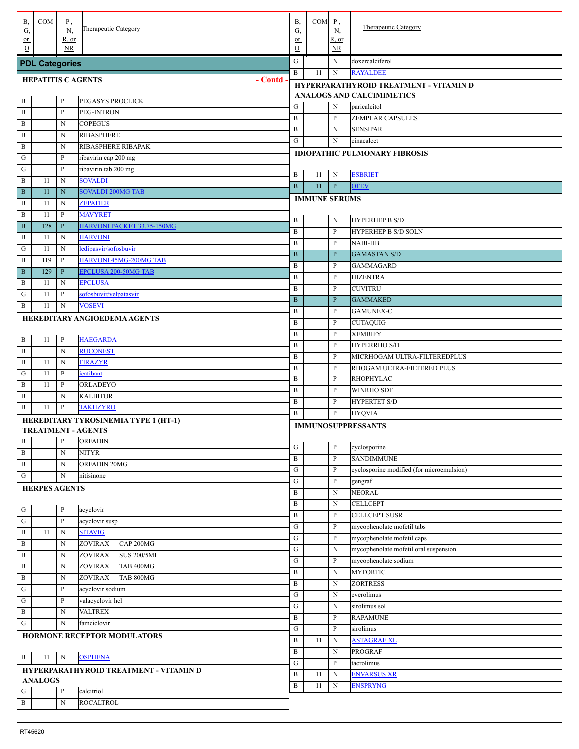| <u>B,</u><br>G, | COM                      | <u>P,</u><br>$\underline{\rm N}$ | Therapeutic Category                                              | <b>B</b> ,<br>$G_{\cdot}$    | $COM$ $P$ ,          | <u>N,</u>         | <b>Therapeutic Category</b>                                                |
|-----------------|--------------------------|----------------------------------|-------------------------------------------------------------------|------------------------------|----------------------|-------------------|----------------------------------------------------------------------------|
| $or$            |                          | R, or                            |                                                                   | or                           |                      | R, or             |                                                                            |
| $\Omega$        |                          | <b>NR</b>                        |                                                                   | $\mathcal{O}$                |                      | NR                |                                                                            |
|                 | <b>PDL Categories</b>    |                                  |                                                                   | ${\bf G}$                    |                      | N                 | doxercalciferol                                                            |
|                 | <b>HEPATITIS CAGENTS</b> |                                  | - Contd                                                           | $\mathbf B$                  | 11                   | $\mathbf N$       | <b>RAYALDEE</b>                                                            |
|                 |                          |                                  |                                                                   |                              |                      |                   | HYPERPARATHYROID TREATMENT - VITAMIN D<br><b>ANALOGS AND CALCIMIMETICS</b> |
| . В             |                          | $\mathbf{P}$                     | PEGASYS PROCLICK                                                  | G                            |                      | N                 | paricalcitol                                                               |
| . В             |                          | $\mathbf{P}$                     | PEG-INTRON                                                        | $\mathbf B$                  |                      | $\mathbf{P}$      | <b>ZEMPLAR CAPSULES</b>                                                    |
| . В             |                          | N                                | <b>COPEGUS</b>                                                    | $\, {\bf B}$                 |                      | N                 | <b>SENSIPAR</b>                                                            |
| . В             |                          | N                                | <b>RIBASPHERE</b>                                                 | G                            |                      | N                 | cinacalcet                                                                 |
| . В<br>. G      |                          | N<br>$\mathbf{P}$                | RIBASPHERE RIBAPAK<br>ribavirin cap 200 mg                        |                              |                      |                   | <b>IDIOPATHIC PULMONARY FIBROSIS</b>                                       |
| . G             |                          | $\mathbf{P}$                     | ribavirin tab 200 mg                                              |                              |                      |                   |                                                                            |
| . В             | 11                       | $\mathbf N$                      | <b>SOVALDI</b>                                                    | B                            | 11                   | N                 | <b>ESBRIET</b>                                                             |
| . B             | 11                       | $\mathbf N$                      | <b>SOVALDI 200MG TAB</b>                                          | $\overline{B}$               | 11                   | $\mathbf{P}$      | <b>OFEV</b>                                                                |
| . В             | 11                       | N                                | <b>ZEPATIER</b>                                                   |                              | <b>IMMUNE SERUMS</b> |                   |                                                                            |
| . B             | 11                       | P                                | <b>MAVYRET</b>                                                    |                              |                      |                   |                                                                            |
| . B             | 128                      | $\, {\bf P}$                     | HARVONI PACKET 33.75-150MG                                        | B                            |                      | N                 | <b>HYPERHEP B S/D</b>                                                      |
| . В             | 11                       | N                                | <b>HARVONI</b>                                                    | $\mathbf B$                  |                      | P                 | <b>HYPERHEP B S/D SOLN</b><br><b>NABI-HB</b>                               |
| G               | 11                       | N                                | ledipasvir/sofosbuvir                                             | $\, {\bf B}$<br>$\, {\bf B}$ |                      | P<br>$\mathbf{P}$ | <b>GAMASTAN S/D</b>                                                        |
| . B             | 119                      | P                                | HARVONI 45MG-200MG TAB                                            | B                            |                      | P                 | <b>GAMMAGARD</b>                                                           |
| . B             | 129                      | $\, {\bf P}$                     | <b>EPCLUSA 200-50MG TAB</b>                                       | $\mathbf B$                  |                      | P                 | <b>HIZENTRA</b>                                                            |
| . В             | 11                       | N                                | <b>EPCLUSA</b>                                                    | $\, {\bf B}$                 |                      | P                 | <b>CUVITRU</b>                                                             |
| G               | 11                       | P                                | sofosbuvir/velpatasvir                                            | $\, {\bf B}$                 |                      | $\mathbf{P}$      | <b>GAMMAKED</b>                                                            |
| . В             | 11                       | N                                | <b>VOSEVI</b>                                                     | B                            |                      | P                 | <b>GAMUNEX-C</b>                                                           |
|                 |                          |                                  | HEREDITARY ANGIOEDEMA AGENTS                                      | B                            |                      | P                 | <b>CUTAQUIG</b>                                                            |
|                 |                          |                                  |                                                                   | B                            |                      | P                 | <b>XEMBIFY</b>                                                             |
| $\cdot$ B       | 11                       | $\mathbf{P}$                     | <b>HAEGARDA</b>                                                   | $\, {\bf B}$                 |                      | P                 | <b>HYPERRHO S/D</b>                                                        |
| . В             |                          | N                                | <b>RUCONEST</b>                                                   | B                            |                      | P                 | MICRHOGAM ULTRA-FILTEREDPLUS                                               |
| . В             | 11                       | N                                | <b>FIRAZYR</b>                                                    | B                            |                      | P                 | RHOGAM ULTRA-FILTERED PLUS                                                 |
| G               | 11                       | P                                | icatibant                                                         | B                            |                      | P                 | <b>RHOPHYLAC</b>                                                           |
| . В             | 11                       | P                                | ORLADEYO                                                          | B                            |                      | P                 | <b>WINRHO SDF</b>                                                          |
| . В             | 11                       | N                                | KALBITOR<br><b>TAKHZYRO</b>                                       | B                            |                      | P                 | <b>HYPERTET S/D</b>                                                        |
| . В             |                          | P                                |                                                                   | B                            |                      | P                 | <b>HYQVIA</b>                                                              |
|                 |                          |                                  | HEREDITARY TYROSINEMIA TYPE 1 (HT-1)<br><b>TREATMENT - AGENTS</b> |                              |                      |                   | <b>IMMUNOSUPPRESSANTS</b>                                                  |
| . В             |                          | P                                | <b>ORFADIN</b>                                                    |                              |                      |                   |                                                                            |
| . В             |                          | $\mathbf N$                      | <b>NITYR</b>                                                      | G                            |                      | $\, {\bf p}$      | cyclosporine                                                               |
| . В             |                          | $\mathbf N$                      | ORFADIN 20MG                                                      | $\mathbf B$                  |                      | $\mathbf{P}$      | <b>SANDIMMUNE</b>                                                          |
| . G             |                          | $\mathbf N$                      | nitisinone                                                        | G                            |                      | P                 | cyclosporine modified (for microemulsion)                                  |
|                 | <b>HERPES AGENTS</b>     |                                  |                                                                   | G                            |                      | $\mathbf{P}$      | gengraf                                                                    |
|                 |                          |                                  |                                                                   | B                            |                      | N                 | <b>NEORAL</b>                                                              |
| $\frac{G}{1}$   |                          | $\mathbf{P}$                     | acyclovir                                                         | $\, {\bf B}$<br>$\, {\bf B}$ |                      | N<br>P            | <b>CELLCEPT</b><br><b>CELLCEPT SUSR</b>                                    |
| . ${\bf G}$     |                          | $\mathbf{P}$                     | acyclovir susp                                                    | G                            |                      | $\mathbf{P}$      | mycophenolate mofetil tabs                                                 |
| . $\, {\bf B}$  | 11                       | $\mathbf N$                      | <b>SITAVIG</b>                                                    | G                            |                      | $\mathbf{P}$      | mycophenolate mofetil caps                                                 |
| . В             |                          | N                                | ZOVIRAX<br>CAP 200MG                                              | G                            |                      | N                 | mycophenolate mofetil oral suspension                                      |
| . В             |                          | N                                | ZOVIRAX<br><b>SUS 200/5ML</b>                                     | G                            |                      | P                 | mycophenolate sodium                                                       |
| . В             |                          | N                                | ZOVIRAX<br>TAB 400MG                                              | $\, {\bf B}$                 |                      | N                 | <b>MYFORTIC</b>                                                            |
| . В             |                          | $\mathbf N$                      | <b>ZOVIRAX</b><br>TAB 800MG                                       | $\, {\bf B}$                 |                      | N                 | <b>ZORTRESS</b>                                                            |
| ${\bf G}$       |                          | $\mathbf{P}$                     | acyclovir sodium                                                  | G                            |                      | N                 | everolimus                                                                 |
| G               |                          | $\mathbf{P}$                     | valacyclovir hcl                                                  | G                            |                      | N                 | sirolimus sol                                                              |
| . B             |                          | $\mathbf N$                      | <b>VALTREX</b>                                                    | $\, {\bf B}$                 |                      | P                 | <b>RAPAMUNE</b>                                                            |
| . G             |                          | ${\bf N}$                        | famciclovir                                                       | G                            |                      | P                 | sirolimus                                                                  |
|                 |                          |                                  | HORMONE RECEPTOR MODULATORS                                       | B                            | 11                   | N                 | <b>ASTAGRAF XL</b>                                                         |
|                 |                          |                                  |                                                                   | $\, {\bf B}$                 |                      | N                 | <b>PROGRAF</b>                                                             |
| . В             | 11                       | $\mathbf{N}$                     | <b>OSPHENA</b>                                                    | G                            |                      | P                 | tacrolimus                                                                 |
|                 | <b>ANALOGS</b>           |                                  | HYPERPARATHYROID TREATMENT - VITAMIN D                            | B                            | 11                   | N                 | <b>ENVARSUS XR</b>                                                         |
| . G             |                          | $\, {\bf P}$                     | calcitriol                                                        | B                            | 11                   | $\mathbf N$       | <b>ENSPRYNG</b>                                                            |
| . $\, {\bf B}$  |                          | $\mathbf N$                      | <b>ROCALTROL</b>                                                  |                              |                      |                   |                                                                            |
|                 |                          |                                  |                                                                   |                              |                      |                   |                                                                            |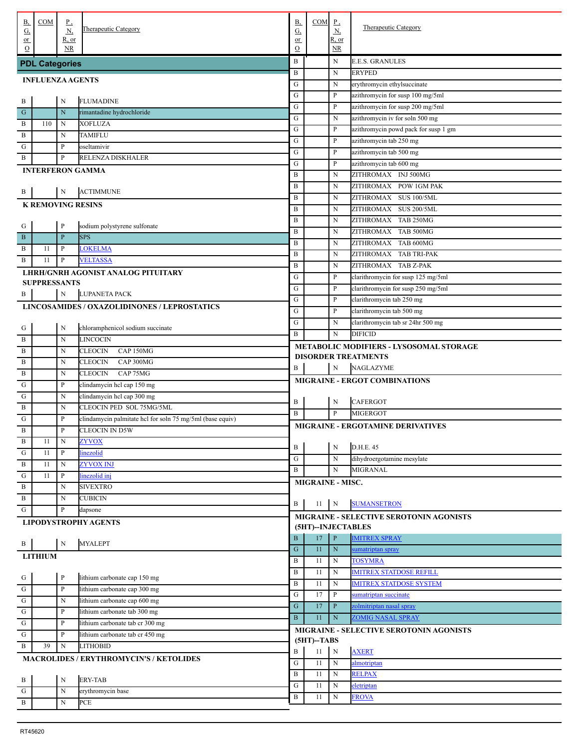| В,                                                                             | COM                     | $\underline{P}$ ,           | Therapeutic Category                                      | В,                      | COM                     | $_{\underline{P}}$ | Therapeutic Category                             |
|--------------------------------------------------------------------------------|-------------------------|-----------------------------|-----------------------------------------------------------|-------------------------|-------------------------|--------------------|--------------------------------------------------|
| <u>G,</u><br>$or$                                                              |                         | $\underline{N}$<br>$R$ , or |                                                           | $G_{\cdot}$<br>$\alpha$ |                         | Ν,<br>R, or        |                                                  |
| $\circ$                                                                        |                         | <b>NR</b>                   |                                                           | $\mathcal{O}$           |                         | NR.                |                                                  |
|                                                                                | <b>PDL Categories</b>   |                             |                                                           | B                       |                         | N                  | <b>E.E.S. GRANULES</b>                           |
|                                                                                |                         |                             |                                                           | $\, {\bf B}$            |                         | $\mathbf N$        | ERYPED                                           |
|                                                                                | <b>INFLUENZA AGENTS</b> |                             |                                                           | G                       |                         | N                  | erythromycin ethylsuccinate                      |
| . B                                                                            |                         | $\mathbf N$                 | <b>FLUMADINE</b>                                          | G                       |                         | P                  | azithromycin for susp 100 mg/5ml                 |
| $\frac{1}{1}$ G                                                                |                         | $\mathbf N$                 | rimantadine hydrochloride                                 | ${\bf G}$               |                         | P                  | azithromycin for susp 200 mg/5ml                 |
| . В                                                                            | 110                     | N                           | <b>XOFLUZA</b>                                            | G                       |                         | $\mathbf N$        | azithromycin iv for soln 500 mg                  |
| . B                                                                            |                         | N                           | TAMIFLU                                                   | ${\bf G}$               |                         | P                  | azithromycin powd pack for susp 1 gm             |
| $\cdot$ G                                                                      |                         | $\, {\bf p}$                | oseltamivir                                               | ${\bf G}$               |                         | P                  | azithromycin tab 250 mg                          |
| . В                                                                            |                         | $\mathbf{P}$                | RELENZA DISKHALER                                         | ${\bf G}$               |                         | P                  | azithromycin tab 500 mg                          |
|                                                                                |                         |                             | <b>INTERFERON GAMMA</b>                                   | G<br>B                  |                         | P<br>N             | azithromycin tab 600 mg                          |
|                                                                                |                         |                             |                                                           | B                       |                         | N                  | ZITHROMAX INJ 500MG<br>ZITHROMAX POW 1GM PAK     |
| . B                                                                            |                         | N                           | <b>ACTIMMUNE</b>                                          | B                       |                         | N                  | ZITHROMAX SUS 100/5ML                            |
|                                                                                |                         |                             | <b>K REMOVING RESINS</b>                                  | B                       |                         | N                  | ZITHROMAX SUS 200/5ML                            |
|                                                                                |                         |                             |                                                           | B                       |                         | N                  | ZITHROMAX TAB 250MG                              |
| . G                                                                            |                         | $\, {\bf p}$                | sodium polystyrene sulfonate                              | B                       |                         | N                  | ZITHROMAX TAB 500MG                              |
| $\overline{B}$                                                                 |                         | $\, {\bf P}$                | <b>SPS</b>                                                | B                       |                         | N                  | ZITHROMAX TAB 600MG                              |
| . B                                                                            | 11                      | $\, {\bf P}$                | <b>LOKELMA</b>                                            | B                       |                         | N                  | ZITHROMAX TAB TRI-PAK                            |
| . В                                                                            | 11                      | $\, {\bf p}$                | <b>VELTASSA</b>                                           | B                       |                         | N                  | ZITHROMAX TAB Z-PAK                              |
|                                                                                |                         |                             | LHRH/GNRH AGONIST ANALOG PITUITARY                        | G                       |                         | P                  | clarithromycin for susp 125 mg/5ml               |
|                                                                                | <b>SUPPRESSANTS</b>     |                             |                                                           | G                       |                         | P                  | clarithromycin for susp 250 mg/5ml               |
| . B                                                                            |                         | $\mathbf N$                 | LUPANETA PACK                                             | ${\bf G}$               |                         | P                  | clarithromycin tab 250 mg                        |
|                                                                                |                         |                             | LINCOSAMIDES / OXAZOLIDINONES / LEPROSTATICS              | G                       |                         | P                  | clarithromycin tab 500 mg                        |
|                                                                                |                         |                             |                                                           | G                       |                         | N                  | clarithromycin tab sr 24hr 500 mg                |
| . G                                                                            |                         | N                           | chloramphenicol sodium succinate                          | B                       |                         | $\mathbf N$        | <b>DIFICID</b>                                   |
| . B                                                                            |                         | $\mathbf N$                 | LINCOCIN                                                  |                         |                         |                    | <b>METABOLIC MODIFIERS - LYSOSOMAL STORAGE</b>   |
| . $\, {\bf B}$                                                                 |                         | N                           | <b>CLEOCIN</b><br>CAP 150MG                               |                         |                         |                    | <b>DISORDER TREATMENTS</b>                       |
| . $\, {\bf B}$                                                                 |                         | N                           | CLEOCIN<br>CAP 300MG                                      | B                       |                         | N                  | <b>NAGLAZYME</b>                                 |
| . B                                                                            |                         | N                           | CLEOCIN<br>CAP 75MG                                       |                         |                         |                    | MIGRAINE - ERGOT COMBINATIONS                    |
| $\cdot$ G                                                                      |                         | $\, {\bf p}$                | clindamycin hel cap 150 mg                                |                         |                         |                    |                                                  |
| $\cdot$ G<br>. В                                                               |                         | $\mathbf N$<br>$\mathbf N$  | clindamycin hel cap 300 mg<br>CLEOCIN PED SOL 75MG/5ML    | B                       |                         | ${\bf N}$          | <b>CAFERGOT</b>                                  |
| G                                                                              |                         | $\, {\bf p}$                | clindamycin palmitate hcl for soln 75 mg/5ml (base equiv) | B                       |                         | P                  | <b>MIGERGOT</b>                                  |
| . B                                                                            |                         | $\mathbf{P}$                | CLEOCIN IN D5W                                            |                         |                         |                    | <b>MIGRAINE - ERGOTAMINE DERIVATIVES</b>         |
| $\overline{B}$                                                                 | 11                      | N                           | <u>ZYVOX</u>                                              |                         |                         |                    |                                                  |
| $\frac{1}{10}$                                                                 | 11                      | $\, {\bf P}$                | linezolid                                                 | $\, {\bf B}$            |                         | ${\bf N}$          | D.H.E. 45                                        |
| $\overline{B}$                                                                 | 11                      | N                           | <b>ZYVOX INJ</b>                                          | G                       |                         | N                  | dihydroergotamine mesylate                       |
| ${\bf G}$                                                                      | 11                      | $\mathbf{P}$                | linezolid inj                                             | B                       |                         | N                  | MIGRANAL                                         |
| $\overline{B}$                                                                 |                         | N                           | <b>SIVEXTRO</b>                                           |                         | <b>MIGRAINE - MISC.</b> |                    |                                                  |
| $\overline{B}$                                                                 |                         | N                           | <b>CUBICIN</b>                                            |                         |                         |                    |                                                  |
| . G                                                                            |                         | $\, {\bf p}$                | dapsone                                                   | B                       | 11                      | $\mathbf N$        | <b>SUMANSETRON</b>                               |
|                                                                                |                         |                             | <b>LIPODYSTROPHY AGENTS</b>                               |                         |                         |                    | MIGRAINE - SELECTIVE SEROTONIN AGONISTS          |
|                                                                                |                         |                             |                                                           |                         | (5HT)--INJECTABLES      |                    |                                                  |
| . B                                                                            |                         | ${\bf N}$                   | <b>MYALEPT</b>                                            | B                       | 17                      | $\, {\bf P}$       | <b>IMITREX SPRAY</b>                             |
|                                                                                | <b>LITHIUM</b>          |                             |                                                           | ${\bf G}$               | 11                      | ${\bf N}$          | sumatriptan spray                                |
|                                                                                |                         |                             |                                                           | B<br>B                  | 11<br>11                | N<br>$\mathbf N$   | <b>TOSYMRA</b><br><b>IMITREX STATDOSE REFILL</b> |
|                                                                                |                         | $\, {\bf P}$                | lithium carbonate cap 150 mg                              | B                       | 11                      | $\mathbf N$        | <b>IMITREX STATDOSE SYSTEM</b>                   |
| $\begin{array}{c c}\n\cdot & G \\ \hline\nG & G \\ \hline\nG & G\n\end{array}$ |                         | $\, {\bf P}$                | lithium carbonate cap 300 mg                              | ${\bf G}$               | 17                      | P                  | sumatriptan succinate                            |
|                                                                                |                         | $\mathbf N$                 | lithium carbonate cap 600 mg                              | ${\bf G}$               | 17                      | P                  | zolmitriptan nasal spray                         |
|                                                                                |                         | $\mathbf{P}$                | lithium carbonate tab 300 mg                              | $\bf{B}$                | 11                      | ${\bf N}$          | <b>ZOMIG NASAL SPRAY</b>                         |
|                                                                                |                         | $\, {\bf p}$                | lithium carbonate tab cr 300 mg                           |                         |                         |                    |                                                  |
| ${\bf G}$                                                                      |                         | $\, {\bf p}$                | lithium carbonate tab cr 450 mg                           |                         | $(5HT)$ -TABS           |                    | MIGRAINE - SELECTIVE SEROTONIN AGONISTS          |
| . B                                                                            | 39                      | $\mathbf N$                 | LITHOBID                                                  | B                       | $11\,$                  | $\, {\bf N}$       | <b>AXERT</b>                                     |
|                                                                                |                         |                             | <b>MACROLIDES / ERYTHROMYCIN'S / KETOLIDES</b>            | ${\bf G}$               | 11                      | $\mathbf N$        | almotriptan                                      |
|                                                                                |                         |                             |                                                           | B                       | 11                      | $\mathbf N$        | <b>RELPAX</b>                                    |
| $\cdot$ B                                                                      |                         | $\mathbf N$                 | <b>ERY-TAB</b>                                            | ${\bf G}$               | 11                      | $\mathbf N$        | eletriptan                                       |
| $\frac{1}{G}$                                                                  |                         | N                           | erythromycin base                                         | B                       | 11                      | $\mathbf N$        | <b>FROVA</b>                                     |
| $\frac{1}{\sqrt{B}}$                                                           |                         | $\mathbf N$                 | PCE                                                       |                         |                         |                    |                                                  |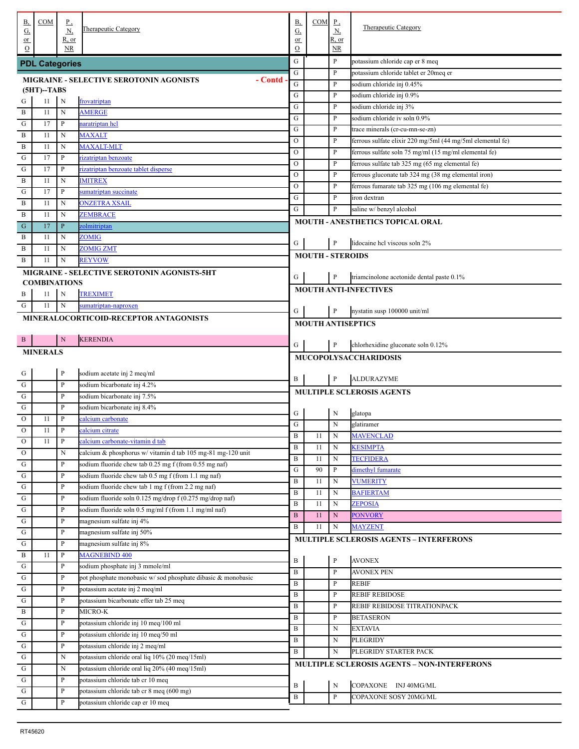| В,                               | COM                   | $\underline{P}$ ,            | Therapeutic Category                                                         | <b>B</b> ,            | $COM$ $P$ ,             |              | Therapeutic Category                                       |
|----------------------------------|-----------------------|------------------------------|------------------------------------------------------------------------------|-----------------------|-------------------------|--------------|------------------------------------------------------------|
| $\underline{\mathrm{G}}$<br>$or$ |                       | $\underline{N}$<br>$R$ , or  |                                                                              | $\underline{G}$<br>or |                         | N,<br>R, or  |                                                            |
| $\Omega$                         |                       | NR.                          |                                                                              | $\mathcal{O}$         |                         | NR           |                                                            |
|                                  | <b>PDL Categories</b> |                              |                                                                              | G                     |                         | $\mathbf{P}$ | potassium chloride cap er 8 meq                            |
|                                  |                       |                              | - Contd<br><b>MIGRAINE - SELECTIVE SEROTONIN AGONISTS</b>                    | G                     |                         | P            | potassium chloride tablet er 20meq er                      |
|                                  | $(5HT)$ -TABS         |                              |                                                                              | G                     |                         | P            | sodium chloride inj 0.45%                                  |
| ${\bf G}$                        | 11                    | N                            | frovatriptan                                                                 | ${\bf G}$             |                         | P            | sodium chloride inj 0.9%                                   |
| $\, {\bf B}$                     | 11                    | $\mathbf N$                  | <b>AMERGE</b>                                                                | ${\bf G}$             |                         | $\mathbf{P}$ | sodium chloride inj 3%                                     |
| ${\bf G}$                        | 17                    | $\mathbf{P}$                 | naratriptan hcl                                                              | G                     |                         | $\mathbf{P}$ | sodium chloride iv soln 0.9%                               |
| $\overline{B}$                   | 11                    | N                            | <b>MAXALT</b>                                                                | G                     |                         | ${\bf P}$    | trace minerals (cr-cu-mn-se-zn)                            |
| $\overline{B}$                   | 11                    | N                            | <b>MAXALT-MLT</b>                                                            | $\mathcal{O}$         |                         | ${\bf P}$    | ferrous sulfate elixir 220 mg/5ml (44 mg/5ml elemental fe) |
| ${\bf G}$                        | 17                    | $\mathbf{P}$                 | rizatriptan benzoate                                                         | $\mathcal{O}$         |                         | ${\bf P}$    | ferrous sulfate soln 75 mg/ml (15 mg/ml elemental fe)      |
| ${\bf G}$                        | 17                    | $\mathbf{P}$                 | rizatriptan benzoate tablet disperse                                         | $\mathcal{O}$         |                         | ${\bf P}$    | ferrous sulfate tab 325 mg (65 mg elemental fe)            |
| $\, {\bf B}$                     | 11                    | N                            | <b>IMITREX</b>                                                               | $\mathcal{O}$         |                         | ${\bf P}$    | ferrous gluconate tab 324 mg (38 mg elemental iron)        |
| ${\bf G}$                        | 17                    | $\mathbf{P}$                 | sumatriptan succinate                                                        | $\mathcal{O}$         |                         | ${\bf P}$    | ferrous fumarate tab 325 mg (106 mg elemental fe)          |
| $\, {\bf B}$                     | 11                    | N                            | <b>ONZETRA XSAIL</b>                                                         | G                     |                         | $\mathbf{P}$ | iron dextran                                               |
| $\, {\bf B}$                     | 11                    | N                            | ZEMBRACE                                                                     | G                     |                         | $\mathbf{P}$ | saline w/ benzyl alcohol                                   |
| ${\bf G}$                        | 17                    | $\, {\bf P}$                 | <u>zolmitriptan</u>                                                          |                       |                         |              | MOUTH - ANESTHETICS TOPICAL ORAL                           |
| B                                | 11                    | N                            | ZOMIG                                                                        |                       |                         |              |                                                            |
| B                                | 11                    | N                            | <b>ZOMIG ZMT</b>                                                             | G                     |                         | P            | lidocaine hel viscous soln 2%                              |
| B                                | 11                    | N                            | <b>REYVOW</b>                                                                |                       | <b>MOUTH - STEROIDS</b> |              |                                                            |
|                                  |                       |                              | <b>MIGRAINE - SELECTIVE SEROTONIN AGONISTS-5HT</b>                           |                       |                         |              |                                                            |
|                                  | <b>COMBINATIONS</b>   |                              |                                                                              | G                     |                         | P            | triamcinolone acetonide dental paste 0.1%                  |
| B                                | 11                    | N                            | <b>TREXIMET</b>                                                              |                       |                         |              | <b>MOUTH ANTI-INFECTIVES</b>                               |
| G                                | 11                    | $\mathbf N$                  | sumatriptan-naproxen                                                         |                       |                         |              |                                                            |
|                                  |                       |                              | MINERALOCORTICOID-RECEPTOR ANTAGONISTS                                       | G                     |                         | $\mathbf{P}$ | nystatin susp 100000 unit/ml                               |
|                                  |                       |                              |                                                                              |                       |                         |              | <b>MOUTH ANTISEPTICS</b>                                   |
| $\mathbf{B}$                     |                       | N                            | <b>KERENDIA</b>                                                              |                       |                         |              |                                                            |
|                                  | <b>MINERALS</b>       |                              |                                                                              | G                     |                         | $\mathbf{P}$ | chlorhexidine gluconate soln 0.12%                         |
|                                  |                       |                              |                                                                              |                       |                         |              | <b>MUCOPOLYSACCHARIDOSIS</b>                               |
|                                  |                       |                              |                                                                              |                       |                         |              |                                                            |
|                                  |                       | $\mathbf{P}$                 |                                                                              |                       |                         |              |                                                            |
|                                  |                       | $\, {\bf p}$                 | sodium acetate inj 2 meq/ml                                                  | B                     |                         | $\mathbf{P}$ | <b>ALDURAZYME</b>                                          |
| $\frac{G}{G}$                    |                       | P                            | sodium bicarbonate inj 4.2%                                                  |                       |                         |              | MULTIPLE SCLEROSIS AGENTS                                  |
| $\frac{a}{a}$                    |                       | P                            | sodium bicarbonate inj 7.5%                                                  |                       |                         |              |                                                            |
| $\frac{1}{\sqrt{2}}$             | 11                    | $\mathbf{P}$                 | sodium bicarbonate inj 8.4%                                                  | G                     |                         | N            | glatopa                                                    |
| ${\rm O}$                        | 11                    | P                            | calcium carbonate<br>calcium citrate                                         | G                     |                         | N            | glatiramer                                                 |
| ${\rm O}$                        |                       |                              |                                                                              | $\, {\bf B}$          | 11                      | N            | <b>MAVENCLAD</b>                                           |
| $\overline{0}$                   | $11\,$                | P                            | calcium carbonate-vitamin d tab                                              | $\, {\bf B}$          | 11                      | $\mathbf N$  | <b>KESIMPTA</b>                                            |
| $\mathcal O$                     |                       | N                            | calcium & phosphorus w/vitamin d tab 105 mg-81 mg-120 unit                   | B                     | 11                      | N            | <b>TECFIDERA</b>                                           |
| ${\bf G}$                        |                       | P                            | sodium fluoride chew tab 0.25 mg f (from 0.55 mg naf)                        | G                     | 90                      | $\, {\bf P}$ | dimethyl fumarate                                          |
| ${\bf G}$                        |                       | $\mathbf{P}$                 | sodium fluoride chew tab 0.5 mg f (from 1.1 mg naf)                          | B                     | 11                      | N            | <b>VUMERITY</b>                                            |
| ${\bf G}$                        |                       | $\mathbf{P}$                 | sodium fluoride chew tab 1 mg f (from 2.2 mg naf)                            | B                     | 11                      | N            | <b>BAFIERTAM</b>                                           |
| ${\bf G}$                        |                       | $\mathbf{P}$                 | sodium fluoride soln 0.125 mg/drop f (0.275 mg/drop naf)                     | B                     | 11                      | N            | <b>ZEPOSIA</b>                                             |
| ${\bf G}$                        |                       | $\mathbf{P}$                 | sodium fluoride soln 0.5 mg/ml f (from 1.1 mg/ml naf)                        | $\bf{B}$              | 11                      | N            | <b>PONVORY</b>                                             |
| ${\bf G}$                        |                       | $\mathbf{P}$                 | magnesium sulfate inj 4%                                                     | B                     | 11                      | N            | <b>MAYZENT</b>                                             |
| ${\bf G}$                        |                       | $\mathbf{P}$                 | magnesium sulfate inj 50%                                                    |                       |                         |              | MULTIPLE SCLEROSIS AGENTS - INTERFERONS                    |
| ${\bf G}$                        |                       | $\mathbf{P}$                 | magnesium sulfate inj 8%                                                     |                       |                         |              |                                                            |
| $\, {\bf B}$                     | 11                    | $\mathbf P$                  | <b>MAGNEBIND 400</b>                                                         | B                     |                         | $\, {\bf P}$ | <b>AVONEX</b>                                              |
| ${\bf G}$                        |                       | $\mathbf{P}$                 | sodium phosphate inj 3 mmole/ml                                              | $\, {\bf B}$          |                         | ${\bf P}$    | <b>AVONEX PEN</b>                                          |
| ${\bf G}$                        |                       | $\mathbf{P}$                 | pot phosphate monobasic w/sod phosphate dibasic & monobasic                  | B                     |                         | P            | <b>REBIF</b>                                               |
| ${\bf G}$                        |                       | $\mathbf{P}$                 | potassium acetate inj 2 meq/ml                                               | $\, {\bf B}$          |                         | P            | <b>REBIF REBIDOSE</b>                                      |
| ${\bf G}$                        |                       | $\mathbf{P}$                 | potassium bicarbonate effer tab 25 meq                                       | $\, {\bf B}$          |                         | P            | REBIF REBIDOSE TITRATIONPACK                               |
| $\, {\bf B}$                     |                       | $\mathbf{P}$                 | MICRO-K                                                                      | $\, {\bf B}$          |                         | P            | <b>BETASERON</b>                                           |
| ${\bf G}$                        |                       | $\mathbf{P}$                 | potassium chloride inj 10 meq/100 ml                                         | $\, {\bf B}$          |                         | Ν            | <b>EXTAVIA</b>                                             |
| ${\bf G}$                        |                       | $\mathbf{P}$                 | potassium chloride inj 10 meq/50 ml                                          | B                     |                         | Ν            | PLEGRIDY                                                   |
| ${\bf G}$                        |                       | $\mathbf{P}$                 | potassium chloride inj 2 meq/ml                                              | B                     |                         | N            | PLEGRIDY STARTER PACK                                      |
| ${\bf G}$                        |                       | N                            | potassium chloride oral liq 10% (20 meq/15ml)                                |                       |                         |              | MULTIPLE SCLEROSIS AGENTS - NON-INTERFERONS                |
| ${\bf G}$                        |                       | N                            | potassium chloride oral liq 20% (40 meq/15ml)                                |                       |                         |              |                                                            |
| ${\bf G}$                        |                       | $\mathbf{P}$                 | potassium chloride tab cr 10 meq                                             | B                     |                         | $\mathbf N$  | COPAXONE INJ 40MG/ML                                       |
| ${\bf G}$<br>$\overline{G}$      |                       | $\mathbf{P}$<br>$\mathbf{P}$ | potassium chloride tab cr 8 meq (600 mg)<br>potassium chloride cap er 10 meq | $\, {\bf B}$          |                         | P            | COPAXONE SOSY 20MG/ML                                      |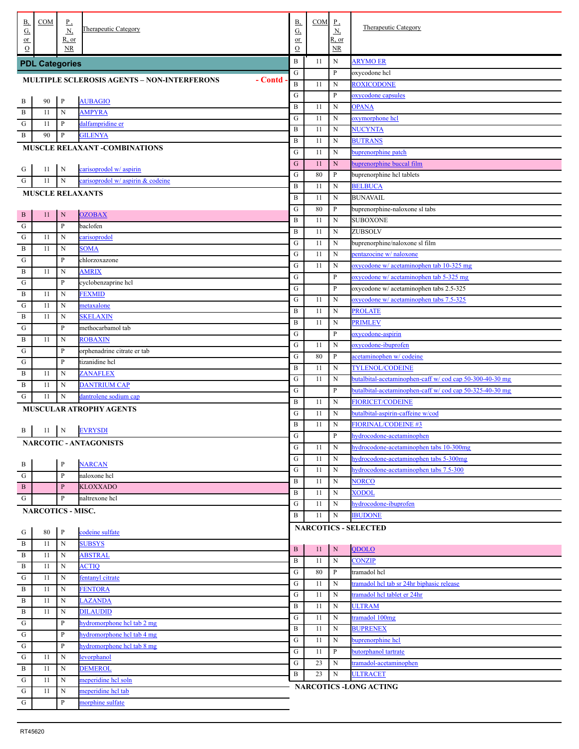| В,<br><u>G,</u> | COM                      | $_{\rm p}$<br><u>N,</u>    | Therapeutic Category                                          | В,<br>$\underline{G}$    | COM      | $\mathbf{P}$<br><u>N,</u> | <b>Therapeutic Category</b>                                  |
|-----------------|--------------------------|----------------------------|---------------------------------------------------------------|--------------------------|----------|---------------------------|--------------------------------------------------------------|
| or              |                          | R, or                      |                                                               | or                       |          | R, or                     |                                                              |
| $\Omega$        |                          | <b>NR</b>                  |                                                               | $\mathcal{O}$            |          | $\overline{\text{NR}}$    |                                                              |
|                 | <b>PDL Categories</b>    |                            |                                                               | $\bf{B}$                 | 11       | N                         | <b>ARYMO ER</b>                                              |
|                 |                          |                            | <b>MULTIPLE SCLEROSIS AGENTS - NON-INTERFERONS</b><br>- Contd | ${\bf G}$                |          | P                         | oxycodone hcl                                                |
|                 |                          |                            |                                                               | $\mathbf B$<br>${\bf G}$ | 11       | N<br>P                    | <b>ROXICODONE</b><br>oxycodone capsules                      |
| . В             | 90                       | $\, {\bf P}$               | <b>AUBAGIO</b>                                                | $\, {\bf B}$             | 11       | N                         | <b>OPANA</b>                                                 |
| . В             | 11                       | $\mathbf N$                | <b>AMPYRA</b>                                                 | ${\bf G}$                | 11       | N                         | oxymorphone hcl                                              |
| G               | 11                       | P                          | dalfampridine er                                              | $\, {\bf B}$             | 11       | N                         | NUCYNTA                                                      |
| . B             | 90                       | P                          | <b>GILENYA</b>                                                | $\, {\bf B}$             | 11       | N                         | <b>BUTRANS</b>                                               |
|                 |                          |                            | <b>MUSCLE RELAXANT -COMBINATIONS</b>                          | G                        | 11       | N                         | buprenorphine patch                                          |
|                 |                          |                            |                                                               | ${\bf G}$                | 11       | N                         | buprenorphine buccal film                                    |
| . G             | 11                       | N                          | carisoprodol w/ aspirin                                       | ${\bf G}$                | 80       | P                         | buprenorphine hcl tablets                                    |
| . G             | 11                       | $\mathbf N$                | carisoprodol w/ aspirin & codeine                             | $\, {\bf B}$             | 11       | N                         | <b>BELBUCA</b>                                               |
|                 |                          |                            | <b>MUSCLE RELAXANTS</b>                                       | $\, {\bf B}$             | 11       | N                         | <b>BUNAVAIL</b>                                              |
| . в             | 11                       | N                          | <b>OZOBAX</b>                                                 | ${\bf G}$                | 80       | P                         | buprenorphine-naloxone sl tabs                               |
| . G             |                          | $\mathbf{P}$               | baclofen                                                      | $\, {\bf B}$             | 11       | N                         | <b>SUBOXONE</b>                                              |
| G               | 11                       | N                          | carisoprodol                                                  | $\, {\bf B}$             | 11       | N                         | ZUBSOLV                                                      |
| $\mathbf{B}$    | 11                       | N                          | <b>SOMA</b>                                                   | ${\bf G}$                | 11       | N                         | buprenorphine/naloxone sl film                               |
| G               |                          | P                          | chlorzoxazone                                                 | ${\bf G}$                | 11       | N                         | pentazocine w/ naloxone                                      |
| . B             | 11                       | $\mathbf N$                | <b>AMRIX</b>                                                  | ${\bf G}$                | 11       | N                         | oxycodone w/ acetaminophen tab 10-325 mg                     |
| G               |                          | P                          | cyclobenzaprine hcl                                           | ${\bf G}$                |          | P                         | oxycodone w/ acetaminophen tab 5-325 mg                      |
| $\mathbf{B}$    | 11                       | $\mathbf N$                | <b>FEXMID</b>                                                 | ${\bf G}$                |          | P                         | oxycodone w/ acetaminophen tabs 2.5-325                      |
| G               | 11                       | N                          | metaxalone                                                    | ${\bf G}$                | 11       | N                         | oxycodone w/ acetaminophen tabs 7.5-325                      |
| B               | 11                       | N                          | <b>SKELAXIN</b>                                               | $\, {\bf B}$             | 11       | N                         | <b>PROLATE</b>                                               |
| G               |                          | P                          | methocarbamol tab                                             | $\, {\bf B}$             | 11       | N                         | <b>PRIMLEV</b>                                               |
| $\mathbf{B}$    | 11                       | $\mathbf N$                | <b>ROBAXIN</b>                                                | ${\bf G}$                |          | P                         | oxycodone-aspirin                                            |
| G               |                          | P                          | orphenadrine citrate er tab                                   | ${\bf G}$                | 11       | N                         | oxycodone-ibuprofen                                          |
| G               |                          | P                          | tizanidine hcl                                                | ${\bf G}$                | 80       | P                         | acetaminophen w/ codeine                                     |
| $\mathbf{B}$    | 11                       | $\mathbf N$                | <b>ZANAFLEX</b>                                               | $\bf{B}$                 | 11       | N                         | <b>TYLENOL/CODEINE</b>                                       |
| B               | 11                       | $\mathbf N$                | <b>DANTRIUM CAP</b>                                           | ${\bf G}$                | 11       | N                         | butalbital-acetaminophen-caff w/cod cap 50-300-40-30 mg      |
| G               | 11                       | N                          | dantrolene sodium cap                                         | ${\bf G}$                |          | P                         | butalbital-acetaminophen-caff w/cod cap 50-325-40-30 mg      |
|                 |                          |                            | <b>MUSCULAR ATROPHY AGENTS</b>                                | $\, {\bf B}$             | 11       | N<br>N                    | <b>FIORICET/CODEINE</b><br>butalbital-aspirin-caffeine w/cod |
|                 |                          |                            |                                                               | G<br>$\, {\bf B}$        | 11<br>11 | N                         | <b>FIORINAL/CODEINE #3</b>                                   |
| . В             | 11                       | $\overline{\phantom{a}}$ N | <b>EVRYSDI</b>                                                | ${\bf G}$                |          | P                         | hydrocodone-acetaminophen                                    |
|                 |                          |                            | <b>NARCOTIC - ANTAGONISTS</b>                                 | G                        | 11       | N                         | hydrocodone-acetaminophen tabs 10-300mg                      |
|                 |                          |                            |                                                               | G                        | 11       | N                         | hydrocodone-acetaminophen tabs 5-300mg                       |
| . В             |                          | $\mathbf P$                | <b>NARCAN</b>                                                 | G                        | 11       | N                         | hydrocodone-acetaminophen tabs 7.5-300                       |
| . G             |                          | $\mathbf P$                | naloxone hcl                                                  | B                        | 11       | N                         | <b>NORCO</b>                                                 |
| . B             |                          | $\, {\bf P}$               | <b>KLOXXADO</b>                                               | B                        | 11       | N                         | <b>XODOL</b>                                                 |
| . G             |                          | $\mathbf{P}$               | naltrexone hcl                                                | G                        | 11       | N                         | hydrocodone-ibuprofen                                        |
|                 | <b>NARCOTICS - MISC.</b> |                            |                                                               | B                        | 11       | N                         | <b>IBUDONE</b>                                               |
|                 | 80                       | $\, {\bf P}$               | codeine sulfate                                               |                          |          |                           | <b>NARCOTICS - SELECTED</b>                                  |
| . G<br>. B      | 11                       | $\mathbf N$                | <b>SUBSYS</b>                                                 |                          |          |                           |                                                              |
| . B             | 11                       | N                          | <b>ABSTRAL</b>                                                | $\bf{B}$                 | 11       | ${\bf N}$                 | <b>QDOLO</b>                                                 |
| B               | 11                       | N                          | <b>ACTIQ</b>                                                  | $\bf{B}$                 | 11       | N                         | <b>CONZIP</b>                                                |
| G               | 11                       | N                          | fentanyl citrate                                              | G                        | 80       | P                         | tramadol hcl                                                 |
| . B             | 11                       | N                          | <b>FENTORA</b>                                                | G                        | 11       | N                         | tramadol hel tab sr 24hr biphasic release                    |
| . В             | 11                       | N                          | LAZANDA                                                       | G                        | 11       | N                         | tramadol hcl tablet er 24hr                                  |
| . B             | 11                       | N                          | <b>DILAUDID</b>                                               | B                        | 11       | N                         | <b>ULTRAM</b>                                                |
| G               |                          | $\mathbf{P}$               | hydromorphone hcl tab 2 mg                                    | G                        | 11       | N                         | tramadol 100mg                                               |
| $\mathbf{G}$    |                          | P                          | hydromorphone hcl tab 4 mg                                    | B                        | 11       | N                         | <b>BUPRENEX</b>                                              |
| G               |                          | P                          | hydromorphone hcl tab 8 mg                                    | G                        | 11       | N                         | buprenorphine hcl                                            |
| G               | 11                       | ${\bf N}$                  | levorphanol                                                   | G                        | 11       | P                         | butorphanol tartrate                                         |
| B               | 11                       | ${\bf N}$                  | <b>DEMEROL</b>                                                | G                        | 23       | N                         | tramadol-acetaminophen                                       |
| G               | 11                       | ${\bf N}$                  | meperidine hel soln                                           | $\bf{B}$                 | 23       | N                         | <b>ULTRACET</b>                                              |
| G               | 11                       | ${\bf N}$                  | meperidine hel tab                                            |                          |          |                           | <b>NARCOTICS -LONG ACTING</b>                                |
| . G             |                          | $\mathbf{P}$               | morphine sulfate                                              |                          |          |                           |                                                              |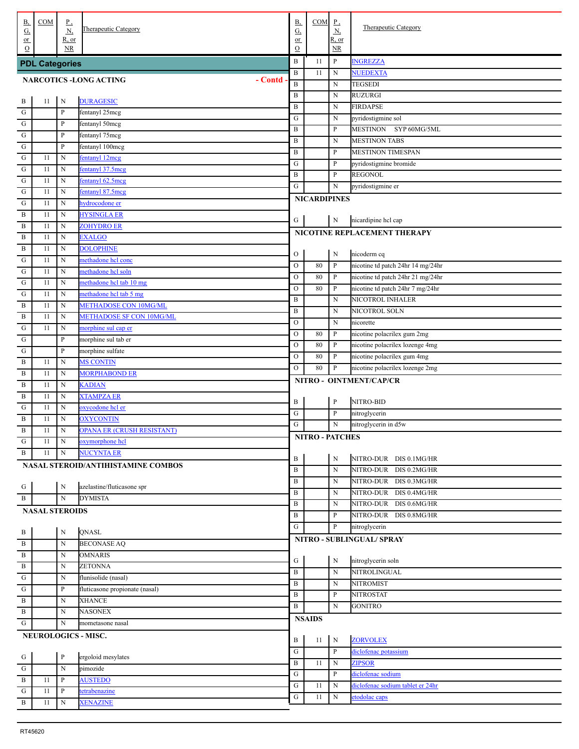| В,<br><u>G,</u>      | COM                   | $\mathbf{P}_{\rightarrow}$<br>$\underline{N}$ | Therapeutic Category                     | В,<br>$\underline{G}$         | COM                    | $\mathbf{P}$<br><u>N,</u> | <b>Therapeutic Category</b>        |
|----------------------|-----------------------|-----------------------------------------------|------------------------------------------|-------------------------------|------------------------|---------------------------|------------------------------------|
| or                   |                       | R, or                                         |                                          | or                            |                        | R, or                     |                                    |
| $\Omega$             |                       | <b>NR</b>                                     |                                          | $\mathcal{O}$                 |                        | $\overline{\text{NR}}$    |                                    |
|                      | <b>PDL Categories</b> |                                               |                                          | $\bf{B}$                      | 11                     | $\mathbf{P}$              | <b>INGREZZA</b>                    |
|                      |                       |                                               | - Contd<br><b>NARCOTICS -LONG ACTING</b> | $\bf{B}$<br>$\overline{B}$    | 11                     | N<br>N                    | NUEDEXTA<br>TEGSEDI                |
|                      |                       |                                               |                                          | $\, {\bf B}$                  |                        | N                         | <b>RUZURGI</b>                     |
| . В                  | 11                    | N                                             | <b>DURAGESIC</b>                         | $\, {\bf B}$                  |                        | N                         | <b>FIRDAPSE</b>                    |
| G                    |                       | $\mathbf P$                                   | fentanyl 25mcg                           | ${\bf G}$                     |                        | N                         | pyridostigmine sol                 |
| G                    |                       | P                                             | fentanyl 50mcg                           | $\, {\bf B}$                  |                        | P                         | MESTINON SYP 60MG/5ML              |
| G                    |                       | $\mathbf{P}$                                  | fentanyl 75mcg                           | $\, {\bf B}$                  |                        | N                         | <b>MESTINON TABS</b>               |
| G                    |                       | P                                             | fentanyl 100mcg                          | $\, {\bf B}$                  |                        | P                         | <b>MESTINON TIMESPAN</b>           |
| $\mathbf G$          | 11                    | $\mathbf N$                                   | fentanyl 12mcg                           | ${\bf G}$                     |                        | P                         | pyridostigmine bromide             |
| G<br>G               | 11<br>11              | ${\bf N}$<br>${\bf N}$                        | fentanyl 37.5mcg<br>fentanyl 62.5mcg     | $\, {\bf B}$                  |                        | P                         | <b>REGONOL</b>                     |
| G                    | 11                    | ${\bf N}$                                     | fentanyl 87.5mcg                         | G                             |                        | N                         | pyridostigmine er                  |
| G                    | 11                    | ${\bf N}$                                     | hydrocodone er                           |                               | <b>NICARDIPINES</b>    |                           |                                    |
| $\mathbf{B}$         | 11                    | $\mathbf N$                                   | <b>HYSINGLA ER</b>                       |                               |                        |                           |                                    |
| $\mathbf{B}$         | 11                    | $\mathbf N$                                   | <b>ZOHYDRO ER</b>                        | G                             |                        | N                         | nicardipine hel cap                |
| $\mathbf{B}$         | 11                    | $\mathbf N$                                   | <b>EXALGO</b>                            |                               |                        |                           | NICOTINE REPLACEMENT THERAPY       |
| $\mathbf{B}$         | 11                    | ${\bf N}$                                     | <b>DOLOPHINE</b>                         |                               |                        |                           |                                    |
| G                    | 11                    | ${\bf N}$                                     | methadone hcl conc                       | $\mathcal{O}$                 |                        | $\mathbf N$               | nicoderm cq                        |
| G                    | 11                    | ${\bf N}$                                     | methadone hcl soln                       | $\mathbf O$                   | 80                     | P                         | nicotine td patch 24hr 14 mg/24hr  |
| G                    | 11                    | ${\bf N}$                                     | methadone hcl tab 10 mg                  | $\circ$                       | 80                     | $\mathbf{P}$              | nicotine td patch 24hr 21 mg/24hr  |
| G                    | 11                    | ${\bf N}$                                     | methadone hcl tab 5 mg                   | $\circ$                       | 80                     | $\mathbf{P}$              | nicotine td patch 24hr 7 mg/24hr   |
| B                    | 11                    | $\mathbf N$                                   | METHADOSE CON 10MG/ML                    | $\, {\bf B}$                  |                        | N                         | NICOTROL INHALER<br>NICOTROL SOLN  |
| $\mathbf{B}$         | 11                    | $\mathbf N$                                   | METHADOSE SF CON 10MG/ML                 | $\, {\bf B}$<br>$\mathcal{O}$ |                        | N<br>N                    | nicorette                          |
| G                    | 11                    | $\mathbf N$                                   | morphine sul cap er                      | $\circ$                       | 80                     | $\, {\bf P}$              | nicotine polacrilex gum 2mg        |
| G                    |                       | P                                             | morphine sul tab er                      | $\circ$                       | 80                     | P                         | nicotine polacrilex lozenge 4mg    |
| G                    |                       | P                                             | morphine sulfate                         | $\circ$                       | 80                     | P                         | nicotine polacrilex gum 4mg        |
| . B                  | 11                    | $\mathbf N$                                   | <b>MS CONTIN</b>                         | $\mathcal{O}$                 | 80                     | P                         | nicotine polacrilex lozenge 2mg    |
| $\mathbf{B}$         | 11                    | ${\bf N}$                                     | <b>MORPHABOND ER</b>                     |                               |                        |                           | NITRO - OINTMENT/CAP/CR            |
| $\mathbf{B}$         | 11                    | ${\bf N}$                                     | <b>KADIAN</b>                            |                               |                        |                           |                                    |
| B                    | 11                    | ${\bf N}$                                     | <b>XTAMPZA ER</b>                        | B                             |                        | $\, {\bf P}$              | NITRO-BID                          |
| G                    | 11                    | ${\bf N}$                                     | oxycodone hel er                         | ${\bf G}$                     |                        | $\mathbf{P}$              | nitroglycerin                      |
| $\mathbf{B}$         | 11                    | $\mathbf N$                                   | <b>OXYCONTIN</b>                         | ${\bf G}$                     |                        | N                         | nitroglycerin in d5w               |
| . B                  | 11                    | $\mathbf N$                                   | <b>OPANA ER (CRUSH RESISTANT)</b>        |                               | <b>NITRO - PATCHES</b> |                           |                                    |
| , G                  | 11                    | $\mathbf N$                                   | oxymorphone hcl                          |                               |                        |                           |                                    |
| . B                  | 11                    | $\, {\rm N}$                                  | NUCYNTA ER                               | B                             |                        | N                         | NITRO-DUR DIS 0.1MG/HR             |
|                      |                       |                                               | NASAL STEROID/ANTIHISTAMINE COMBOS       | $\, {\bf B}$                  |                        | N                         | NITRO-DUR DIS 0.2MG/HR             |
|                      |                       | $\mathbf N$                                   | azelastine/fluticasone spr               | $\bf{B}$                      |                        | N                         | NITRO-DUR DIS 0.3MG/HR             |
| $\frac{G}{1}$<br>. B |                       | $\mathbf N$                                   | <b>DYMISTA</b>                           | $\, {\bf B}$                  |                        | N                         | NITRO-DUR DIS 0.4MG/HR             |
|                      | <b>NASAL STEROIDS</b> |                                               |                                          | $\, {\bf B}$                  |                        | N                         | NITRO-DUR DIS 0.6MG/HR             |
|                      |                       |                                               |                                          | $\, {\bf B}$                  |                        | P                         | NITRO-DUR DIS 0.8MG/HR             |
| . В                  |                       | $\mathbf N$                                   | QNASL                                    | ${\bf G}$                     |                        | P                         | nitroglycerin                      |
| . B                  |                       | $\mathbf N$                                   | <b>BECONASE AQ</b>                       |                               |                        |                           | NITRO - SUBLINGUAL/ SPRAY          |
| . B                  |                       | $\mathbf N$                                   | <b>OMNARIS</b>                           | G                             |                        |                           |                                    |
| . B                  |                       | $\mathbf N$                                   | <b>ZETONNA</b>                           | $\, {\bf B}$                  |                        | N<br>N                    | nitroglycerin soln<br>NITROLINGUAL |
| $\mathbf G$          |                       | $\mathbf N$                                   | flunisolide (nasal)                      | $\, {\bf B}$                  |                        | N                         | <b>NITROMIST</b>                   |
| $\cdot$ G            |                       | $\mathbf{P}$                                  | fluticasone propionate (nasal)           | $\, {\bf B}$                  |                        | P                         | <b>NITROSTAT</b>                   |
| . B                  |                       | $\mathbf N$                                   | <b>XHANCE</b>                            | $\, {\bf B}$                  |                        | $\mathbf N$               | <b>GONITRO</b>                     |
| . B                  |                       | $\mathbf N$                                   | <b>NASONEX</b>                           |                               | <b>NSAIDS</b>          |                           |                                    |
| G.                   |                       | ${\bf N}$                                     | mometasone nasal                         |                               |                        |                           |                                    |
|                      |                       |                                               | NEUROLOGICS - MISC.                      | B                             | 11                     | $\mathbf N$               | <b>ZORVOLEX</b>                    |
|                      |                       |                                               |                                          | ${\bf G}$                     |                        | P                         | diclofenac potassium               |
| $rac{G}{G}$          |                       | $\, {\bf p}$                                  | ergoloid mesylates                       | $\, {\bf B}$                  | 11                     | $\mathbf N$               | <b>ZIPSOR</b>                      |
| . $\, {\bf B}$       | 11                    | ${\bf N}$<br>$\mathbf{P}$                     | pimozide<br><b>AUSTEDO</b>               | ${\bf G}$                     |                        | P                         | diclofenac sodium                  |
| $\cdot$ G            | 11                    | $\, {\bf p}$                                  | tetrabenazine                            | ${\bf G}$                     | 11                     | $\mathbf N$               | diclofenac sodium tablet er 24hr   |
| . B                  | 11                    | $\mathbf N$                                   | <b>XENAZINE</b>                          | ${\bf G}$                     | 11                     | $_{\rm N}$                | etodolac caps                      |
|                      |                       |                                               |                                          |                               |                        |                           |                                    |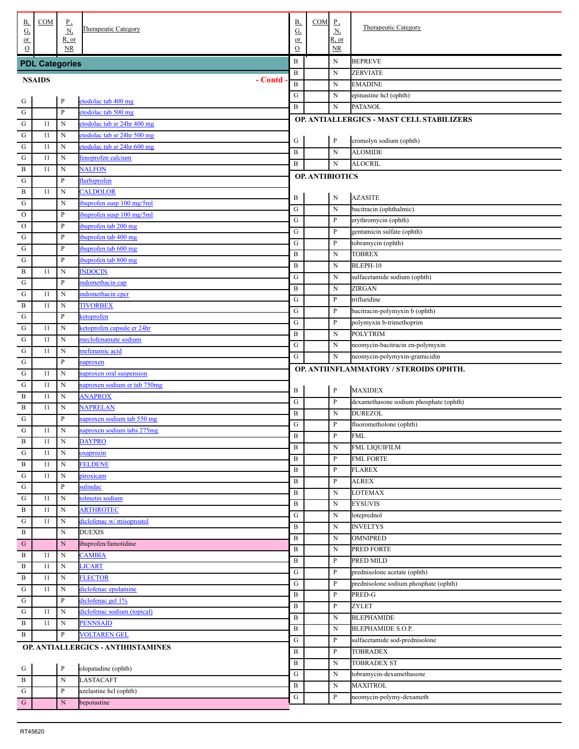| В,<br><u>G,</u>           | <b>COM</b>            | <u>P,</u><br>$\underline{N}$<br>R, or | Therapeutic Category                         | <b>B</b> ,<br>G,<br>or | COM                    | $\mathbf{P}$<br>$\underline{\mathbf{N}}$<br>R, or | <b>Therapeutic Category</b>                                           |
|---------------------------|-----------------------|---------------------------------------|----------------------------------------------|------------------------|------------------------|---------------------------------------------------|-----------------------------------------------------------------------|
| $or$<br>$\Omega$          |                       | NR.                                   |                                              | $\mathcal{O}$          |                        | NR.                                               |                                                                       |
|                           | <b>PDL Categories</b> |                                       |                                              | B                      |                        | $\mathbf N$                                       | <b>BEPREVE</b>                                                        |
|                           | <b>NSAIDS</b>         |                                       | - Contd                                      | $\, {\bf B}$           |                        | N                                                 | <b>ZERVIATE</b>                                                       |
|                           |                       |                                       |                                              | $\, {\bf B}$           |                        | N                                                 | <b>EMADINE</b>                                                        |
| . G                       |                       | $\, {\bf P}$                          | etodolac tab 400 mg                          | G                      |                        | N                                                 | epinastine hcl (ophth)                                                |
| ${\bf G}$                 |                       | ${\bf P}$                             | etodolac tab 500 mg                          | $\, {\bf B}$           |                        | $\mathbf N$                                       | <b>PATANOL</b>                                                        |
| ${\bf G}$                 | 11                    | N                                     | etodolac tab sr 24hr 400 mg                  |                        |                        |                                                   | OP. ANTIALLERGICS - MAST CELL STABILIZERS                             |
| ${\bf G}$                 | 11                    | N                                     | etodolac tab sr 24hr 500 mg                  | G                      |                        | $\mathbf{P}$                                      | cromolyn sodium (ophth)                                               |
| ${\bf G}$                 | 11                    | N                                     | etodolac tab sr 24hr 600 mg                  | $\, {\bf B}$           |                        | $\mathbf N$                                       | <b>ALOMIDE</b>                                                        |
| ${\bf G}$                 | 11                    | N                                     | fenoprofen calcium                           | $\, {\bf B}$           |                        | N                                                 | <b>ALOCRIL</b>                                                        |
| B                         | 11                    | N                                     | <b>NALFON</b>                                |                        | <b>OP. ANTIBIOTICS</b> |                                                   |                                                                       |
| G                         |                       | $\mathbf{P}$                          | flurbiprofen                                 |                        |                        |                                                   |                                                                       |
| B                         | 11                    | N                                     | <b>CALDOLOR</b>                              | B                      |                        | N                                                 | <b>AZASITE</b>                                                        |
| G                         |                       | N                                     | ibuprofen susp 100 mg/5ml                    | ${\bf G}$              |                        | $\mathbf N$                                       | bacitracin (ophthalmic)                                               |
| $\mathcal{O}$             |                       | $\mathbf{P}$<br>P                     | ibuprofen susp 100 mg/5ml                    | G                      |                        | P                                                 | erythromycin (ophth)                                                  |
| $\rm ^O$<br>G             |                       | P                                     | ibuprofen tab 200 mg<br>ibuprofen tab 400 mg | G                      |                        | P                                                 | gentamicin sulfate (ophth)                                            |
| G                         |                       | P                                     | ibuprofen tab 600 mg                         | G                      |                        | P                                                 | tobramycin (ophth)                                                    |
| G                         |                       | $\mathbf{P}$                          | ibuprofen tab 800 mg                         | $\, {\bf B}$           |                        | N                                                 | <b>TOBREX</b>                                                         |
| B                         | 11                    | N                                     | <b>INDOCIN</b>                               | B                      |                        | N                                                 | BLEPH-10                                                              |
| G                         |                       | $\mathbf{P}$                          | indomethacin cap                             | G                      |                        | N                                                 | sulfacetamide sodium (ophth)                                          |
| ${\bf G}$                 | 11                    | N                                     | indomethacin cpcr                            | $\, {\bf B}$           |                        | N                                                 | ZIRGAN                                                                |
| B                         | 11                    | N                                     | <b>TIVORBEX</b>                              | G                      |                        | P                                                 | trifluridine                                                          |
| G                         |                       | $\mathbf{P}$                          | ketoprofen                                   | G                      |                        | P                                                 | bacitracin-polymyxin b (ophth)                                        |
| ${\bf G}$                 | 11                    | N                                     | ketoprofen capsule er 24hr                   | G                      |                        | P                                                 | polymyxin b-trimethoprim                                              |
| ${\bf G}$                 | 11                    | N                                     | meclofenamate sodium                         | $\, {\bf B}$           |                        | $\mathbf N$                                       | <b>POLYTRIM</b>                                                       |
| ${\bf G}$                 | 11                    | N                                     | mefenamic acid                               | G<br>G                 |                        | N                                                 | neomycin-bacitracin zn-polymyxin                                      |
| ${\bf G}$                 |                       | $\mathbf{P}$                          | naproxen                                     |                        |                        | N                                                 | neomycin-polymyxin-gramicidin                                         |
| ${\bf G}$                 | 11                    | N                                     | naproxen oral suspension                     |                        |                        |                                                   | OP. ANTIINFLAMMATORY / STEROIDS OPHTH.                                |
| G                         | 11                    | N                                     | naproxen sodium er tab 750mg                 | B                      |                        | $\mathbf{P}$                                      | <b>MAXIDEX</b>                                                        |
| B                         | 11                    | N                                     | <b>ANAPROX</b>                               | ${\bf G}$              |                        | P                                                 | dexamethasone sodium phosphate (ophth)                                |
| B                         | 11                    | N                                     | <b>NAPRELAN</b>                              | $\, {\bf B}$           |                        | $\mathbf N$                                       | <b>DUREZOL</b>                                                        |
| G                         |                       | $\mathbf{P}$                          | naproxen sodium tab 550 mg                   | ${\bf G}$              |                        | P                                                 | fluorometholone (ophth)                                               |
| G                         | 11                    | N                                     | naproxen sodium tabs 275mg                   | $\, {\bf B}$           |                        | $\mathbf{p}$                                      | <b>FML</b>                                                            |
| . В                       | 11                    | N                                     | <b>DAYPRO</b>                                | $\, {\bf B}$           |                        | N                                                 | FML LIQUIFILM                                                         |
| G                         | 11                    | N                                     | oxaprozin                                    | $\, {\bf B}$           |                        | P                                                 | <b>FML FORTE</b>                                                      |
| $\, {\bf B}$<br>${\bf G}$ | 11<br>11              | N<br>N                                | <b>FELDENE</b><br>piroxicam                  | $\, {\bf B}$           |                        | P                                                 | <b>FLAREX</b>                                                         |
| G                         |                       | $\mathbf{P}$                          | sulindac                                     | $\, {\bf B}$           |                        | P                                                 | <b>ALREX</b>                                                          |
| ${\bf G}$                 | 11                    | N                                     | tolmetin sodium                              | $\, {\bf B}$           |                        | N                                                 | <b>LOTEMAX</b>                                                        |
| $\, {\bf B}$              | 11                    | N                                     | <b>ARTHROTEC</b>                             | $\, {\bf B}$           |                        | N                                                 | <b>EYSUVIS</b>                                                        |
| G                         | 11                    | N                                     | diclofenac w/ misoprostol                    | G                      |                        | N                                                 | loteprednol                                                           |
| B                         |                       | N                                     | <b>DUEXIS</b>                                | $\, {\bf B}$           |                        | N                                                 | <b>INVELTYS</b>                                                       |
| G                         |                       | $\mathbf N$                           | ibuprofen/famotidine                         | $\, {\bf B}$           |                        | N                                                 | <b>OMNIPRED</b>                                                       |
| B                         | 11                    | N                                     | <b>CAMBIA</b>                                | $\, {\bf B}$           |                        | N                                                 | PRED FORTE                                                            |
| B                         | 11                    | N                                     | <b>LICART</b>                                | $\, {\bf B}$           |                        | P                                                 | PRED MILD                                                             |
| B                         | 11                    | N                                     | <b>FLECTOR</b>                               | G<br>G                 |                        | P<br>P                                            | prednisolone acetate (ophth)<br>prednisolone sodium phosphate (ophth) |
| ${\bf G}$                 | 11                    | N                                     | diclofenac epolamine                         | $\, {\bf B}$           |                        | P                                                 | PRED-G                                                                |
| G                         |                       | $\mathbf{P}$                          | diclofenac gel 1%                            | $\, {\bf B}$           |                        | P                                                 | <b>ZYLET</b>                                                          |
| ${\bf G}$                 | 11                    | N                                     | diclofenac sodium (topical)                  | $\, {\bf B}$           |                        | N                                                 | <b>BLEPHAMIDE</b>                                                     |
| B                         | 11                    | N                                     | <b>PENNSAID</b>                              | $\, {\bf B}$           |                        | N                                                 | BLEPHAMIDE S.O.P.                                                     |
| B                         |                       | $\, {\bf p}$                          | <b>VOLTAREN GEL</b>                          | G                      |                        | P                                                 | sulfacetamide sod-prednisolone                                        |
|                           |                       |                                       | OP. ANTIALLERGICS - ANTIHISTAMINES           | B                      |                        | P                                                 | TOBRADEX                                                              |
|                           |                       |                                       |                                              | $\, {\bf B}$           |                        | N                                                 | TOBRADEX ST                                                           |
| G                         |                       | $\, {\bf P}$                          | olopatadine (ophth)                          | ${\bf G}$              |                        | N                                                 | tobramycin-dexamethasone                                              |
| $\mathbf{B}$              |                       | $\mathbf N$                           | <b>LASTACAFT</b>                             | $\, {\bf B}$           |                        | N                                                 | <b>MAXITROL</b>                                                       |
| ${\bf G}$                 |                       | $\, {\bf P}$                          | azelastine hcl (ophth)                       | ${\bf G}$              |                        | P                                                 | neomycin-polymy-dexameth                                              |
| $\cdot$ G                 |                       | ${\bf N}$                             | bepotastine                                  |                        |                        |                                                   |                                                                       |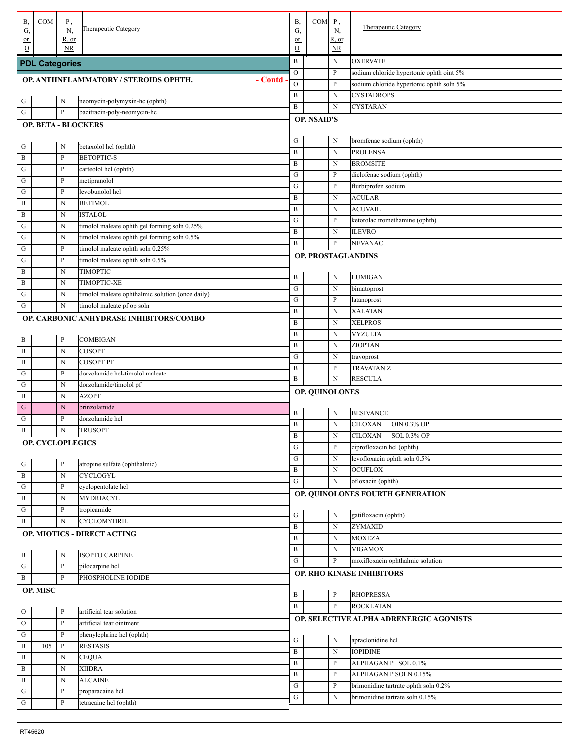| В,                                                                                                     | COM                     | $_{\rm P}$<br>N              | <b>Therapeutic Category</b>                       | <u>B,</u>              | COM                | $\underline{P}$              | <b>Therapeutic Category</b>                                             |
|--------------------------------------------------------------------------------------------------------|-------------------------|------------------------------|---------------------------------------------------|------------------------|--------------------|------------------------------|-------------------------------------------------------------------------|
| $\underline{G},$<br>or                                                                                 |                         | <u>R, or</u>                 |                                                   | $\underline{G}$<br>or  |                    | $\underline{N}$<br>$R$ , or  |                                                                         |
| $\Omega$                                                                                               |                         | <b>NR</b>                    |                                                   | $\mathcal{O}$          |                    | $\overline{\text{NR}}$       |                                                                         |
|                                                                                                        | <b>PDL Categories</b>   |                              |                                                   | $\, {\bf B}$           |                    | N                            | <b>OXERVATE</b>                                                         |
|                                                                                                        |                         |                              | - Contd<br>OP. ANTIINFLAMMATORY / STEROIDS OPHTH. | $\mathcal O$           |                    | $\mathbf{P}$                 | sodium chloride hypertonic ophth oint 5%                                |
|                                                                                                        |                         |                              |                                                   | ${\rm O}$              |                    | $\, {\bf P}$                 | sodium chloride hypertonic ophth soln 5%                                |
| $\frac{G}{1}$                                                                                          |                         | N                            | neomycin-polymyxin-hc (ophth)                     | $\, {\bf B}$           |                    | $\mathbf N$                  | <b>CYSTADROPS</b>                                                       |
| . G                                                                                                    |                         | $\mathbf{P}$                 | bacitracin-poly-neomycin-hc                       | $\, {\bf B}$           |                    | $\mathbf N$                  | CYSTARAN                                                                |
|                                                                                                        |                         |                              | <b>OP. BETA - BLOCKERS</b>                        |                        | <b>OP. NSAID'S</b> |                              |                                                                         |
|                                                                                                        |                         |                              |                                                   |                        |                    |                              |                                                                         |
|                                                                                                        |                         | $\mathbf N$                  | betaxolol hcl (ophth)                             | G<br>$\, {\bf B}$      |                    | N<br>$\mathbf N$             | bromfenac sodium (ophth)<br><b>PROLENSA</b>                             |
| $\frac{G}{B}$                                                                                          |                         | $\mathbf{P}$                 | <b>BETOPTIC-S</b>                                 | $\, {\bf B}$           |                    | N                            | <b>BROMSITE</b>                                                         |
| $\frac{1}{1}$ G                                                                                        |                         | $\mathbf{P}$                 | carteolol hcl (ophth)                             | ${\bf G}$              |                    | P                            | diclofenac sodium (ophth)                                               |
|                                                                                                        |                         | ${\bf P}$                    | metipranolol                                      | ${\bf G}$              |                    | P                            | flurbiprofen sodium                                                     |
| $\frac{1}{\sqrt{G}}$                                                                                   |                         | ${\bf P}$                    | levobunolol hcl                                   | B                      |                    | $\mathbf N$                  | <b>ACULAR</b>                                                           |
| $\frac{1}{B}$                                                                                          |                         | $\mathbf N$                  | <b>BETIMOL</b>                                    | B                      |                    | $\mathbf N$                  | <b>ACUVAIL</b>                                                          |
| B                                                                                                      |                         | ${\bf N}$                    | <b>ISTALOL</b>                                    | G                      |                    | $\, {\bf P}$                 | ketorolac tromethamine (ophth)                                          |
| $\frac{1}{10}$                                                                                         |                         | ${\bf N}$                    | timolol maleate ophth gel forming soln 0.25%      | B                      |                    | $\mathbf N$                  | <b>ILEVRO</b>                                                           |
| $\frac{G}{1}$                                                                                          |                         | $\mathbf N$                  | timolol maleate ophth gel forming soln 0.5%       | $\, {\bf B}$           |                    | P                            | NEVANAC                                                                 |
| $\cdot$ G                                                                                              |                         | $\mathbf{P}$                 | timolol maleate ophth soln 0.25%                  |                        |                    |                              | OP. PROSTAGLANDINS                                                      |
| . G                                                                                                    |                         | ${\bf P}$                    | timolol maleate ophth soln 0.5%                   |                        |                    |                              |                                                                         |
| . $\, {\bf B}$                                                                                         |                         | N                            | <b>TIMOPTIC</b><br>TIMOPTIC-XE                    | B                      |                    | ${\bf N}$                    | <b>LUMIGAN</b>                                                          |
| . B                                                                                                    |                         | ${\bf N}$<br>${\bf N}$       | timolol maleate ophthalmic solution (once daily)  | ${\bf G}$              |                    | $\mathbf N$                  | bimatoprost                                                             |
| G<br>G                                                                                                 |                         | N                            | timolol maleate pf op soln                        | G                      |                    | $\mathbf{P}$                 | latanoprost                                                             |
|                                                                                                        |                         |                              | OP. CARBONIC ANHYDRASE INHIBITORS/COMBO           | B                      |                    | $\mathbf N$                  | <b>XALATAN</b>                                                          |
|                                                                                                        |                         |                              |                                                   | $\, {\bf B}$           |                    | N                            | <b>XELPROS</b>                                                          |
| $\cdot$ B                                                                                              |                         | ${\bf P}$                    | COMBIGAN                                          | $\, {\bf B}$           |                    | N                            | <b>VYZULTA</b>                                                          |
| $\frac{1}{B}$                                                                                          |                         | $\mathbf N$                  | <b>COSOPT</b>                                     | B                      |                    | N                            | ZIOPTAN                                                                 |
| $\frac{1}{B}$                                                                                          |                         | ${\bf N}$                    | <b>COSOPT PF</b>                                  | ${\bf G}$              |                    | N                            | travoprost                                                              |
|                                                                                                        |                         | ${\bf P}$                    | dorzolamide hcl-timolol maleate                   | $\, {\bf B}$           |                    | P                            | TRAVATAN Z                                                              |
|                                                                                                        |                         |                              |                                                   |                        |                    |                              |                                                                         |
| $\frac{1}{\sqrt{1}}$<br>$\frac{1}{10}$                                                                 |                         | ${\bf N}$                    | dorzolamide/timolol pf                            | $\, {\bf B}$           |                    | ${\bf N}$                    | <b>RESCULA</b>                                                          |
| . $\, {\bf B}$                                                                                         |                         | ${\bf N}$                    | <b>AZOPT</b>                                      |                        | OP. QUINOLONES     |                              |                                                                         |
| . ${\bf G}$                                                                                            |                         | ${\bf N}$                    | brinzolamide                                      |                        |                    |                              |                                                                         |
| . G                                                                                                    |                         | ${\bf P}$                    | dorzolamide hcl                                   | $\, {\bf B}$           |                    | N                            | <b>BESIVANCE</b>                                                        |
| . В                                                                                                    |                         | N                            | <b>TRUSOPT</b>                                    | $\, {\bf B}$           |                    | ${\bf N}$                    | CILOXAN<br>OIN 0.3% OP                                                  |
|                                                                                                        | <b>OP. CYCLOPLEGICS</b> |                              |                                                   | $\, {\bf B}$           |                    | ${\bf N}$                    | <b>CILOXAN</b><br>SOL 0.3% OP                                           |
|                                                                                                        |                         |                              |                                                   | ${\bf G}$<br>${\bf G}$ |                    | $\, {\bf P}$<br>$\mathbf N$  | ciprofloxacin hcl (ophth)<br>levofloxacin ophth soln 0.5%               |
|                                                                                                        |                         | $\, {\bf p}$                 | atropine sulfate (ophthalmic)                     | $\, {\bf B}$           |                    | $_{\rm N}$                   | <b>OCUFLOX</b>                                                          |
|                                                                                                        |                         | $\mathbf N$                  | <b>CYCLOGYL</b>                                   | ${\bf G}$              |                    | $_{\rm N}$                   | ofloxacin (ophth)                                                       |
|                                                                                                        |                         | $\, {\bf p}$                 | cyclopentolate hcl                                |                        |                    |                              |                                                                         |
| $\begin{array}{r} \cdot \text{G} \\ \hline \text{B} \\ \hline \text{G} \\ \hline \text{B} \end{array}$ |                         | ${\bf N}$                    | <b>MYDRIACYL</b>                                  |                        |                    |                              | OP. QUINOLONES FOURTH GENERATION                                        |
| $\frac{1}{1}$                                                                                          |                         | ${\bf P}$                    | tropicamide                                       | ${\bf G}$              |                    | ${\bf N}$                    | gatifloxacin (ophth)                                                    |
| . B                                                                                                    |                         | ${\bf N}$                    | <b>CYCLOMYDRIL</b>                                | $\, {\bf B}$           |                    | $\mathbf N$                  | ZYMAXID                                                                 |
|                                                                                                        |                         |                              | OP. MIOTICS - DIRECT ACTING                       | $\, {\bf B}$           |                    | $\mathbf N$                  | <b>MOXEZA</b>                                                           |
|                                                                                                        |                         |                              |                                                   | $\, {\bf B}$           |                    | N                            | <b>VIGAMOX</b>                                                          |
|                                                                                                        |                         | $\mathbf N$                  | <b>ISOPTO CARPINE</b>                             | ${\bf G}$              |                    | P                            | moxifloxacin ophthalmic solution                                        |
| $\frac{B}{G}$                                                                                          |                         | $\, {\bf P}$<br>$\, {\bf p}$ | pilocarpine hcl<br>PHOSPHOLINE IODIDE             |                        |                    |                              | OP. RHO KINASE INHIBITORS                                               |
| $\cdot$ B                                                                                              |                         |                              |                                                   |                        |                    |                              |                                                                         |
|                                                                                                        | OP. MISC                |                              |                                                   | B                      |                    | $\, {\bf P}$                 | <b>RHOPRESSA</b>                                                        |
|                                                                                                        |                         | $\mathbf{P}$                 | artificial tear solution                          | $\, {\bf B}$           |                    | $\mathbf{P}$                 | <b>ROCKLATAN</b>                                                        |
|                                                                                                        |                         | $\mathbf P$                  | artificial tear ointment                          |                        |                    |                              | OP. SELECTIVE ALPHA ADRENERGIC AGONISTS                                 |
|                                                                                                        |                         | $\mathbf{P}$                 | phenylephrine hcl (ophth)                         |                        |                    |                              |                                                                         |
| $\frac{10}{\frac{10}{\frac{10}{\frac{10}{6}}}}$                                                        | 105                     | $\, {\bf P}$                 | <b>RESTASIS</b>                                   | ${\bf G}$              |                    | ${\bf N}$                    | apraclonidine hcl                                                       |
| . B                                                                                                    |                         | N                            | <b>CEQUA</b>                                      | $\, {\bf B}$           |                    | ${\bf N}$                    | <b>IOPIDINE</b>                                                         |
| $\frac{1}{B}$                                                                                          |                         | ${\bf N}$                    | <b>XIIDRA</b>                                     | $\, {\bf B}$           |                    | $\mathbf{P}$                 | ALPHAGAN P SOL 0.1%                                                     |
| $\frac{1}{B}$                                                                                          |                         | ${\bf N}$                    | <b>ALCAINE</b>                                    | $\, {\bf B}$<br>G      |                    | $\mathbf{P}$<br>$\mathbf{P}$ | ALPHAGAN P SOLN 0.15%                                                   |
| $\frac{G}{G}$                                                                                          |                         | ${\bf P}$<br>${\bf P}$       | proparacaine hcl<br>tetracaine hcl (ophth)        | ${\bf G}$              |                    | $_{\rm N}$                   | brimonidine tartrate ophth soln 0.2%<br>brimonidine tartrate soln 0.15% |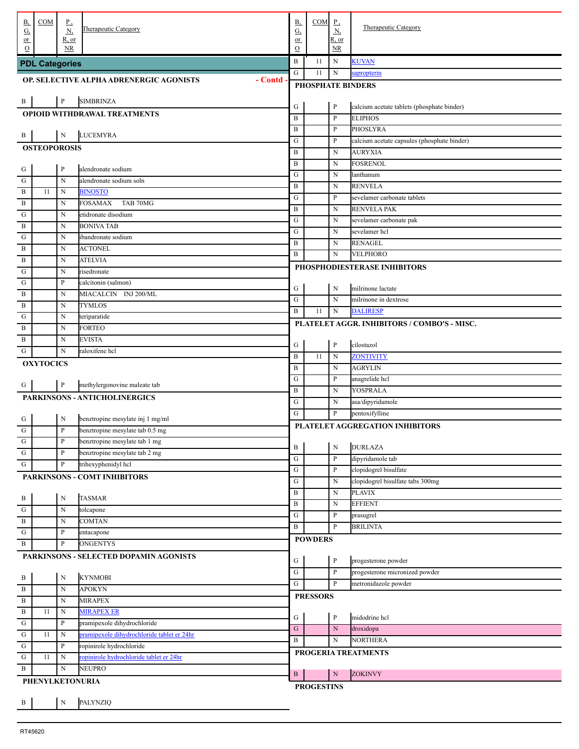| В,<br><u>G,</u>             | COM                   | $_{\mathbf{r}}$<br><u>N,</u> | Therapeutic Category                               | <b>B</b> ,<br>G,       | $COM$ $P$ ,              | <u>N,</u>                       | Therapeutic Category                                          |  |  |  |  |
|-----------------------------|-----------------------|------------------------------|----------------------------------------------------|------------------------|--------------------------|---------------------------------|---------------------------------------------------------------|--|--|--|--|
| or<br>$\Omega$              |                       | <u>R, or</u><br><b>NR</b>    |                                                    | or<br>$\mathcal{O}$    |                          | R, or<br>$\overline{\text{NR}}$ |                                                               |  |  |  |  |
|                             |                       |                              |                                                    | $\, {\bf B}$           | 11                       | N                               | <b>KUVAN</b>                                                  |  |  |  |  |
|                             | <b>PDL Categories</b> |                              |                                                    | G                      | 11                       | $\mathbf N$                     | sapropterin                                                   |  |  |  |  |
|                             |                       |                              | OP. SELECTIVE ALPHA ADRENERGIC AGONISTS<br>- Contd |                        | <b>PHOSPHATE BINDERS</b> |                                 |                                                               |  |  |  |  |
| $\cdot$ B                   |                       | $\mathbf{P}$                 | <b>SIMBRINZA</b>                                   |                        |                          |                                 |                                                               |  |  |  |  |
|                             |                       |                              | <b>OPIOID WITHDRAWAL TREATMENTS</b>                | G                      |                          | P                               | calcium acetate tablets (phosphate binder)                    |  |  |  |  |
|                             |                       |                              |                                                    | $\, {\bf B}$           |                          | $\mathbf{P}$                    | <b>ELIPHOS</b>                                                |  |  |  |  |
| . В                         |                       | $\mathbf N$                  | <b>LUCEMYRA</b>                                    | B                      |                          | P                               | <b>PHOSLYRA</b>                                               |  |  |  |  |
|                             | <b>OSTEOPOROSIS</b>   |                              |                                                    | ${\bf G}$<br>B         |                          | P<br>$\mathbf N$                | calcium acetate capsules (phosphate binder)<br><b>AURYXIA</b> |  |  |  |  |
|                             |                       |                              |                                                    | $\, {\bf B}$           |                          | N                               | <b>FOSRENOL</b>                                               |  |  |  |  |
| $\frac{G}{\sqrt{2}}$        |                       | $\, {\bf p}$                 | alendronate sodium                                 | ${\bf G}$              |                          | N                               | lanthanum                                                     |  |  |  |  |
| . G                         |                       | $\mathbf N$                  | alendronate sodium soln                            | B                      |                          | N                               | <b>RENVELA</b>                                                |  |  |  |  |
| . $\, {\bf B}$<br>. B       | 11                    | N<br>N                       | <b>BINOSTO</b><br>TAB 70MG<br><b>FOSAMAX</b>       | ${\bf G}$              |                          | P                               | sevelamer carbonate tablets                                   |  |  |  |  |
| . G                         |                       | N                            | etidronate disodium                                | B                      |                          | N                               | <b>RENVELA PAK</b>                                            |  |  |  |  |
| . B                         |                       | N                            | <b>BONIVA TAB</b>                                  | ${\bf G}$              |                          | N                               | sevelamer carbonate pak                                       |  |  |  |  |
| G                           |                       | N                            | ibandronate sodium                                 | ${\bf G}$              |                          | N                               | sevelamer hcl                                                 |  |  |  |  |
| . B                         |                       | N                            | <b>ACTONEL</b>                                     | B<br>$\bf{B}$          |                          | N<br>$\mathbf N$                | <b>RENAGEL</b><br>VELPHORO                                    |  |  |  |  |
| . В                         |                       | N                            | <b>ATELVIA</b>                                     |                        |                          |                                 | PHOSPHODIESTERASE INHIBITORS                                  |  |  |  |  |
| . G                         |                       | N                            | risedronate                                        |                        |                          |                                 |                                                               |  |  |  |  |
| G                           |                       | $\mathbf P$                  | calcitonin (salmon)                                | G                      |                          | N                               | milrinone lactate                                             |  |  |  |  |
| . B                         |                       | N                            | MIACALCIN INJ 200/ML                               | ${\bf G}$              |                          | $\mathbf N$                     | milrinone in dextrose                                         |  |  |  |  |
| . B<br>G                    |                       | N<br>N                       | <b>TYMLOS</b><br>teriparatide                      | $\bf{B}$               | 11                       | $_{\rm N}$                      | <b>DALIRESP</b>                                               |  |  |  |  |
| . B                         |                       | N                            | <b>FORTEO</b>                                      |                        |                          |                                 | PLATELET AGGR. INHIBITORS / COMBO'S - MISC.                   |  |  |  |  |
| . B                         |                       | N                            | <b>EVISTA</b>                                      |                        |                          |                                 |                                                               |  |  |  |  |
| . G                         |                       | $\mathbf N$                  | raloxifene hcl                                     | G                      |                          | $\mathbf{P}$                    | cilostazol                                                    |  |  |  |  |
|                             | <b>OXYTOCICS</b>      |                              |                                                    | B<br>B                 | 11                       | $\mathbf N$<br>N                | ZONTIVITY<br><b>AGRYLIN</b>                                   |  |  |  |  |
|                             |                       |                              |                                                    | ${\bf G}$              |                          | P                               | anagrelide hcl                                                |  |  |  |  |
| . G                         |                       | $\mathbf{P}$                 | methylergonovine maleate tab                       | B                      |                          | N                               | YOSPRALA                                                      |  |  |  |  |
|                             |                       |                              | PARKINSONS - ANTICHOLINERGICS                      | ${\bf G}$              |                          | N                               | asa/dipyridamole                                              |  |  |  |  |
|                             |                       | N                            | benztropine mesylate inj 1 mg/ml                   | G                      |                          | P                               | pentoxifylline                                                |  |  |  |  |
| $rac{G}{G}$                 |                       | $\, {\bf p}$                 | benztropine mesylate tab 0.5 mg                    |                        |                          |                                 | PLATELET AGGREGATION INHIBITORS                               |  |  |  |  |
|                             |                       | ${\bf P}$                    | benztropine mesylate tab 1 mg                      |                        |                          |                                 |                                                               |  |  |  |  |
| $\frac{G}{G}$               |                       | $\, {\bf p}$                 | benztropine mesylate tab 2 mg                      | $\, {\bf B}$           |                          | ${\bf N}$                       | <b>DURLAZA</b>                                                |  |  |  |  |
| . G                         |                       | $\, {\bf p}$                 | trihexyphenidyl hcl                                | ${\bf G}$<br>${\bf G}$ |                          | P<br>$\mathbf{P}$               | dipyridamole tab<br>clopidogrel bisulfate                     |  |  |  |  |
|                             |                       |                              | PARKINSONS - COMT INHIBITORS                       | ${\bf G}$              |                          | $\mathbf N$                     | clopidogrel bisulfate tabs 300mg                              |  |  |  |  |
|                             |                       |                              |                                                    | $\, {\bf B}$           |                          | $\mathbf N$                     | <b>PLAVIX</b>                                                 |  |  |  |  |
| $\cdot$ B                   |                       | $\mathbf N$                  | <b>TASMAR</b>                                      | $\, {\bf B}$           |                          | $\mathbf N$                     | <b>EFFIENT</b>                                                |  |  |  |  |
| $\cdot$ G<br>. B            |                       | $\mathbf N$<br>$\mathbf N$   | tolcapone<br><b>COMTAN</b>                         | ${\bf G}$              |                          | $\mathbf{P}$                    | prasugrel                                                     |  |  |  |  |
| $\cdot$ G                   |                       | $\mathbf P$                  | entacapone                                         | $\, {\bf B}$           |                          | P                               | <b>BRILINTA</b>                                               |  |  |  |  |
| . B                         |                       | ${\bf P}$                    | <b>ONGENTYS</b>                                    |                        | <b>POWDERS</b>           |                                 |                                                               |  |  |  |  |
|                             |                       |                              | PARKINSONS - SELECTED DOPAMIN AGONISTS             | G                      |                          | $\mathbf{P}$                    | progesterone powder                                           |  |  |  |  |
|                             |                       |                              |                                                    | ${\bf G}$              |                          | $\mathbf{P}$                    | progesterone micronized powder                                |  |  |  |  |
| $\frac{B}{B}$               |                       | ${\bf N}$                    | <b>KYNMOBI</b>                                     | $\overline{G}$         |                          | P                               | metronidazole powder                                          |  |  |  |  |
|                             |                       | $\mathbf N$                  | <b>APOKYN</b>                                      |                        | <b>PRESSORS</b>          |                                 |                                                               |  |  |  |  |
| $\overline{B}$              |                       | $\mathbf N$                  | <b>MIRAPEX</b>                                     |                        |                          |                                 |                                                               |  |  |  |  |
| $\overline{B}$<br>$\cdot$ G | 11                    | ${\bf N}$<br>$\mathbf{P}$    | <b>MIRAPEX ER</b><br>pramipexole dihydrochloride   | G                      |                          | $\mathbf{P}$                    | midodrine hcl                                                 |  |  |  |  |
| $\overline{\mathbf{G}}$     | 11                    | $\mathbf N$                  | pramipexole dihydrochloride tablet er 24hr         | ${\bf G}$              |                          | ${\bf N}$                       | droxidopa                                                     |  |  |  |  |
| $\mathbf G$                 |                       | $\mathbf{P}$                 | ropinirole hydrochloride                           | $\, {\bf B}$           |                          | N                               | <b>NORTHERA</b>                                               |  |  |  |  |
| $\cdot$ G                   | 11                    | $\mathbf N$                  | ropinirole hydrochloride tablet er 24hr            |                        |                          |                                 | PROGERIA TREATMENTS                                           |  |  |  |  |
| . B                         |                       | $\mathbf N$                  | <b>NEUPRO</b>                                      | $\mathbf{B}$           |                          | ${\bf N}$                       | <b>ZOKINVY</b>                                                |  |  |  |  |
|                             | PHENYLKETONURIA       |                              |                                                    |                        | <b>PROGESTINS</b>        |                                 |                                                               |  |  |  |  |
| $\cdot$ B                   |                       | $\mathbf N$                  | PALYNZIQ                                           |                        |                          |                                 |                                                               |  |  |  |  |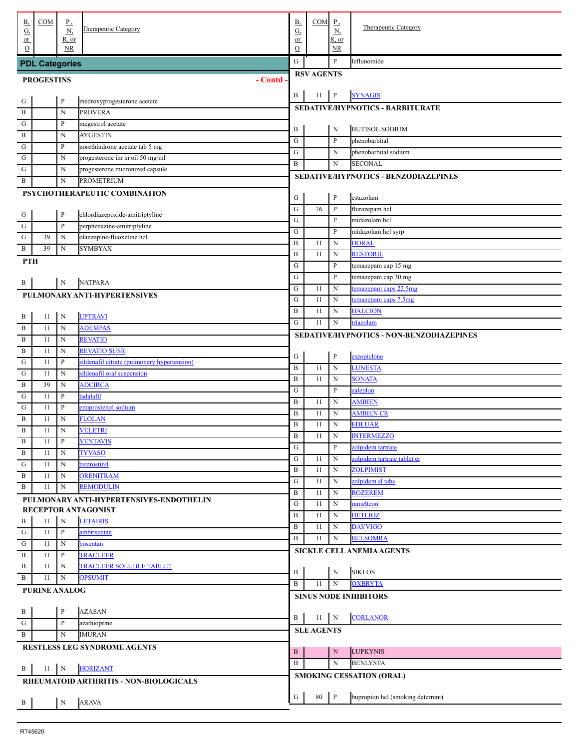| <u>B,</u><br><u>G,</u> | COM                   | $\underline{P}$<br>$\underline{N}$ | <b>Therapeutic Category</b>                          | <b>B</b> ,<br>G,             | $COM$ $P$ ,       | $\underline{N}$   | <b>Therapeutic Category</b>                      |
|------------------------|-----------------------|------------------------------------|------------------------------------------------------|------------------------------|-------------------|-------------------|--------------------------------------------------|
| or<br>$\Omega$         |                       | R, or<br><b>NR</b>                 |                                                      | or<br>$\mathcal{O}$          |                   | R, or<br>NR       |                                                  |
|                        | <b>PDL Categories</b> |                                    |                                                      | ${\bf G}$                    |                   | P                 | leflunomide                                      |
|                        |                       |                                    |                                                      |                              | <b>RSV AGENTS</b> |                   |                                                  |
|                        | <b>PROGESTINS</b>     |                                    | - Contd                                              |                              |                   |                   |                                                  |
| . G                    |                       | $\, {\bf p}$                       | medroxyprogesterone acetate                          | B                            | 11                | $\, {\bf P}$      | <b>SYNAGIS</b>                                   |
| $\overline{B}$         |                       | N                                  | <b>PROVERA</b>                                       |                              |                   |                   | SEDATIVE/HYPNOTICS - BARBITURATE                 |
| $\cdot$ G              |                       | $\, {\bf P}$                       | megestrol acetate                                    | B                            |                   | N                 | <b>BUTISOL SODIUM</b>                            |
| . B                    |                       | $\mathbf N$                        | <b>AYGESTIN</b>                                      | ${\bf G}$                    |                   | P                 | phenobarbital                                    |
| ${\bf G}$              |                       | $\, {\bf P}$                       | norethindrone acetate tab 5 mg                       | ${\bf G}$                    |                   | ${\bf N}$         | phenobarbital sodium                             |
| ${\bf G}$              |                       | $\mathbf N$                        | progesterone im in oil 50 mg/ml                      | $\bf{B}$                     |                   | $_{\rm N}$        | <b>SECONAL</b>                                   |
| $\mathbf G$<br>. B     |                       | $\mathbf N$<br>N                   | progesterone micronized capsule<br><b>PROMETRIUM</b> |                              |                   |                   | SEDATIVE/HYPNOTICS - BENZODIAZEPINES             |
|                        |                       |                                    | PSYCHOTHERAPEUTIC COMBINATION                        |                              |                   |                   |                                                  |
|                        |                       |                                    |                                                      | G                            |                   | $\mathbf{P}$      | estazolam                                        |
| . G                    |                       | $\, {\bf p}$                       | chlordiazepoxide-amitriptyline                       | ${\bf G}$                    | 76                | P                 | flurazepam hcl                                   |
| $\overline{G}$         |                       | $\, {\bf P}$                       | perphenazine-amitriptyline                           | ${\bf G}$                    |                   | P                 | midazolam hcl                                    |
| $\cdot$ G              | 39                    | N                                  | olanzapine-fluoxetine hcl                            | ${\bf G}$                    |                   | P                 | midazolam hcl syrp                               |
| . B                    | 39                    | $\mathbf N$                        | <b>SYMBYAX</b>                                       | $\, {\bf B}$<br>$\, {\bf B}$ | 11<br>11          | N<br>$_{\rm N}$   | <b>DORAL</b><br><b>RESTORIL</b>                  |
| <b>PTH</b>             |                       |                                    |                                                      | ${\bf G}$                    |                   | P                 | temazepam cap 15 mg                              |
|                        |                       |                                    |                                                      | ${\bf G}$                    |                   | P                 | temazepam cap 30 mg                              |
| . B                    |                       | N                                  | <b>NATPARA</b>                                       | ${\bf G}$                    | 11                | N                 | temazepam caps 22.5mg                            |
|                        |                       |                                    | PULMONARY ANTI-HYPERTENSIVES                         | ${\bf G}$                    | 11                | $_{\rm N}$        | temazepam caps 7.5mg                             |
|                        |                       |                                    |                                                      | $\, {\bf B}$                 | 11                | $_{\rm N}$        | <b>HALCION</b>                                   |
| . В                    | 11                    | N                                  | <b>UPTRAVI</b>                                       | ${\bf G}$                    | 11                | $_{\rm N}$        | triazolam                                        |
| . $\, {\bf B}$         | 11                    | N                                  | <b>ADEMPAS</b>                                       |                              |                   |                   | SEDATIVE/HYPNOTICS - NON-BENZODIAZEPINES         |
| $\overline{B}$         | 11                    | N                                  | <b>REVATIO</b><br><b>REVATIO SUSR</b>                |                              |                   |                   |                                                  |
| $\overline{B}$         | 11<br>11              | N<br>$\, {\bf P}$                  | sildenafil citrate (pulmonary hypertension)          | G                            |                   | $\mathbf{P}$      | eszopiclone                                      |
| ${\bf G}$<br>${\bf G}$ | 11                    | $\mathbf N$                        | sildenafil oral suspension                           | $\, {\bf B}$                 | 11                | $\mathbf N$       | <b>LUNESTA</b>                                   |
| $\, {\bf B}$           | 39                    | $\mathbf N$                        | <b>ADCIRCA</b>                                       | $\, {\bf B}$                 | 11                | N                 | <b>SONATA</b>                                    |
| $\mathbf G$            | 11                    | $\, {\bf P}$                       | tadalafil                                            | ${\bf G}$                    |                   | P                 | zaleplon                                         |
| $\mathbf G$            | 11                    | $\, {\bf P}$                       | epoprostenol sodium                                  | $\, {\bf B}$                 | 11                | N                 | <b>AMBIEN</b>                                    |
| $\,$ B                 | 11                    | $\mathbf N$                        | <b>FLOLAN</b>                                        | $\, {\bf B}$                 | 11                | N                 | <b>AMBIEN CR</b>                                 |
| $\mathbf B$            | 11                    | $\mathbf N$                        | <b>VELETRI</b>                                       | $\, {\bf B}$                 | 11                | $_{\rm N}$        | <b>EDLUAR</b>                                    |
| . В                    | 11                    | $\mathbf{P}$                       | <b>VENTAVIS</b>                                      | $\, {\bf B}$                 | 11                | N                 | <b>INTERMEZZO</b>                                |
| . B                    | 11                    | $\mathbf N$                        | <b>TYVASO</b>                                        | ${\bf G}$<br>${\bf G}$       |                   | $\, {\bf P}$<br>N | zolpidem tartrate<br>zolpidem tartrate tablet er |
| . G                    | 11                    | $\mathbf N$                        | treprostinil                                         | $\, {\bf B}$                 | 11<br>-11         | N                 | <b>ZOLPIMIST</b>                                 |
| . B                    | 11                    | $\mathbf N$                        | <b>ORENITRAM</b>                                     | ${\bf G}$                    | -11               | N                 | zolpidem sl tabs                                 |
| . B                    | 11                    | $_{\rm N}$                         | <b>REMODULIN</b>                                     | $\, {\bf B}$                 | 11                | $_{\rm N}$        | <b>ROZEREM</b>                                   |
|                        |                       |                                    | PULMONARY ANTI-HYPERTENSIVES-ENDOTHELIN              | ${\bf G}$                    | 11                | N                 | ramelteon                                        |
|                        |                       |                                    | RECEPTOR ANTAGONIST                                  | $\bf{B}$                     | -11               | N                 | <b>HETLIOZ</b>                                   |
| . B                    | 11                    | N                                  | <b>LETAIRIS</b>                                      | $\, {\bf B}$                 | -11               | N                 | <b>DAYVIGO</b>                                   |
| . G<br>$\overline{G}$  | 11<br>11              | $\mathbf{P}$<br>${\bf N}$          | ambrisentan                                          | $\bf{B}$                     | 11                | N                 | <b>BELSOMRA</b>                                  |
| . B                    | 11                    | $\mathbf{P}$                       | bosentan<br><b>TRACLEER</b>                          |                              |                   |                   | <b>SICKLE CELL ANEMIA AGENTS</b>                 |
| . B                    | 11                    | $\mathbf N$                        | <b>TRACLEER SOLUBLE TABLET</b>                       |                              |                   |                   |                                                  |
| . B                    | 11                    | $\mathbf N$                        | <b>OPSUMIT</b>                                       | B                            |                   | $\mathbf N$       | <b>SIKLOS</b>                                    |
|                        | <b>PURINE ANALOG</b>  |                                    |                                                      | $\, {\bf B}$                 | 11                | N                 | <b>OXBRYTA</b>                                   |
|                        |                       |                                    |                                                      |                              |                   |                   | <b>SINUS NODE INHIBITORS</b>                     |
| $\cdot$ B              |                       | $\, {\bf P}$                       | <b>AZASAN</b>                                        |                              |                   |                   |                                                  |
| . ${\bf G}$            |                       | $\, {\bf P}$                       | azathioprine                                         | B                            | 11                | $\,$ N            | <b>CORLANOR</b>                                  |
| . B                    |                       | $\mathbf N$                        | <b>IMURAN</b>                                        |                              | <b>SLE AGENTS</b> |                   |                                                  |
|                        |                       |                                    | RESTLESS LEG SYNDROME AGENTS                         | $\, {\bf B}$                 |                   | N                 | <b>LUPKYNIS</b>                                  |
|                        |                       |                                    |                                                      | $\mathbf{B}$                 |                   | $\mathbf N$       | <b>BENLYSTA</b>                                  |
| . B                    | 11                    | $\mathbf N$                        | <b>HORIZANT</b>                                      |                              |                   |                   | <b>SMOKING CESSATION (ORAL)</b>                  |
|                        |                       |                                    | RHEUMATOID ARTHRITIS - NON-BIOLOGICALS               |                              |                   |                   |                                                  |
|                        |                       |                                    |                                                      | G                            | 80                | $\mathsf{P}$      | bupropion hcl (smoking deterrent)                |
| $\cdot$ B              |                       | ${\bf N}$                          | <b>ARAVA</b>                                         |                              |                   |                   |                                                  |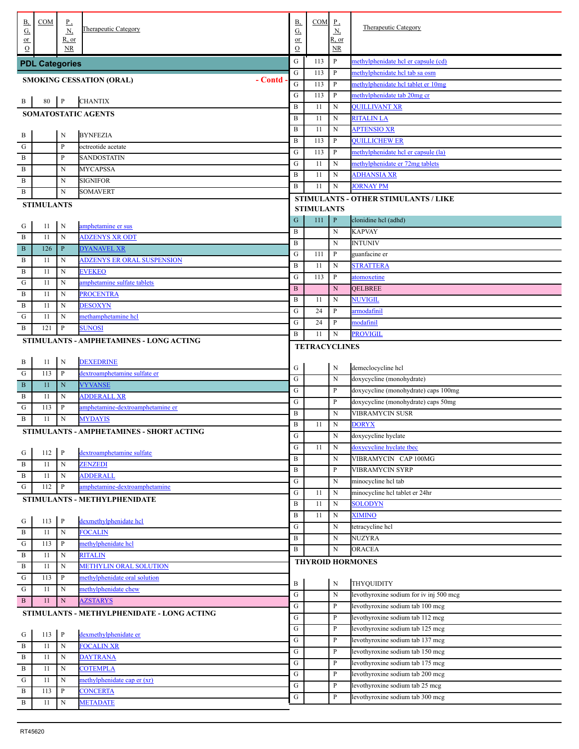| В,                                        | COM                   | $\underline{P}$             | Therapeutic Category                       | <u>B,</u>              | $COM$ $P$ ,          |                                   | Therapeutic Category                                                 |
|-------------------------------------------|-----------------------|-----------------------------|--------------------------------------------|------------------------|----------------------|-----------------------------------|----------------------------------------------------------------------|
| G,<br>$or$                                |                       | <u>N,</u><br>$R$ , or       |                                            | G,<br>or               |                      | $\underline{\mathbf{N}}$<br>R, or |                                                                      |
| $\circ$                                   |                       | <b>NR</b>                   |                                            | $\mathcal{O}$          |                      | NR                                |                                                                      |
|                                           | <b>PDL Categories</b> |                             |                                            | ${\bf G}$              | 113                  | P                                 | methylphenidate hel er capsule (cd)                                  |
|                                           |                       |                             | - Contd<br><b>SMOKING CESSATION (ORAL)</b> | ${\bf G}$              | 113                  | P                                 | methylphenidate hel tab sa osm                                       |
|                                           |                       |                             |                                            | ${\bf G}$              | 113                  | P                                 | methylphenidate hcl tablet er 10mg                                   |
| . В                                       | 80                    | $\mathbf{P}$                | <b>CHANTIX</b>                             | G                      | 113                  | P                                 | methylphenidate tab 20mg cr                                          |
|                                           |                       |                             | <b>SOMATOSTATIC AGENTS</b>                 | $\, {\bf B}$           | 11                   | ${\bf N}$                         | <b>QUILLIVANT XR</b>                                                 |
|                                           |                       |                             |                                            | $\, {\bf B}$           | 11                   | ${\bf N}$                         | <b>RITALIN LA</b>                                                    |
| . В                                       |                       | $\mathbf N$                 | <b>BYNFEZIA</b>                            | $\, {\bf B}$           | 11                   | ${\bf N}$                         | <b>APTENSIO XR</b>                                                   |
| . ${\bf G}$                               |                       | $\mathbf{P}$                | octreotide acetate                         | $\, {\bf B}$           | 113                  | P                                 | <b>QUILLICHEW ER</b>                                                 |
| . B                                       |                       | $\, {\bf p}$                | SANDOSTATIN                                | G                      | 113                  | P                                 | methylphenidate hel er capsule (la)                                  |
| . В                                       |                       | N                           | <b>MYCAPSSA</b>                            | G                      | 11                   | ${\bf N}$                         | methylphenidate er 72mg tablets                                      |
| . В                                       |                       | N                           | <b>SIGNIFOR</b>                            | $\, {\bf B}$<br>B      | 11<br>11             | ${\bf N}$<br>${\bf N}$            | <b>ADHANSIA XR</b><br><b>JORNAY PM</b>                               |
| . В                                       |                       | N                           | SOMAVERT                                   |                        |                      |                                   |                                                                      |
|                                           | <b>STIMULANTS</b>     |                             |                                            |                        | <b>STIMULANTS</b>    |                                   | STIMULANTS - OTHER STIMULANTS / LIKE                                 |
| . G                                       | 11                    | N                           | amphetamine er sus                         | ${\bf G}$              | 111                  | $\, {\bf P}$                      | clonidine hcl (adhd)                                                 |
| . B                                       | 11                    | $\mathbf N$                 | <b>ADZENYS XR ODT</b>                      | B                      |                      | ${\bf N}$                         | <b>KAPVAY</b>                                                        |
| $\overline{\mathbf{B}}$                   | 126                   | $\, {\bf P}$                | <b>DYANAVEL XR</b>                         | $\, {\bf B}$           |                      | ${\bf N}$                         | <b>INTUNIV</b>                                                       |
| . B                                       | 11                    | N                           | <b>ADZENYS ER ORAL SUSPENSION</b>          | ${\bf G}$              | 111                  | $\mathbf{P}$                      | guanfacine er                                                        |
| $\overline{B}$                            | 11                    | N                           | <b>EVEKEO</b>                              | $\, {\bf B}$           | 11                   | ${\bf N}$                         | <b>STRATTERA</b>                                                     |
| ${\bf G}$                                 | 11                    | N                           | amphetamine sulfate tablets                | ${\bf G}$              | 113                  | P                                 | atomoxetine                                                          |
| . B                                       | 11                    | N                           | <b>PROCENTRA</b>                           | $\, {\bf B}$           |                      | ${\bf N}$                         | <b>QELBREE</b>                                                       |
| . B                                       | 11                    | N                           | <b>DESOXYN</b>                             | $\, {\bf B}$           | 11                   | N                                 | NUVIGIL                                                              |
| G                                         | 11                    | $\mathbf N$                 | methamphetamine hcl                        | ${\bf G}$              | 24<br>24             | P<br>P                            | armodafinil                                                          |
| . В                                       | 121                   | $\, {\bf p}$                | <b>SUNOSI</b>                              | G<br>B                 | 11                   | ${\bf N}$                         | modafinil<br>PROVIGIL                                                |
|                                           |                       |                             | STIMULANTS - AMPHETAMINES - LONG ACTING    |                        |                      |                                   |                                                                      |
|                                           |                       |                             |                                            |                        | <b>TETRACYCLINES</b> |                                   |                                                                      |
| . B                                       | 11                    | N                           | <b>DEXEDRINE</b>                           | G                      |                      | N                                 | demeclocycline hcl                                                   |
| . G                                       | 113                   | $\mathbf{P}$                | dextroamphetamine sulfate er               | ${\bf G}$              |                      | ${\bf N}$                         | doxycycline (monohydrate)                                            |
| $\overline{\mathbf{B}}$                   | 11                    | $\mathbf N$                 | <b>VYVANSE</b>                             | ${\bf G}$              |                      | P                                 | doxycycline (monohydrate) caps 100mg                                 |
| . B                                       | 11                    | $\mathbf N$                 | <b>ADDERALL XR</b>                         | ${\bf G}$              |                      | P                                 | doxycycline (monohydrate) caps 50mg                                  |
| G                                         | 113                   | $\mathbf{P}$                | amphetamine-dextroamphetamine er           | $\, {\bf B}$           |                      | ${\bf N}$                         | VIBRAMYCIN SUSR                                                      |
| . B                                       | 11                    | $\mathbf N$                 | <b>MYDAYIS</b>                             | B                      | 11                   | ${\bf N}$                         | <b>DORYX</b>                                                         |
|                                           |                       |                             | STIMULANTS - AMPHETAMINES - SHORT ACTING   | ${\bf G}$              |                      | $\mathbf N$                       | doxycycline hyclate                                                  |
|                                           |                       |                             |                                            | ${\bf G}$              | 11                   | $\mathbf N$                       | doxycycline hyclate tbec                                             |
| $\cdot$ G<br>$\overline{B}$               | 112<br>11             | $\mathbf{P}$<br>$\mathbf N$ | dextroamphetamine sulfate<br>ZENZEDI       | B                      |                      | $\mathbf N$                       | VIBRAMYCIN CAP 100MG                                                 |
| $\overline{B}$                            | 11                    | N                           | <b>ADDERALL</b>                            | B                      |                      | P                                 | VIBRAMYCIN SYRP                                                      |
| G                                         | 112                   | P                           | amphetamine-dextroamphetamine              | G                      |                      | $\mathbf N$                       | minocycline hcl tab                                                  |
|                                           |                       |                             | STIMULANTS - METHYLPHENIDATE               | G                      | 11                   | N                                 | minocycline hcl tablet er 24hr                                       |
|                                           |                       |                             |                                            | B                      | 11                   | ${\bf N}$                         | <b>SOLODYN</b>                                                       |
|                                           | 113                   | $\mathbf{P}$                | dexmethylphenidate hcl                     | B                      | 11                   | $\mathbf N$                       | <b>XIMINO</b>                                                        |
| $\frac{G}{B}$                             | 11                    | ${\bf N}$                   | <b>FOCALIN</b>                             | G                      |                      | $\mathbf N$                       | tetracycline hcl                                                     |
| $\frac{1}{\sqrt{1}}$                      | 113                   | P                           | methylphenidate hcl                        | B                      |                      | N                                 | NUZYRA                                                               |
| $\frac{1}{1}$ B                           | 11                    | N                           | <b>RITALIN</b>                             | B                      |                      | N                                 | ORACEA                                                               |
| $\overline{B}$                            | 11                    | N                           | <b>METHYLIN ORAL SOLUTION</b>              |                        |                      |                                   | <b>THYROID HORMONES</b>                                              |
| $\overline{G}$                            | 113                   | $\, {\bf P}$                | methylphenidate oral solution              |                        |                      |                                   |                                                                      |
| ${\bf G}$                                 | 11                    | N                           | methylphenidate chew                       | B                      |                      | ${\bf N}$                         | THYQUIDITY                                                           |
| . B                                       | 11                    | ${\bf N}$                   | <b>AZSTARYS</b>                            | G                      |                      | $\mathbf N$                       | levothyroxine sodium for iv inj 500 mcg                              |
|                                           |                       |                             | STIMULANTS - METHYLPHENIDATE - LONG ACTING | G                      |                      | P                                 | levothyroxine sodium tab 100 mcg                                     |
|                                           |                       |                             |                                            | ${\bf G}$<br>${\bf G}$ |                      | P<br>P                            | levothyroxine sodium tab 112 mcg<br>levothyroxine sodium tab 125 mcg |
| $\frac{G}{1}$                             | 113                   | $\mathbf{P}$                | dexmethylphenidate er                      | G                      |                      | P                                 | levothyroxine sodium tab 137 mcg                                     |
| $\overline{B}$                            | 11                    | ${\bf N}$                   | <b>FOCALIN XR</b>                          | G                      |                      | P                                 | levothyroxine sodium tab 150 mcg                                     |
| $\overline{B}$                            | 11                    | ${\bf N}$                   | <b>DAYTRANA</b>                            | G                      |                      | P                                 | levothyroxine sodium tab 175 mcg                                     |
| $\overline{B}$                            | 11                    | ${\bf N}$                   | <b>COTEMPLA</b>                            | G                      |                      | P                                 | levothyroxine sodium tab 200 mcg                                     |
| $\frac{1}{1}$ $\frac{1}{1}$ $\frac{1}{1}$ | 11                    | N                           | methylphenidate cap er (xr)                | ${\bf G}$              |                      | P                                 | levothyroxine sodium tab 25 mcg                                      |
|                                           | 113                   | $\, {\bf P}$                | <b>CONCERTA</b>                            | ${\bf G}$              |                      | P                                 | levothyroxine sodium tab 300 mcg                                     |
| $\overline{\mathbf{B}}$                   | 11                    | N                           | <b>METADATE</b>                            |                        |                      |                                   |                                                                      |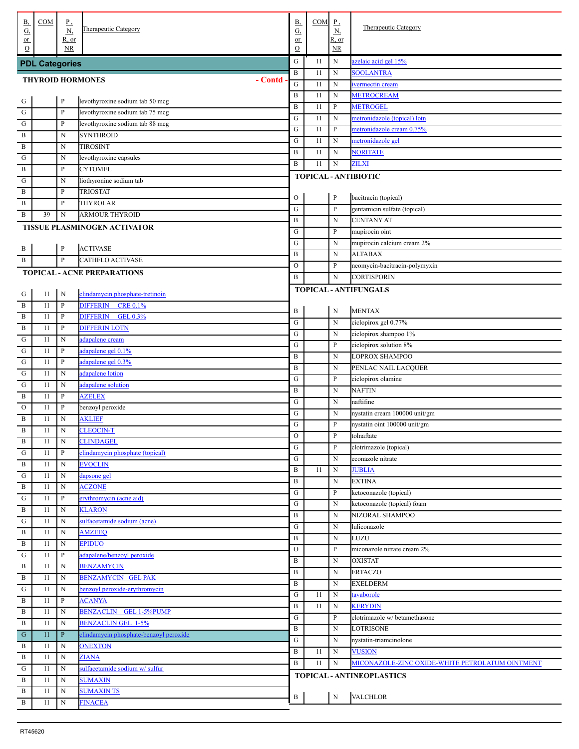| <u>B,</u>       | COM                   | $_{\rm P}$   | Therapeutic Category                   | В,              | COM      | $P_{\rightarrow}$          | <b>Therapeutic Category</b>                     |
|-----------------|-----------------------|--------------|----------------------------------------|-----------------|----------|----------------------------|-------------------------------------------------|
| <u>G,</u><br>or |                       | N<br>R, or   |                                        | <u>G,</u><br>or |          | $\underline{N}$<br>R, or   |                                                 |
| $\Omega$        |                       | NR           |                                        | $\Omega$        |          | NR.                        |                                                 |
|                 | <b>PDL Categories</b> |              |                                        | ${\bf G}$       | 11       | $\mathbf N$                | zelaic acid gel 15%                             |
|                 |                       |              | <b>THYROID HORMONES</b><br>- Contd     | $\, {\bf B}$    | 11       | N                          | <b>SOOLANTRA</b>                                |
|                 |                       |              |                                        | ${\bf G}$       | 11       | N                          | vermectin cream                                 |
| G               |                       | $\, {\bf P}$ | levothyroxine sodium tab 50 mcg        | B               | 11       | $_{\rm N}$                 | <b>METROCREAM</b>                               |
| ${\bf G}$       |                       | $\, {\bf p}$ | levothyroxine sodium tab 75 mcg        | B               | 11       | $\mathbf{P}$               | <b>METROGEL</b>                                 |
| G               |                       | ${\bf P}$    | levothyroxine sodium tab 88 mcg        | G               | 11       | $_{\rm N}$                 | metronidazole (topical) lotn                    |
| B               |                       | $\mathbf N$  | <b>SYNTHROID</b>                       | G               | 11       | $\mathbf{P}$<br>$_{\rm N}$ | metronidazole cream 0.75%                       |
| B               |                       | N            | <b>TIROSINT</b>                        | G<br>B          | 11<br>11 | N                          | metronidazole gel<br><b>NORITATE</b>            |
| G               |                       | N            | levothyroxine capsules                 | B               | 11       | $_{\rm N}$                 | ZILXI                                           |
| B               |                       | $\mathbf{P}$ | <b>CYTOMEL</b>                         |                 |          |                            |                                                 |
| G               |                       | N            | liothyronine sodium tab                |                 |          |                            | TOPICAL - ANTIBIOTIC                            |
| B               |                       | $\mathbf{P}$ | <b>TRIOSTAT</b>                        | $\mathcal{O}$   |          | $\mathbf{P}$               | bacitracin (topical)                            |
| B               |                       | $\mathbf{P}$ | THYROLAR                               | G               |          | $\mathbf{P}$               | gentamicin sulfate (topical)                    |
| B               | 39                    | N            | <b>ARMOUR THYROID</b>                  | B               |          | $_{\rm N}$                 | <b>CENTANY AT</b>                               |
|                 |                       |              | <b>TISSUE PLASMINOGEN ACTIVATOR</b>    | G               |          | $\mathbf{P}$               | mupirocin oint                                  |
|                 |                       |              |                                        | G               |          | $_{\rm N}$                 | mupirocin calcium cream 2%                      |
| . В             |                       | $\, {\bf p}$ | <b>ACTIVASE</b>                        | B               |          | $_{\rm N}$                 | <b>ALTABAX</b>                                  |
| B               |                       | $\, {\bf P}$ | <b>CATHFLO ACTIVASE</b>                | $\mathcal{O}$   |          | P                          | neomycin-bacitracin-polymyxin                   |
|                 |                       |              | <b>TOPICAL - ACNE PREPARATIONS</b>     | B               |          | N                          | CORTISPORIN                                     |
|                 |                       |              |                                        |                 |          |                            | <b>TOPICAL - ANTIFUNGALS</b>                    |
| G               | 11                    | $\mathbf N$  | clindamycin phosphate-tretinoin        |                 |          |                            |                                                 |
| $\, {\bf B}$    | 11                    | $\, {\bf p}$ | <b>DIFFERIN</b><br><b>CRE 0.1%</b>     | B               |          | N                          | <b>MENTAX</b>                                   |
| $\, {\bf B}$    | 11                    | $\, {\bf p}$ | <b>GEL 0.3%</b><br><b>DIFFERIN</b>     | G               |          | $_{\rm N}$                 | ciclopirox gel 0.77%                            |
| $\, {\bf B}$    | 11                    | $\, {\bf p}$ | <b>DIFFERIN LOTN</b>                   | ${\bf G}$       |          | $_{\rm N}$                 | ciclopirox shampoo 1%                           |
| ${\bf G}$       | 11                    | N            | adapalene cream                        | G               |          | $\mathbf{P}$               | ciclopirox solution 8%                          |
| ${\bf G}$       | 11                    | ${\bf P}$    | adapalene gel 0.1%                     | $\, {\bf B}$    |          | $_{\rm N}$                 | LOPROX SHAMPOO                                  |
| ${\bf G}$       | 11                    | ${\bf P}$    | adapalene gel 0.3%                     | $\, {\bf B}$    |          | $_{\rm N}$                 | PENLAC NAIL LACQUER                             |
| ${\bf G}$       | 11                    | N            | adapalene lotion                       | ${\bf G}$       |          | $\mathbf{P}$               | ciclopirox olamine                              |
| G               | 11                    | N            | adapalene solution                     | B               |          | $_{\rm N}$                 | <b>NAFTIN</b>                                   |
| B               | 11                    | $\, {\bf p}$ | <b>AZELEX</b>                          | ${\bf G}$       |          | $_{\rm N}$                 | naftifine                                       |
| $\mathcal{O}$   | 11                    | $\, {\bf p}$ | benzoyl peroxide                       | ${\bf G}$       |          | $_{\rm N}$                 | nystatin cream 100000 unit/gm                   |
| B               | 11                    | N            | <b>AKLIEF</b>                          | G               |          | P                          | nystatin oint 100000 unit/gm                    |
| B               | 11                    | $\mathbf N$  | <b>CLEOCIN-T</b>                       | $\mathcal{O}$   |          | P                          | tolnaftate                                      |
| B               | 11                    | N            | <b>CLINDAGEL</b>                       | ${\bf G}$       |          | P                          | clotrimazole (topical)                          |
| G               | 11                    | $\, {\bf P}$ | clindamycin phosphate (topical)        | G               |          | N                          | econazole nitrate                               |
| B               | 11                    | N            | <b>EVOCLIN</b>                         | B               | 11       | N                          | <b>JUBLIA</b>                                   |
| G               | 11                    | N            | dapsone gel                            | B               |          | N                          | <b>EXTINA</b>                                   |
| B               | 11                    | N            | <b>ACZONE</b>                          | G               |          | P                          | ketoconazole (topical)                          |
| G               | 11                    | $\, {\bf P}$ | erythromycin (acne aid)                | G               |          | N                          | ketoconazole (topical) foam                     |
| B               | 11                    | N            | <b>KLARON</b>                          | B               |          | N                          | NIZORAL SHAMPOO                                 |
| G               | 11                    | N            | sulfacetamide sodium (acne)            | ${\bf G}$       |          | N                          | luliconazole                                    |
| B               | 11                    | N            | <b>AMZEEQ</b>                          | B               |          | N                          | LUZU                                            |
| B               | 11                    | N            | <b>EPIDUO</b>                          | $\mathcal{O}$   |          | $\mathbf{P}$               | miconazole nitrate cream 2%                     |
| G               | 11                    | P            | adapalene/benzoyl peroxide             | B               |          | N                          | <b>OXISTAT</b>                                  |
| B               | 11                    | N            | <b>BENZAMYCIN</b>                      | B               |          | N                          | <b>ERTACZO</b>                                  |
| B               | 11                    | N            | <b>BENZAMYCIN GEL PAK</b>              | B               |          | N                          | <b>EXELDERM</b>                                 |
| G               | 11                    | N            | benzoyl peroxide-erythromycin          | G               | 11       | N                          | tavaborole                                      |
| B               | 11                    | $\, {\bf P}$ | <b>ACANYA</b>                          | B               | 11       | N                          | <b>KERYDIN</b>                                  |
| B               | 11                    | N            | BENZACLIN GEL 1-5%PUMP                 | G               |          | P                          | clotrimazole w/ betamethasone                   |
| B               | 11                    | ${\bf N}$    | <b>BENZACLIN GEL 1-5%</b>              | B               |          | N                          | LOTRISONE                                       |
| ${\bf G}$       | 11                    | $\, {\bf P}$ | clindamycin phosphate-benzoyl peroxide | G               |          | N                          | nystatin-triamcinolone                          |
| В               | 11                    | N            | <b>ONEXTON</b>                         | B               | 11       | N                          | <b>VUSION</b>                                   |
| B               | 11                    | N            | <b>ZIANA</b>                           | B               | 11       | N                          | MICONAZOLE-ZINC OXIDE-WHITE PETROLATUM OINTMENT |
| G               | 11                    | N            | sulfacetamide sodium w/ sulfur         |                 |          |                            | TOPICAL - ANTINEOPLASTICS                       |
| B               | 11                    | N            | <b>SUMAXIN</b>                         |                 |          |                            |                                                 |
| B               | 11                    | N            | <b>SUMAXIN TS</b>                      | B               |          | N                          | <b>VALCHLOR</b>                                 |
| B               | 11                    | N            | <b>FINACEA</b>                         |                 |          |                            |                                                 |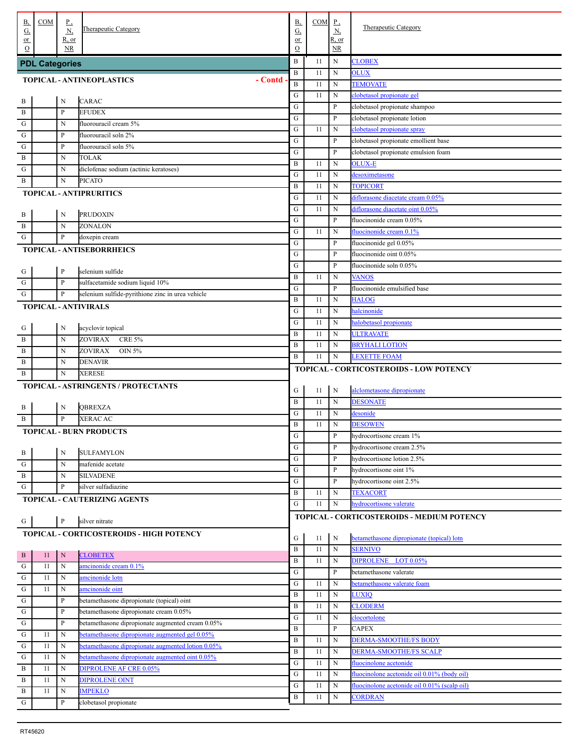| В,<br><u>G,</u>      | COM                   | <u>P,</u><br><u>N,</u> | Therapeutic Category                              | <b>B</b> ,<br>$G_{\cdot}$ | <b>COM</b> | $_{\rm P}$<br><u>N,</u> | <b>Therapeutic Category</b>                           |
|----------------------|-----------------------|------------------------|---------------------------------------------------|---------------------------|------------|-------------------------|-------------------------------------------------------|
| $or$<br>$\Omega$     |                       | R, or<br><b>NR</b>     |                                                   | or<br>$\mathcal{O}$       |            | R, or<br>NR.            |                                                       |
|                      | <b>PDL Categories</b> |                        |                                                   | B                         | 11         | N                       | <b>CLOBEX</b>                                         |
|                      |                       |                        |                                                   | $\mathbf B$               | 11         | N                       | <b>OLUX</b>                                           |
|                      |                       |                        | TOPICAL - ANTINEOPLASTICS<br>- Contd              | $\, {\bf B}$              | 11         | N                       | <b>TEMOVATE</b>                                       |
|                      |                       | N                      | <b>CARAC</b>                                      | G                         | 11         | N                       | clobetasol propionate gel                             |
| $\frac{B}{1}$<br>. В |                       | $\mathbf{P}$           | <b>EFUDEX</b>                                     | G                         |            | $\mathbf{P}$            | clobetasol propionate shampoo                         |
| . G                  |                       | N                      | fluorouracil cream 5%                             | G                         |            | $\mathbf{P}$            | clobetasol propionate lotion                          |
| . ${\bf G}$          |                       | P                      | fluorouracil soln 2%                              | G                         | 11         | N                       | clobetasol propionate spray                           |
| . G                  |                       | P                      | fluorouracil soln 5%                              | G                         |            | $\mathbf{P}$            | clobetasol propionate emollient base                  |
| . В                  |                       | N                      | TOLAK                                             | G                         |            | $\mathbf{P}$            | clobetasol propionate emulsion foam                   |
| . G                  |                       | N                      | diclofenac sodium (actinic keratoses)             | B                         | 11         | N                       | <b>OLUX-E</b>                                         |
| . В                  |                       | N                      | <b>PICATO</b>                                     | G                         | 11         | N<br>N                  | desoximetasone                                        |
|                      |                       |                        | <b>TOPICAL - ANTIPRURITICS</b>                    | B<br>G                    | 11<br>11   | N                       | <b>TOPICORT</b><br>diflorasone diacetate cream 0.05%  |
|                      |                       |                        |                                                   | G                         | 11         | N                       | diflorasone diacetate oint 0.05%                      |
| . В                  |                       | N                      | PRUDOXIN                                          | G                         |            | $\mathbf{P}$            | fluocinonide cream 0.05%                              |
| . В                  |                       | N                      | ZONALON                                           | G                         | 11         | N                       | fluocinonide cream 0.1%                               |
| . G                  |                       | $\mathbf{P}$           | doxepin cream                                     | G                         |            | $\mathbf{P}$            | fluocinonide gel 0.05%                                |
|                      |                       |                        | TOPICAL - ANTISEBORRHEICS                         | G                         |            | $\mathbf{P}$            | fluocinonide oint 0.05%                               |
|                      |                       |                        |                                                   | G                         |            | $\mathbf{P}$            | fluocinonide soln 0.05%                               |
| $\frac{G}{1}$        |                       | $\, {\bf P}$           | selenium sulfide                                  | $\, {\bf B}$              | 11         | N                       | <b>VANOS</b>                                          |
| . G                  |                       | $\mathbf{P}$           | sulfacetamide sodium liquid 10%                   | G                         |            | $\mathbf{P}$            | fluocinonide emulsified base                          |
| . ${\bf G}$          |                       | $\mathbf{P}$           | selenium sulfide-pyrithione zinc in urea vehicle  | B                         | 11         | N                       | <b>HALOG</b>                                          |
|                      |                       |                        | <b>TOPICAL - ANTIVIRALS</b>                       | G                         | 11         | N                       | halcinonide                                           |
|                      |                       |                        |                                                   | G                         | 11         | N                       | halobetasol propionate                                |
| $\cdot$ G            |                       | N                      | acyclovir topical                                 | $\, {\bf B}$              | 11         | N                       | <b>ULTRAVATE</b>                                      |
| . В                  |                       | N                      | ZOVIRAX<br><b>CRE 5%</b>                          | B                         | 11         | N                       | <b>BRYHALI LOTION</b>                                 |
| . В                  |                       | N                      | ZOVIRAX<br>OIN 5%                                 | B                         | 11         | $\mathbf N$             | <b>LEXETTE FOAM</b>                                   |
| . В                  |                       | N                      | DENAVIR                                           |                           |            |                         | TOPICAL - CORTICOSTEROIDS - LOW POTENCY               |
| . В                  |                       | N                      | <b>XERESE</b>                                     |                           |            |                         |                                                       |
|                      |                       |                        | TOPICAL - ASTRINGENTS / PROTECTANTS               | G                         | 11         | N                       | alclometasone dipropionate                            |
|                      |                       | N                      | QBREXZA                                           | B                         | 11         | N                       | <b>DESONATE</b>                                       |
| . В<br>. В           |                       | $\mathbf{P}$           | <b>XERAC AC</b>                                   | G                         | 11         | N                       | desonide                                              |
|                      |                       |                        | <b>TOPICAL - BURN PRODUCTS</b>                    | B                         | 11         | N                       | <b>DESOWEN</b>                                        |
|                      |                       |                        |                                                   | ${\bf G}$                 |            | $\mathbf{P}$            | hydrocortisone cream 1%                               |
| . В                  |                       | N                      | SULFAMYLON                                        | ${\bf G}$                 |            | $\mathbf{P}$            | hydrocortisone cream 2.5%                             |
| . G                  |                       | N                      | mafenide acetate                                  | G                         |            | $\mathbf{P}$            | hydrocortisone lotion 2.5%                            |
| . B                  |                       | N                      | <b>SILVADENE</b>                                  | G                         |            | $\mathbf{P}$            | hydrocortisone oint 1%                                |
| . G                  |                       | $\mathbf{P}$           | silver sulfadiazine                               | G                         |            | P                       | hydrocortisone oint 2.5%                              |
|                      |                       |                        | TOPICAL - CAUTERIZING AGENTS                      | B                         | 11         | N                       | <b>TEXACORT</b>                                       |
|                      |                       |                        |                                                   | ${\bf G}$                 | 11         | N                       | hydrocortisone valerate                               |
| $\cdot$ G            |                       | $\, {\bf P}$           | silver nitrate                                    |                           |            |                         | TOPICAL - CORTICOSTEROIDS - MEDIUM POTENCY            |
|                      |                       |                        | TOPICAL - CORTICOSTEROIDS - HIGH POTENCY          |                           |            |                         |                                                       |
|                      |                       |                        |                                                   | G                         | 11         | N                       | betamethasone dipropionate (topical) lotn             |
| $\cdot$ <sup>B</sup> | 11                    | $\mathbf N$            | <b>CLOBETEX</b>                                   | $\, {\bf B}$              | 11         | N                       | <b>SERNIVO</b>                                        |
| . G                  | 11                    | N                      | amcinonide cream 0.1%                             | B                         | 11         | N                       | DIPROLENE LOT 0.05%                                   |
| ${\bf G}$            | 11                    | N                      | amcinonide lotn                                   | G<br>${\bf G}$            | 11         | P<br>N                  | betamethasone valerate<br>betamethasone valerate foam |
| ${\bf G}$            | 11                    | N                      | amcinonide oint                                   | $\, {\bf B}$              | 11         | N                       | <b>LUXIQ</b>                                          |
| ${\bf G}$            |                       | P                      | betamethasone dipropionate (topical) oint         | $\, {\bf B}$              | 11         | N                       | <b>CLODERM</b>                                        |
| G                    |                       | P                      | betamethasone dipropionate cream 0.05%            | ${\bf G}$                 | 11         | N                       | clocortolone                                          |
| ${\bf G}$            |                       | P                      | betamethasone dipropionate augmented cream 0.05%  | $\, {\bf B}$              |            | P                       | <b>CAPEX</b>                                          |
| ${\bf G}$            | 11                    | N                      | betamethasone dipropionate augmented gel 0.05%    | B                         | 11         | N                       | <b>DERMA-SMOOTHE/FS BODY</b>                          |
| ${\bf G}$            | 11                    | N                      | betamethasone dipropionate augmented lotion 0.05% | B                         | 11         | N                       | <b>DERMA-SMOOTHE/FS SCALP</b>                         |
| G                    | 11                    | N                      | betamethasone dipropionate augmented oint 0.05%   | G                         | 11         | N                       | fluocinolone acetonide                                |
| B                    | 11                    | N                      | DIPROLENE AF CRE 0.05%                            | G                         | 11         | N                       | fluocinolone acetonide oil 0.01% (body oil)           |
| B                    | 11                    | N                      | <b>DIPROLENE OINT</b>                             | G                         | 11         | N                       | fluocinolone acetonide oil 0.01% (scalp oil)          |
| . В                  | 11                    | N                      | <b>IMPEKLO</b>                                    | B                         | 11         | N                       | CORDRAN                                               |
| . G                  |                       | P                      | clobetasol propionate                             |                           |            |                         |                                                       |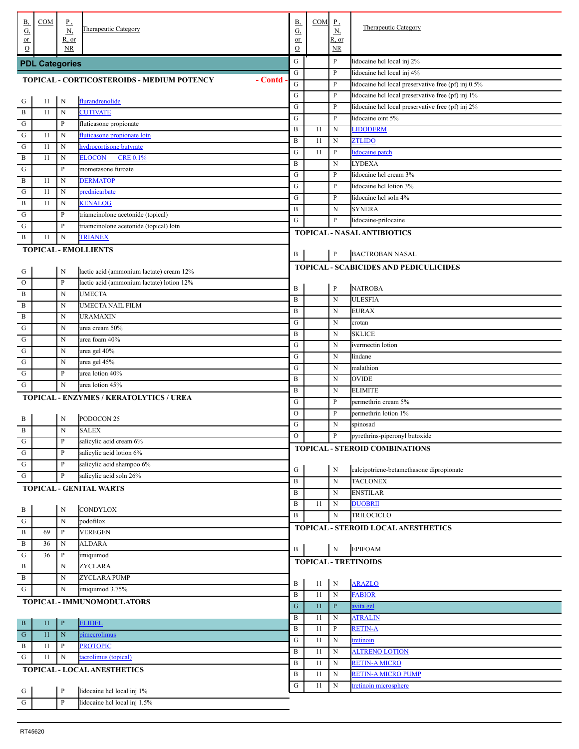| В,<br><u>G,</u>            | COM                   | <u>P,</u><br><u>N,</u> | Therapeutic Category                                         | <b>B</b> ,<br>G,  | COM      | $\mathbf{P}$<br><u>N,</u>  | Therapeutic Category                                                              |
|----------------------------|-----------------------|------------------------|--------------------------------------------------------------|-------------------|----------|----------------------------|-----------------------------------------------------------------------------------|
| $or$                       |                       | R, or                  |                                                              | or                |          | R, or                      |                                                                                   |
| $\Omega$                   |                       | <b>NR</b>              |                                                              | $\mathbf O$       |          | $\overline{\text{NR}}$     |                                                                                   |
|                            | <b>PDL Categories</b> |                        |                                                              | G                 |          | $\mathbf{P}$               | lidocaine hcl local inj 2%                                                        |
|                            |                       |                        | <b>TOPICAL - CORTICOSTEROIDS - MEDIUM POTENCY</b><br>- Contd | G<br>${\bf G}$    |          | $\mathbf{P}$<br>P          | lidocaine hcl local inj 4%<br>lidocaine hcl local preservative free (pf) inj 0.5% |
|                            |                       |                        |                                                              | ${\bf G}$         |          | P                          | lidocaine hel local preservative free (pf) inj 1%                                 |
| . G                        | 11                    | N                      | flurandrenolide                                              | ${\bf G}$         |          | P                          | lidocaine hel local preservative free (pf) inj 2%                                 |
| . B                        | 11                    | N                      | <b>CUTIVATE</b>                                              | ${\bf G}$         |          | P                          | lidocaine oint 5%                                                                 |
| . G                        |                       | $\mathbf{P}$           | fluticasone propionate                                       | $\, {\bf B}$      | 11       | N                          | <b>LIDODERM</b>                                                                   |
| $\mathbf{G}$               | 11                    | $\mathbf N$            | fluticasone propionate lotn                                  | $\, {\bf B}$      | 11       | ${\bf N}$                  | <b>ZTLIDO</b>                                                                     |
| $\mathbf{G}$               | 11                    | $\mathbf N$            | hydrocortisone butyrate                                      | ${\bf G}$         | 11       | P                          | lidocaine patch                                                                   |
| . B                        | 11                    | $\mathbf N$            | <b>CRE 0.1%</b><br>ELOCON                                    | $\bf{B}$          |          | N                          | <b>LYDEXA</b>                                                                     |
| $\mathbf G$                |                       | $\mathbf{P}$           | mometasone furoate                                           | G                 |          | P                          | lidocaine hcl cream 3%                                                            |
| $\,$ B                     | 11                    | $\mathbf N$            | <b>DERMATOP</b>                                              | G                 |          | P                          | lidocaine hcl lotion 3%                                                           |
| G                          | 11                    | $\mathbf N$            | prednicarbate                                                | G                 |          | P                          | lidocaine hcl soln 4%                                                             |
| $\,$ B                     | 11                    | N<br>$\mathbf{P}$      | <b>KENALOG</b><br>triamcinolone acetonide (topical)          | $\bf{B}$          |          | N                          | <b>SYNERA</b>                                                                     |
| G<br>G                     |                       | $\mathbf{P}$           | triamcinolone acetonide (topical) lotn                       | G                 |          | P                          | lidocaine-prilocaine                                                              |
| . B                        | 11                    | $\mathbf N$            | <b>TRIANEX</b>                                               |                   |          |                            | <b>TOPICAL - NASAL ANTIBIOTICS</b>                                                |
|                            |                       |                        | <b>TOPICAL - EMOLLIENTS</b>                                  |                   |          |                            |                                                                                   |
|                            |                       |                        |                                                              | B                 |          | $\mathbf{P}$               | <b>BACTROBAN NASAL</b>                                                            |
| $\frac{G}{4}$              |                       | N                      | lactic acid (ammonium lactate) cream 12%                     |                   |          |                            | <b>TOPICAL - SCABICIDES AND PEDICULICIDES</b>                                     |
| . о                        |                       | $\mathbf{P}$           | lactic acid (ammonium lactate) lotion 12%                    |                   |          |                            |                                                                                   |
| . B                        |                       | N                      | <b>UMECTA</b>                                                | B                 |          | $\mathbf{P}$               | <b>NATROBA</b>                                                                    |
| . B                        |                       | N                      | UMECTA NAIL FILM                                             | $\bf{B}$          |          | N                          | <b>ULESFIA</b>                                                                    |
| . B                        |                       | N                      | URAMAXIN                                                     | $\bf{B}$          |          | N                          | <b>EURAX</b>                                                                      |
| G                          |                       | N                      | urea cream 50%                                               | G                 |          | N                          | crotan                                                                            |
| G                          |                       | N                      | urea foam 40%                                                | $\bf{B}$          |          | N                          | <b>SKLICE</b>                                                                     |
| G                          |                       | N                      | urea gel 40%                                                 | G                 |          | N                          | ivermectin lotion                                                                 |
| G                          |                       | N                      | urea gel 45%                                                 | ${\bf G}$         |          | N                          | lindane                                                                           |
| G                          |                       | P                      | urea lotion 40%                                              | G<br>$\bf{B}$     |          | N                          | malathion<br><b>OVIDE</b>                                                         |
| G                          |                       | $\mathbf N$            | urea lotion 45%                                              | $\, {\bf B}$      |          | N<br>N                     | <b>ELIMITE</b>                                                                    |
|                            |                       |                        | TOPICAL - ENZYMES / KERATOLYTICS / UREA                      | G                 |          | P                          | permethrin cream 5%                                                               |
|                            |                       |                        |                                                              | $\mathcal{O}$     |          | P                          | permethrin lotion 1%                                                              |
| . В                        |                       | N                      | PODOCON <sub>25</sub>                                        | ${\bf G}$         |          | N                          | spinosad                                                                          |
| . B                        |                       | $\mathbf N$            | <b>SALEX</b>                                                 | $\circ$           |          | P                          | pyrethrins-piperonyl butoxide                                                     |
| $\mathcal{L}^{\mathrm{G}}$ |                       | $\mathbf{P}$           | salicylic acid cream 6%                                      |                   |          |                            | TOPICAL - STEROID COMBINATIONS                                                    |
| $\cdot$ G                  |                       | $\mathbf{P}$           | salicylic acid lotion 6%                                     |                   |          |                            |                                                                                   |
| ${\bf G}$                  |                       | $\mathbf{P}$           | salicylic acid shampoo 6%                                    | G                 |          | N                          | calcipotriene-betamethasone dipropionate                                          |
| $\cdot$ G                  |                       | $\mathbf{P}$           | salicylic acid soln 26%                                      | $\bf{B}$          |          | $\mathbf N$                | <b>TACLONEX</b>                                                                   |
|                            |                       |                        | TOPICAL - GENITAL WARTS                                      | $\, {\bf B}$      |          | N                          | <b>ENSTILAR</b>                                                                   |
|                            |                       | $\mathbf N$            | <b>CONDYLOX</b>                                              | $\, {\bf B}$      | 11       | N                          | <b>DUOBRII</b>                                                                    |
| $\frac{B}{A}$<br>$\cdot$ G |                       | ${\bf N}$              | podofilox                                                    | B                 |          | N                          | <b>TRILOCICLO</b>                                                                 |
| $\overline{B}$             | 69                    | $\, {\bf P}$           | <b>VEREGEN</b>                                               |                   |          |                            | TOPICAL - STEROID LOCAL ANESTHETICS                                               |
| $\overline{B}$             | 36                    | N                      | <b>ALDARA</b>                                                |                   |          |                            |                                                                                   |
| ${\bf G}$                  | 36                    | $\, {\bf P}$           | imiquimod                                                    | B                 |          | ${\bf N}$                  | <b>EPIFOAM</b>                                                                    |
| $\,$ B                     |                       | N                      | <b>ZYCLARA</b>                                               |                   |          |                            | <b>TOPICAL - TRETINOIDS</b>                                                       |
| $\,$ B                     |                       | ${\bf N}$              | ZYCLARA PUMP                                                 |                   |          |                            |                                                                                   |
| $\mathbf{G}$               |                       | $\mathbf N$            | imiquimod 3.75%                                              | B                 | 11       | $\,$ N                     | <b>ARAZLO</b>                                                                     |
|                            |                       |                        | TOPICAL - IMMUNOMODULATORS                                   | $\, {\bf B}$      | 11       | $\mathbf N$                | <b>FABIOR</b>                                                                     |
|                            |                       |                        |                                                              | ${\bf G}$         | 11       | $\mathbf{P}$               | avita gel                                                                         |
| $\cdot$ B                  | 11                    | $\, {\bf P}$           | <b>ELIDEL</b>                                                | $\, {\bf B}$      | 11       | N                          | <b>ATRALIN</b>                                                                    |
| $\overline{\mathbf{G}}$    | 11                    | $\mathbf N$            | pimecrolimus                                                 | B                 | 11       | $\mathbf{P}$               | <b>RETIN-A</b>                                                                    |
| $\cdot$ B                  | 11                    | $\, {\bf P}$           | <b>PROTOPIC</b>                                              | G<br>$\, {\bf B}$ | 11<br>11 | $\mathbf N$<br>$\mathbf N$ | tretinoin<br><b>ALTRENO LOTION</b>                                                |
| $\mathbf{G}$               | 11                    | ${\bf N}$              | tacrolimus (topical)                                         | $\, {\bf B}$      | 11       | $\mathbf N$                | <b>RETIN-A MICRO</b>                                                              |
|                            |                       |                        | TOPICAL - LOCAL ANESTHETICS                                  | B                 | 11       | N                          | <b>RETIN-A MICRO PUMP</b>                                                         |
|                            |                       |                        |                                                              | G                 | 11       | $\mathbf N$                | tretinoin microsphere                                                             |
|                            |                       | $\, {\bf P}$           | lidocaine hel local inj 1%                                   |                   |          |                            |                                                                                   |
| $rac{G}{G}$                |                       | $\, {\bf P}$           | lidocaine hel local inj 1.5%                                 |                   |          |                            |                                                                                   |
|                            |                       |                        |                                                              |                   |          |                            |                                                                                   |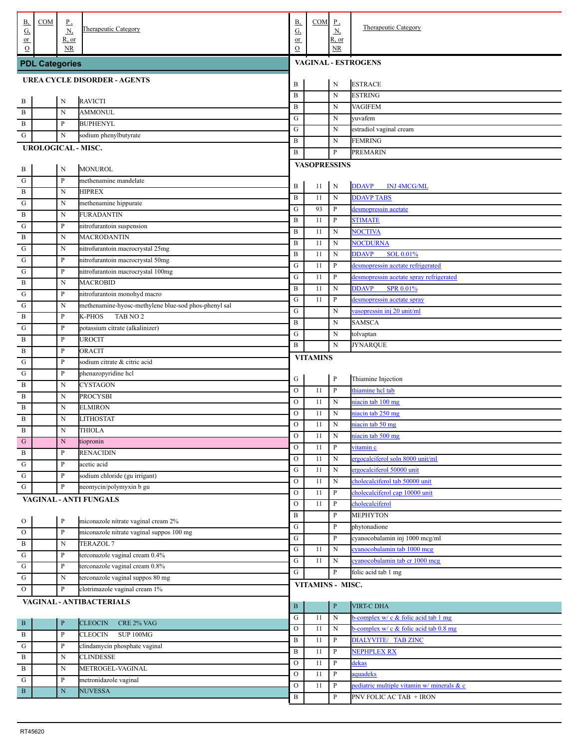| В,<br><u>G,</u>                                    | COM                   | <u>P,</u><br><u>N,</u> | Therapeutic Category                                 | <b>B</b> ,<br>$G_{\cdot}$ | $COM$ $P$ ,         | <u>N,</u>    | Therapeutic Category                       |
|----------------------------------------------------|-----------------------|------------------------|------------------------------------------------------|---------------------------|---------------------|--------------|--------------------------------------------|
| $or$<br>$\Omega$                                   |                       | R, or<br><b>NR</b>     |                                                      | or<br>$\mathcal{O}$       |                     | R, or<br>NR. |                                            |
|                                                    | <b>PDL Categories</b> |                        |                                                      |                           |                     |              | <b>VAGINAL - ESTROGENS</b>                 |
|                                                    |                       |                        |                                                      |                           |                     |              |                                            |
|                                                    |                       |                        | <b>UREA CYCLE DISORDER - AGENTS</b>                  | B                         |                     | N            | <b>ESTRACE</b>                             |
| . В                                                |                       | N                      | <b>RAVICTI</b>                                       | $\, {\bf B}$              |                     | N            | <b>ESTRING</b>                             |
| . B                                                |                       | N                      | <b>AMMONUL</b>                                       | $\, {\bf B}$              |                     | N            | <b>VAGIFEM</b>                             |
| B                                                  |                       | $\mathbf{P}$           | <b>BUPHENYL</b>                                      | ${\bf G}$                 |                     | N            | yuvafem                                    |
| G                                                  |                       | N                      | sodium phenylbutyrate                                | G                         |                     | N            | estradiol vaginal cream                    |
|                                                    |                       |                        | UROLOGICAL - MISC.                                   | $\, {\bf B}$<br>B         |                     | N<br>P       | <b>FEMRING</b><br><b>PREMARIN</b>          |
|                                                    |                       |                        |                                                      |                           | <b>VASOPRESSINS</b> |              |                                            |
| . В                                                |                       | N                      | <b>MONUROL</b>                                       |                           |                     |              |                                            |
| $\cdot$ G                                          |                       | $\mathbf{P}$           | methenamine mandelate                                | B                         | 11                  | N            | <b>DDAVP</b><br><b>INJ 4MCG/ML</b>         |
| . В                                                |                       | N                      | <b>HIPREX</b>                                        | $\, {\bf B}$              | 11                  | ${\bf N}$    | <b>DDAVP TABS</b>                          |
| G                                                  |                       | N                      | methenamine hippurate                                | ${\bf G}$                 | 93                  | P            | desmopressin acetate                       |
| $\mathbf{B}$                                       |                       | N<br>$\, {\bf p}$      | <b>FURADANTIN</b>                                    | $\, {\bf B}$              | 11                  | P            | <b>STIMATE</b>                             |
| G<br>$\mathbf{B}$                                  |                       | N                      | nitrofurantoin suspension<br><b>MACRODANTIN</b>      | $\, {\bf B}$              | 11                  | ${\bf N}$    | <b>NOCTIVA</b>                             |
| G                                                  |                       | N                      | nitrofurantoin macrocrystal 25mg                     | $\, {\bf B}$              | 11                  | $\mathbf N$  | <b>NOCDURNA</b>                            |
| G                                                  |                       | $\, {\bf p}$           | nitrofurantoin macrocrystal 50mg                     | $\, {\bf B}$              | 11                  | $\mathbf N$  | <b>DDAVP</b><br>SOL 0.01%                  |
| G                                                  |                       | $\, {\bf p}$           | nitrofurantoin macrocrystal 100mg                    | ${\bf G}$                 | 11                  | $\, {\bf P}$ | desmopressin acetate refrigerated          |
| $\mathbf{B}$                                       |                       | N                      | <b>MACROBID</b>                                      | ${\bf G}$                 | 11                  | $\, {\bf P}$ | desmopressin acetate spray refrigerated    |
| G                                                  |                       | $\, {\bf p}$           | nitrofurantoin monohyd macro                         | $\, {\bf B}$              | 11                  | $\mathbf N$  | <b>DDAVP</b><br><b>SPR 0.01%</b>           |
| G                                                  |                       | N                      | methenamine-hyosc-methylene blue-sod phos-phenyl sal | ${\bf G}$                 | 11                  | $\, {\bf P}$ | desmopressin acetate spray                 |
| B                                                  |                       | $\mathbf{P}$           | TAB NO <sub>2</sub><br>K-PHOS                        | ${\bf G}$                 |                     | $\mathbf N$  | vasopressin inj 20 unit/ml                 |
| G                                                  |                       | $\mathbf{P}$           | potassium citrate (alkalinizer)                      | $\, {\bf B}$              |                     | N            | <b>SAMSCA</b>                              |
| B                                                  |                       | $\mathbf{P}$           | <b>UROCIT</b>                                        | ${\bf G}$                 |                     | N            | tolvaptan                                  |
| B                                                  |                       | $\mathbf{P}$           | <b>ORACIT</b>                                        | B                         |                     | ${\bf N}$    | <b>JYNARQUE</b>                            |
| G                                                  |                       | $\mathbf{P}$           | sodium citrate & citric acid                         |                           | <b>VITAMINS</b>     |              |                                            |
| G                                                  |                       | $\, {\bf p}$           | phenazopyridine hcl                                  |                           |                     | $\mathbf{P}$ | Thiamine Injection                         |
| B                                                  |                       | N                      | <b>CYSTAGON</b>                                      | G<br>$\mathcal O$         | 11                  | $\, {\bf P}$ | thiamine hcl tab                           |
| B                                                  |                       | N                      | <b>PROCYSBI</b>                                      | $\mathcal O$              | 11                  | $\mathbf N$  | niacin tab 100 mg                          |
| B                                                  |                       | N                      | <b>ELMIRON</b>                                       | $\mathcal O$              | 11                  | $\mathbf N$  | niacin tab 250 mg                          |
| B                                                  |                       | N                      | <b>LITHOSTAT</b>                                     | $\mathcal O$              | 11                  | $\mathbf N$  | niacin tab 50 mg                           |
| B                                                  |                       | N                      | <b>THIOLA</b>                                        | $\overline{O}$            | 11                  | $\mathbf N$  | niacin tab 500 mg                          |
| $\cdot$ G                                          |                       | N                      | tiopronin                                            | $\overline{O}$            | 11                  | $\, {\bf P}$ | vitamin c                                  |
| . B                                                |                       | $\mathbf{P}$           | <b>RENACIDIN</b>                                     | $\mathcal O$              | 11                  | $\mathbf N$  | ergocalciferol soln 8000 unit/ml           |
| ${\bf G}$                                          |                       | $\, {\bf p}$           | acetic acid                                          | ${\bf G}$                 | 11                  | $\mathbf N$  | ergocalciferol 50000 unit                  |
| ${\bf G}$                                          |                       | $\, {\bf p}$           | sodium chloride (gu irrigant)                        | ${\rm O}$                 | 11                  | $\mathbf N$  | cholecalciferol tab 50000 unit             |
| ${\bf G}$                                          |                       | $\, {\bf p}$           | neomycin/polymyxin b gu                              | ${\rm O}$                 | 11                  | P            | cholecalciferol cap 10000 unit             |
|                                                    |                       |                        | <b>VAGINAL - ANTI FUNGALS</b>                        | ${\rm O}$                 | 11                  | $\, {\bf P}$ | cholecalciferol                            |
|                                                    |                       | $\, {\bf P}$           | miconazole nitrate vaginal cream 2%                  | $\, {\bf B}$              |                     | P            | <b>MEPHYTON</b>                            |
| $\overline{\phantom{a}}^{\circ}$<br>$\overline{O}$ |                       | $\, {\bf P}$           | miconazole nitrate vaginal suppos 100 mg             | ${\bf G}$                 |                     | P            | phytonadione                               |
| $\overline{B}$                                     |                       | $\mathbf N$            | <b>TERAZOL 7</b>                                     | ${\bf G}$                 |                     | P            | cyanocobalamin inj 1000 mcg/ml             |
| ${\bf G}$                                          |                       | $\, {\bf p}$           | terconazole vaginal cream 0.4%                       | ${\bf G}$                 | 11                  | $\mathbf N$  | cyanocobalamin tab 1000 mcg                |
| ${\bf G}$                                          |                       | $\, {\bf p}$           | terconazole vaginal cream 0.8%                       | ${\bf G}$                 | 11                  | $\mathbf N$  | cyanocobalamin tab cr 1000 mcg             |
| ${\bf G}$                                          |                       | $\mathbf N$            | terconazole vaginal suppos 80 mg                     | G                         |                     | P            | folic acid tab 1 mg                        |
| $\rm{O}$                                           |                       | $\mathbf{P}$           | clotrimazole vaginal cream 1%                        |                           | VITAMINS - MISC.    |              |                                            |
|                                                    |                       |                        | VAGINAL - ANTIBACTERIALS                             |                           |                     |              |                                            |
|                                                    |                       |                        |                                                      | $\, {\bf B}$              |                     | $\mathbf{P}$ | <b>VIRT-C DHA</b>                          |
| . B                                                |                       | $\, {\bf P}$           | <b>CLEOCIN</b><br>CRE 2% VAG                         | ${\bf G}$                 | 11                  | ${\bf N}$    | b-complex w/ c & folic acid tab 1 mg       |
| $\, {\bf B}$                                       |                       | $\, {\bf P}$           | SUP 100MG<br><b>CLEOCIN</b>                          | $\mathcal O$              | 11                  | $\mathbf N$  | b-complex w/ c & folic acid tab 0.8 mg     |
| ${\bf G}$                                          |                       | $\, {\bf p}$           | clindamycin phosphate vaginal                        | B<br>B                    | 11<br>11            | P<br>P       | DIALYVITE/ TAB ZINC<br><b>NEPHPLEX RX</b>  |
| $\, {\bf B}$                                       |                       | $\mathbf N$            | <b>CLINDESSE</b>                                     | $\mathcal{O}$             | 11                  | $\, {\bf P}$ | dekas                                      |
| $\, {\bf B}$                                       |                       | $\mathbf N$            | METROGEL-VAGINAL                                     | $\mathcal O$              | 11                  | $\, {\bf P}$ | aquadeks                                   |
| ${\bf G}$                                          |                       | $\, {\bf p}$           | metronidazole vaginal                                | $\mathcal{O}$             | 11                  | $\, {\bf P}$ | pediatric multiple vitamin w/ minerals & c |
| $\cdot$ B                                          |                       | $\mathbf N$            | <b>NUVESSA</b>                                       | $\, {\bf B}$              |                     | P            | PNV FOLIC AC TAB + IRON                    |
|                                                    |                       |                        |                                                      |                           |                     |              |                                            |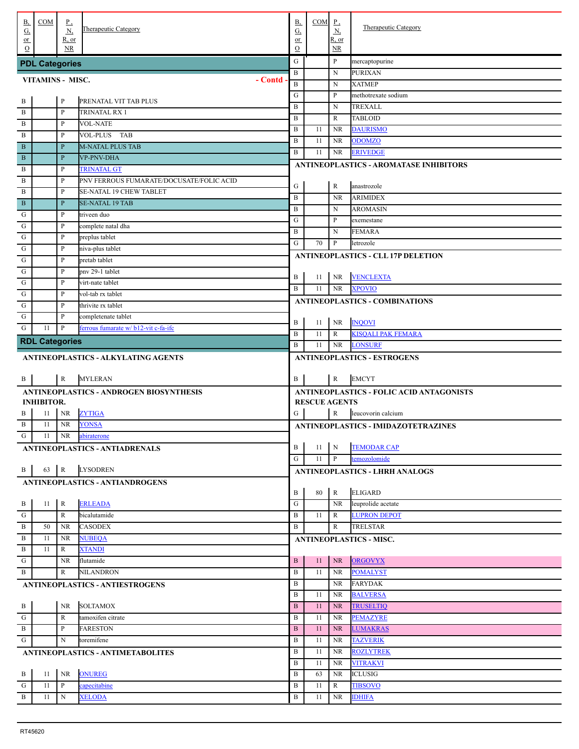| <b>B</b> ,<br><u>G,</u>     | COM                                 | <u>P,</u><br>$\underline{N}$ | Therapeutic Category                                     | <b>B</b> ,<br>$\underline{G}$ | $COM$ $P$ ,          | $\underline{N}$        | <b>Therapeutic Category</b>                   |
|-----------------------------|-------------------------------------|------------------------------|----------------------------------------------------------|-------------------------------|----------------------|------------------------|-----------------------------------------------|
| or                          |                                     | R, or                        |                                                          | or                            |                      | R, or                  |                                               |
| $\Omega$                    |                                     | <b>NR</b>                    |                                                          | $\mathbf O$                   |                      | $\overline{\text{NR}}$ |                                               |
|                             | <b>PDL Categories</b>               |                              |                                                          | ${\bf G}$<br>$\mathbf B$      |                      | P                      | mercaptopurine                                |
| VITAMINS - MISC.<br>- Contd |                                     |                              |                                                          |                               |                      | N<br>N                 | <b>PURIXAN</b><br><b>XATMEP</b>               |
|                             |                                     |                              |                                                          | $\mathbf{B}$<br>G             |                      | P                      | methotrexate sodium                           |
| . В                         |                                     | $\, {\bf p}$                 | PRENATAL VIT TAB PLUS                                    | $\bf{B}$                      |                      | N                      | TREXALL                                       |
| . В                         |                                     | $\mathbf P$                  | TRINATAL RX 1                                            | $\bf{B}$                      |                      | R                      | <b>TABLOID</b>                                |
| $\mathbf{B}$                |                                     | P                            | <b>VOL-NATE</b>                                          | $\bf{B}$                      | 11                   | <b>NR</b>              | <b>DAURISMO</b>                               |
| $\mathbf{B}$                |                                     | P                            | VOL-PLUS TAB                                             | $\, {\bf B}$                  | 11                   | NR                     | <b>ODOMZO</b>                                 |
| . B                         |                                     | $\, {\bf P}$                 | <b>M-NATAL PLUS TAB</b>                                  | $\bf{B}$                      | 11                   | NR                     | <b>ERIVEDGE</b>                               |
| . B                         |                                     | $\mathbf{P}$                 | VP-PNV-DHA                                               |                               |                      |                        | <b>ANTINEOPLASTICS - AROMATASE INHIBITORS</b> |
| B                           |                                     | P                            | <b>TRINATAL GT</b>                                       |                               |                      |                        |                                               |
| $\mathbf B$                 |                                     | $\mathbf P$                  | PNV FERROUS FUMARATE/DOCUSATE/FOLIC ACID                 | G                             |                      | R                      | anastrozole                                   |
| $\mathbf{B}$<br>. B         |                                     | $\mathbf P$<br>$\mathbf{P}$  | <b>SE-NATAL 19 CHEW TABLET</b><br><b>SE-NATAL 19 TAB</b> | $\, {\bf B}$                  |                      | <b>NR</b>              | <b>ARIMIDEX</b>                               |
|                             |                                     | $\mathbf P$                  | triveen duo                                              | $\bf{B}$                      |                      | N                      | <b>AROMASIN</b>                               |
| G<br>G                      |                                     | $\mathbf P$                  | complete natal dha                                       | G                             |                      | P                      | exemestane                                    |
| G                           |                                     | $\mathbf P$                  | preplus tablet                                           | $\bf{B}$                      |                      | N                      | <b>FEMARA</b>                                 |
| G                           |                                     | $\mathbf P$                  | niva-plus tablet                                         | G                             | 70                   | P                      | letrozole                                     |
| G                           |                                     | $\mathbf P$                  | pretab tablet                                            |                               |                      |                        | <b>ANTINEOPLASTICS - CLL 17P DELETION</b>     |
| G                           |                                     | $\mathbf P$                  | pny 29-1 tablet                                          |                               |                      |                        |                                               |
| G                           |                                     | $\mathbf P$                  | virt-nate tablet                                         | B                             | 11                   | NR                     | <b>VENCLEXTA</b>                              |
| G                           |                                     | $\mathbf P$                  | vol-tab rx tablet                                        | $\mathbf{B}$                  | 11                   | <b>NR</b>              | <b>XPOVIO</b>                                 |
| G                           |                                     | $\mathbf P$                  | thrivite rx tablet                                       |                               |                      |                        | <b>ANTINEOPLASTICS - COMBINATIONS</b>         |
| G                           |                                     | $\mathbf P$                  | completenate tablet                                      |                               |                      |                        |                                               |
| G                           | 11                                  | $\, {\bf P}$                 | ferrous fumarate w/b12-vit c-fa-ifc                      | B                             | 11                   | NR                     | <b>INQOVI</b>                                 |
|                             | <b>RDL Categories</b>               |                              |                                                          | $\bf{B}$<br>B                 | 11<br>11             | R<br>NR                | <b>KISQALI PAK FEMARA</b><br><b>LONSURF</b>   |
|                             |                                     |                              |                                                          |                               |                      |                        |                                               |
|                             | ANTINEOPLASTICS - ALKYLATING AGENTS |                              |                                                          |                               |                      |                        |                                               |
|                             |                                     |                              |                                                          |                               |                      |                        | <b>ANTINEOPLASTICS - ESTROGENS</b>            |
| . B                         |                                     | $\mathbb{R}$                 | <b>MYLERAN</b>                                           | B                             |                      | $\mathbb R$            | <b>EMCYT</b>                                  |
|                             |                                     |                              | ANTINEOPLASTICS - ANDROGEN BIOSYNTHESIS                  |                               |                      |                        | ANTINEOPLASTICS - FOLIC ACID ANTAGONISTS      |
|                             | <b>INHIBITOR.</b>                   |                              |                                                          |                               | <b>RESCUE AGENTS</b> |                        |                                               |
| B                           | 11                                  | <b>NR</b>                    | <b>ZYTIGA</b>                                            | G                             |                      | R                      | leucovorin calcium                            |
| . В                         | 11                                  | <b>NR</b>                    | <b>YONSA</b>                                             |                               |                      |                        | ANTINEOPLASTICS - IMIDAZOTETRAZINES           |
| G                           | $11\,$                              | NR                           | abiraterone                                              |                               |                      |                        |                                               |
|                             |                                     |                              | <b>ANTINEOPLASTICS - ANTIADRENALS</b>                    | B                             | 11                   | N                      | <b>TEMODAR CAP</b>                            |
|                             |                                     |                              |                                                          | G                             | 11                   | P                      | temozolomide                                  |
| $\cdot$ B                   | $63 \mid R$                         |                              | <b>LYSODREN</b>                                          |                               |                      |                        | <b>ANTINEOPLASTICS - LHRH ANALOGS</b>         |
|                             |                                     |                              | <b>ANTINEOPLASTICS - ANTIANDROGENS</b>                   |                               |                      |                        |                                               |
|                             |                                     |                              |                                                          | B                             | 80                   | R                      | <b>ELIGARD</b>                                |
| $\cdot$ B                   | 11                                  | $\mathbf R$<br>R             | <b>ERLEADA</b>                                           | ${\bf G}$<br>B                | -11                  | <b>NR</b><br>R         | leuprolide acetate<br><b>LUPRON DEPOT</b>     |
| . G<br>. В                  | 50                                  | <b>NR</b>                    | bicalutamide<br><b>CASODEX</b>                           | B                             |                      | R                      | <b>TRELSTAR</b>                               |
| . В                         | 11                                  | <b>NR</b>                    | <b>NUBEQA</b>                                            |                               |                      |                        |                                               |
| . В                         | 11                                  | R                            | <b>XTANDI</b>                                            |                               |                      |                        | <b>ANTINEOPLASTICS - MISC.</b>                |
| G                           |                                     | NR                           | flutamide                                                | $\, {\bf B}$                  | 11                   | <b>NR</b>              | <b>ORGOVYX</b>                                |
| . В                         |                                     | R                            | <b>NILANDRON</b>                                         | $\bf{B}$                      | 11                   | <b>NR</b>              | <b>POMALYST</b>                               |
|                             |                                     |                              | <b>ANTINEOPLASTICS - ANTIESTROGENS</b>                   | B                             |                      | NR                     | <b>FARYDAK</b>                                |
|                             |                                     |                              |                                                          | B                             | -11                  | NR                     | <b>BALVERSA</b>                               |
| $\cdot$ B                   |                                     | NR.                          | SOLTAMOX                                                 | $\, {\bf B}$                  | 11                   | NR                     | <b>TRUSELTIQ</b>                              |
| . G                         |                                     | R                            | tamoxifen citrate                                        | B                             | 11                   | NR.                    | <b>PEMAZYRE</b>                               |
| $\overline{B}$ .            |                                     | P                            | <b>FARESTON</b>                                          | B                             | 11                   | NR                     | <b>LUMAKRAS</b>                               |
| . G                         |                                     | N                            | toremifene                                               | B                             | 11                   | NR                     | <b>TAZVERIK</b>                               |
|                             |                                     |                              | <b>ANTINEOPLASTICS - ANTIMETABOLITES</b>                 | B                             | 11                   | NR                     | <b>ROZLYTREK</b>                              |
|                             |                                     |                              |                                                          | B                             | 11                   | NR                     | <b>VITRAKVI</b>                               |
| $\frac{B}{1}$               | 11                                  | NR                           | <b>ONUREG</b>                                            | B                             | 63                   | NR                     | <b>ICLUSIG</b>                                |
| . G<br>. B                  | 11<br>11                            | P<br>N                       | capecitabine<br><b>XELODA</b>                            | B<br>B                        | 11<br>11             | R<br>NR                | <b>TIBSOVO</b><br><b>IDHIFA</b>               |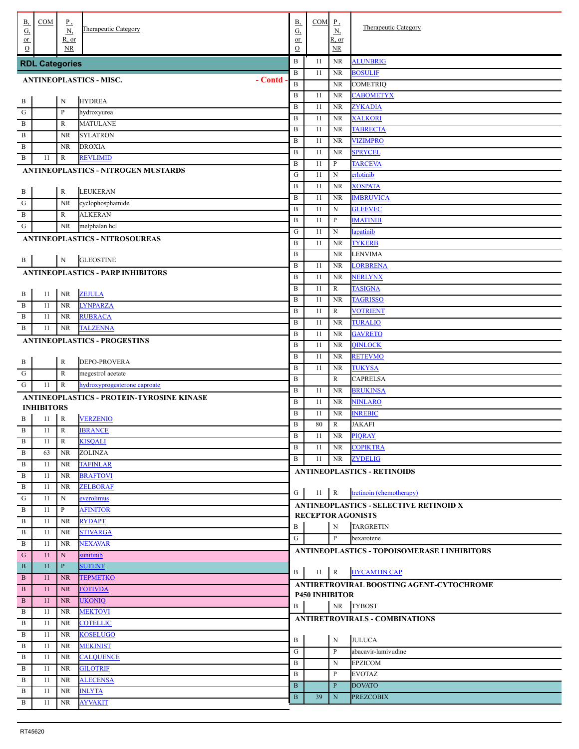| В,<br>G,                                  | COM                   | $_{\rm p}$<br>N       | Therapeutic Category                             | <b>B</b> ,<br>G,             | COM                   | $_{\rm P}$<br>$\underline{N}$ | Therapeutic Category                          |
|-------------------------------------------|-----------------------|-----------------------|--------------------------------------------------|------------------------------|-----------------------|-------------------------------|-----------------------------------------------|
| or<br>$\Omega$                            |                       | $R$ , or<br><b>NR</b> |                                                  | or<br>$\Omega$               |                       | R, or<br><b>NR</b>            |                                               |
|                                           | <b>RDL Categories</b> |                       |                                                  | $\, {\bf B}$                 | 11                    | <b>NR</b>                     | <b>ALUNBRIG</b>                               |
|                                           |                       |                       |                                                  | $\, {\bf B}$                 | 11                    | <b>NR</b>                     | <b>BOSULIF</b>                                |
| - Contd<br><b>ANTINEOPLASTICS - MISC.</b> |                       |                       |                                                  |                              |                       | NR.                           | <b>COMETRIQ</b>                               |
|                                           |                       |                       |                                                  | $\, {\bf B}$                 | 11                    | <b>NR</b>                     | CABOMETYX                                     |
| $\, {\bf B}$                              |                       | $\mathbf N$           | <b>HYDREA</b>                                    | $\, {\bf B}$                 | 11                    | <b>NR</b>                     | <b>ZYKADIA</b>                                |
| ${\bf G}$                                 |                       | $\mathbf P$           | hydroxyurea                                      | $\, {\bf B}$                 | 11                    | <b>NR</b>                     | <b>XALKORI</b>                                |
| $\, {\bf B}$                              |                       | R                     | <b>MATULANE</b>                                  | $\, {\bf B}$                 | 11                    | NR.                           | <b>TABRECTA</b>                               |
| B                                         |                       | <b>NR</b>             | <b>SYLATRON</b>                                  | $\, {\bf B}$                 | 11                    | NR.                           | <b>VIZIMPRO</b>                               |
| B                                         |                       | <b>NR</b>             | <b>DROXIA</b>                                    | $\, {\bf B}$                 | 11                    | NR.                           | <b>SPRYCEL</b>                                |
| B                                         | 11                    | R                     | <b>REVLIMID</b>                                  | $\, {\bf B}$                 | 11                    | $\mathbf{P}$                  | <b>TARCEVA</b>                                |
|                                           |                       |                       | ANTINEOPLASTICS - NITROGEN MUSTARDS              | G                            | 11                    | $\mathbf N$                   | erlotinib                                     |
| $\mathbf B$                               |                       | $\mathbb{R}$          | <b>LEUKERAN</b>                                  | $\, {\bf B}$                 | 11                    | NR.                           | <b>XOSPATA</b>                                |
| G                                         |                       | <b>NR</b>             | cyclophosphamide                                 | $\, {\bf B}$                 | 11                    | NR.                           | <b>IMBRUVICA</b>                              |
| B                                         |                       | R                     | <b>ALKERAN</b>                                   | $\, {\bf B}$                 | 11                    | $_{\rm N}$                    | <b>GLEEVEC</b>                                |
| G                                         |                       | NR.                   | melphalan hcl                                    | $\, {\bf B}$                 | 11                    | $\mathbf{P}$                  | <b>IMATINIB</b>                               |
|                                           |                       |                       | <b>ANTINEOPLASTICS - NITROSOUREAS</b>            | G                            | 11                    | $\mathbf N$                   | lapatinib                                     |
|                                           |                       |                       |                                                  | B                            | 11                    | <b>NR</b>                     | <b>TYKERB</b>                                 |
| . B                                       |                       | $\mathbf N$           | <b>GLEOSTINE</b>                                 | $\, {\bf B}$                 |                       | <b>NR</b>                     | <b>LENVIMA</b>                                |
|                                           |                       |                       | <b>ANTINEOPLASTICS - PARP INHIBITORS</b>         | $\, {\bf B}$                 | 11                    | <b>NR</b>                     | <b>LORBRENA</b>                               |
|                                           |                       |                       |                                                  | $\, {\bf B}$                 | 11                    | <b>NR</b>                     | <b>NERLYNX</b>                                |
| $\, {\bf B}$                              | 11                    | <b>NR</b>             | <b>ZEJULA</b>                                    | $\, {\bf B}$                 | 11                    | $\mathbb{R}$                  | <b>TASIGNA</b>                                |
| $\, {\bf B}$                              | 11                    | <b>NR</b>             | <b>LYNPARZA</b>                                  | $\, {\bf B}$                 | 11                    | <b>NR</b>                     | <b>TAGRISSO</b>                               |
| $\, {\bf B}$                              | 11                    | NR                    | <b>RUBRACA</b>                                   | $\, {\bf B}$                 | 11                    | R                             | <b>VOTRIENT</b>                               |
| $\, {\bf B}$                              | 11                    | NR.                   | <b>TALZENNA</b>                                  | $\, {\bf B}$                 | 11                    | <b>NR</b>                     | <b>TURALIO</b>                                |
|                                           |                       |                       | <b>ANTINEOPLASTICS - PROGESTINS</b>              | B                            | 11                    | <b>NR</b>                     | <b>GAVRETO</b>                                |
|                                           |                       |                       |                                                  | B                            | 11                    | <b>NR</b>                     | <b>QINLOCK</b>                                |
| $\, {\bf B}$                              |                       | $\mathbb R$           | <b>DEPO-PROVERA</b>                              | $\, {\bf B}$                 | 11                    | <b>NR</b>                     | <b>RETEVMO</b>                                |
| G                                         |                       | $\mathbb R$           | megestrol acetate                                | $\, {\bf B}$                 | 11                    | <b>NR</b>                     | <b>TUKYSA</b>                                 |
| G                                         | 11                    | R                     | hydroxyprogesterone caproate                     | $\, {\bf B}$                 |                       | R                             | <b>CAPRELSA</b>                               |
|                                           |                       |                       | <b>ANTINEOPLASTICS - PROTEIN-TYROSINE KINASE</b> | $\, {\bf B}$                 | 11                    | <b>NR</b>                     | <b>BRUKINSA</b>                               |
|                                           | <b>INHIBITORS</b>     |                       |                                                  | $\, {\bf B}$                 | 11                    | NR.                           | <b>NINLARO</b>                                |
| B                                         | 11                    | $\mathbb R$           | <b>VERZENIO</b>                                  | $\, {\bf B}$<br>$\, {\bf B}$ | 11<br>80              | <b>NR</b>                     | <b>INREBIC</b><br><b>JAKAFI</b>               |
| B                                         | 11                    | $\mathbb{R}$          | <b>IBRANCE</b>                                   | $\, {\bf B}$                 | 11                    | R<br><b>NR</b>                | <b>PIQRAY</b>                                 |
| B                                         | 11                    | R                     | <b>KISQALI</b>                                   | $\, {\bf B}$                 | 11                    | NR                            | <b>COPIKTRA</b>                               |
| B                                         | 63                    | <b>NR</b>             | <b>ZOLINZA</b>                                   | B                            | 11                    | NR                            | <b>ZYDELIG</b>                                |
| B                                         | 11                    | <b>NR</b>             | <b>TAFINLAR</b>                                  |                              |                       |                               |                                               |
| B                                         | 11                    | <b>NR</b>             | <b>BRAFTOVI</b>                                  |                              |                       |                               | <b>ANTINEOPLASTICS - RETINOIDS</b>            |
| B                                         | 11                    | NR.                   | <b>ZELBORAF</b>                                  | G                            | $11 \mid R$           |                               | tretinoin (chemotherapy)                      |
| G                                         | 11                    | N                     | everolimus                                       |                              |                       |                               | <b>ANTINEOPLASTICS - SELECTIVE RETINOID X</b> |
| B                                         | 11                    | P                     | <b>AFINITOR</b>                                  |                              |                       |                               | <b>RECEPTOR AGONISTS</b>                      |
| B                                         | 11                    | NR.                   | <b>RYDAPT</b>                                    | B                            |                       | $_{\rm N}$                    | <b>TARGRETIN</b>                              |
| B                                         | 11                    | <b>NR</b>             | <b>STIVARGA</b>                                  | G                            |                       | P                             | bexarotene                                    |
| B                                         | 11                    | <b>NR</b>             | <b>NEXAVAR</b>                                   |                              |                       |                               | ANTINEOPLASTICS - TOPOISOMERASE I INHIBITORS  |
| G                                         | 11                    | $\mathbf N$           | sunitinib                                        |                              |                       |                               |                                               |
| $\, {\bf B}$                              | 11                    | $\mathbf{P}$          | <b>SUTENT</b>                                    | B                            | $11 \mid R$           |                               | <b>HYCAMTIN CAP</b>                           |
| B                                         | 11                    | <b>NR</b>             | <b>TEPMETKO</b>                                  |                              |                       |                               | ANTIRETROVIRAL BOOSTING AGENT-CYTOCHROME      |
| $\, {\bf B}$                              | 11                    | <b>NR</b>             | <b>FOTIVDA</b>                                   |                              | <b>P450 INHIBITOR</b> |                               |                                               |
| $\, {\bf B}$                              | 11                    | <b>NR</b>             | <b>UKONIQ</b>                                    | B                            |                       | <b>NR</b>                     | <b>TYBOST</b>                                 |
| B                                         | 11                    | <b>NR</b>             | <b>MEKTOVI</b>                                   |                              |                       |                               | <b>ANTIRETROVIRALS - COMBINATIONS</b>         |
| B                                         | 11                    | NR                    | <b>COTELLIC</b>                                  |                              |                       |                               |                                               |
| B                                         | 11                    | <b>NR</b>             | <b>KOSELUGO</b>                                  | B                            |                       | N                             | <b>JULUCA</b>                                 |
| B                                         | 11                    | NR                    | <b>MEKINIST</b>                                  | ${\bf G}$                    |                       | P                             | abacavir-lamivudine                           |
| B                                         | 11                    | <b>NR</b>             | <b>CALQUENCE</b>                                 | B                            |                       | N                             | <b>EPZICOM</b>                                |
| B                                         | 11                    | NR                    | <b>GILOTRIF</b>                                  | B                            |                       | P                             | <b>EVOTAZ</b>                                 |
| B                                         | 11                    | NR                    | <b>ALECENSA</b>                                  | $\mathbf{B}$                 |                       | P                             | <b>DOVATO</b>                                 |
| B                                         | 11<br>11              | <b>NR</b>             | <b>INLYTA</b><br><b>AYVAKIT</b>                  | $\mathbf{B}$                 | 39                    | $\mathbf N$                   | <b>PREZCOBIX</b>                              |
| B                                         |                       | <b>NR</b>             |                                                  |                              |                       |                               |                                               |